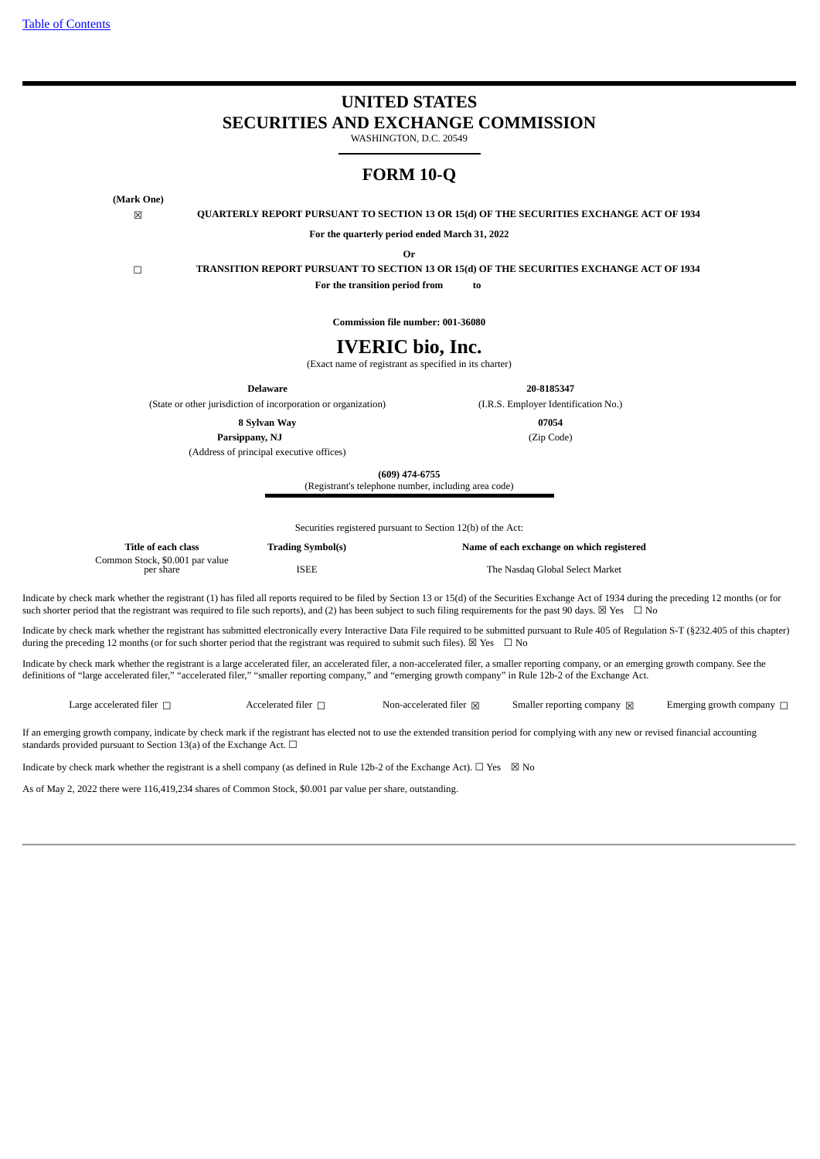# **UNITED STATES**

## **SECURITIES AND EXCHANGE COMMISSION**

WASHINGTON, D.C. 20549

# **FORM 10-Q**

**(Mark One)**

☒ **QUARTERLY REPORT PURSUANT TO SECTION 13 OR 15(d) OF THE SECURITIES EXCHANGE ACT OF 1934**

**For the quarterly period ended March 31, 2022**

**Or**

☐ **TRANSITION REPORT PURSUANT TO SECTION 13 OR 15(d) OF THE SECURITIES EXCHANGE ACT OF 1934 For the transition period from to**

**Commission file number: 001-36080**

# **IVERIC bio, Inc.**

(Exact name of registrant as specified in its charter)

**Delaware 20-8185347**

(State or other jurisdiction of incorporation or organization) (I.R.S. Employer Identification No.)

**8 Sylvan Way 07054 Parsippany, NJ** (Zip Code)

(Address of principal executive offices)

**(609) 474-6755** (Registrant's telephone number, including area code)

Securities registered pursuant to Section 12(b) of the Act:

**Title of each class Trading Symbol(s) Name of each exchange on which registered** Common Stock, \$0.001 par value

**ISEE** The Nasdaq Global Select Market

Indicate by check mark whether the registrant (1) has filed all reports required to be filed by Section 13 or 15(d) of the Securities Exchange Act of 1934 during the preceding 12 months (or for such shorter period that the registrant was required to file such reports), and (2) has been subject to such filing requirements for the past 90 days. ⊠ Yes □ No

Indicate by check mark whether the registrant has submitted electronically every Interactive Data File required to be submitted pursuant to Rule 405 of Regulation S-T (§232.405 of this chapter) during the preceding 12 months (or for such shorter period that the registrant was required to submit such files). ⊠ Yes  $\Box$  No

Indicate by check mark whether the registrant is a large accelerated filer, an accelerated filer, a non-accelerated filer, a smaller reporting company, or an emerging growth company. See the definitions of "large accelerated filer," "accelerated filer," "smaller reporting company," and "emerging growth company" in Rule 12b-2 of the Exchange Act.

Large accelerated filer □ Accelerated filer □ Non-accelerated filer ⊠ Smaller reporting company ⊠ Emerging growth company □

If an emerging growth company, indicate by check mark if the registrant has elected not to use the extended transition period for complying with any new or revised financial accounting standards provided pursuant to Section 13(a) of the Exchange Act.  $\Box$ 

Indicate by check mark whether the registrant is a shell company (as defined in Rule 12b-2 of the Exchange Act).  $\Box$  Yes  $\boxtimes$  No

<span id="page-0-0"></span>As of May 2, 2022 there were 116,419,234 shares of Common Stock, \$0.001 par value per share, outstanding.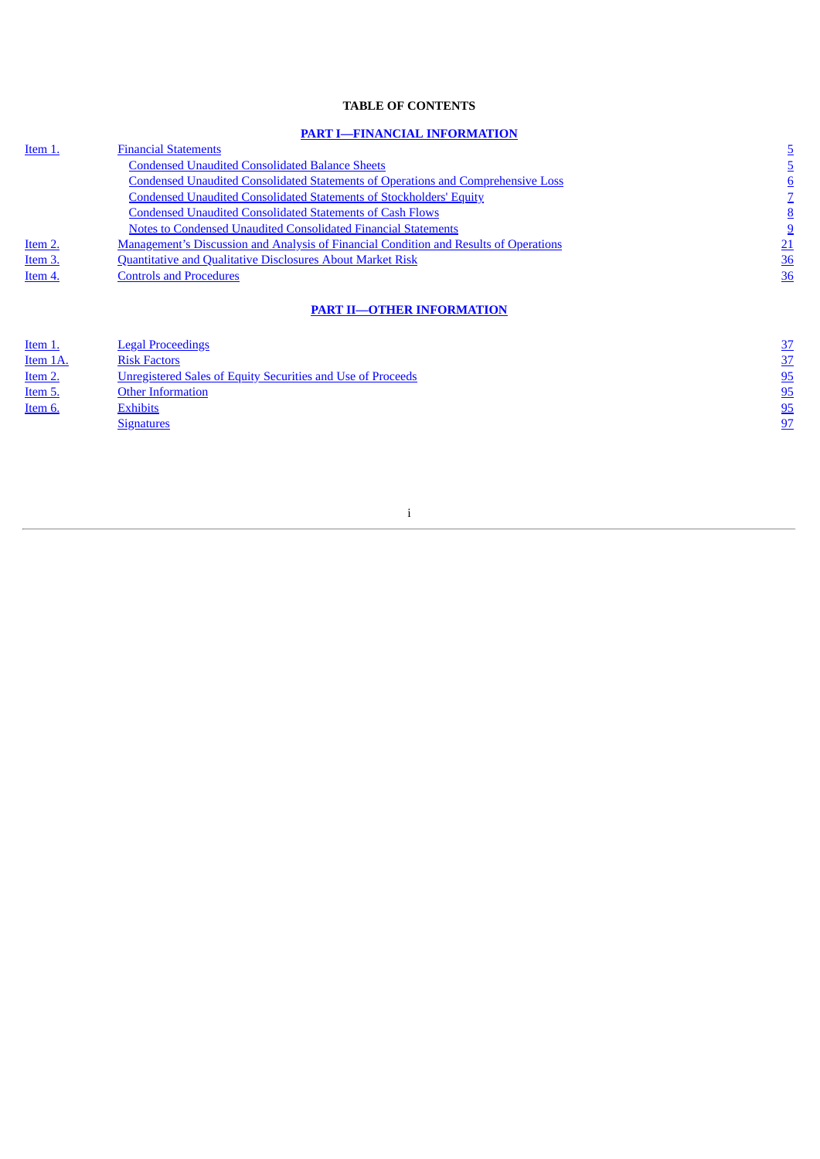# **TABLE OF CONTENTS**

# **PART I—FINANCIAL [INFORMATION](#page-5-0)**

| Item 1. | <b>Financial Statements</b>                                                                  |                 |
|---------|----------------------------------------------------------------------------------------------|-----------------|
|         | <b>Condensed Unaudited Consolidated Balance Sheets</b>                                       |                 |
|         | <b>Condensed Unaudited Consolidated Statements of Operations and Comprehensive Loss</b>      | 6               |
|         | <b>Condensed Unaudited Consolidated Statements of Stockholders' Equity</b>                   |                 |
|         | <b>Condensed Unaudited Consolidated Statements of Cash Flows</b>                             | 8               |
|         | Notes to Condensed Unaudited Consolidated Financial Statements                               | 9               |
| Item 2. | <b>Management's Discussion and Analysis of Financial Condition and Results of Operations</b> | 21              |
| Item 3. | <b>Quantitative and Qualitative Disclosures About Market Risk</b>                            | $\overline{36}$ |
| Item 4. | <b>Controls and Procedures</b>                                                               | 36              |
|         | <b>PART II-OTHER INFORMATION</b>                                                             |                 |

| Item 1.  | <b>Legal Proceedings</b>                                           |    |
|----------|--------------------------------------------------------------------|----|
| Item 1A. | <b>Risk Factors</b>                                                | 37 |
| Item 2.  | <b>Unregistered Sales of Equity Securities and Use of Proceeds</b> | 95 |
| Item 5.  | <b>Other Information</b>                                           | 95 |
| Item 6.  | <b>Exhibits</b>                                                    | 95 |
|          | <b>Signatures</b>                                                  | 97 |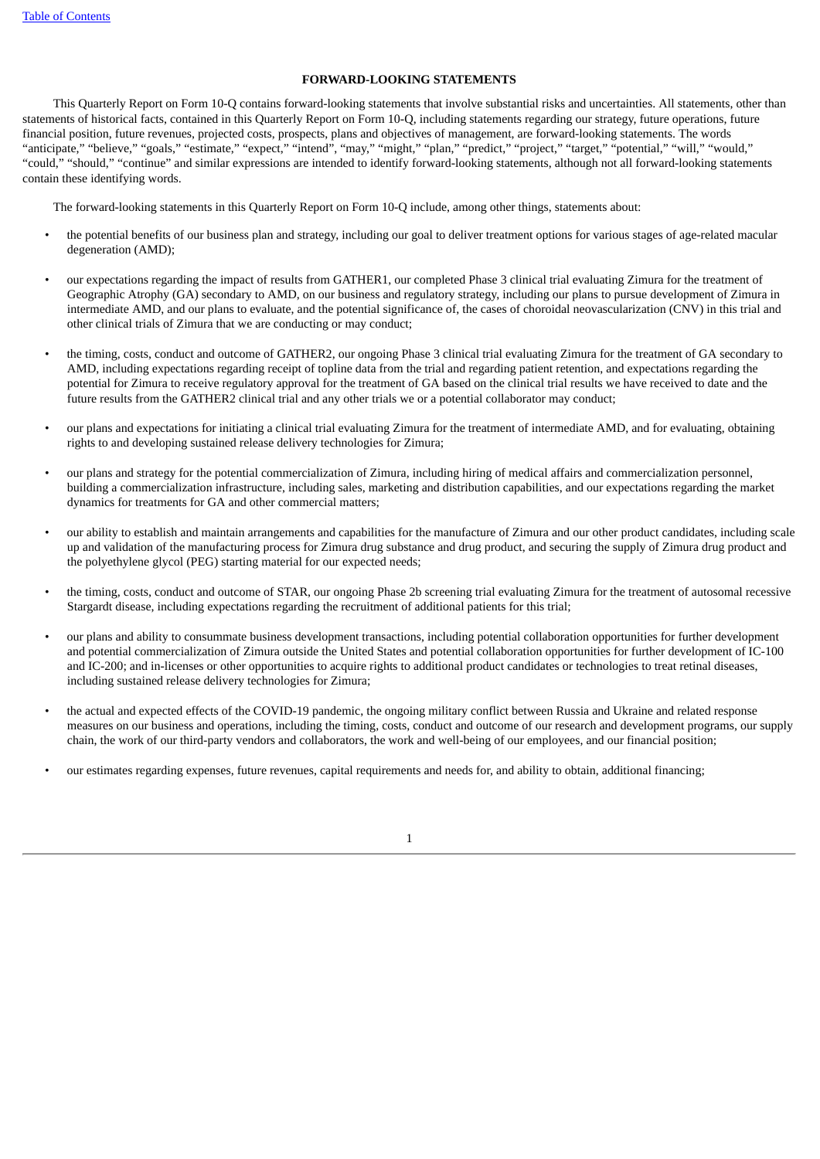## **FORWARD-LOOKING STATEMENTS**

This Quarterly Report on Form 10-Q contains forward-looking statements that involve substantial risks and uncertainties. All statements, other than statements of historical facts, contained in this Quarterly Report on Form 10-Q, including statements regarding our strategy, future operations, future financial position, future revenues, projected costs, prospects, plans and objectives of management, are forward-looking statements. The words "anticipate," "believe," "goals," "estimate," "expect," "intend", "may," "might," "plan," "predict," "project," "target," "potential," "will," "would," "could," "should," "continue" and similar expressions are intended to identify forward-looking statements, although not all forward-looking statements contain these identifying words.

The forward-looking statements in this Quarterly Report on Form 10-Q include, among other things, statements about:

- the potential benefits of our business plan and strategy, including our goal to deliver treatment options for various stages of age-related macular degeneration (AMD);
- our expectations regarding the impact of results from GATHER1, our completed Phase 3 clinical trial evaluating Zimura for the treatment of Geographic Atrophy (GA) secondary to AMD, on our business and regulatory strategy, including our plans to pursue development of Zimura in intermediate AMD, and our plans to evaluate, and the potential significance of, the cases of choroidal neovascularization (CNV) in this trial and other clinical trials of Zimura that we are conducting or may conduct;
- the timing, costs, conduct and outcome of GATHER2, our ongoing Phase 3 clinical trial evaluating Zimura for the treatment of GA secondary to AMD, including expectations regarding receipt of topline data from the trial and regarding patient retention, and expectations regarding the potential for Zimura to receive regulatory approval for the treatment of GA based on the clinical trial results we have received to date and the future results from the GATHER2 clinical trial and any other trials we or a potential collaborator may conduct;
- our plans and expectations for initiating a clinical trial evaluating Zimura for the treatment of intermediate AMD, and for evaluating, obtaining rights to and developing sustained release delivery technologies for Zimura;
- our plans and strategy for the potential commercialization of Zimura, including hiring of medical affairs and commercialization personnel, building a commercialization infrastructure, including sales, marketing and distribution capabilities, and our expectations regarding the market dynamics for treatments for GA and other commercial matters;
- our ability to establish and maintain arrangements and capabilities for the manufacture of Zimura and our other product candidates, including scale up and validation of the manufacturing process for Zimura drug substance and drug product, and securing the supply of Zimura drug product and the polyethylene glycol (PEG) starting material for our expected needs;
- the timing, costs, conduct and outcome of STAR, our ongoing Phase 2b screening trial evaluating Zimura for the treatment of autosomal recessive Stargardt disease, including expectations regarding the recruitment of additional patients for this trial;
- our plans and ability to consummate business development transactions, including potential collaboration opportunities for further development and potential commercialization of Zimura outside the United States and potential collaboration opportunities for further development of IC-100 and IC-200; and in-licenses or other opportunities to acquire rights to additional product candidates or technologies to treat retinal diseases, including sustained release delivery technologies for Zimura;
- the actual and expected effects of the COVID-19 pandemic, the ongoing military conflict between Russia and Ukraine and related response measures on our business and operations, including the timing, costs, conduct and outcome of our research and development programs, our supply chain, the work of our third-party vendors and collaborators, the work and well-being of our employees, and our financial position;
- our estimates regarding expenses, future revenues, capital requirements and needs for, and ability to obtain, additional financing;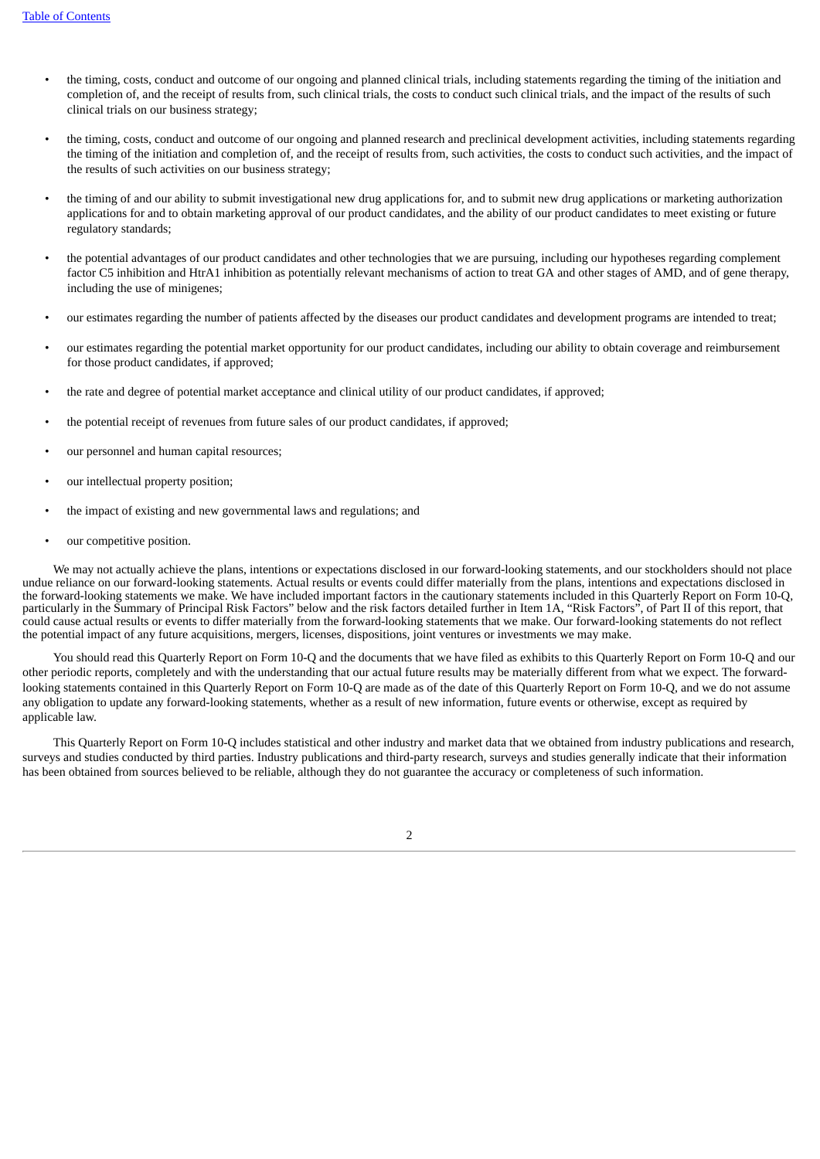- the timing, costs, conduct and outcome of our ongoing and planned clinical trials, including statements regarding the timing of the initiation and completion of, and the receipt of results from, such clinical trials, the costs to conduct such clinical trials, and the impact of the results of such clinical trials on our business strategy;
- the timing, costs, conduct and outcome of our ongoing and planned research and preclinical development activities, including statements regarding the timing of the initiation and completion of, and the receipt of results from, such activities, the costs to conduct such activities, and the impact of the results of such activities on our business strategy;
- the timing of and our ability to submit investigational new drug applications for, and to submit new drug applications or marketing authorization applications for and to obtain marketing approval of our product candidates, and the ability of our product candidates to meet existing or future regulatory standards;
- the potential advantages of our product candidates and other technologies that we are pursuing, including our hypotheses regarding complement factor C5 inhibition and HtrA1 inhibition as potentially relevant mechanisms of action to treat GA and other stages of AMD, and of gene therapy, including the use of minigenes;
- our estimates regarding the number of patients affected by the diseases our product candidates and development programs are intended to treat;
- our estimates regarding the potential market opportunity for our product candidates, including our ability to obtain coverage and reimbursement for those product candidates, if approved;
- the rate and degree of potential market acceptance and clinical utility of our product candidates, if approved;
- the potential receipt of revenues from future sales of our product candidates, if approved;
- our personnel and human capital resources;
- our intellectual property position;
- the impact of existing and new governmental laws and regulations; and
- our competitive position.

We may not actually achieve the plans, intentions or expectations disclosed in our forward-looking statements, and our stockholders should not place undue reliance on our forward-looking statements. Actual results or events could differ materially from the plans, intentions and expectations disclosed in the forward-looking statements we make. We have included important factors in the cautionary statements included in this Quarterly Report on Form 10-Q, particularly in the Summary of Principal Risk Factors" below and the risk factors detailed further in Item 1A, "Risk Factors", of Part II of this report, that could cause actual results or events to differ materially from the forward-looking statements that we make. Our forward-looking statements do not reflect the potential impact of any future acquisitions, mergers, licenses, dispositions, joint ventures or investments we may make.

You should read this Quarterly Report on Form 10-Q and the documents that we have filed as exhibits to this Quarterly Report on Form 10-Q and our other periodic reports, completely and with the understanding that our actual future results may be materially different from what we expect. The forwardlooking statements contained in this Quarterly Report on Form 10-Q are made as of the date of this Quarterly Report on Form 10-Q, and we do not assume any obligation to update any forward-looking statements, whether as a result of new information, future events or otherwise, except as required by applicable law.

This Quarterly Report on Form 10-Q includes statistical and other industry and market data that we obtained from industry publications and research, surveys and studies conducted by third parties. Industry publications and third-party research, surveys and studies generally indicate that their information has been obtained from sources believed to be reliable, although they do not guarantee the accuracy or completeness of such information.

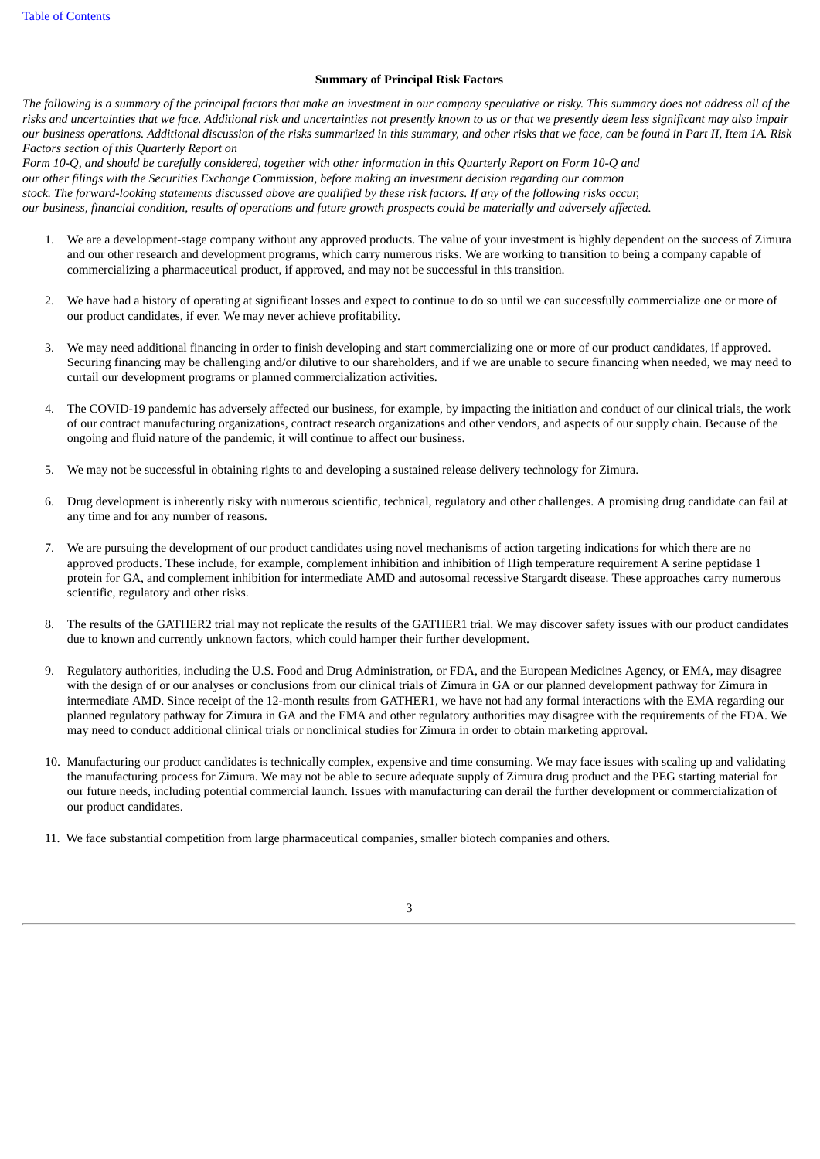## **Summary of Principal Risk Factors**

The following is a summary of the principal factors that make an investment in our company speculative or risky. This summary does not address all of the risks and uncertainties that we face. Additional risk and uncertainties not presently known to us or that we presently deem less significant may also impair our business operations. Additional discussion of the risks summarized in this summary, and other risks that we face, can be found in Part II, Item 1A. Risk *Factors section of this Quarterly Report on*

Form 10-O, and should be carefully considered, together with other information in this Ouarterly Report on Form 10-O and our other filings with the Securities Exchange Commission, before making an investment decision regarding our common stock. The forward-looking statements discussed above are qualified by these risk factors. If any of the following risks occur, our business, financial condition, results of operations and future growth prospects could be materially and adversely affected.

- 1. We are a development-stage company without any approved products. The value of your investment is highly dependent on the success of Zimura and our other research and development programs, which carry numerous risks. We are working to transition to being a company capable of commercializing a pharmaceutical product, if approved, and may not be successful in this transition.
- 2. We have had a history of operating at significant losses and expect to continue to do so until we can successfully commercialize one or more of our product candidates, if ever. We may never achieve profitability.
- 3. We may need additional financing in order to finish developing and start commercializing one or more of our product candidates, if approved. Securing financing may be challenging and/or dilutive to our shareholders, and if we are unable to secure financing when needed, we may need to curtail our development programs or planned commercialization activities.
- 4. The COVID-19 pandemic has adversely affected our business, for example, by impacting the initiation and conduct of our clinical trials, the work of our contract manufacturing organizations, contract research organizations and other vendors, and aspects of our supply chain. Because of the ongoing and fluid nature of the pandemic, it will continue to affect our business.
- 5. We may not be successful in obtaining rights to and developing a sustained release delivery technology for Zimura.
- 6. Drug development is inherently risky with numerous scientific, technical, regulatory and other challenges. A promising drug candidate can fail at any time and for any number of reasons.
- 7. We are pursuing the development of our product candidates using novel mechanisms of action targeting indications for which there are no approved products. These include, for example, complement inhibition and inhibition of High temperature requirement A serine peptidase 1 protein for GA, and complement inhibition for intermediate AMD and autosomal recessive Stargardt disease. These approaches carry numerous scientific, regulatory and other risks.
- 8. The results of the GATHER2 trial may not replicate the results of the GATHER1 trial. We may discover safety issues with our product candidates due to known and currently unknown factors, which could hamper their further development.
- 9. Regulatory authorities, including the U.S. Food and Drug Administration, or FDA, and the European Medicines Agency, or EMA, may disagree with the design of or our analyses or conclusions from our clinical trials of Zimura in GA or our planned development pathway for Zimura in intermediate AMD. Since receipt of the 12-month results from GATHER1, we have not had any formal interactions with the EMA regarding our planned regulatory pathway for Zimura in GA and the EMA and other regulatory authorities may disagree with the requirements of the FDA. We may need to conduct additional clinical trials or nonclinical studies for Zimura in order to obtain marketing approval.
- 10. Manufacturing our product candidates is technically complex, expensive and time consuming. We may face issues with scaling up and validating the manufacturing process for Zimura. We may not be able to secure adequate supply of Zimura drug product and the PEG starting material for our future needs, including potential commercial launch. Issues with manufacturing can derail the further development or commercialization of our product candidates.
- 11. We face substantial competition from large pharmaceutical companies, smaller biotech companies and others.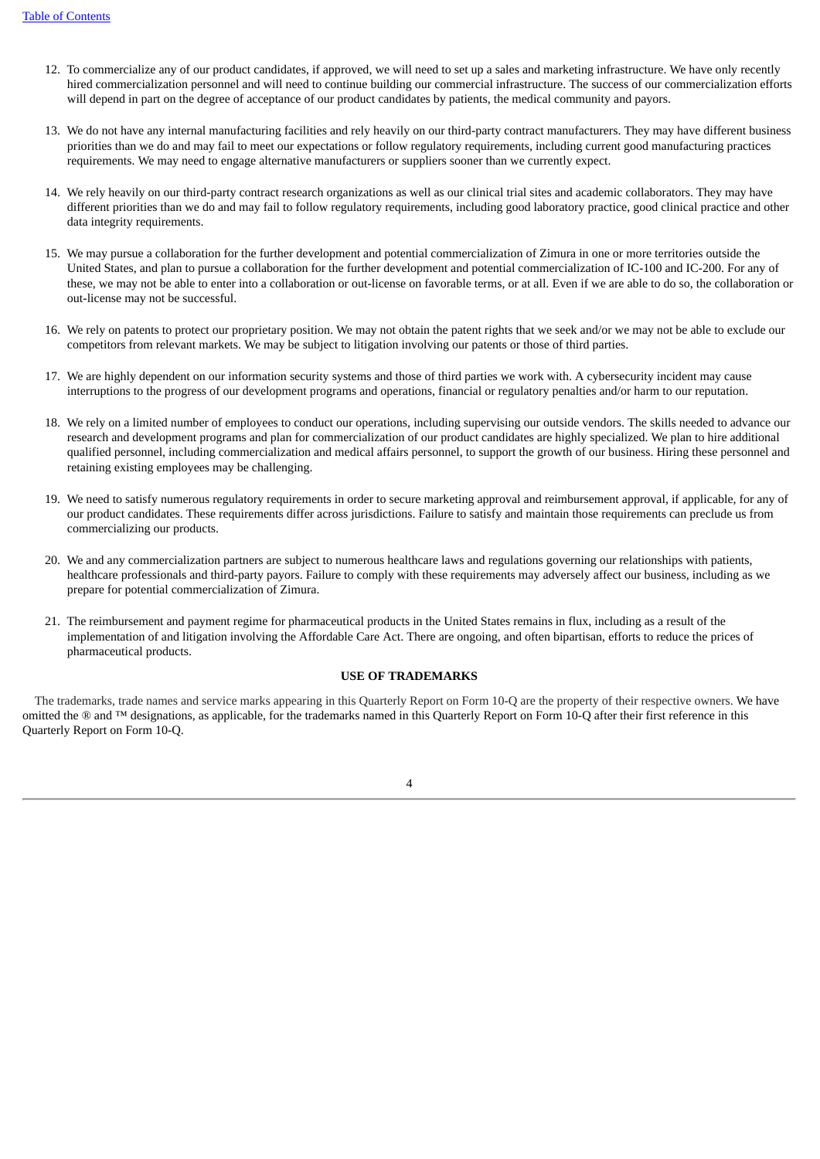- 12. To commercialize any of our product candidates, if approved, we will need to set up a sales and marketing infrastructure. We have only recently hired commercialization personnel and will need to continue building our commercial infrastructure. The success of our commercialization efforts will depend in part on the degree of acceptance of our product candidates by patients, the medical community and payors.
- 13. We do not have any internal manufacturing facilities and rely heavily on our third-party contract manufacturers. They may have different business priorities than we do and may fail to meet our expectations or follow regulatory requirements, including current good manufacturing practices requirements. We may need to engage alternative manufacturers or suppliers sooner than we currently expect.
- 14. We rely heavily on our third-party contract research organizations as well as our clinical trial sites and academic collaborators. They may have different priorities than we do and may fail to follow regulatory requirements, including good laboratory practice, good clinical practice and other data integrity requirements.
- 15. We may pursue a collaboration for the further development and potential commercialization of Zimura in one or more territories outside the United States, and plan to pursue a collaboration for the further development and potential commercialization of IC-100 and IC-200. For any of these, we may not be able to enter into a collaboration or out-license on favorable terms, or at all. Even if we are able to do so, the collaboration or out-license may not be successful.
- 16. We rely on patents to protect our proprietary position. We may not obtain the patent rights that we seek and/or we may not be able to exclude our competitors from relevant markets. We may be subject to litigation involving our patents or those of third parties.
- 17. We are highly dependent on our information security systems and those of third parties we work with. A cybersecurity incident may cause interruptions to the progress of our development programs and operations, financial or regulatory penalties and/or harm to our reputation.
- 18. We rely on a limited number of employees to conduct our operations, including supervising our outside vendors. The skills needed to advance our research and development programs and plan for commercialization of our product candidates are highly specialized. We plan to hire additional qualified personnel, including commercialization and medical affairs personnel, to support the growth of our business. Hiring these personnel and retaining existing employees may be challenging.
- 19. We need to satisfy numerous regulatory requirements in order to secure marketing approval and reimbursement approval, if applicable, for any of our product candidates. These requirements differ across jurisdictions. Failure to satisfy and maintain those requirements can preclude us from commercializing our products.
- 20. We and any commercialization partners are subject to numerous healthcare laws and regulations governing our relationships with patients, healthcare professionals and third-party payors. Failure to comply with these requirements may adversely affect our business, including as we prepare for potential commercialization of Zimura.
- 21. The reimbursement and payment regime for pharmaceutical products in the United States remains in flux, including as a result of the implementation of and litigation involving the Affordable Care Act. There are ongoing, and often bipartisan, efforts to reduce the prices of pharmaceutical products.

## **USE OF TRADEMARKS**

<span id="page-5-0"></span>The trademarks, trade names and service marks appearing in this Quarterly Report on Form 10-Q are the property of their respective owners. We have omitted the ® and ™ designations, as applicable, for the trademarks named in this Quarterly Report on Form 10-Q after their first reference in this Quarterly Report on Form 10-Q.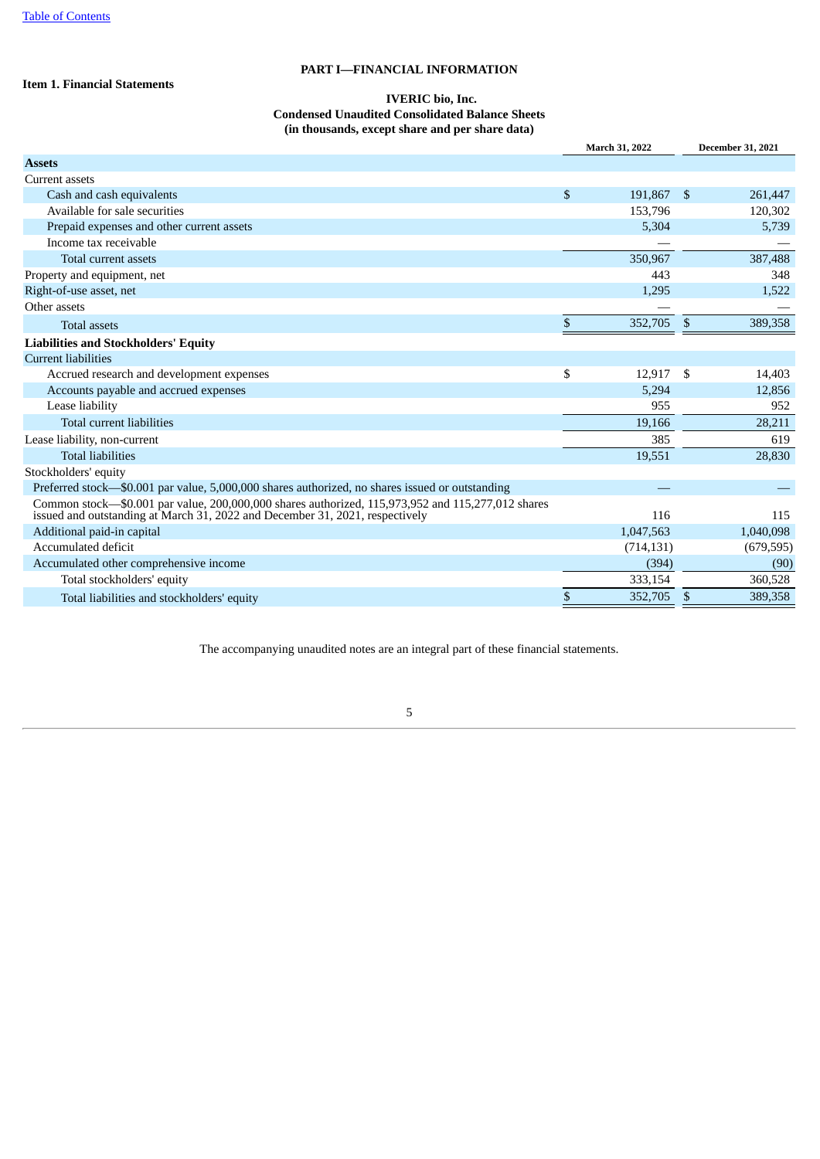# **PART I—FINANCIAL INFORMATION**

# <span id="page-6-1"></span><span id="page-6-0"></span>**Item 1. Financial Statements**

## **IVERIC bio, Inc. Condensed Unaudited Consolidated Balance Sheets (in thousands, except share and per share data)**

|                                                                                                                                                                                   | March 31, 2022 |     | <b>December 31, 2021</b> |
|-----------------------------------------------------------------------------------------------------------------------------------------------------------------------------------|----------------|-----|--------------------------|
| <b>Assets</b>                                                                                                                                                                     |                |     |                          |
| Current assets                                                                                                                                                                    |                |     |                          |
| Cash and cash equivalents                                                                                                                                                         | \$<br>191,867  | -\$ | 261,447                  |
| Available for sale securities                                                                                                                                                     | 153,796        |     | 120,302                  |
| Prepaid expenses and other current assets                                                                                                                                         | 5,304          |     | 5,739                    |
| Income tax receivable                                                                                                                                                             |                |     |                          |
| Total current assets                                                                                                                                                              | 350,967        |     | 387,488                  |
| Property and equipment, net                                                                                                                                                       | 443            |     | 348                      |
| Right-of-use asset, net                                                                                                                                                           | 1,295          |     | 1,522                    |
| Other assets                                                                                                                                                                      |                |     |                          |
| <b>Total assets</b>                                                                                                                                                               | \$<br>352,705  | \$  | 389,358                  |
| <b>Liabilities and Stockholders' Equity</b>                                                                                                                                       |                |     |                          |
| <b>Current liabilities</b>                                                                                                                                                        |                |     |                          |
| Accrued research and development expenses                                                                                                                                         | \$<br>12,917   | \$  | 14,403                   |
| Accounts payable and accrued expenses                                                                                                                                             | 5,294          |     | 12,856                   |
| Lease liability                                                                                                                                                                   | 955            |     | 952                      |
| Total current liabilities                                                                                                                                                         | 19,166         |     | 28,211                   |
| Lease liability, non-current                                                                                                                                                      | 385            |     | 619                      |
| <b>Total liabilities</b>                                                                                                                                                          | 19,551         |     | 28,830                   |
| Stockholders' equity                                                                                                                                                              |                |     |                          |
| Preferred stock—\$0.001 par value, 5,000,000 shares authorized, no shares issued or outstanding                                                                                   |                |     |                          |
| Common stock-\$0.001 par value, 200,000,000 shares authorized, 115,973,952 and 115,277,012 shares<br>issued and outstanding at March 31, 2022 and December 31, 2021, respectively | 116            |     | 115                      |
| Additional paid-in capital                                                                                                                                                        | 1,047,563      |     | 1,040,098                |
| Accumulated deficit                                                                                                                                                               | (714, 131)     |     | (679, 595)               |
| Accumulated other comprehensive income                                                                                                                                            | (394)          |     | (90)                     |
| Total stockholders' equity                                                                                                                                                        | 333,154        |     | 360,528                  |
| Total liabilities and stockholders' equity                                                                                                                                        | \$<br>352,705  | \$  | 389,358                  |

<span id="page-6-2"></span>The accompanying unaudited notes are an integral part of these financial statements.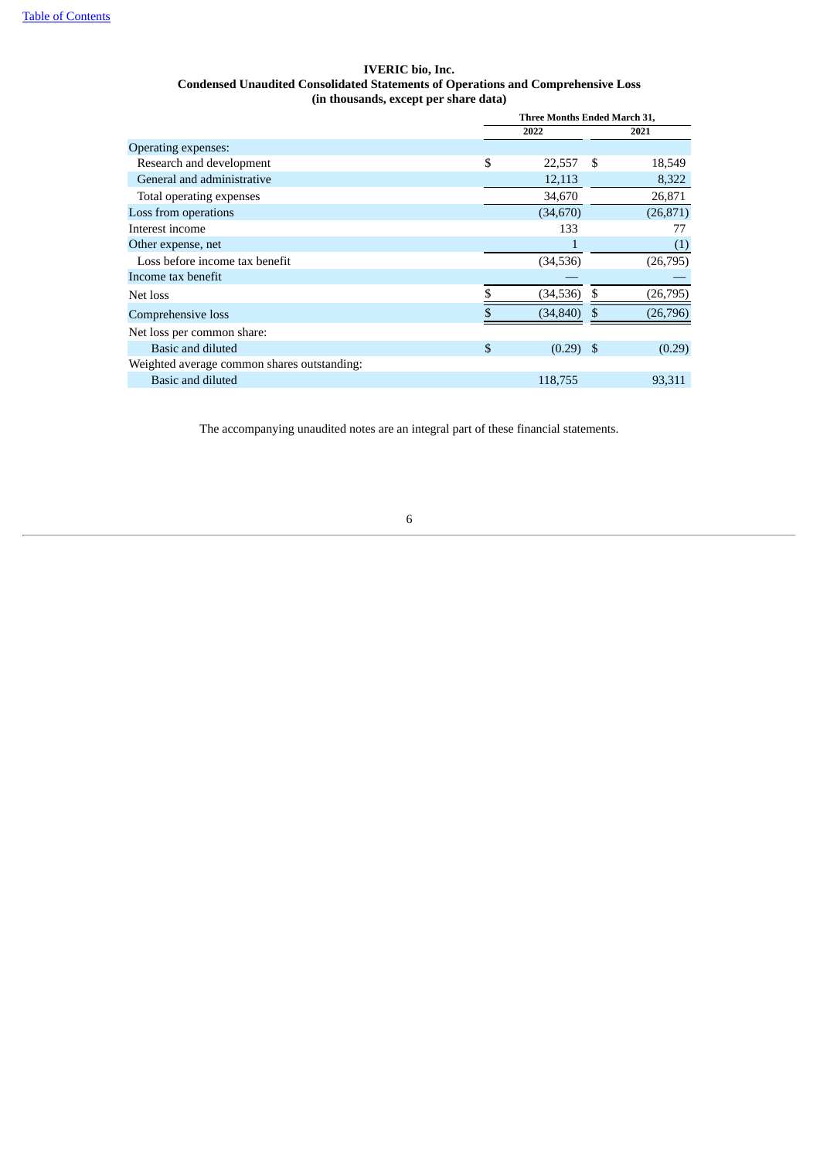## **IVERIC bio, Inc. Condensed Unaudited Consolidated Statements of Operations and Comprehensive Loss (in thousands, except per share data)**

|                                             | Three Months Ended March 31, |     |           |  |
|---------------------------------------------|------------------------------|-----|-----------|--|
|                                             | 2022                         |     | 2021      |  |
| Operating expenses:                         |                              |     |           |  |
| Research and development                    | \$<br>22,557                 | -\$ | 18,549    |  |
| General and administrative                  | 12,113                       |     | 8,322     |  |
| Total operating expenses                    | 34,670                       |     | 26,871    |  |
| Loss from operations                        | (34,670)                     |     | (26, 871) |  |
| Interest income                             | 133                          |     | 77        |  |
| Other expense, net                          |                              |     | (1)       |  |
| Loss before income tax benefit              | (34, 536)                    |     | (26,795)  |  |
| Income tax benefit                          |                              |     |           |  |
| Net loss                                    | \$<br>(34, 536)              | \$  | (26, 795) |  |
| Comprehensive loss                          | \$<br>(34, 840)              |     | (26,796)  |  |
| Net loss per common share:                  |                              |     |           |  |
| Basic and diluted                           | \$<br>$(0.29)$ \$            |     | (0.29)    |  |
| Weighted average common shares outstanding: |                              |     |           |  |
| Basic and diluted                           | 118,755                      |     | 93,311    |  |

<span id="page-7-0"></span>The accompanying unaudited notes are an integral part of these financial statements.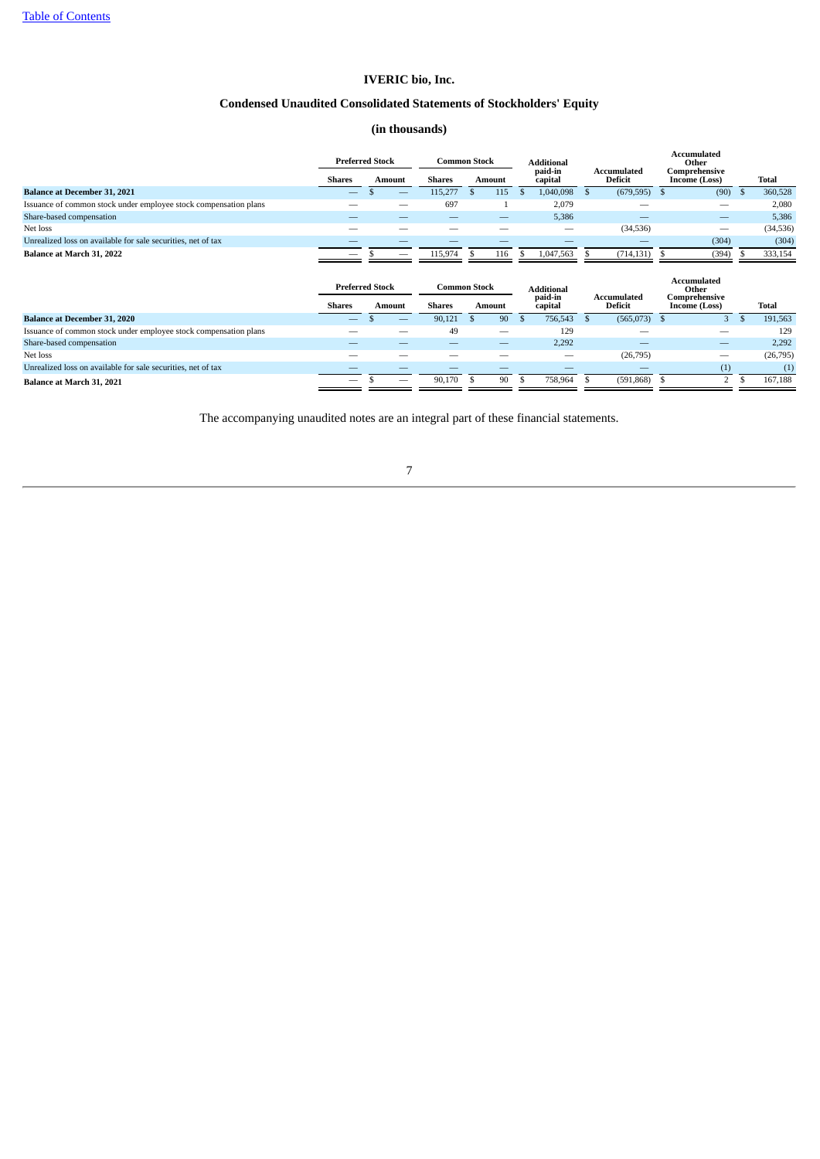## **IVERIC bio, Inc.**

## **Condensed Unaudited Consolidated Statements of Stockholders' Equity**

# **(in thousands)**

|                                                                  |               | <b>Preferred Stock</b>           |               | <b>Common Stock</b>                  |                    |                                         |      | <b>Additional</b>      |                                                               |                        | Accumulated<br>Other                  |           |  |       |
|------------------------------------------------------------------|---------------|----------------------------------|---------------|--------------------------------------|--------------------|-----------------------------------------|------|------------------------|---------------------------------------------------------------|------------------------|---------------------------------------|-----------|--|-------|
|                                                                  | <b>Shares</b> | Amount                           | <b>Shares</b> | Amount                               |                    | paid-in<br>capital                      |      |                        |                                                               | Accumulated<br>Deficit | Comprehensive<br><b>Income (Loss)</b> |           |  | Total |
| <b>Balance at December 31, 2021</b>                              |               |                                  | 115,277       | 115                                  | -8                 | 1,040,098                               | - \$ | (679, 595)             | - 55                                                          | (90)                   | - \$                                  | 360,528   |  |       |
| Issuance of common stock under employee stock compensation plans |               |                                  | 697           |                                      |                    | 2,079                                   |      |                        |                                                               | _                      |                                       | 2,080     |  |       |
| Share-based compensation                                         |               |                                  |               |                                      |                    | 5,386                                   |      | –                      |                                                               | —                      |                                       | 5,386     |  |       |
| Net loss                                                         |               |                                  |               |                                      |                    |                                         |      | (34, 536)              |                                                               | –                      |                                       | (34, 536) |  |       |
| Unrealized loss on available for sale securities, net of tax     |               |                                  |               |                                      |                    |                                         |      | –                      |                                                               | (304)                  |                                       | (304)     |  |       |
| Balance at March 31, 2022                                        | --            | -                                | 115,974       | 116                                  |                    | 1,047,563                               |      | (714, 131)             |                                                               | (394)                  |                                       | 333,154   |  |       |
|                                                                  | <b>Shares</b> | <b>Preferred Stock</b><br>Amount | <b>Shares</b> | <b>Common Stock</b><br><b>Amount</b> |                    | <b>Additional</b><br>paid-in<br>capital |      | Accumulated<br>Deficit | <b>Accumulated</b><br>Other<br>Comprehensive<br>Income (Loss) |                        |                                       | Total     |  |       |
| <b>Balance at December 31, 2020</b>                              | —             |                                  | 90,121        | 90                                   | $\mathbf{\hat{s}}$ | 756,543                                 | -\$  | (565,073)              |                                                               | 3                      | -\$                                   | 191,563   |  |       |
| Issuance of common stock under employee stock compensation plans |               |                                  | 49            | $\overline{\phantom{a}}$             |                    | 129                                     |      | _                      |                                                               | _                      |                                       | 129       |  |       |
| Share-based compensation                                         |               |                                  |               | $\overline{\phantom{a}}$             |                    | 2,292                                   |      |                        |                                                               | _                      |                                       | 2,292     |  |       |

The accompanying unaudited notes are an integral part of these financial statements.

<span id="page-8-0"></span>**Balance at March 31, 2021** — \$ — 90,170 \$ 90 \$ 758,964 \$ (591,868) \$ 2 \$ 167,188

Net loss — — — — — (26,795) — (26,795) Unrealized loss on available for sale securities, net of tax — — — — — — (1) (1)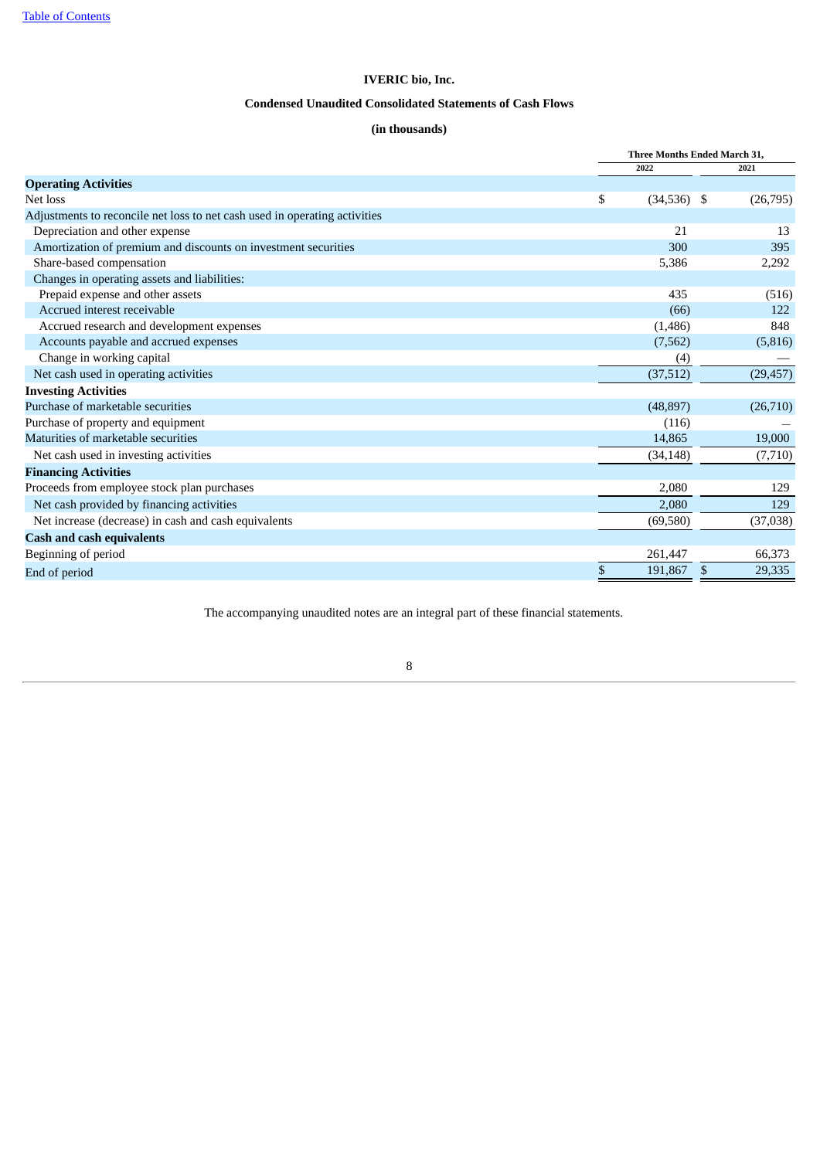# **IVERIC bio, Inc.**

# **Condensed Unaudited Consolidated Statements of Cash Flows**

# **(in thousands)**

|                                                                            | <b>Three Months Ended March 31,</b> |    |           |
|----------------------------------------------------------------------------|-------------------------------------|----|-----------|
|                                                                            | 2022                                |    | 2021      |
| <b>Operating Activities</b>                                                |                                     |    |           |
| Net loss                                                                   | \$<br>$(34,536)$ \$                 |    | (26,795)  |
| Adjustments to reconcile net loss to net cash used in operating activities |                                     |    |           |
| Depreciation and other expense                                             | 21                                  |    | 13        |
| Amortization of premium and discounts on investment securities             | 300                                 |    | 395       |
| Share-based compensation                                                   | 5,386                               |    | 2,292     |
| Changes in operating assets and liabilities:                               |                                     |    |           |
| Prepaid expense and other assets                                           | 435                                 |    | (516)     |
| Accrued interest receivable                                                | (66)                                |    | 122       |
| Accrued research and development expenses                                  | (1,486)                             |    | 848       |
| Accounts payable and accrued expenses                                      | (7, 562)                            |    | (5,816)   |
| Change in working capital                                                  | (4)                                 |    |           |
| Net cash used in operating activities                                      | (37, 512)                           |    | (29, 457) |
| <b>Investing Activities</b>                                                |                                     |    |           |
| Purchase of marketable securities                                          | (48, 897)                           |    | (26,710)  |
| Purchase of property and equipment                                         | (116)                               |    |           |
| Maturities of marketable securities                                        | 14,865                              |    | 19,000    |
| Net cash used in investing activities                                      | (34, 148)                           |    | (7,710)   |
| <b>Financing Activities</b>                                                |                                     |    |           |
| Proceeds from employee stock plan purchases                                | 2,080                               |    | 129       |
| Net cash provided by financing activities                                  | 2,080                               |    | 129       |
| Net increase (decrease) in cash and cash equivalents                       | (69, 580)                           |    | (37,038)  |
| <b>Cash and cash equivalents</b>                                           |                                     |    |           |
| Beginning of period                                                        | 261,447                             |    | 66,373    |
| End of period                                                              | \$<br>191,867                       | \$ | 29,335    |

<span id="page-9-0"></span>The accompanying unaudited notes are an integral part of these financial statements.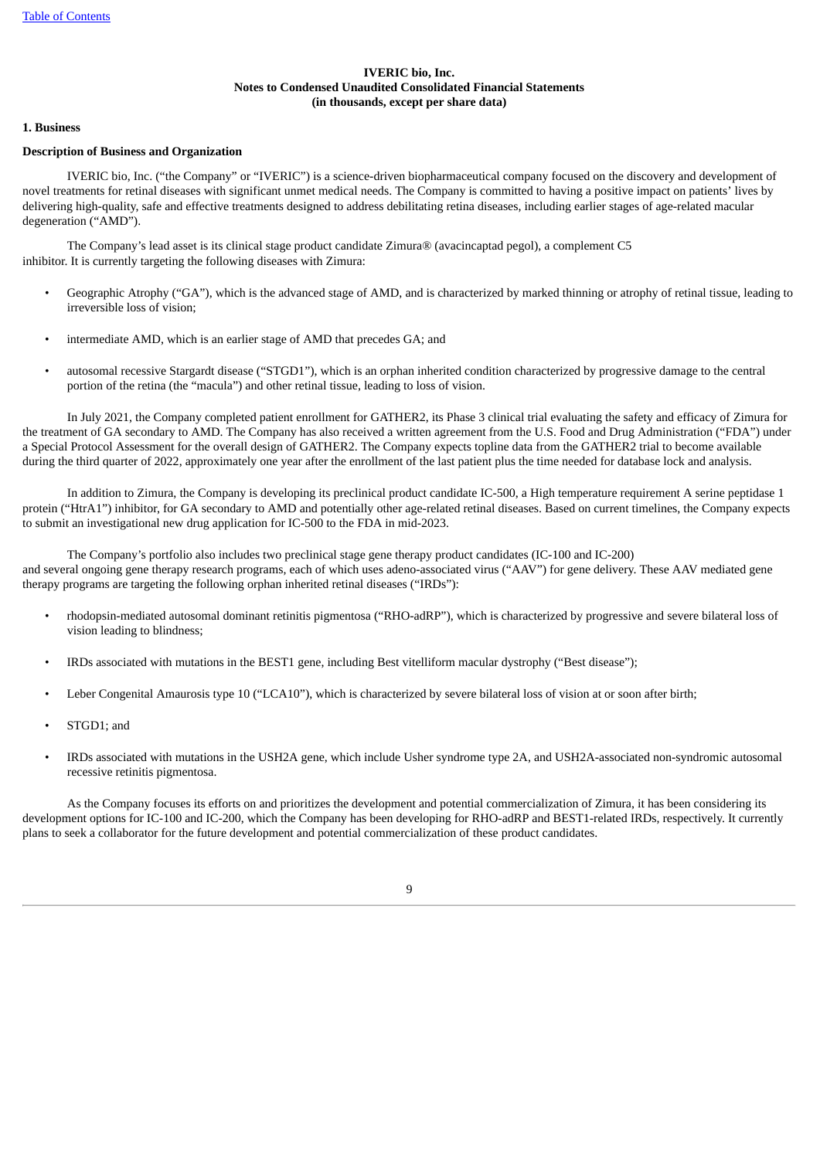## **IVERIC bio, Inc. Notes to Condensed Unaudited Consolidated Financial Statements (in thousands, except per share data)**

## **1. Business**

## **Description of Business and Organization**

IVERIC bio, Inc. ("the Company" or "IVERIC") is a science-driven biopharmaceutical company focused on the discovery and development of novel treatments for retinal diseases with significant unmet medical needs. The Company is committed to having a positive impact on patients' lives by delivering high-quality, safe and effective treatments designed to address debilitating retina diseases, including earlier stages of age-related macular degeneration ("AMD").

The Company's lead asset is its clinical stage product candidate Zimura® (avacincaptad pegol), a complement C5 inhibitor. It is currently targeting the following diseases with Zimura:

- Geographic Atrophy ("GA"), which is the advanced stage of AMD, and is characterized by marked thinning or atrophy of retinal tissue, leading to irreversible loss of vision;
- intermediate AMD, which is an earlier stage of AMD that precedes GA; and
- autosomal recessive Stargardt disease ("STGD1"), which is an orphan inherited condition characterized by progressive damage to the central portion of the retina (the "macula") and other retinal tissue, leading to loss of vision.

In July 2021, the Company completed patient enrollment for GATHER2, its Phase 3 clinical trial evaluating the safety and efficacy of Zimura for the treatment of GA secondary to AMD. The Company has also received a written agreement from the U.S. Food and Drug Administration ("FDA") under a Special Protocol Assessment for the overall design of GATHER2. The Company expects topline data from the GATHER2 trial to become available during the third quarter of 2022, approximately one year after the enrollment of the last patient plus the time needed for database lock and analysis.

In addition to Zimura, the Company is developing its preclinical product candidate IC-500, a High temperature requirement A serine peptidase 1 protein ("HtrA1") inhibitor, for GA secondary to AMD and potentially other age-related retinal diseases. Based on current timelines, the Company expects to submit an investigational new drug application for IC-500 to the FDA in mid-2023.

The Company's portfolio also includes two preclinical stage gene therapy product candidates (IC-100 and IC-200) and several ongoing gene therapy research programs, each of which uses adeno-associated virus ("AAV") for gene delivery. These AAV mediated gene therapy programs are targeting the following orphan inherited retinal diseases ("IRDs"):

- rhodopsin-mediated autosomal dominant retinitis pigmentosa ("RHO-adRP"), which is characterized by progressive and severe bilateral loss of vision leading to blindness;
- IRDs associated with mutations in the BEST1 gene, including Best vitelliform macular dystrophy ("Best disease");
- Leber Congenital Amaurosis type 10 ("LCA10"), which is characterized by severe bilateral loss of vision at or soon after birth;
- STGD1; and
- IRDs associated with mutations in the USH2A gene, which include Usher syndrome type 2A, and USH2A-associated non-syndromic autosomal recessive retinitis pigmentosa.

As the Company focuses its efforts on and prioritizes the development and potential commercialization of Zimura, it has been considering its development options for IC-100 and IC-200, which the Company has been developing for RHO-adRP and BEST1-related IRDs, respectively. It currently plans to seek a collaborator for the future development and potential commercialization of these product candidates.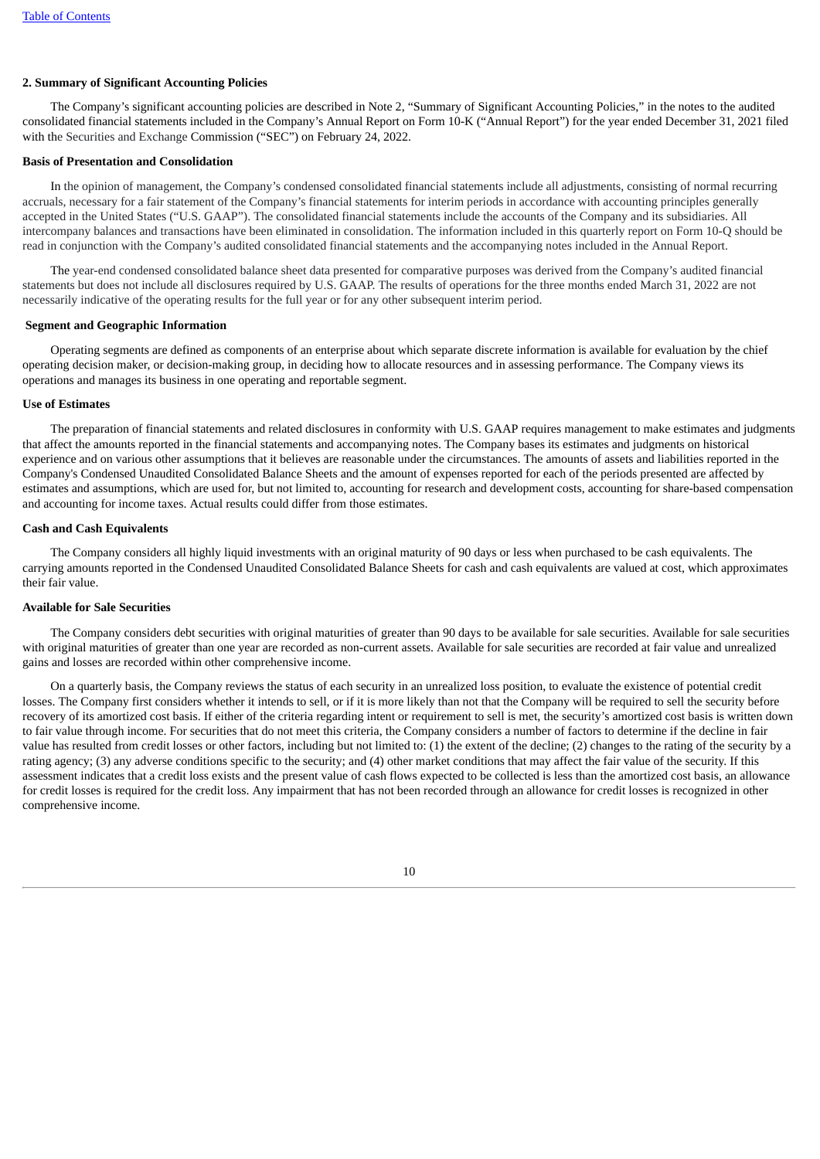# **2. Summary of Significant Accounting Policies**

The Company's significant accounting policies are described in Note 2, "Summary of Significant Accounting Policies," in the notes to the audited consolidated financial statements included in the Company's Annual Report on Form 10-K ("Annual Report") for the year ended December 31, 2021 filed with the Securities and Exchange Commission ("SEC") on February 24, 2022.

# **Basis of Presentation and Consolidation**

In the opinion of management, the Company's condensed consolidated financial statements include all adjustments, consisting of normal recurring accruals, necessary for a fair statement of the Company's financial statements for interim periods in accordance with accounting principles generally accepted in the United States ("U.S. GAAP"). The consolidated financial statements include the accounts of the Company and its subsidiaries. All intercompany balances and transactions have been eliminated in consolidation. The information included in this quarterly report on Form 10-Q should be read in conjunction with the Company's audited consolidated financial statements and the accompanying notes included in the Annual Report.

The year-end condensed consolidated balance sheet data presented for comparative purposes was derived from the Company's audited financial statements but does not include all disclosures required by U.S. GAAP. The results of operations for the three months ended March 31, 2022 are not necessarily indicative of the operating results for the full year or for any other subsequent interim period.

# **Segment and Geographic Information**

Operating segments are defined as components of an enterprise about which separate discrete information is available for evaluation by the chief operating decision maker, or decision-making group, in deciding how to allocate resources and in assessing performance. The Company views its operations and manages its business in one operating and reportable segment.

## **Use of Estimates**

The preparation of financial statements and related disclosures in conformity with U.S. GAAP requires management to make estimates and judgments that affect the amounts reported in the financial statements and accompanying notes. The Company bases its estimates and judgments on historical experience and on various other assumptions that it believes are reasonable under the circumstances. The amounts of assets and liabilities reported in the Company's Condensed Unaudited Consolidated Balance Sheets and the amount of expenses reported for each of the periods presented are affected by estimates and assumptions, which are used for, but not limited to, accounting for research and development costs, accounting for share-based compensation and accounting for income taxes. Actual results could differ from those estimates.

## **Cash and Cash Equivalents**

The Company considers all highly liquid investments with an original maturity of 90 days or less when purchased to be cash equivalents. The carrying amounts reported in the Condensed Unaudited Consolidated Balance Sheets for cash and cash equivalents are valued at cost, which approximates their fair value.

## **Available for Sale Securities**

The Company considers debt securities with original maturities of greater than 90 days to be available for sale securities. Available for sale securities with original maturities of greater than one year are recorded as non-current assets. Available for sale securities are recorded at fair value and unrealized gains and losses are recorded within other comprehensive income.

On a quarterly basis, the Company reviews the status of each security in an unrealized loss position, to evaluate the existence of potential credit losses. The Company first considers whether it intends to sell, or if it is more likely than not that the Company will be required to sell the security before recovery of its amortized cost basis. If either of the criteria regarding intent or requirement to sell is met, the security's amortized cost basis is written down to fair value through income. For securities that do not meet this criteria, the Company considers a number of factors to determine if the decline in fair value has resulted from credit losses or other factors, including but not limited to: (1) the extent of the decline; (2) changes to the rating of the security by a rating agency; (3) any adverse conditions specific to the security; and (4) other market conditions that may affect the fair value of the security. If this assessment indicates that a credit loss exists and the present value of cash flows expected to be collected is less than the amortized cost basis, an allowance for credit losses is required for the credit loss. Any impairment that has not been recorded through an allowance for credit losses is recognized in other comprehensive income.

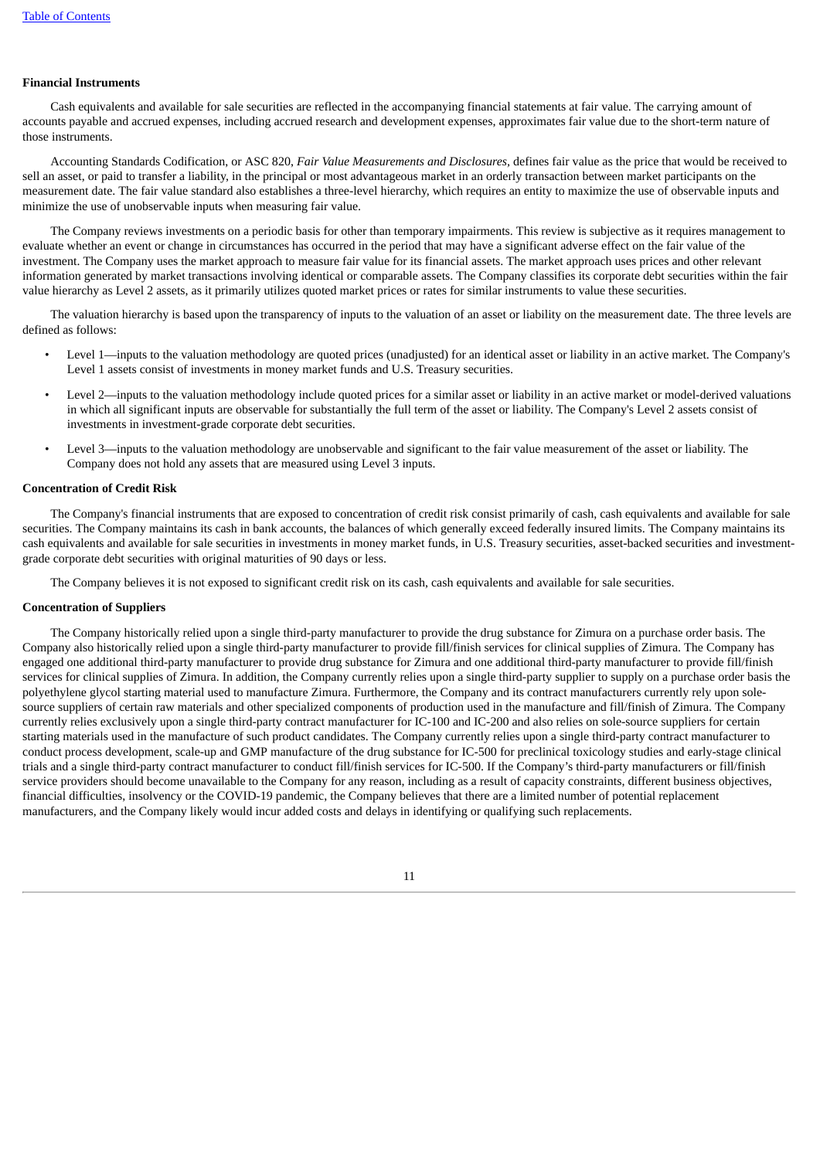## **Financial Instruments**

Cash equivalents and available for sale securities are reflected in the accompanying financial statements at fair value. The carrying amount of accounts payable and accrued expenses, including accrued research and development expenses, approximates fair value due to the short-term nature of those instruments.

Accounting Standards Codification, or ASC 820, *Fair Value Measurements and Disclosures,* defines fair value as the price that would be received to sell an asset, or paid to transfer a liability, in the principal or most advantageous market in an orderly transaction between market participants on the measurement date. The fair value standard also establishes a three-level hierarchy, which requires an entity to maximize the use of observable inputs and minimize the use of unobservable inputs when measuring fair value.

The Company reviews investments on a periodic basis for other than temporary impairments. This review is subjective as it requires management to evaluate whether an event or change in circumstances has occurred in the period that may have a significant adverse effect on the fair value of the investment. The Company uses the market approach to measure fair value for its financial assets. The market approach uses prices and other relevant information generated by market transactions involving identical or comparable assets. The Company classifies its corporate debt securities within the fair value hierarchy as Level 2 assets, as it primarily utilizes quoted market prices or rates for similar instruments to value these securities.

The valuation hierarchy is based upon the transparency of inputs to the valuation of an asset or liability on the measurement date. The three levels are defined as follows:

- Level 1—inputs to the valuation methodology are quoted prices (unadjusted) for an identical asset or liability in an active market. The Company's Level 1 assets consist of investments in money market funds and U.S. Treasury securities.
- Level 2—inputs to the valuation methodology include quoted prices for a similar asset or liability in an active market or model-derived valuations in which all significant inputs are observable for substantially the full term of the asset or liability. The Company's Level 2 assets consist of investments in investment-grade corporate debt securities.
- Level 3—inputs to the valuation methodology are unobservable and significant to the fair value measurement of the asset or liability. The Company does not hold any assets that are measured using Level 3 inputs.

## **Concentration of Credit Risk**

The Company's financial instruments that are exposed to concentration of credit risk consist primarily of cash, cash equivalents and available for sale securities. The Company maintains its cash in bank accounts, the balances of which generally exceed federally insured limits. The Company maintains its cash equivalents and available for sale securities in investments in money market funds, in U.S. Treasury securities, asset-backed securities and investmentgrade corporate debt securities with original maturities of 90 days or less.

The Company believes it is not exposed to significant credit risk on its cash, cash equivalents and available for sale securities.

## **Concentration of Suppliers**

The Company historically relied upon a single third-party manufacturer to provide the drug substance for Zimura on a purchase order basis. The Company also historically relied upon a single third-party manufacturer to provide fill/finish services for clinical supplies of Zimura. The Company has engaged one additional third-party manufacturer to provide drug substance for Zimura and one additional third-party manufacturer to provide fill/finish services for clinical supplies of Zimura. In addition, the Company currently relies upon a single third-party supplier to supply on a purchase order basis the polyethylene glycol starting material used to manufacture Zimura. Furthermore, the Company and its contract manufacturers currently rely upon solesource suppliers of certain raw materials and other specialized components of production used in the manufacture and fill/finish of Zimura. The Company currently relies exclusively upon a single third-party contract manufacturer for IC-100 and IC-200 and also relies on sole-source suppliers for certain starting materials used in the manufacture of such product candidates. The Company currently relies upon a single third-party contract manufacturer to conduct process development, scale-up and GMP manufacture of the drug substance for IC-500 for preclinical toxicology studies and early-stage clinical trials and a single third-party contract manufacturer to conduct fill/finish services for IC-500. If the Company's third-party manufacturers or fill/finish service providers should become unavailable to the Company for any reason, including as a result of capacity constraints, different business objectives, financial difficulties, insolvency or the COVID-19 pandemic, the Company believes that there are a limited number of potential replacement manufacturers, and the Company likely would incur added costs and delays in identifying or qualifying such replacements.

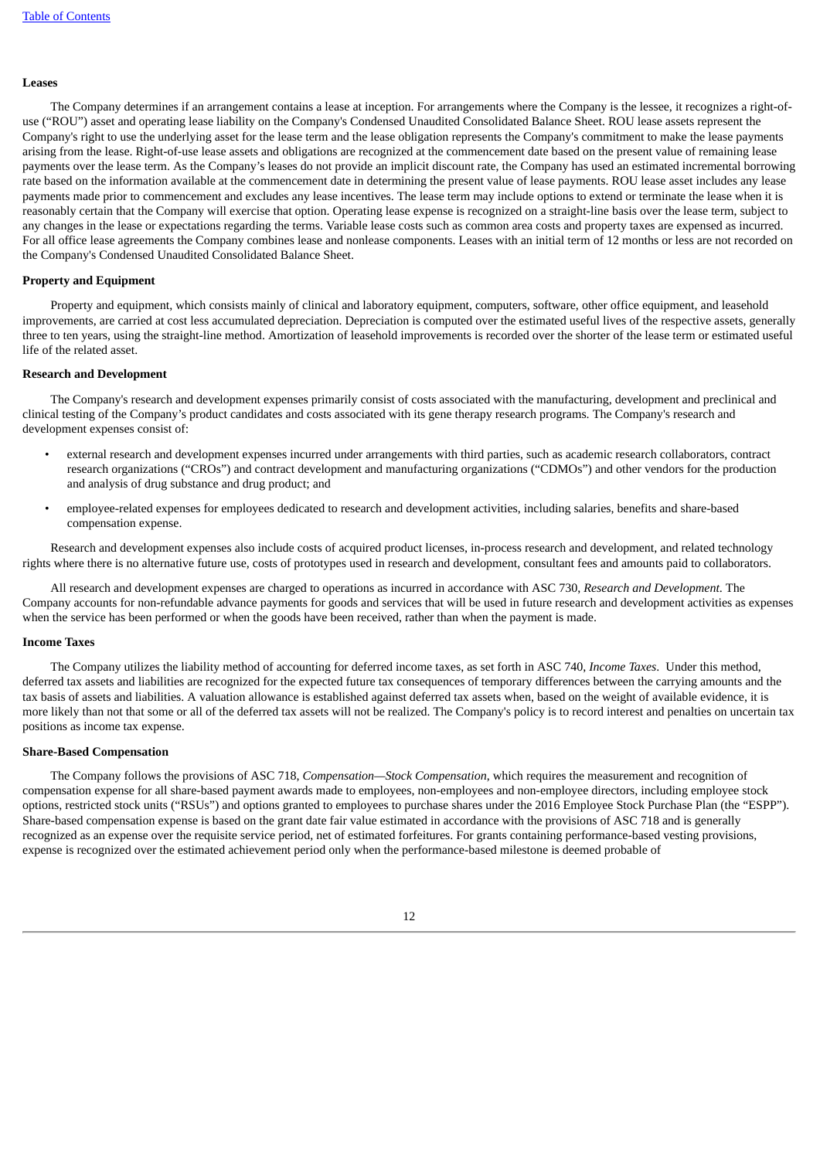## **Leases**

The Company determines if an arrangement contains a lease at inception. For arrangements where the Company is the lessee, it recognizes a right-ofuse ("ROU") asset and operating lease liability on the Company's Condensed Unaudited Consolidated Balance Sheet. ROU lease assets represent the Company's right to use the underlying asset for the lease term and the lease obligation represents the Company's commitment to make the lease payments arising from the lease. Right-of-use lease assets and obligations are recognized at the commencement date based on the present value of remaining lease payments over the lease term. As the Company's leases do not provide an implicit discount rate, the Company has used an estimated incremental borrowing rate based on the information available at the commencement date in determining the present value of lease payments. ROU lease asset includes any lease payments made prior to commencement and excludes any lease incentives. The lease term may include options to extend or terminate the lease when it is reasonably certain that the Company will exercise that option. Operating lease expense is recognized on a straight-line basis over the lease term, subject to any changes in the lease or expectations regarding the terms. Variable lease costs such as common area costs and property taxes are expensed as incurred. For all office lease agreements the Company combines lease and nonlease components. Leases with an initial term of 12 months or less are not recorded on the Company's Condensed Unaudited Consolidated Balance Sheet.

## **Property and Equipment**

Property and equipment, which consists mainly of clinical and laboratory equipment, computers, software, other office equipment, and leasehold improvements, are carried at cost less accumulated depreciation. Depreciation is computed over the estimated useful lives of the respective assets, generally three to ten years, using the straight-line method. Amortization of leasehold improvements is recorded over the shorter of the lease term or estimated useful life of the related asset.

## **Research and Development**

The Company's research and development expenses primarily consist of costs associated with the manufacturing, development and preclinical and clinical testing of the Company's product candidates and costs associated with its gene therapy research programs. The Company's research and development expenses consist of:

- external research and development expenses incurred under arrangements with third parties, such as academic research collaborators, contract research organizations ("CROs") and contract development and manufacturing organizations ("CDMOs") and other vendors for the production and analysis of drug substance and drug product; and
- employee-related expenses for employees dedicated to research and development activities, including salaries, benefits and share-based compensation expense.

Research and development expenses also include costs of acquired product licenses, in-process research and development, and related technology rights where there is no alternative future use, costs of prototypes used in research and development, consultant fees and amounts paid to collaborators.

All research and development expenses are charged to operations as incurred in accordance with ASC 730, *Research and Development*. The Company accounts for non-refundable advance payments for goods and services that will be used in future research and development activities as expenses when the service has been performed or when the goods have been received, rather than when the payment is made.

### **Income Taxes**

The Company utilizes the liability method of accounting for deferred income taxes, as set forth in ASC 740, *Income Taxes*. Under this method, deferred tax assets and liabilities are recognized for the expected future tax consequences of temporary differences between the carrying amounts and the tax basis of assets and liabilities. A valuation allowance is established against deferred tax assets when, based on the weight of available evidence, it is more likely than not that some or all of the deferred tax assets will not be realized. The Company's policy is to record interest and penalties on uncertain tax positions as income tax expense.

### **Share-Based Compensation**

The Company follows the provisions of ASC 718, *Compensation—Stock Compensation*, which requires the measurement and recognition of compensation expense for all share-based payment awards made to employees, non-employees and non-employee directors, including employee stock options, restricted stock units ("RSUs") and options granted to employees to purchase shares under the 2016 Employee Stock Purchase Plan (the "ESPP"). Share-based compensation expense is based on the grant date fair value estimated in accordance with the provisions of ASC 718 and is generally recognized as an expense over the requisite service period, net of estimated forfeitures. For grants containing performance-based vesting provisions, expense is recognized over the estimated achievement period only when the performance-based milestone is deemed probable of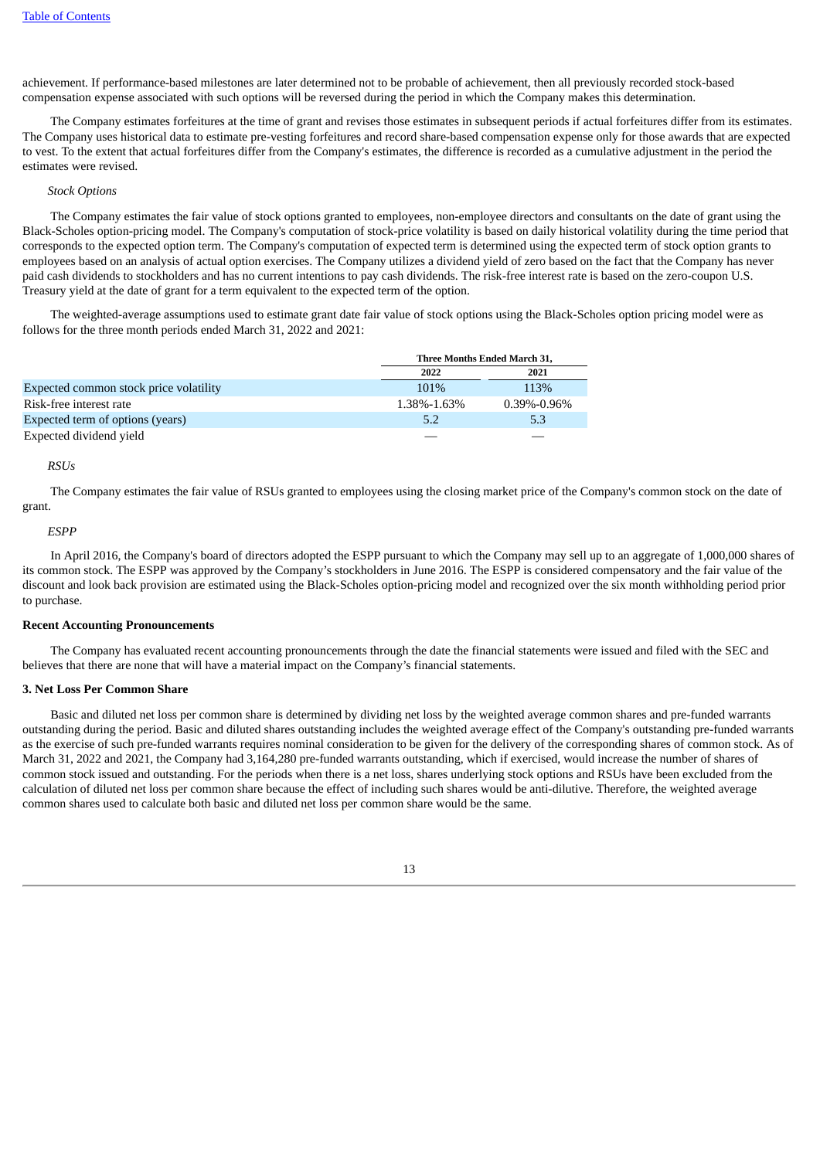achievement. If performance-based milestones are later determined not to be probable of achievement, then all previously recorded stock-based compensation expense associated with such options will be reversed during the period in which the Company makes this determination.

The Company estimates forfeitures at the time of grant and revises those estimates in subsequent periods if actual forfeitures differ from its estimates. The Company uses historical data to estimate pre-vesting forfeitures and record share-based compensation expense only for those awards that are expected to vest. To the extent that actual forfeitures differ from the Company's estimates, the difference is recorded as a cumulative adjustment in the period the estimates were revised.

#### *Stock Options*

The Company estimates the fair value of stock options granted to employees, non-employee directors and consultants on the date of grant using the Black-Scholes option-pricing model. The Company's computation of stock-price volatility is based on daily historical volatility during the time period that corresponds to the expected option term. The Company's computation of expected term is determined using the expected term of stock option grants to employees based on an analysis of actual option exercises. The Company utilizes a dividend yield of zero based on the fact that the Company has never paid cash dividends to stockholders and has no current intentions to pay cash dividends. The risk-free interest rate is based on the zero-coupon U.S. Treasury yield at the date of grant for a term equivalent to the expected term of the option.

The weighted-average assumptions used to estimate grant date fair value of stock options using the Black-Scholes option pricing model were as follows for the three month periods ended March 31, 2022 and 2021:

|                                        | Three Months Ended March 31, |                   |  |
|----------------------------------------|------------------------------|-------------------|--|
|                                        | 2022                         | 2021              |  |
| Expected common stock price volatility | 101\%                        | 113%              |  |
| Risk-free interest rate                | 1.38%-1.63%                  | $0.39\% - 0.96\%$ |  |
| Expected term of options (years)       | 5.2                          | 5.3               |  |
| Expected dividend yield                |                              |                   |  |

#### *RSUs*

The Company estimates the fair value of RSUs granted to employees using the closing market price of the Company's common stock on the date of grant.

#### *ESPP*

In April 2016, the Company's board of directors adopted the ESPP pursuant to which the Company may sell up to an aggregate of 1,000,000 shares of its common stock. The ESPP was approved by the Company's stockholders in June 2016. The ESPP is considered compensatory and the fair value of the discount and look back provision are estimated using the Black-Scholes option-pricing model and recognized over the six month withholding period prior to purchase.

## **Recent Accounting Pronouncements**

The Company has evaluated recent accounting pronouncements through the date the financial statements were issued and filed with the SEC and believes that there are none that will have a material impact on the Company's financial statements.

## **3. Net Loss Per Common Share**

Basic and diluted net loss per common share is determined by dividing net loss by the weighted average common shares and pre-funded warrants outstanding during the period. Basic and diluted shares outstanding includes the weighted average effect of the Company's outstanding pre-funded warrants as the exercise of such pre-funded warrants requires nominal consideration to be given for the delivery of the corresponding shares of common stock. As of March 31, 2022 and 2021, the Company had 3,164,280 pre-funded warrants outstanding, which if exercised, would increase the number of shares of common stock issued and outstanding. For the periods when there is a net loss, shares underlying stock options and RSUs have been excluded from the calculation of diluted net loss per common share because the effect of including such shares would be anti-dilutive. Therefore, the weighted average common shares used to calculate both basic and diluted net loss per common share would be the same.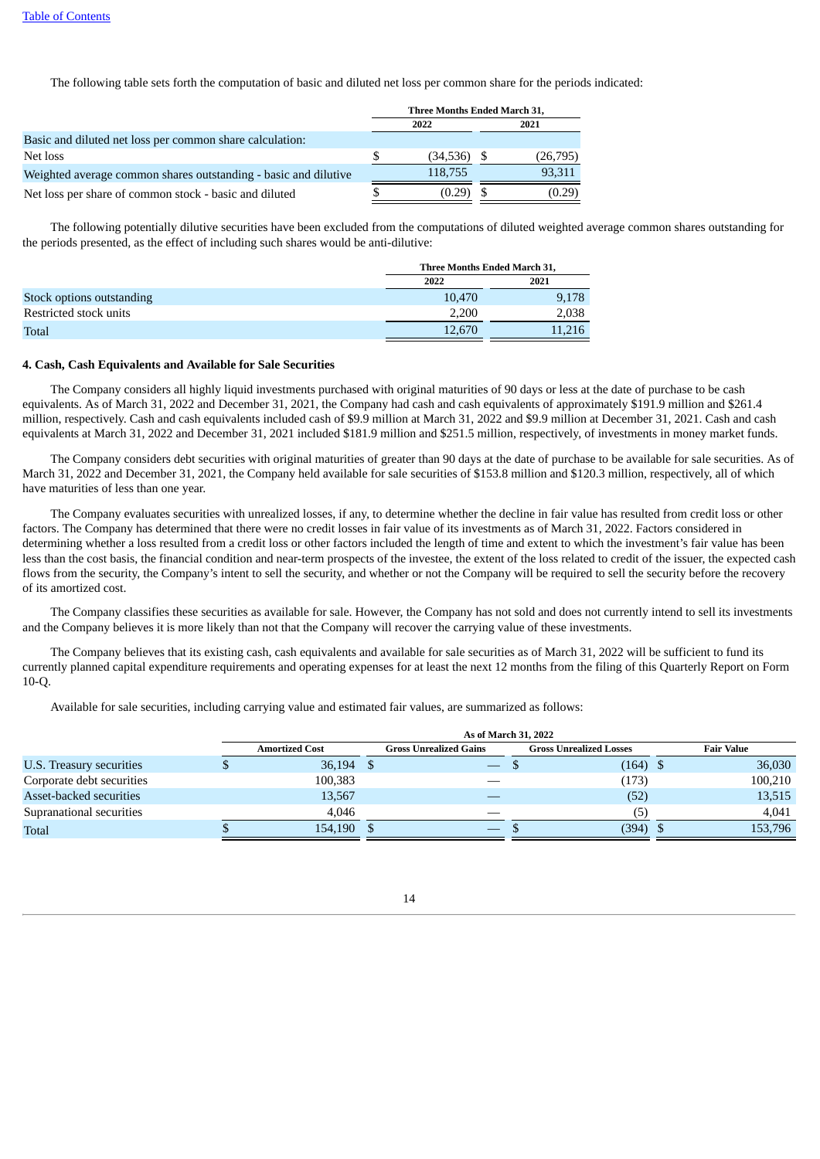The following table sets forth the computation of basic and diluted net loss per common share for the periods indicated:

|                                                                 | Three Months Ended March 31, |          |  |          |  |
|-----------------------------------------------------------------|------------------------------|----------|--|----------|--|
|                                                                 | 2022                         |          |  | 2021     |  |
| Basic and diluted net loss per common share calculation:        |                              |          |  |          |  |
| Net loss                                                        |                              | (34,536) |  | (26,795) |  |
| Weighted average common shares outstanding - basic and dilutive |                              | 118,755  |  | 93,311   |  |
| Net loss per share of common stock - basic and diluted          |                              | (0.29)   |  | (0.29)   |  |

The following potentially dilutive securities have been excluded from the computations of diluted weighted average common shares outstanding for the periods presented, as the effect of including such shares would be anti-dilutive:

|                           |        | Three Months Ended March 31, |  |  |
|---------------------------|--------|------------------------------|--|--|
|                           | 2022   | 2021                         |  |  |
| Stock options outstanding | 10.470 | 9,178                        |  |  |
| Restricted stock units    | 2.200  | 2,038                        |  |  |
| Total                     | 12.670 |                              |  |  |

#### **4. Cash, Cash Equivalents and Available for Sale Securities**

The Company considers all highly liquid investments purchased with original maturities of 90 days or less at the date of purchase to be cash equivalents. As of March 31, 2022 and December 31, 2021, the Company had cash and cash equivalents of approximately \$191.9 million and \$261.4 million, respectively. Cash and cash equivalents included cash of \$9.9 million at March 31, 2022 and \$9.9 million at December 31, 2021. Cash and cash equivalents at March 31, 2022 and December 31, 2021 included \$181.9 million and \$251.5 million, respectively, of investments in money market funds.

The Company considers debt securities with original maturities of greater than 90 days at the date of purchase to be available for sale securities. As of March 31, 2022 and December 31, 2021, the Company held available for sale securities of \$153.8 million and \$120.3 million, respectively, all of which have maturities of less than one year.

The Company evaluates securities with unrealized losses, if any, to determine whether the decline in fair value has resulted from credit loss or other factors. The Company has determined that there were no credit losses in fair value of its investments as of March 31, 2022. Factors considered in determining whether a loss resulted from a credit loss or other factors included the length of time and extent to which the investment's fair value has been less than the cost basis, the financial condition and near-term prospects of the investee, the extent of the loss related to credit of the issuer, the expected cash flows from the security, the Company's intent to sell the security, and whether or not the Company will be required to sell the security before the recovery of its amortized cost.

The Company classifies these securities as available for sale. However, the Company has not sold and does not currently intend to sell its investments and the Company believes it is more likely than not that the Company will recover the carrying value of these investments.

The Company believes that its existing cash, cash equivalents and available for sale securities as of March 31, 2022 will be sufficient to fund its currently planned capital expenditure requirements and operating expenses for at least the next 12 months from the filing of this Quarterly Report on Form 10-Q.

Available for sale securities, including carrying value and estimated fair values, are summarized as follows:

|                           | As of March 31, 2022  |             |                                 |                                |  |                   |  |  |
|---------------------------|-----------------------|-------------|---------------------------------|--------------------------------|--|-------------------|--|--|
|                           | <b>Amortized Cost</b> |             | <b>Gross Unrealized Gains</b>   | <b>Gross Unrealized Losses</b> |  | <b>Fair Value</b> |  |  |
| U.S. Treasury securities  |                       | $36,194$ \$ | $\hspace{0.1mm}-\hspace{0.1mm}$ | $(164)$ \$                     |  | 36,030            |  |  |
| Corporate debt securities | 100,383               |             |                                 | (173)                          |  | 100,210           |  |  |
| Asset-backed securities   | 13,567                |             |                                 | (52)                           |  | 13,515            |  |  |
| Supranational securities  |                       | 4.046       |                                 | (5)                            |  | 4.041             |  |  |
| <b>Total</b>              | 154,190               |             |                                 | (394)                          |  | 153,796           |  |  |

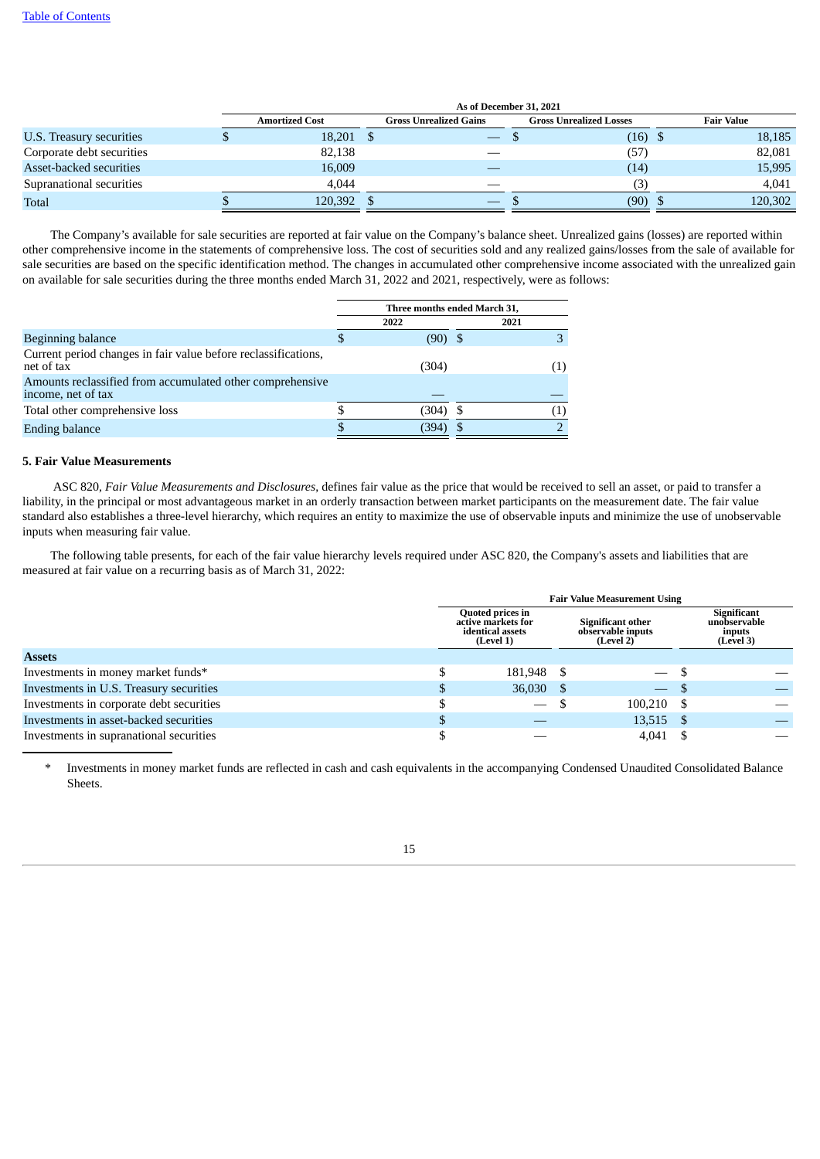|                           | As of December 31, 2021 |                       |  |                                |  |                                |  |                   |
|---------------------------|-------------------------|-----------------------|--|--------------------------------|--|--------------------------------|--|-------------------|
|                           |                         | <b>Amortized Cost</b> |  | <b>Gross Unrealized Gains</b>  |  | <b>Gross Unrealized Losses</b> |  | <b>Fair Value</b> |
| U.S. Treasury securities  |                         | $18,201$ \$           |  | $\qquad \qquad \longleftarrow$ |  | $(16)$ \$                      |  | 18,185            |
| Corporate debt securities |                         | 82,138                |  |                                |  | (57)                           |  | 82,081            |
| Asset-backed securities   |                         | 16,009                |  |                                |  | (14)                           |  | 15,995            |
| Supranational securities  |                         | 4.044                 |  | __                             |  | (3)                            |  | 4.041             |
| <b>Total</b>              |                         | 120,392               |  |                                |  | (90)                           |  | 120,302           |

The Company's available for sale securities are reported at fair value on the Company's balance sheet. Unrealized gains (losses) are reported within other comprehensive income in the statements of comprehensive loss. The cost of securities sold and any realized gains/losses from the sale of available for sale securities are based on the specific identification method. The changes in accumulated other comprehensive income associated with the unrealized gain on available for sale securities during the three months ended March 31, 2022 and 2021, respectively, were as follows:

|                                                                                 | Three months ended March 31, |      |  |  |  |  |
|---------------------------------------------------------------------------------|------------------------------|------|--|--|--|--|
|                                                                                 | 2022                         | 2021 |  |  |  |  |
| <b>Beginning balance</b>                                                        | $(90)$ \$                    |      |  |  |  |  |
| Current period changes in fair value before reclassifications,<br>net of tax    | (304)                        |      |  |  |  |  |
| Amounts reclassified from accumulated other comprehensive<br>income, net of tax |                              |      |  |  |  |  |
| Total other comprehensive loss                                                  | (304)                        |      |  |  |  |  |
| <b>Ending balance</b>                                                           | (394)                        |      |  |  |  |  |
|                                                                                 |                              |      |  |  |  |  |

## **5. Fair Value Measurements**

ASC 820, *Fair Value Measurements and Disclosures*, defines fair value as the price that would be received to sell an asset, or paid to transfer a liability, in the principal or most advantageous market in an orderly transaction between market participants on the measurement date. The fair value standard also establishes a three-level hierarchy, which requires an entity to maximize the use of observable inputs and minimize the use of unobservable inputs when measuring fair value.

The following table presents, for each of the fair value hierarchy levels required under ASC 820, the Company's assets and liabilities that are measured at fair value on a recurring basis as of March 31, 2022:

|                                          | <b>Fair Value Measurement Using</b> |                                                                         |     |                                                            |    |                                                           |
|------------------------------------------|-------------------------------------|-------------------------------------------------------------------------|-----|------------------------------------------------------------|----|-----------------------------------------------------------|
|                                          |                                     | Quoted prices in<br>active markets for<br>identical assets<br>(Level 1) |     | <b>Significant other</b><br>observable inputs<br>(Level 2) |    | <b>Significant</b><br>unobservable<br>inputs<br>(Level 3) |
| <b>Assets</b>                            |                                     |                                                                         |     |                                                            |    |                                                           |
| Investments in money market funds*       |                                     | 181,948                                                                 | - S | $\qquad \qquad -$                                          |    |                                                           |
| Investments in U.S. Treasury securities  | S                                   | 36,030                                                                  | - S | $\overline{\phantom{a}}$                                   | -S |                                                           |
| Investments in corporate debt securities |                                     |                                                                         |     | 100.210 \$                                                 |    |                                                           |
| Investments in asset-backed securities   | S                                   |                                                                         |     | 13,515 \$                                                  |    |                                                           |
| Investments in supranational securities  |                                     |                                                                         |     | 4.041                                                      |    |                                                           |

\* Investments in money market funds are reflected in cash and cash equivalents in the accompanying Condensed Unaudited Consolidated Balance Sheets.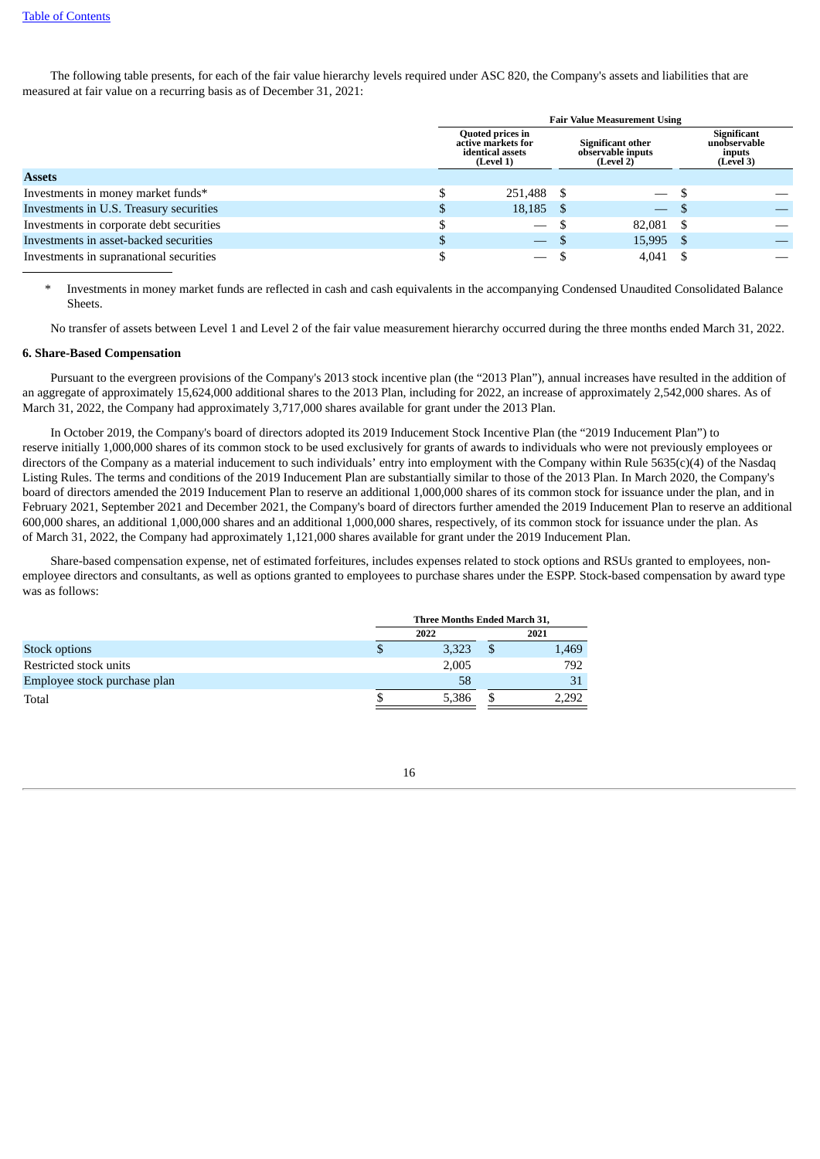The following table presents, for each of the fair value hierarchy levels required under ASC 820, the Company's assets and liabilities that are measured at fair value on a recurring basis as of December 31, 2021:

|                                          | <b>Fair Value Measurement Using</b>                                                                              |                               |                   |                               |                                                    |  |
|------------------------------------------|------------------------------------------------------------------------------------------------------------------|-------------------------------|-------------------|-------------------------------|----------------------------------------------------|--|
|                                          | Quoted prices in<br><b>Significant other</b><br>active markets for<br>identical assets<br>(Level 2)<br>(Level 1) |                               | observable inputs |                               | Significant<br>unobservable<br>inputs<br>(Level 3) |  |
| <b>Assets</b>                            |                                                                                                                  |                               |                   |                               |                                                    |  |
| Investments in money market funds*       |                                                                                                                  | 251,488                       | - \$              | $\overbrace{\phantom{13333}}$ | S                                                  |  |
| Investments in U.S. Treasury securities  | S                                                                                                                | 18,185                        | - S               |                               | മ                                                  |  |
| Investments in corporate debt securities |                                                                                                                  | $\overbrace{\phantom{13333}}$ |                   | 82,081 \$                     |                                                    |  |
| Investments in asset-backed securities   |                                                                                                                  | $\overline{\phantom{0}}$      | -S                | 15,995 \$                     |                                                    |  |
| Investments in supranational securities  |                                                                                                                  | $\overbrace{\phantom{13333}}$ |                   | $4,041 \quad$ \$              |                                                    |  |

\* Investments in money market funds are reflected in cash and cash equivalents in the accompanying Condensed Unaudited Consolidated Balance Sheets.

No transfer of assets between Level 1 and Level 2 of the fair value measurement hierarchy occurred during the three months ended March 31, 2022.

## **6. Share-Based Compensation**

Pursuant to the evergreen provisions of the Company's 2013 stock incentive plan (the "2013 Plan"), annual increases have resulted in the addition of an aggregate of approximately 15,624,000 additional shares to the 2013 Plan, including for 2022, an increase of approximately 2,542,000 shares. As of March 31, 2022, the Company had approximately 3,717,000 shares available for grant under the 2013 Plan.

In October 2019, the Company's board of directors adopted its 2019 Inducement Stock Incentive Plan (the "2019 Inducement Plan") to reserve initially 1,000,000 shares of its common stock to be used exclusively for grants of awards to individuals who were not previously employees or directors of the Company as a material inducement to such individuals' entry into employment with the Company within Rule 5635(c)(4) of the Nasdaq Listing Rules. The terms and conditions of the 2019 Inducement Plan are substantially similar to those of the 2013 Plan. In March 2020, the Company's board of directors amended the 2019 Inducement Plan to reserve an additional 1,000,000 shares of its common stock for issuance under the plan, and in February 2021, September 2021 and December 2021, the Company's board of directors further amended the 2019 Inducement Plan to reserve an additional 600,000 shares, an additional 1,000,000 shares and an additional 1,000,000 shares, respectively, of its common stock for issuance under the plan. As of March 31, 2022, the Company had approximately 1,121,000 shares available for grant under the 2019 Inducement Plan.

Share-based compensation expense, net of estimated forfeitures, includes expenses related to stock options and RSUs granted to employees, nonemployee directors and consultants, as well as options granted to employees to purchase shares under the ESPP. Stock-based compensation by award type was as follows:

|                              | Three Months Ended March 31, |       |  |       |
|------------------------------|------------------------------|-------|--|-------|
|                              | 2022                         |       |  | 2021  |
| <b>Stock options</b>         |                              | 3,323 |  | 1,469 |
| Restricted stock units       |                              | 2,005 |  | 792   |
| Employee stock purchase plan |                              | 58    |  | 31    |
| Total                        |                              | 5,386 |  | 2.292 |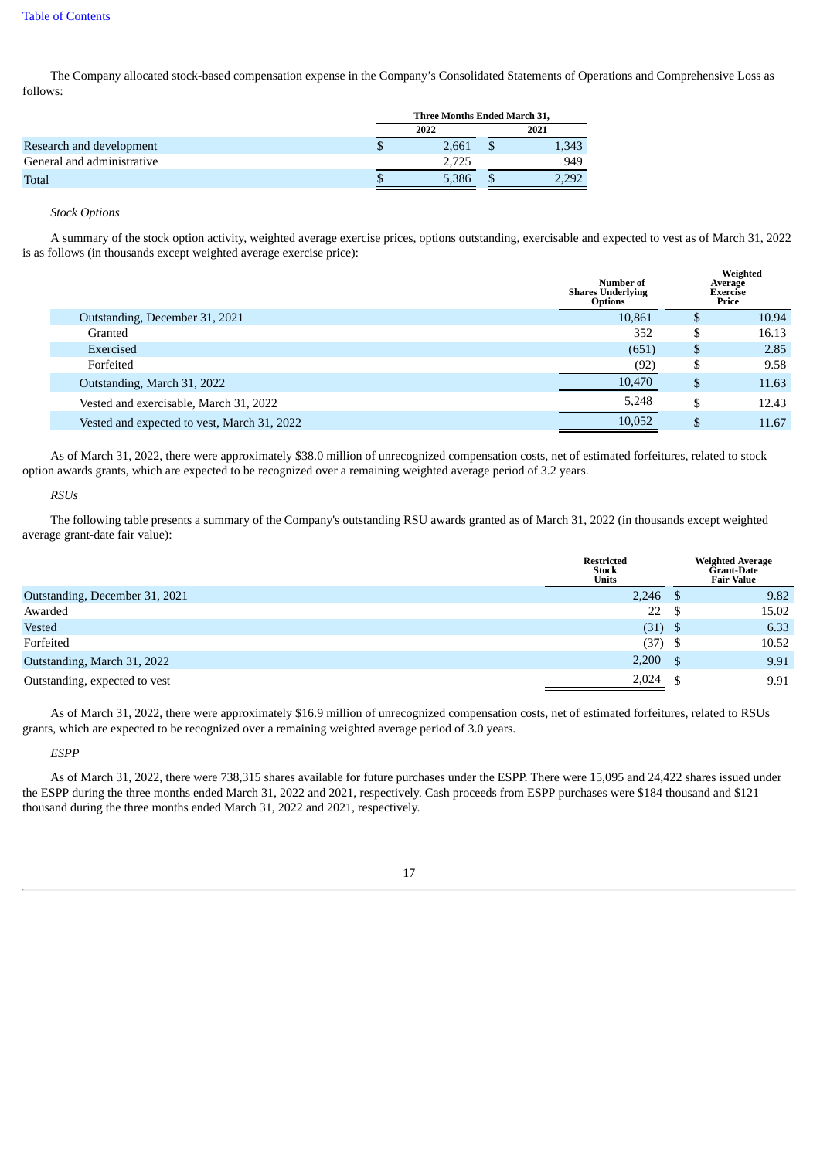The Company allocated stock-based compensation expense in the Company's Consolidated Statements of Operations and Comprehensive Loss as follows:

|                            | Three Months Ended March 31, |      |       |  |
|----------------------------|------------------------------|------|-------|--|
|                            | 2022                         | 2021 |       |  |
| Research and development   | 2.661                        |      | 1,343 |  |
| General and administrative | 2.725                        |      | 949   |  |
| <b>Total</b>               | 5,386                        |      | :.292 |  |

### *Stock Options*

A summary of the stock option activity, weighted average exercise prices, options outstanding, exercisable and expected to vest as of March 31, 2022 is as follows (in thousands except weighted average exercise price):

|                                             | Number of<br><b>Shares Underlying</b><br><b>Options</b> |    | Weighted<br>Average<br>Exercise<br>Price |
|---------------------------------------------|---------------------------------------------------------|----|------------------------------------------|
| Outstanding, December 31, 2021              | 10,861                                                  | S  | 10.94                                    |
| Granted                                     | 352                                                     |    | 16.13                                    |
| Exercised                                   | (651)                                                   | \$ | 2.85                                     |
| Forfeited                                   | (92)                                                    | S  | 9.58                                     |
| Outstanding, March 31, 2022                 | 10,470                                                  | \$ | 11.63                                    |
| Vested and exercisable, March 31, 2022      | 5,248                                                   | S  | 12.43                                    |
| Vested and expected to vest, March 31, 2022 | 10,052                                                  | S  | 11.67                                    |

As of March 31, 2022, there were approximately \$38.0 million of unrecognized compensation costs, net of estimated forfeitures, related to stock option awards grants, which are expected to be recognized over a remaining weighted average period of 3.2 years.

### *RSUs*

The following table presents a summary of the Company's outstanding RSU awards granted as of March 31, 2022 (in thousands except weighted average grant-date fair value):

|                                | <b>Restricted</b><br><b>Stock</b><br><b>Units</b> |      | <b>Weighted Average</b><br><b>Grant-Date</b><br><b>Fair Value</b> |
|--------------------------------|---------------------------------------------------|------|-------------------------------------------------------------------|
| Outstanding, December 31, 2021 | 2,246                                             |      | 9.82                                                              |
| Awarded                        | 22                                                | - \$ | 15.02                                                             |
| <b>Vested</b>                  | $(31)$ \$                                         |      | 6.33                                                              |
| Forfeited                      | $(37)$ \$                                         |      | 10.52                                                             |
| Outstanding, March 31, 2022    | 2,200                                             | -\$  | 9.91                                                              |
| Outstanding, expected to vest  | 2,024                                             |      | 9.91                                                              |

As of March 31, 2022, there were approximately \$16.9 million of unrecognized compensation costs, net of estimated forfeitures, related to RSUs grants, which are expected to be recognized over a remaining weighted average period of 3.0 years.

## *ESPP*

As of March 31, 2022, there were 738,315 shares available for future purchases under the ESPP. There were 15,095 and 24,422 shares issued under the ESPP during the three months ended March 31, 2022 and 2021, respectively. Cash proceeds from ESPP purchases were \$184 thousand and \$121 thousand during the three months ended March 31, 2022 and 2021, respectively.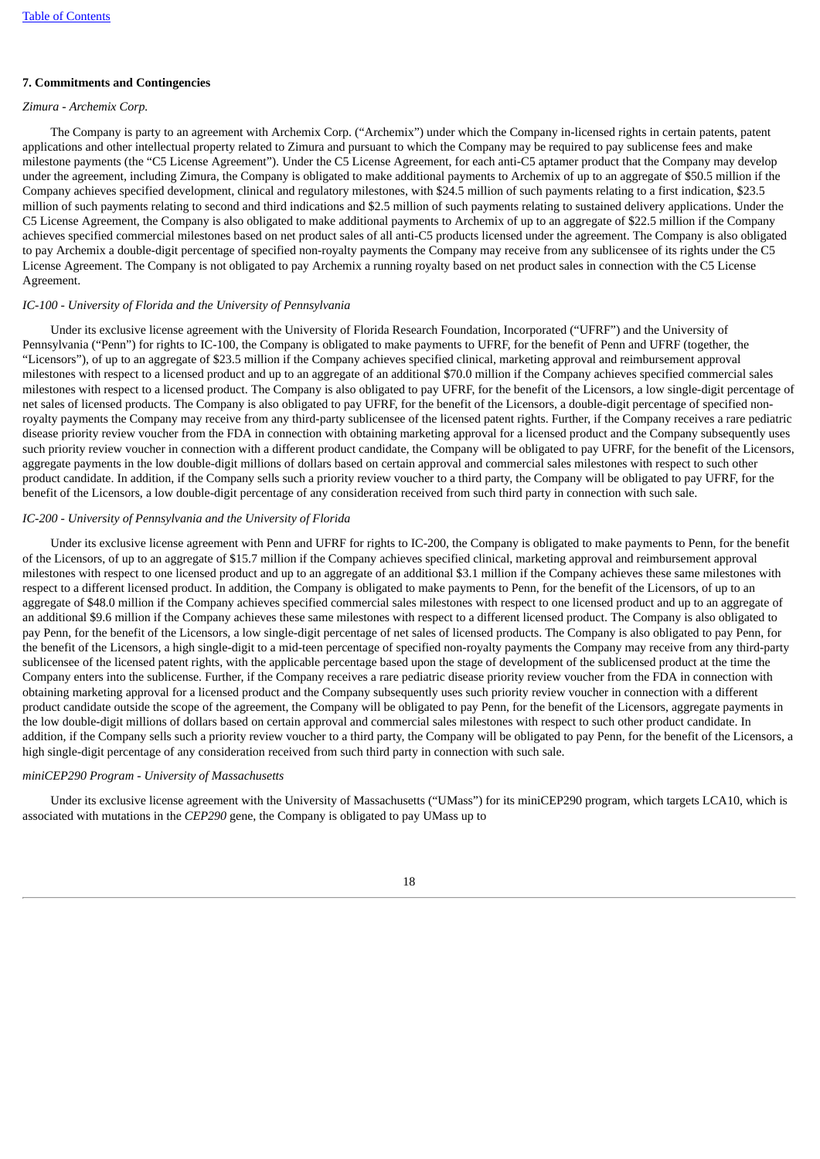# **7. Commitments and Contingencies**

## *Zimura - Archemix Corp.*

The Company is party to an agreement with Archemix Corp. ("Archemix") under which the Company in-licensed rights in certain patents, patent applications and other intellectual property related to Zimura and pursuant to which the Company may be required to pay sublicense fees and make milestone payments (the "C5 License Agreement"). Under the C5 License Agreement, for each anti-C5 aptamer product that the Company may develop under the agreement, including Zimura, the Company is obligated to make additional payments to Archemix of up to an aggregate of \$50.5 million if the Company achieves specified development, clinical and regulatory milestones, with \$24.5 million of such payments relating to a first indication, \$23.5 million of such payments relating to second and third indications and \$2.5 million of such payments relating to sustained delivery applications. Under the C5 License Agreement, the Company is also obligated to make additional payments to Archemix of up to an aggregate of \$22.5 million if the Company achieves specified commercial milestones based on net product sales of all anti-C5 products licensed under the agreement. The Company is also obligated to pay Archemix a double-digit percentage of specified non-royalty payments the Company may receive from any sublicensee of its rights under the C5 License Agreement. The Company is not obligated to pay Archemix a running royalty based on net product sales in connection with the C5 License Agreement.

## *IC-100 - University of Florida and the University of Pennsylvania*

Under its exclusive license agreement with the University of Florida Research Foundation, Incorporated ("UFRF") and the University of Pennsylvania ("Penn") for rights to IC-100, the Company is obligated to make payments to UFRF, for the benefit of Penn and UFRF (together, the "Licensors"), of up to an aggregate of \$23.5 million if the Company achieves specified clinical, marketing approval and reimbursement approval milestones with respect to a licensed product and up to an aggregate of an additional \$70.0 million if the Company achieves specified commercial sales milestones with respect to a licensed product. The Company is also obligated to pay UFRF, for the benefit of the Licensors, a low single-digit percentage of net sales of licensed products. The Company is also obligated to pay UFRF, for the benefit of the Licensors, a double-digit percentage of specified nonroyalty payments the Company may receive from any third-party sublicensee of the licensed patent rights. Further, if the Company receives a rare pediatric disease priority review voucher from the FDA in connection with obtaining marketing approval for a licensed product and the Company subsequently uses such priority review voucher in connection with a different product candidate, the Company will be obligated to pay UFRF, for the benefit of the Licensors, aggregate payments in the low double-digit millions of dollars based on certain approval and commercial sales milestones with respect to such other product candidate. In addition, if the Company sells such a priority review voucher to a third party, the Company will be obligated to pay UFRF, for the benefit of the Licensors, a low double-digit percentage of any consideration received from such third party in connection with such sale.

## *IC-200 - University of Pennsylvania and the University of Florida*

Under its exclusive license agreement with Penn and UFRF for rights to IC-200, the Company is obligated to make payments to Penn, for the benefit of the Licensors, of up to an aggregate of \$15.7 million if the Company achieves specified clinical, marketing approval and reimbursement approval milestones with respect to one licensed product and up to an aggregate of an additional \$3.1 million if the Company achieves these same milestones with respect to a different licensed product. In addition, the Company is obligated to make payments to Penn, for the benefit of the Licensors, of up to an aggregate of \$48.0 million if the Company achieves specified commercial sales milestones with respect to one licensed product and up to an aggregate of an additional \$9.6 million if the Company achieves these same milestones with respect to a different licensed product. The Company is also obligated to pay Penn, for the benefit of the Licensors, a low single-digit percentage of net sales of licensed products. The Company is also obligated to pay Penn, for the benefit of the Licensors, a high single-digit to a mid-teen percentage of specified non-royalty payments the Company may receive from any third-party sublicensee of the licensed patent rights, with the applicable percentage based upon the stage of development of the sublicensed product at the time the Company enters into the sublicense. Further, if the Company receives a rare pediatric disease priority review voucher from the FDA in connection with obtaining marketing approval for a licensed product and the Company subsequently uses such priority review voucher in connection with a different product candidate outside the scope of the agreement, the Company will be obligated to pay Penn, for the benefit of the Licensors, aggregate payments in the low double-digit millions of dollars based on certain approval and commercial sales milestones with respect to such other product candidate. In addition, if the Company sells such a priority review voucher to a third party, the Company will be obligated to pay Penn, for the benefit of the Licensors, a high single-digit percentage of any consideration received from such third party in connection with such sale.

## *miniCEP290 Program - University of Massachusetts*

Under its exclusive license agreement with the University of Massachusetts ("UMass") for its miniCEP290 program, which targets LCA10, which is associated with mutations in the *CEP290* gene, the Company is obligated to pay UMass up to

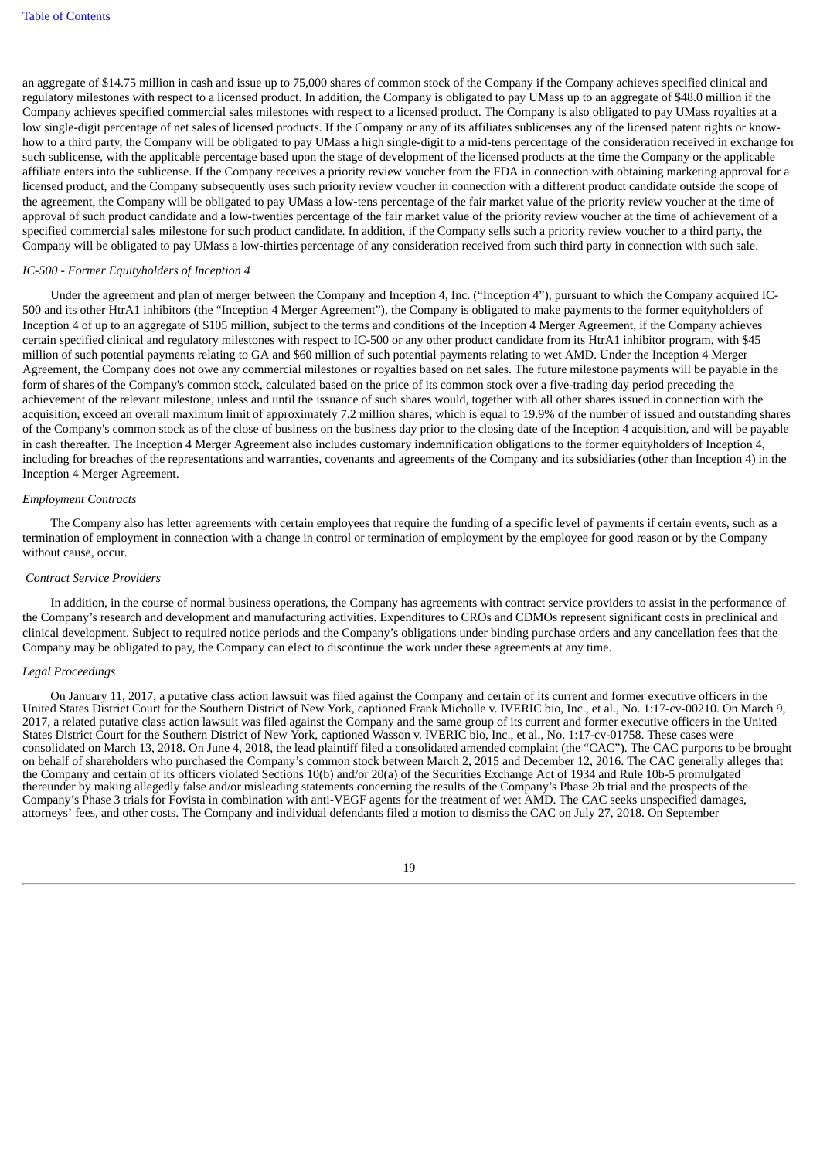an aggregate of \$14.75 million in cash and issue up to 75,000 shares of common stock of the Company if the Company achieves specified clinical and regulatory milestones with respect to a licensed product. In addition, the Company is obligated to pay UMass up to an aggregate of \$48.0 million if the Company achieves specified commercial sales milestones with respect to a licensed product. The Company is also obligated to pay UMass royalties at a low single-digit percentage of net sales of licensed products. If the Company or any of its affiliates sublicenses any of the licensed patent rights or knowhow to a third party, the Company will be obligated to pay UMass a high single-digit to a mid-tens percentage of the consideration received in exchange for such sublicense, with the applicable percentage based upon the stage of development of the licensed products at the time the Company or the applicable affiliate enters into the sublicense. If the Company receives a priority review voucher from the FDA in connection with obtaining marketing approval for a licensed product, and the Company subsequently uses such priority review voucher in connection with a different product candidate outside the scope of the agreement, the Company will be obligated to pay UMass a low-tens percentage of the fair market value of the priority review voucher at the time of approval of such product candidate and a low-twenties percentage of the fair market value of the priority review voucher at the time of achievement of a specified commercial sales milestone for such product candidate. In addition, if the Company sells such a priority review voucher to a third party, the Company will be obligated to pay UMass a low-thirties percentage of any consideration received from such third party in connection with such sale.

### *IC-500 - Former Equityholders of Inception 4*

Under the agreement and plan of merger between the Company and Inception 4, Inc. ("Inception 4"), pursuant to which the Company acquired IC-500 and its other HtrA1 inhibitors (the "Inception 4 Merger Agreement"), the Company is obligated to make payments to the former equityholders of Inception 4 of up to an aggregate of \$105 million, subject to the terms and conditions of the Inception 4 Merger Agreement, if the Company achieves certain specified clinical and regulatory milestones with respect to IC-500 or any other product candidate from its HtrA1 inhibitor program, with \$45 million of such potential payments relating to GA and \$60 million of such potential payments relating to wet AMD. Under the Inception 4 Merger Agreement, the Company does not owe any commercial milestones or royalties based on net sales. The future milestone payments will be payable in the form of shares of the Company's common stock, calculated based on the price of its common stock over a five-trading day period preceding the achievement of the relevant milestone, unless and until the issuance of such shares would, together with all other shares issued in connection with the acquisition, exceed an overall maximum limit of approximately 7.2 million shares, which is equal to 19.9% of the number of issued and outstanding shares of the Company's common stock as of the close of business on the business day prior to the closing date of the Inception 4 acquisition, and will be payable in cash thereafter. The Inception 4 Merger Agreement also includes customary indemnification obligations to the former equityholders of Inception 4, including for breaches of the representations and warranties, covenants and agreements of the Company and its subsidiaries (other than Inception 4) in the Inception 4 Merger Agreement.

#### *Employment Contracts*

The Company also has letter agreements with certain employees that require the funding of a specific level of payments if certain events, such as a termination of employment in connection with a change in control or termination of employment by the employee for good reason or by the Company without cause, occur.

#### *Contract Service Providers*

In addition, in the course of normal business operations, the Company has agreements with contract service providers to assist in the performance of the Company's research and development and manufacturing activities. Expenditures to CROs and CDMOs represent significant costs in preclinical and clinical development. Subject to required notice periods and the Company's obligations under binding purchase orders and any cancellation fees that the Company may be obligated to pay, the Company can elect to discontinue the work under these agreements at any time.

## *Legal Proceedings*

On January 11, 2017, a putative class action lawsuit was filed against the Company and certain of its current and former executive officers in the United States District Court for the Southern District of New York, captioned Frank Micholle v. IVERIC bio, Inc., et al., No. 1:17-cv-00210. On March 9, 2017, a related putative class action lawsuit was filed against the Company and the same group of its current and former executive officers in the United States District Court for the Southern District of New York, captioned Wasson v. IVERIC bio, Inc., et al., No. 1:17-cv-01758. These cases were consolidated on March 13, 2018. On June 4, 2018, the lead plaintiff filed a consolidated amended complaint (the "CAC"). The CAC purports to be brought on behalf of shareholders who purchased the Company's common stock between March 2, 2015 and December 12, 2016. The CAC generally alleges that the Company and certain of its officers violated Sections 10(b) and/or 20(a) of the Securities Exchange Act of 1934 and Rule 10b-5 promulgated thereunder by making allegedly false and/or misleading statements concerning the results of the Company's Phase 2b trial and the prospects of the Company's Phase 3 trials for Fovista in combination with anti-VEGF agents for the treatment of wet AMD. The CAC seeks unspecified damages, attorneys' fees, and other costs. The Company and individual defendants filed a motion to dismiss the CAC on July 27, 2018. On September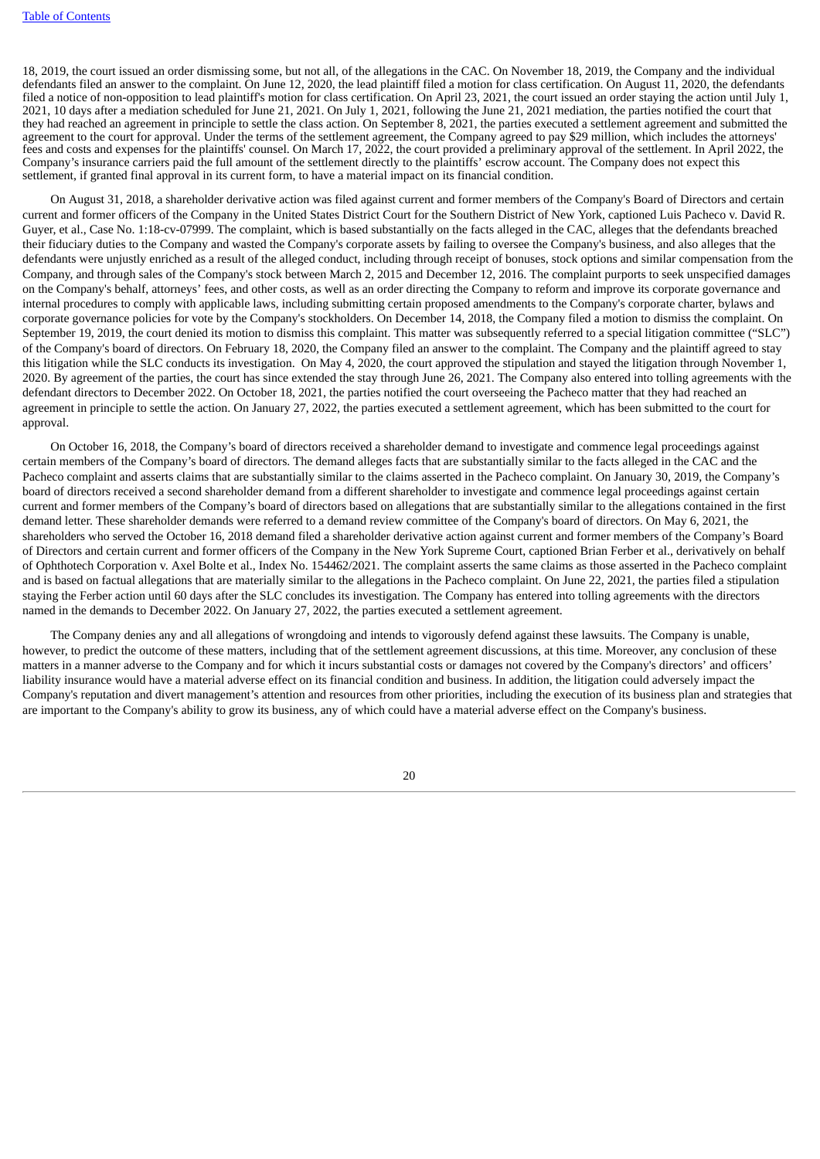18, 2019, the court issued an order dismissing some, but not all, of the allegations in the CAC. On November 18, 2019, the Company and the individual defendants filed an answer to the complaint. On June 12, 2020, the lead plaintiff filed a motion for class certification. On August 11, 2020, the defendants filed a notice of non-opposition to lead plaintiff's motion for class certification. On April 23, 2021, the court issued an order staying the action until July 1, 2021, 10 days after a mediation scheduled for June 21, 2021. On July 1, 2021, following the June 21, 2021 mediation, the parties notified the court that they had reached an agreement in principle to settle the class action. On September 8, 2021, the parties executed a settlement agreement and submitted the agreement to the court for approval. Under the terms of the settlement agreement, the Company agreed to pay \$29 million, which includes the attorneys' fees and costs and expenses for the plaintiffs' counsel. On March 17, 2022, the court provided a preliminary approval of the settlement. In April 2022, the Company's insurance carriers paid the full amount of the settlement directly to the plaintiffs' escrow account. The Company does not expect this settlement, if granted final approval in its current form, to have a material impact on its financial condition.

On August 31, 2018, a shareholder derivative action was filed against current and former members of the Company's Board of Directors and certain current and former officers of the Company in the United States District Court for the Southern District of New York, captioned Luis Pacheco v. David R. Guyer, et al., Case No. 1:18-cv-07999. The complaint, which is based substantially on the facts alleged in the CAC, alleges that the defendants breached their fiduciary duties to the Company and wasted the Company's corporate assets by failing to oversee the Company's business, and also alleges that the defendants were unjustly enriched as a result of the alleged conduct, including through receipt of bonuses, stock options and similar compensation from the Company, and through sales of the Company's stock between March 2, 2015 and December 12, 2016. The complaint purports to seek unspecified damages on the Company's behalf, attorneys' fees, and other costs, as well as an order directing the Company to reform and improve its corporate governance and internal procedures to comply with applicable laws, including submitting certain proposed amendments to the Company's corporate charter, bylaws and corporate governance policies for vote by the Company's stockholders. On December 14, 2018, the Company filed a motion to dismiss the complaint. On September 19, 2019, the court denied its motion to dismiss this complaint. This matter was subsequently referred to a special litigation committee ("SLC") of the Company's board of directors. On February 18, 2020, the Company filed an answer to the complaint. The Company and the plaintiff agreed to stay this litigation while the SLC conducts its investigation. On May 4, 2020, the court approved the stipulation and stayed the litigation through November 1, 2020. By agreement of the parties, the court has since extended the stay through June 26, 2021. The Company also entered into tolling agreements with the defendant directors to December 2022. On October 18, 2021, the parties notified the court overseeing the Pacheco matter that they had reached an agreement in principle to settle the action. On January 27, 2022, the parties executed a settlement agreement, which has been submitted to the court for approval.

On October 16, 2018, the Company's board of directors received a shareholder demand to investigate and commence legal proceedings against certain members of the Company's board of directors. The demand alleges facts that are substantially similar to the facts alleged in the CAC and the Pacheco complaint and asserts claims that are substantially similar to the claims asserted in the Pacheco complaint. On January 30, 2019, the Company's board of directors received a second shareholder demand from a different shareholder to investigate and commence legal proceedings against certain current and former members of the Company's board of directors based on allegations that are substantially similar to the allegations contained in the first demand letter. These shareholder demands were referred to a demand review committee of the Company's board of directors. On May 6, 2021, the shareholders who served the October 16, 2018 demand filed a shareholder derivative action against current and former members of the Company's Board of Directors and certain current and former officers of the Company in the New York Supreme Court, captioned Brian Ferber et al., derivatively on behalf of Ophthotech Corporation v. Axel Bolte et al., Index No. 154462/2021. The complaint asserts the same claims as those asserted in the Pacheco complaint and is based on factual allegations that are materially similar to the allegations in the Pacheco complaint. On June 22, 2021, the parties filed a stipulation staying the Ferber action until 60 days after the SLC concludes its investigation. The Company has entered into tolling agreements with the directors named in the demands to December 2022. On January 27, 2022, the parties executed a settlement agreement.

<span id="page-21-0"></span>The Company denies any and all allegations of wrongdoing and intends to vigorously defend against these lawsuits. The Company is unable, however, to predict the outcome of these matters, including that of the settlement agreement discussions, at this time. Moreover, any conclusion of these matters in a manner adverse to the Company and for which it incurs substantial costs or damages not covered by the Company's directors' and officers' liability insurance would have a material adverse effect on its financial condition and business. In addition, the litigation could adversely impact the Company's reputation and divert management's attention and resources from other priorities, including the execution of its business plan and strategies that are important to the Company's ability to grow its business, any of which could have a material adverse effect on the Company's business.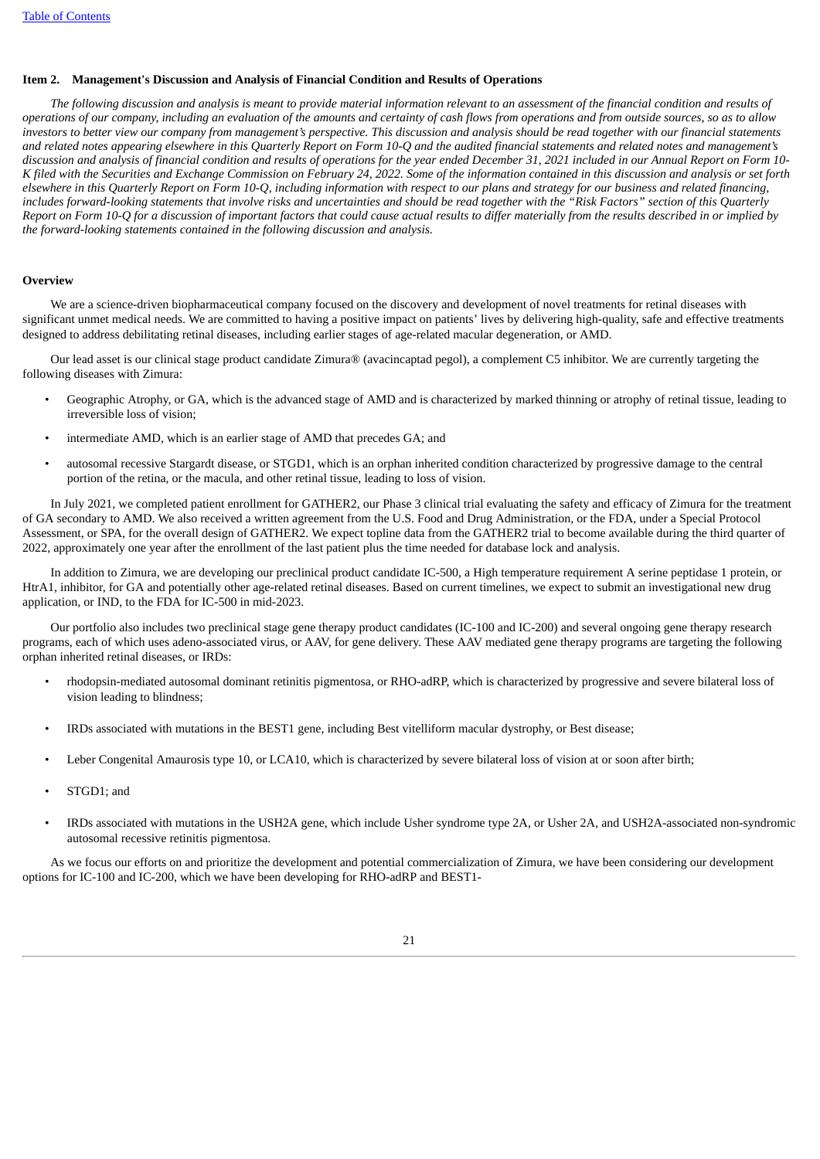# **Item 2. Management's Discussion and Analysis of Financial Condition and Results of Operations**

The following discussion and analysis is meant to provide material information relevant to an assessment of the financial condition and results of operations of our company, including an evaluation of the amounts and certainty of cash flows from operations and from outside sources, so as to allow investors to better view our company from management's perspective. This discussion and analysis should be read together with our financial statements and related notes appearing elsewhere in this Quarterly Report on Form 10-Q and the audited financial statements and related notes and management's discussion and analysis of financial condition and results of operations for the year ended December 31, 2021 included in our Annual Report on Form 10-K filed with the Securities and Exchange Commission on February 24, 2022. Some of the information contained in this discussion and analysis or set forth elsewhere in this Quarterly Report on Form 10-Q, including information with respect to our plans and strategy for our business and related financing, includes forward-looking statements that involve risks and uncertainties and should be read together with the "Risk Factors" section of this Quarterly Report on Form 10-Q for a discussion of important factors that could cause actual results to differ materially from the results described in or implied by *the forward-looking statements contained in the following discussion and analysis.*

## **Overview**

We are a science-driven biopharmaceutical company focused on the discovery and development of novel treatments for retinal diseases with significant unmet medical needs. We are committed to having a positive impact on patients' lives by delivering high-quality, safe and effective treatments designed to address debilitating retinal diseases, including earlier stages of age-related macular degeneration, or AMD.

Our lead asset is our clinical stage product candidate Zimura® (avacincaptad pegol), a complement C5 inhibitor. We are currently targeting the following diseases with Zimura:

- Geographic Atrophy, or GA, which is the advanced stage of AMD and is characterized by marked thinning or atrophy of retinal tissue, leading to irreversible loss of vision;
- intermediate AMD, which is an earlier stage of AMD that precedes GA; and
- autosomal recessive Stargardt disease, or STGD1, which is an orphan inherited condition characterized by progressive damage to the central portion of the retina, or the macula, and other retinal tissue, leading to loss of vision.

In July 2021, we completed patient enrollment for GATHER2, our Phase 3 clinical trial evaluating the safety and efficacy of Zimura for the treatment of GA secondary to AMD. We also received a written agreement from the U.S. Food and Drug Administration, or the FDA, under a Special Protocol Assessment, or SPA, for the overall design of GATHER2. We expect topline data from the GATHER2 trial to become available during the third quarter of 2022, approximately one year after the enrollment of the last patient plus the time needed for database lock and analysis.

In addition to Zimura, we are developing our preclinical product candidate IC-500, a High temperature requirement A serine peptidase 1 protein, or HtrA1, inhibitor, for GA and potentially other age-related retinal diseases. Based on current timelines, we expect to submit an investigational new drug application, or IND, to the FDA for IC-500 in mid-2023.

Our portfolio also includes two preclinical stage gene therapy product candidates (IC-100 and IC-200) and several ongoing gene therapy research programs, each of which uses adeno-associated virus, or AAV, for gene delivery. These AAV mediated gene therapy programs are targeting the following orphan inherited retinal diseases, or IRDs:

- rhodopsin-mediated autosomal dominant retinitis pigmentosa, or RHO-adRP, which is characterized by progressive and severe bilateral loss of vision leading to blindness;
- IRDs associated with mutations in the BEST1 gene, including Best vitelliform macular dystrophy, or Best disease;
- Leber Congenital Amaurosis type 10, or LCA10, which is characterized by severe bilateral loss of vision at or soon after birth;
- STGD1; and
- IRDs associated with mutations in the USH2A gene, which include Usher syndrome type 2A, or Usher 2A, and USH2A-associated non-syndromic autosomal recessive retinitis pigmentosa.

As we focus our efforts on and prioritize the development and potential commercialization of Zimura, we have been considering our development options for IC-100 and IC-200, which we have been developing for RHO-adRP and BEST1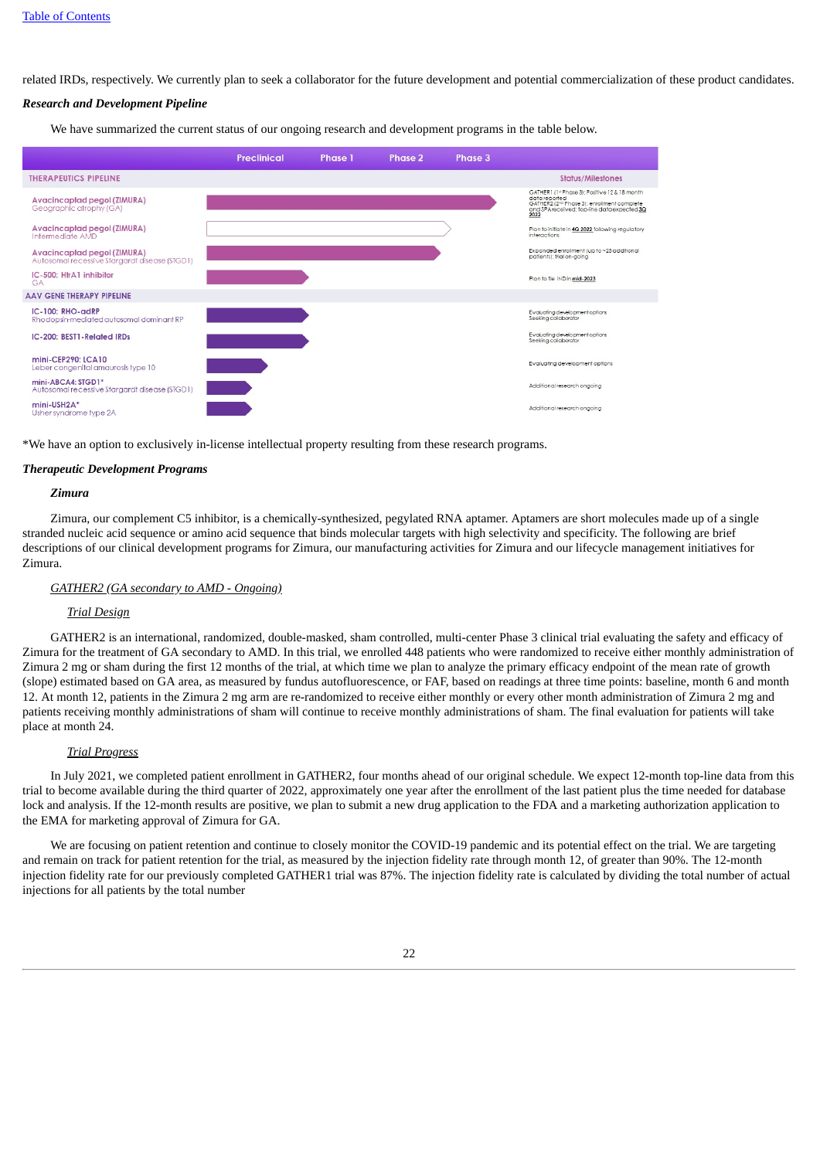related IRDs, respectively. We currently plan to seek a collaborator for the future development and potential commercialization of these product candidates.

## *Research and Development Pipeline*

We have summarized the current status of our ongoing research and development programs in the table below.



\*We have an option to exclusively in-license intellectual property resulting from these research programs.

#### *Therapeutic Development Programs*

#### *Zimura*

Zimura, our complement C5 inhibitor, is a chemically-synthesized, pegylated RNA aptamer. Aptamers are short molecules made up of a single stranded nucleic acid sequence or amino acid sequence that binds molecular targets with high selectivity and specificity. The following are brief descriptions of our clinical development programs for Zimura, our manufacturing activities for Zimura and our lifecycle management initiatives for Zimura.

## *GATHER2 (GA secondary to AMD - Ongoing)*

### *Trial Design*

GATHER2 is an international, randomized, double-masked, sham controlled, multi-center Phase 3 clinical trial evaluating the safety and efficacy of Zimura for the treatment of GA secondary to AMD. In this trial, we enrolled 448 patients who were randomized to receive either monthly administration of Zimura 2 mg or sham during the first 12 months of the trial, at which time we plan to analyze the primary efficacy endpoint of the mean rate of growth (slope) estimated based on GA area, as measured by fundus autofluorescence, or FAF, based on readings at three time points: baseline, month 6 and month 12. At month 12, patients in the Zimura 2 mg arm are re-randomized to receive either monthly or every other month administration of Zimura 2 mg and patients receiving monthly administrations of sham will continue to receive monthly administrations of sham. The final evaluation for patients will take place at month 24.

### *Trial Progress*

In July 2021, we completed patient enrollment in GATHER2, four months ahead of our original schedule. We expect 12-month top-line data from this trial to become available during the third quarter of 2022, approximately one year after the enrollment of the last patient plus the time needed for database lock and analysis. If the 12-month results are positive, we plan to submit a new drug application to the FDA and a marketing authorization application to the EMA for marketing approval of Zimura for GA.

We are focusing on patient retention and continue to closely monitor the COVID-19 pandemic and its potential effect on the trial. We are targeting and remain on track for patient retention for the trial, as measured by the injection fidelity rate through month 12, of greater than 90%. The 12-month injection fidelity rate for our previously completed GATHER1 trial was 87%. The injection fidelity rate is calculated by dividing the total number of actual injections for all patients by the total number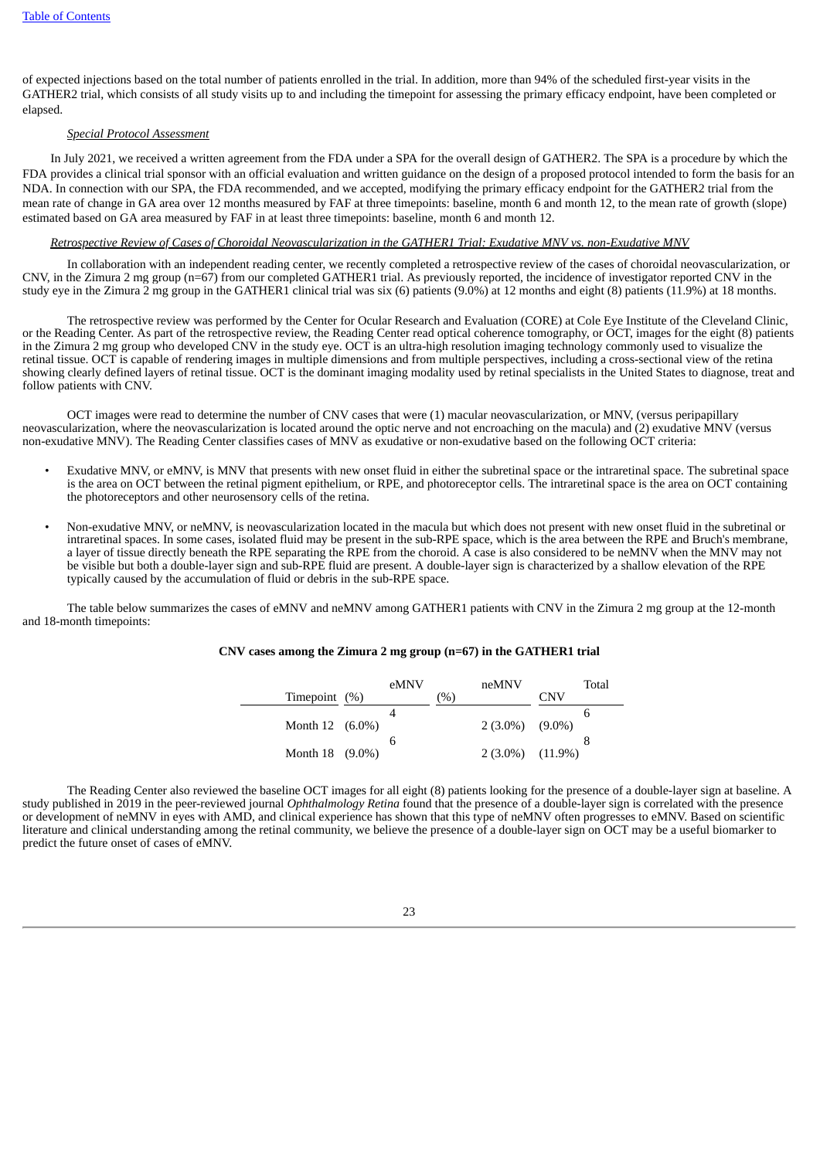of expected injections based on the total number of patients enrolled in the trial. In addition, more than 94% of the scheduled first-year visits in the GATHER2 trial, which consists of all study visits up to and including the timepoint for assessing the primary efficacy endpoint, have been completed or elapsed.

## *Special Protocol Assessment*

In July 2021, we received a written agreement from the FDA under a SPA for the overall design of GATHER2. The SPA is a procedure by which the FDA provides a clinical trial sponsor with an official evaluation and written guidance on the design of a proposed protocol intended to form the basis for an NDA. In connection with our SPA, the FDA recommended, and we accepted, modifying the primary efficacy endpoint for the GATHER2 trial from the mean rate of change in GA area over 12 months measured by FAF at three timepoints: baseline, month 6 and month 12, to the mean rate of growth (slope) estimated based on GA area measured by FAF in at least three timepoints: baseline, month 6 and month 12.

### Retrospective Review of Cases of Choroidal Neovascularization in the GATHER1 Trial: Exudative MNV vs. non-Exudative MNV

In collaboration with an independent reading center, we recently completed a retrospective review of the cases of choroidal neovascularization, or CNV, in the Zimura 2 mg group (n=67) from our completed GATHER1 trial. As previously reported, the incidence of investigator reported CNV in the study eye in the Zimura 2 mg group in the GATHER1 clinical trial was six (6) patients (9.0%) at 12 months and eight (8) patients (11.9%) at 18 months.

The retrospective review was performed by the Center for Ocular Research and Evaluation (CORE) at Cole Eye Institute of the Cleveland Clinic, or the Reading Center. As part of the retrospective review, the Reading Center read optical coherence tomography, or OCT, images for the eight (8) patients in the Zimura 2 mg group who developed CNV in the study eye. OCT is an ultra-high resolution imaging technology commonly used to visualize the retinal tissue. OCT is capable of rendering images in multiple dimensions and from multiple perspectives, including a cross-sectional view of the retina showing clearly defined layers of retinal tissue. OCT is the dominant imaging modality used by retinal specialists in the United States to diagnose, treat and follow patients with CNV.

OCT images were read to determine the number of CNV cases that were (1) macular neovascularization, or MNV, (versus peripapillary neovascularization, where the neovascularization is located around the optic nerve and not encroaching on the macula) and (2) exudative MNV (versus non-exudative MNV). The Reading Center classifies cases of MNV as exudative or non-exudative based on the following OCT criteria:

- Exudative MNV, or eMNV, is MNV that presents with new onset fluid in either the subretinal space or the intraretinal space. The subretinal space is the area on OCT between the retinal pigment epithelium, or RPE, and photoreceptor cells. The intraretinal space is the area on OCT containing the photoreceptors and other neurosensory cells of the retina.
- Non-exudative MNV, or neMNV, is neovascularization located in the macula but which does not present with new onset fluid in the subretinal or intraretinal spaces. In some cases, isolated fluid may be present in the sub-RPE space, which is the area between the RPE and Bruch's membrane, a layer of tissue directly beneath the RPE separating the RPE from the choroid. A case is also considered to be neMNV when the MNV may not be visible but both a double-layer sign and sub-RPE fluid are present. A double-layer sign is characterized by a shallow elevation of the RPE typically caused by the accumulation of fluid or debris in the sub-RPE space.

The table below summarizes the cases of eMNV and neMNV among GATHER1 patients with CNV in the Zimura 2 mg group at the 12-month and 18-month timepoints:

### **CNV cases among the Zimura 2 mg group (n=67) in the GATHER1 trial**

| Timepoint $(%)$ | eMNV | (%) | neMNV                 | <b>CNV</b> | Total |
|-----------------|------|-----|-----------------------|------------|-------|
| Month 12 (6.0%) | 4    |     | $2(3.0\%)$ $(9.0\%)$  |            | h     |
| Month 18 (9.0%) | n    |     | $2(3.0\%)$ $(11.9\%)$ |            |       |

The Reading Center also reviewed the baseline OCT images for all eight (8) patients looking for the presence of a double-layer sign at baseline. A study published in 2019 in the peer-reviewed journal *Ophthalmology Retina* found that the presence of a double-layer sign is correlated with the presence or development of neMNV in eyes with AMD, and clinical experience has shown that this type of neMNV often progresses to eMNV. Based on scientific literature and clinical understanding among the retinal community, we believe the presence of a double-layer sign on OCT may be a useful biomarker to predict the future onset of cases of eMNV.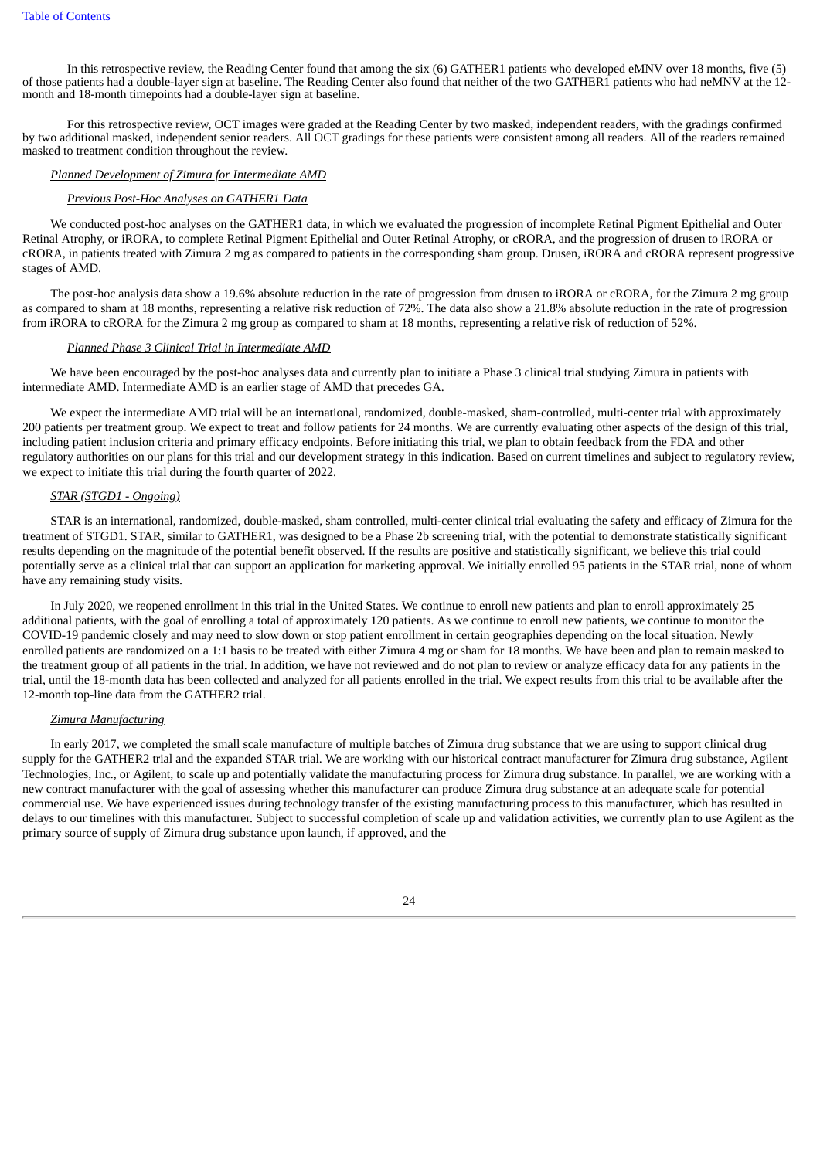In this retrospective review, the Reading Center found that among the six (6) GATHER1 patients who developed eMNV over 18 months, five (5) of those patients had a double-layer sign at baseline. The Reading Center also found that neither of the two GATHER1 patients who had neMNV at the 12 month and 18-month timepoints had a double-layer sign at baseline.

For this retrospective review, OCT images were graded at the Reading Center by two masked, independent readers, with the gradings confirmed by two additional masked, independent senior readers. All OCT gradings for these patients were consistent among all readers. All of the readers remained masked to treatment condition throughout the review.

#### *Planned Development of Zimura for Intermediate AMD*

#### *Previous Post-Hoc Analyses on GATHER1 Data*

We conducted post-hoc analyses on the GATHER1 data, in which we evaluated the progression of incomplete Retinal Pigment Epithelial and Outer Retinal Atrophy, or iRORA, to complete Retinal Pigment Epithelial and Outer Retinal Atrophy, or cRORA, and the progression of drusen to iRORA or cRORA, in patients treated with Zimura 2 mg as compared to patients in the corresponding sham group. Drusen, iRORA and cRORA represent progressive stages of AMD.

The post-hoc analysis data show a 19.6% absolute reduction in the rate of progression from drusen to iRORA or cRORA, for the Zimura 2 mg group as compared to sham at 18 months, representing a relative risk reduction of 72%. The data also show a 21.8% absolute reduction in the rate of progression from iRORA to cRORA for the Zimura 2 mg group as compared to sham at 18 months, representing a relative risk of reduction of 52%.

## *Planned Phase 3 Clinical Trial in Intermediate AMD*

We have been encouraged by the post-hoc analyses data and currently plan to initiate a Phase 3 clinical trial studying Zimura in patients with intermediate AMD. Intermediate AMD is an earlier stage of AMD that precedes GA.

We expect the intermediate AMD trial will be an international, randomized, double-masked, sham-controlled, multi-center trial with approximately 200 patients per treatment group. We expect to treat and follow patients for 24 months. We are currently evaluating other aspects of the design of this trial, including patient inclusion criteria and primary efficacy endpoints. Before initiating this trial, we plan to obtain feedback from the FDA and other regulatory authorities on our plans for this trial and our development strategy in this indication. Based on current timelines and subject to regulatory review, we expect to initiate this trial during the fourth quarter of 2022.

### *STAR (STGD1 - Ongoing)*

STAR is an international, randomized, double-masked, sham controlled, multi-center clinical trial evaluating the safety and efficacy of Zimura for the treatment of STGD1. STAR, similar to GATHER1, was designed to be a Phase 2b screening trial, with the potential to demonstrate statistically significant results depending on the magnitude of the potential benefit observed. If the results are positive and statistically significant, we believe this trial could potentially serve as a clinical trial that can support an application for marketing approval. We initially enrolled 95 patients in the STAR trial, none of whom have any remaining study visits.

In July 2020, we reopened enrollment in this trial in the United States. We continue to enroll new patients and plan to enroll approximately 25 additional patients, with the goal of enrolling a total of approximately 120 patients. As we continue to enroll new patients, we continue to monitor the COVID-19 pandemic closely and may need to slow down or stop patient enrollment in certain geographies depending on the local situation. Newly enrolled patients are randomized on a 1:1 basis to be treated with either Zimura 4 mg or sham for 18 months. We have been and plan to remain masked to the treatment group of all patients in the trial. In addition, we have not reviewed and do not plan to review or analyze efficacy data for any patients in the trial, until the 18-month data has been collected and analyzed for all patients enrolled in the trial. We expect results from this trial to be available after the 12-month top-line data from the GATHER2 trial.

## *Zimura Manufacturing*

In early 2017, we completed the small scale manufacture of multiple batches of Zimura drug substance that we are using to support clinical drug supply for the GATHER2 trial and the expanded STAR trial. We are working with our historical contract manufacturer for Zimura drug substance, Agilent Technologies, Inc., or Agilent, to scale up and potentially validate the manufacturing process for Zimura drug substance. In parallel, we are working with a new contract manufacturer with the goal of assessing whether this manufacturer can produce Zimura drug substance at an adequate scale for potential commercial use. We have experienced issues during technology transfer of the existing manufacturing process to this manufacturer, which has resulted in delays to our timelines with this manufacturer. Subject to successful completion of scale up and validation activities, we currently plan to use Agilent as the primary source of supply of Zimura drug substance upon launch, if approved, and the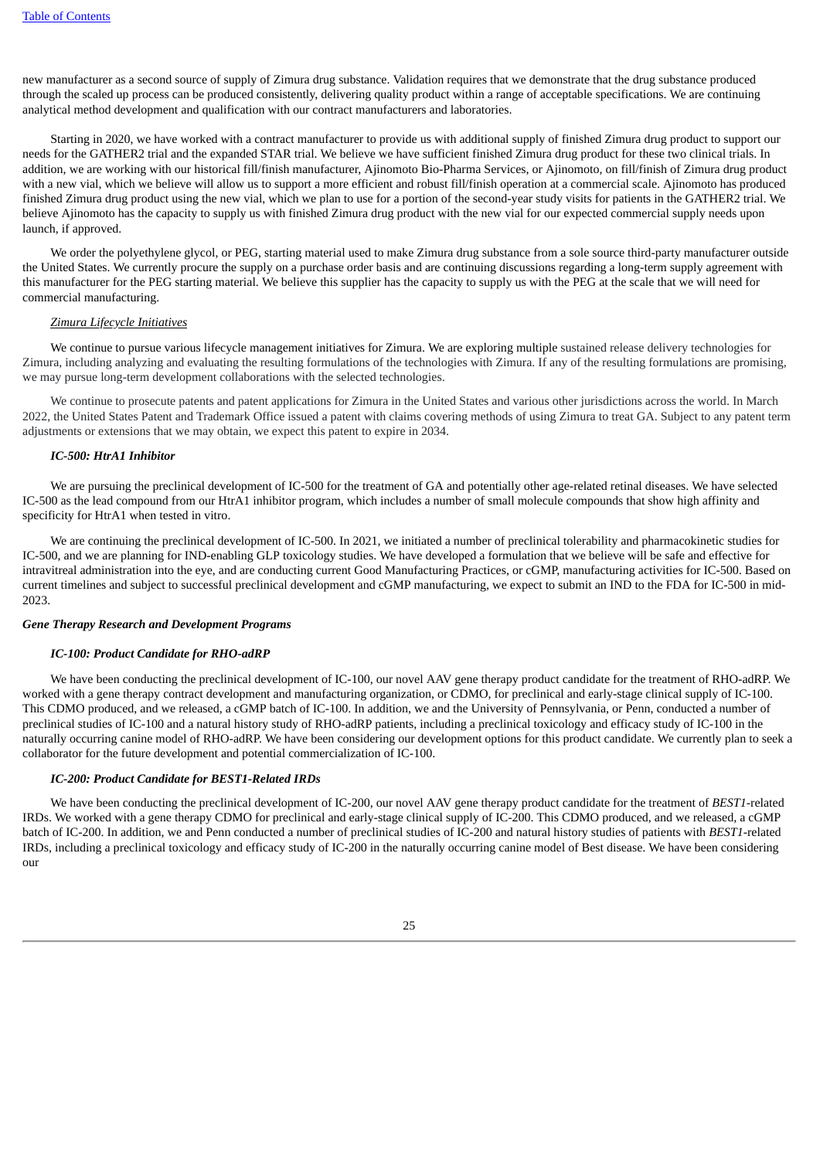new manufacturer as a second source of supply of Zimura drug substance. Validation requires that we demonstrate that the drug substance produced through the scaled up process can be produced consistently, delivering quality product within a range of acceptable specifications. We are continuing analytical method development and qualification with our contract manufacturers and laboratories.

Starting in 2020, we have worked with a contract manufacturer to provide us with additional supply of finished Zimura drug product to support our needs for the GATHER2 trial and the expanded STAR trial. We believe we have sufficient finished Zimura drug product for these two clinical trials. In addition, we are working with our historical fill/finish manufacturer, Ajinomoto Bio-Pharma Services, or Ajinomoto, on fill/finish of Zimura drug product with a new vial, which we believe will allow us to support a more efficient and robust fill/finish operation at a commercial scale. Ajinomoto has produced finished Zimura drug product using the new vial, which we plan to use for a portion of the second-year study visits for patients in the GATHER2 trial. We believe Ajinomoto has the capacity to supply us with finished Zimura drug product with the new vial for our expected commercial supply needs upon launch, if approved.

We order the polyethylene glycol, or PEG, starting material used to make Zimura drug substance from a sole source third-party manufacturer outside the United States. We currently procure the supply on a purchase order basis and are continuing discussions regarding a long-term supply agreement with this manufacturer for the PEG starting material. We believe this supplier has the capacity to supply us with the PEG at the scale that we will need for commercial manufacturing.

## *Zimura Lifecycle Initiatives*

We continue to pursue various lifecycle management initiatives for Zimura. We are exploring multiple sustained release delivery technologies for Zimura, including analyzing and evaluating the resulting formulations of the technologies with Zimura. If any of the resulting formulations are promising, we may pursue long-term development collaborations with the selected technologies.

We continue to prosecute patents and patent applications for Zimura in the United States and various other jurisdictions across the world. In March 2022, the United States Patent and Trademark Office issued a patent with claims covering methods of using Zimura to treat GA. Subject to any patent term adjustments or extensions that we may obtain, we expect this patent to expire in 2034.

#### *IC-500: HtrA1 Inhibitor*

We are pursuing the preclinical development of IC-500 for the treatment of GA and potentially other age-related retinal diseases. We have selected IC-500 as the lead compound from our HtrA1 inhibitor program, which includes a number of small molecule compounds that show high affinity and specificity for HtrA1 when tested in vitro.

We are continuing the preclinical development of IC-500. In 2021, we initiated a number of preclinical tolerability and pharmacokinetic studies for IC-500, and we are planning for IND-enabling GLP toxicology studies. We have developed a formulation that we believe will be safe and effective for intravitreal administration into the eye, and are conducting current Good Manufacturing Practices, or cGMP, manufacturing activities for IC-500. Based on current timelines and subject to successful preclinical development and cGMP manufacturing, we expect to submit an IND to the FDA for IC-500 in mid-2023.

#### *Gene Therapy Research and Development Programs*

## *IC-100: Product Candidate for RHO-adRP*

We have been conducting the preclinical development of IC-100, our novel AAV gene therapy product candidate for the treatment of RHO-adRP. We worked with a gene therapy contract development and manufacturing organization, or CDMO, for preclinical and early-stage clinical supply of IC-100. This CDMO produced, and we released, a cGMP batch of IC-100. In addition, we and the University of Pennsylvania, or Penn, conducted a number of preclinical studies of IC-100 and a natural history study of RHO-adRP patients, including a preclinical toxicology and efficacy study of IC-100 in the naturally occurring canine model of RHO-adRP. We have been considering our development options for this product candidate. We currently plan to seek a collaborator for the future development and potential commercialization of IC-100.

#### *IC-200: Product Candidate for BEST1-Related IRDs*

We have been conducting the preclinical development of IC-200, our novel AAV gene therapy product candidate for the treatment of *BEST1*-related IRDs. We worked with a gene therapy CDMO for preclinical and early-stage clinical supply of IC-200. This CDMO produced, and we released, a cGMP batch of IC-200. In addition, we and Penn conducted a number of preclinical studies of IC-200 and natural history studies of patients with *BEST1*-related IRDs, including a preclinical toxicology and efficacy study of IC-200 in the naturally occurring canine model of Best disease. We have been considering our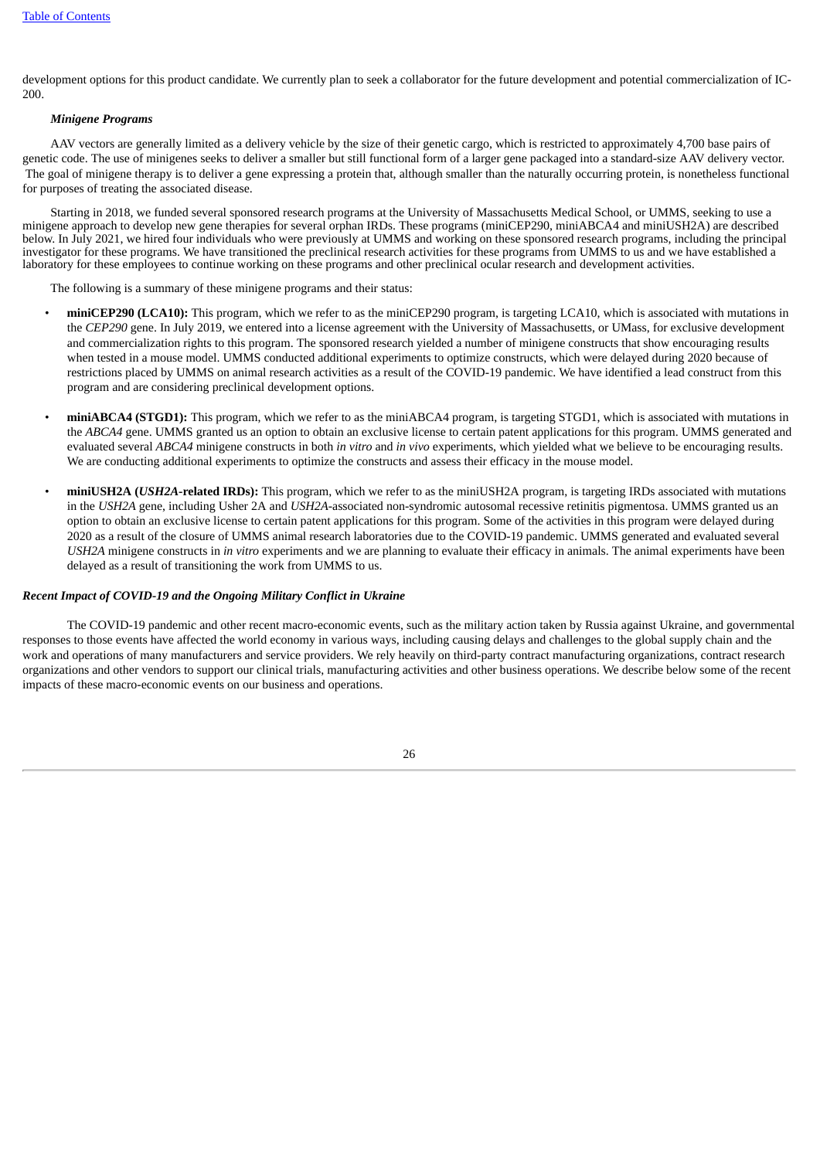development options for this product candidate. We currently plan to seek a collaborator for the future development and potential commercialization of IC-200.

### *Minigene Programs*

AAV vectors are generally limited as a delivery vehicle by the size of their genetic cargo, which is restricted to approximately 4,700 base pairs of genetic code. The use of minigenes seeks to deliver a smaller but still functional form of a larger gene packaged into a standard-size AAV delivery vector. The goal of minigene therapy is to deliver a gene expressing a protein that, although smaller than the naturally occurring protein, is nonetheless functional for purposes of treating the associated disease.

Starting in 2018, we funded several sponsored research programs at the University of Massachusetts Medical School, or UMMS, seeking to use a minigene approach to develop new gene therapies for several orphan IRDs. These programs (miniCEP290, miniABCA4 and miniUSH2A) are described below. In July 2021, we hired four individuals who were previously at UMMS and working on these sponsored research programs, including the principal investigator for these programs. We have transitioned the preclinical research activities for these programs from UMMS to us and we have established a laboratory for these employees to continue working on these programs and other preclinical ocular research and development activities.

The following is a summary of these minigene programs and their status:

- **miniCEP290 (LCA10):** This program, which we refer to as the miniCEP290 program, is targeting LCA10, which is associated with mutations in the *CEP290* gene. In July 2019, we entered into a license agreement with the University of Massachusetts, or UMass, for exclusive development and commercialization rights to this program. The sponsored research yielded a number of minigene constructs that show encouraging results when tested in a mouse model. UMMS conducted additional experiments to optimize constructs, which were delayed during 2020 because of restrictions placed by UMMS on animal research activities as a result of the COVID-19 pandemic. We have identified a lead construct from this program and are considering preclinical development options.
- **miniABCA4 (STGD1):** This program, which we refer to as the miniABCA4 program, is targeting STGD1, which is associated with mutations in the *ABCA4* gene. UMMS granted us an option to obtain an exclusive license to certain patent applications for this program. UMMS generated and evaluated several *ABCA4* minigene constructs in both *in vitro* and *in vivo* experiments, which yielded what we believe to be encouraging results. We are conducting additional experiments to optimize the constructs and assess their efficacy in the mouse model.
- **miniUSH2A (***USH2A***-related IRDs):** This program, which we refer to as the miniUSH2A program, is targeting IRDs associated with mutations in the *USH2A* gene, including Usher 2A and *USH2A*-associated non-syndromic autosomal recessive retinitis pigmentosa. UMMS granted us an option to obtain an exclusive license to certain patent applications for this program. Some of the activities in this program were delayed during 2020 as a result of the closure of UMMS animal research laboratories due to the COVID-19 pandemic. UMMS generated and evaluated several *USH2A* minigene constructs in *in vitro* experiments and we are planning to evaluate their efficacy in animals. The animal experiments have been delayed as a result of transitioning the work from UMMS to us.

## *Recent Impact of COVID-19 and the Ongoing Military Conflict in Ukraine*

The COVID-19 pandemic and other recent macro-economic events, such as the military action taken by Russia against Ukraine, and governmental responses to those events have affected the world economy in various ways, including causing delays and challenges to the global supply chain and the work and operations of many manufacturers and service providers. We rely heavily on third-party contract manufacturing organizations, contract research organizations and other vendors to support our clinical trials, manufacturing activities and other business operations. We describe below some of the recent impacts of these macro-economic events on our business and operations.

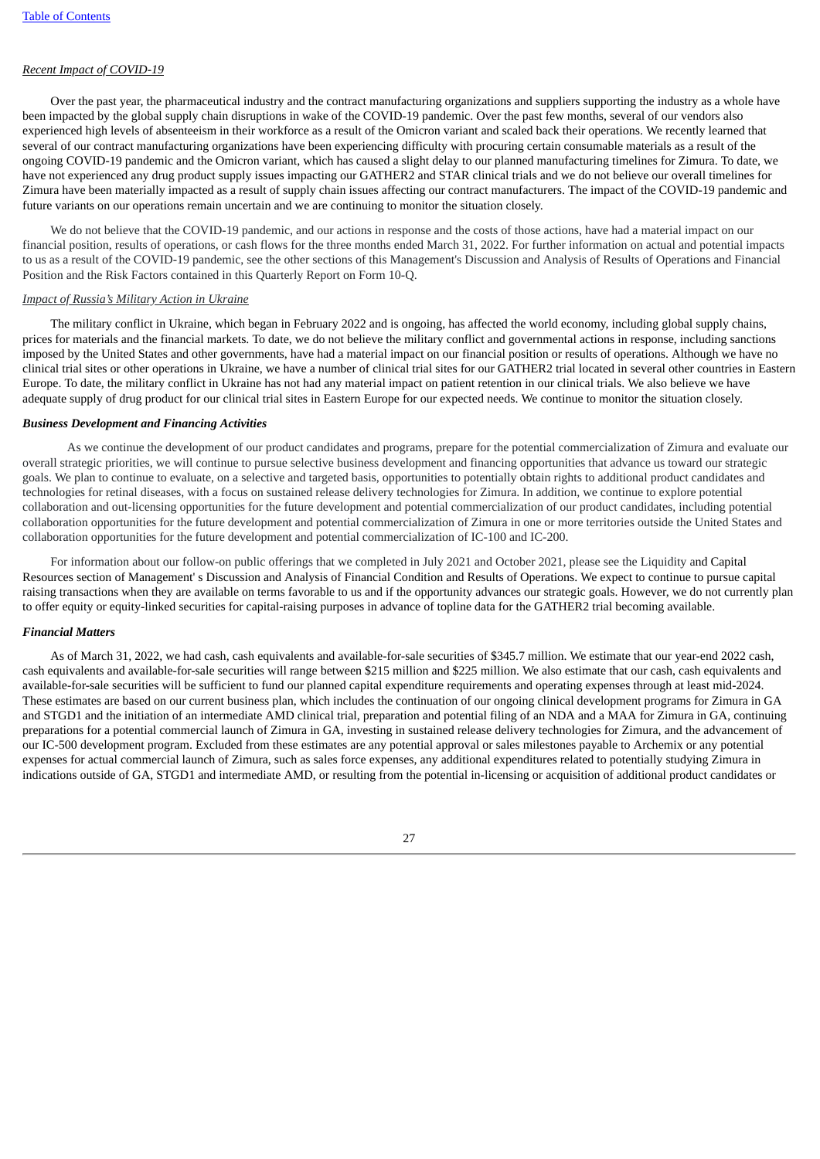## *Recent Impact of COVID-19*

Over the past year, the pharmaceutical industry and the contract manufacturing organizations and suppliers supporting the industry as a whole have been impacted by the global supply chain disruptions in wake of the COVID-19 pandemic. Over the past few months, several of our vendors also experienced high levels of absenteeism in their workforce as a result of the Omicron variant and scaled back their operations. We recently learned that several of our contract manufacturing organizations have been experiencing difficulty with procuring certain consumable materials as a result of the ongoing COVID-19 pandemic and the Omicron variant, which has caused a slight delay to our planned manufacturing timelines for Zimura. To date, we have not experienced any drug product supply issues impacting our GATHER2 and STAR clinical trials and we do not believe our overall timelines for Zimura have been materially impacted as a result of supply chain issues affecting our contract manufacturers. The impact of the COVID-19 pandemic and future variants on our operations remain uncertain and we are continuing to monitor the situation closely.

We do not believe that the COVID-19 pandemic, and our actions in response and the costs of those actions, have had a material impact on our financial position, results of operations, or cash flows for the three months ended March 31, 2022. For further information on actual and potential impacts to us as a result of the COVID-19 pandemic, see the other sections of this Management's Discussion and Analysis of Results of Operations and Financial Position and the Risk Factors contained in this Quarterly Report on Form 10-Q.

## *Impact of Russia's Military Action in Ukraine*

The military conflict in Ukraine, which began in February 2022 and is ongoing, has affected the world economy, including global supply chains, prices for materials and the financial markets. To date, we do not believe the military conflict and governmental actions in response, including sanctions imposed by the United States and other governments, have had a material impact on our financial position or results of operations. Although we have no clinical trial sites or other operations in Ukraine, we have a number of clinical trial sites for our GATHER2 trial located in several other countries in Eastern Europe. To date, the military conflict in Ukraine has not had any material impact on patient retention in our clinical trials. We also believe we have adequate supply of drug product for our clinical trial sites in Eastern Europe for our expected needs. We continue to monitor the situation closely.

#### *Business Development and Financing Activities*

As we continue the development of our product candidates and programs, prepare for the potential commercialization of Zimura and evaluate our overall strategic priorities, we will continue to pursue selective business development and financing opportunities that advance us toward our strategic goals. We plan to continue to evaluate, on a selective and targeted basis, opportunities to potentially obtain rights to additional product candidates and technologies for retinal diseases, with a focus on sustained release delivery technologies for Zimura. In addition, we continue to explore potential collaboration and out-licensing opportunities for the future development and potential commercialization of our product candidates, including potential collaboration opportunities for the future development and potential commercialization of Zimura in one or more territories outside the United States and collaboration opportunities for the future development and potential commercialization of IC-100 and IC-200.

For information about our follow-on public offerings that we completed in July 2021 and October 2021, please see the Liquidity and Capital Resources section of Management' s Discussion and Analysis of Financial Condition and Results of Operations. We expect to continue to pursue capital raising transactions when they are available on terms favorable to us and if the opportunity advances our strategic goals. However, we do not currently plan to offer equity or equity-linked securities for capital-raising purposes in advance of topline data for the GATHER2 trial becoming available.

## *Financial Matters*

As of March 31, 2022, we had cash, cash equivalents and available-for-sale securities of \$345.7 million. We estimate that our year-end 2022 cash, cash equivalents and available-for-sale securities will range between \$215 million and \$225 million. We also estimate that our cash, cash equivalents and available-for-sale securities will be sufficient to fund our planned capital expenditure requirements and operating expenses through at least mid-2024. These estimates are based on our current business plan, which includes the continuation of our ongoing clinical development programs for Zimura in GA and STGD1 and the initiation of an intermediate AMD clinical trial, preparation and potential filing of an NDA and a MAA for Zimura in GA, continuing preparations for a potential commercial launch of Zimura in GA, investing in sustained release delivery technologies for Zimura, and the advancement of our IC-500 development program. Excluded from these estimates are any potential approval or sales milestones payable to Archemix or any potential expenses for actual commercial launch of Zimura, such as sales force expenses, any additional expenditures related to potentially studying Zimura in indications outside of GA, STGD1 and intermediate AMD, or resulting from the potential in-licensing or acquisition of additional product candidates or

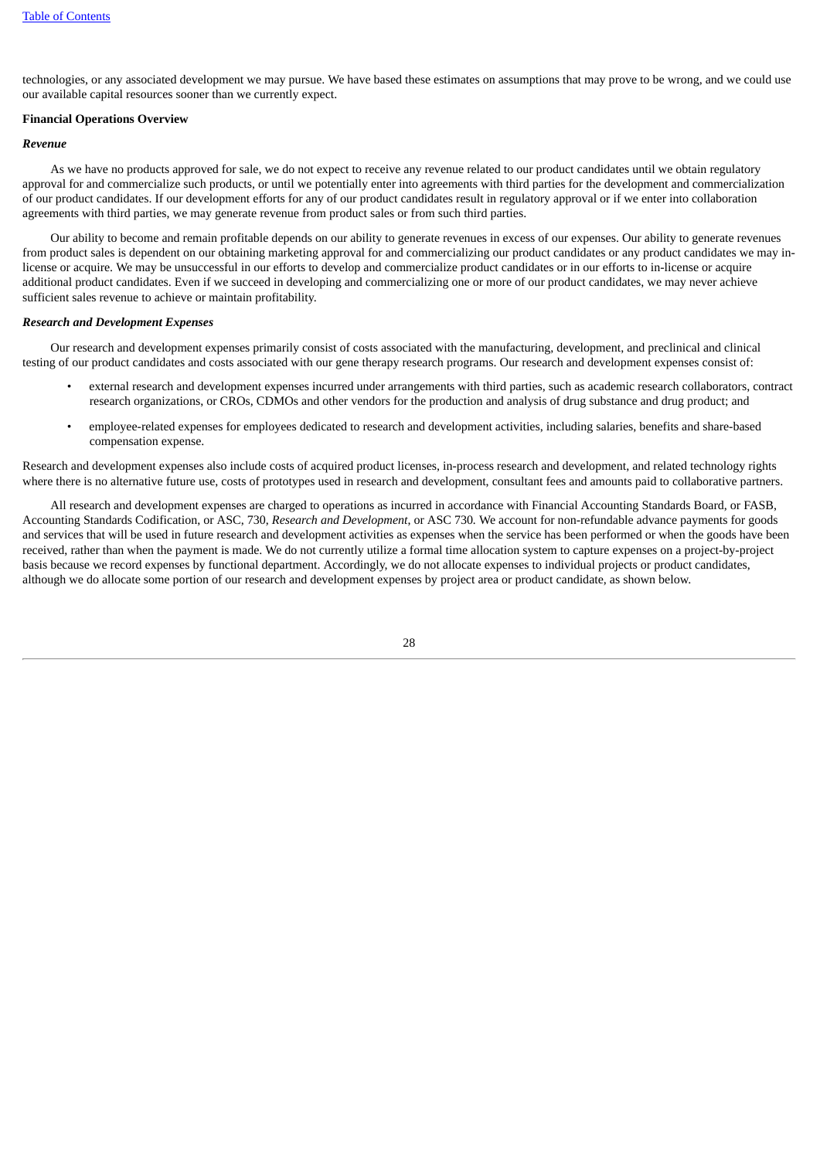technologies, or any associated development we may pursue. We have based these estimates on assumptions that may prove to be wrong, and we could use our available capital resources sooner than we currently expect.

### **Financial Operations Overview**

## *Revenue*

As we have no products approved for sale, we do not expect to receive any revenue related to our product candidates until we obtain regulatory approval for and commercialize such products, or until we potentially enter into agreements with third parties for the development and commercialization of our product candidates. If our development efforts for any of our product candidates result in regulatory approval or if we enter into collaboration agreements with third parties, we may generate revenue from product sales or from such third parties.

Our ability to become and remain profitable depends on our ability to generate revenues in excess of our expenses. Our ability to generate revenues from product sales is dependent on our obtaining marketing approval for and commercializing our product candidates or any product candidates we may inlicense or acquire. We may be unsuccessful in our efforts to develop and commercialize product candidates or in our efforts to in-license or acquire additional product candidates. Even if we succeed in developing and commercializing one or more of our product candidates, we may never achieve sufficient sales revenue to achieve or maintain profitability.

## *Research and Development Expenses*

Our research and development expenses primarily consist of costs associated with the manufacturing, development, and preclinical and clinical testing of our product candidates and costs associated with our gene therapy research programs. Our research and development expenses consist of:

- external research and development expenses incurred under arrangements with third parties, such as academic research collaborators, contract research organizations, or CROs, CDMOs and other vendors for the production and analysis of drug substance and drug product; and
- employee-related expenses for employees dedicated to research and development activities, including salaries, benefits and share-based compensation expense.

Research and development expenses also include costs of acquired product licenses, in-process research and development, and related technology rights where there is no alternative future use, costs of prototypes used in research and development, consultant fees and amounts paid to collaborative partners.

All research and development expenses are charged to operations as incurred in accordance with Financial Accounting Standards Board, or FASB, Accounting Standards Codification, or ASC, 730, *Research and Development*, or ASC 730*.* We account for non-refundable advance payments for goods and services that will be used in future research and development activities as expenses when the service has been performed or when the goods have been received, rather than when the payment is made. We do not currently utilize a formal time allocation system to capture expenses on a project-by-project basis because we record expenses by functional department. Accordingly, we do not allocate expenses to individual projects or product candidates, although we do allocate some portion of our research and development expenses by project area or product candidate, as shown below.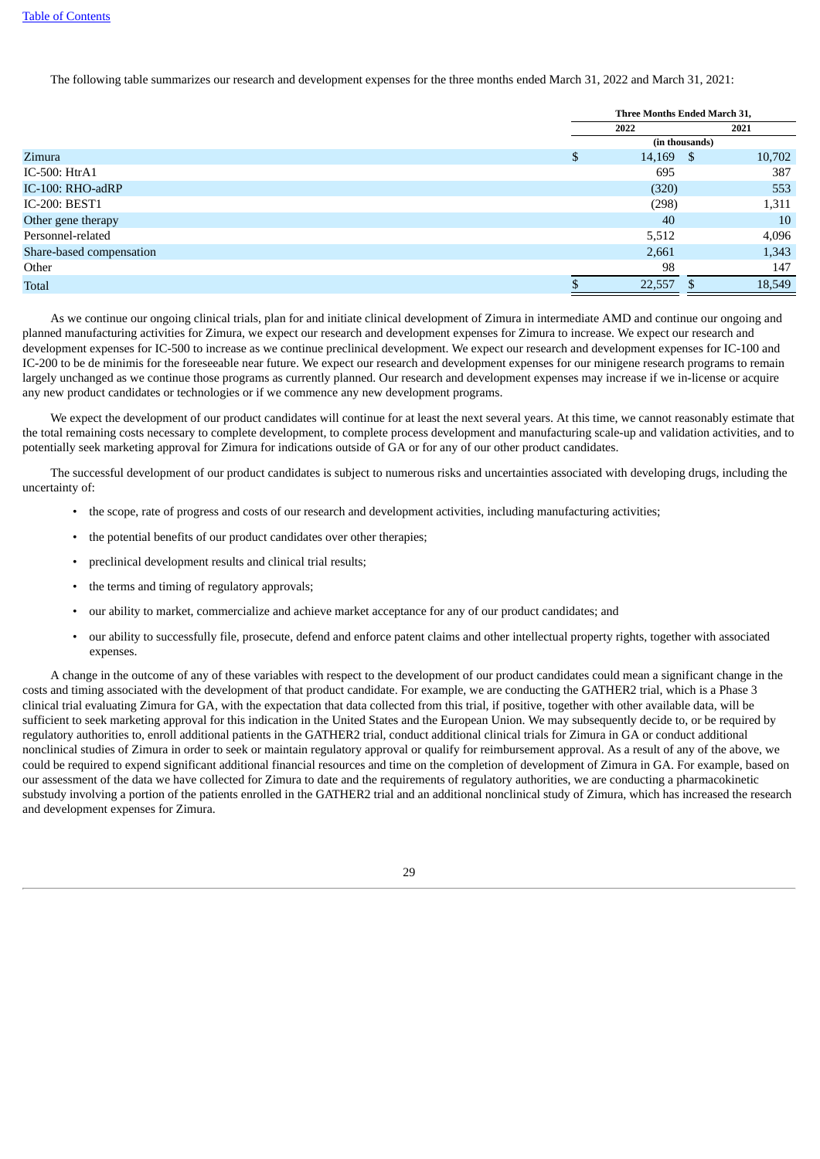The following table summarizes our research and development expenses for the three months ended March 31, 2022 and March 31, 2021:

|                          | Three Months Ended March 31, |      |        |
|--------------------------|------------------------------|------|--------|
|                          | 2022                         |      | 2021   |
|                          | (in thousands)               |      |        |
| Zimura                   | \$<br>14,169                 | - \$ | 10,702 |
| IC-500: HtrA1            | 695                          |      | 387    |
| IC-100: RHO-adRP         | (320)                        |      | 553    |
| IC-200: BEST1            | (298)                        |      | 1,311  |
| Other gene therapy       | 40                           |      | 10     |
| Personnel-related        | 5,512                        |      | 4,096  |
| Share-based compensation | 2,661                        |      | 1,343  |
| Other                    | 98                           |      | 147    |
| <b>Total</b>             | 22,557                       |      | 18,549 |

As we continue our ongoing clinical trials, plan for and initiate clinical development of Zimura in intermediate AMD and continue our ongoing and planned manufacturing activities for Zimura, we expect our research and development expenses for Zimura to increase. We expect our research and development expenses for IC-500 to increase as we continue preclinical development. We expect our research and development expenses for IC-100 and IC-200 to be de minimis for the foreseeable near future. We expect our research and development expenses for our minigene research programs to remain largely unchanged as we continue those programs as currently planned. Our research and development expenses may increase if we in-license or acquire any new product candidates or technologies or if we commence any new development programs.

We expect the development of our product candidates will continue for at least the next several years. At this time, we cannot reasonably estimate that the total remaining costs necessary to complete development, to complete process development and manufacturing scale-up and validation activities, and to potentially seek marketing approval for Zimura for indications outside of GA or for any of our other product candidates.

The successful development of our product candidates is subject to numerous risks and uncertainties associated with developing drugs, including the uncertainty of:

- the scope, rate of progress and costs of our research and development activities, including manufacturing activities;
- the potential benefits of our product candidates over other therapies;
- preclinical development results and clinical trial results;
- the terms and timing of regulatory approvals;
- our ability to market, commercialize and achieve market acceptance for any of our product candidates; and
- our ability to successfully file, prosecute, defend and enforce patent claims and other intellectual property rights, together with associated expenses.

A change in the outcome of any of these variables with respect to the development of our product candidates could mean a significant change in the costs and timing associated with the development of that product candidate. For example, we are conducting the GATHER2 trial, which is a Phase 3 clinical trial evaluating Zimura for GA, with the expectation that data collected from this trial, if positive, together with other available data, will be sufficient to seek marketing approval for this indication in the United States and the European Union. We may subsequently decide to, or be required by regulatory authorities to, enroll additional patients in the GATHER2 trial, conduct additional clinical trials for Zimura in GA or conduct additional nonclinical studies of Zimura in order to seek or maintain regulatory approval or qualify for reimbursement approval. As a result of any of the above, we could be required to expend significant additional financial resources and time on the completion of development of Zimura in GA. For example, based on our assessment of the data we have collected for Zimura to date and the requirements of regulatory authorities, we are conducting a pharmacokinetic substudy involving a portion of the patients enrolled in the GATHER2 trial and an additional nonclinical study of Zimura, which has increased the research and development expenses for Zimura.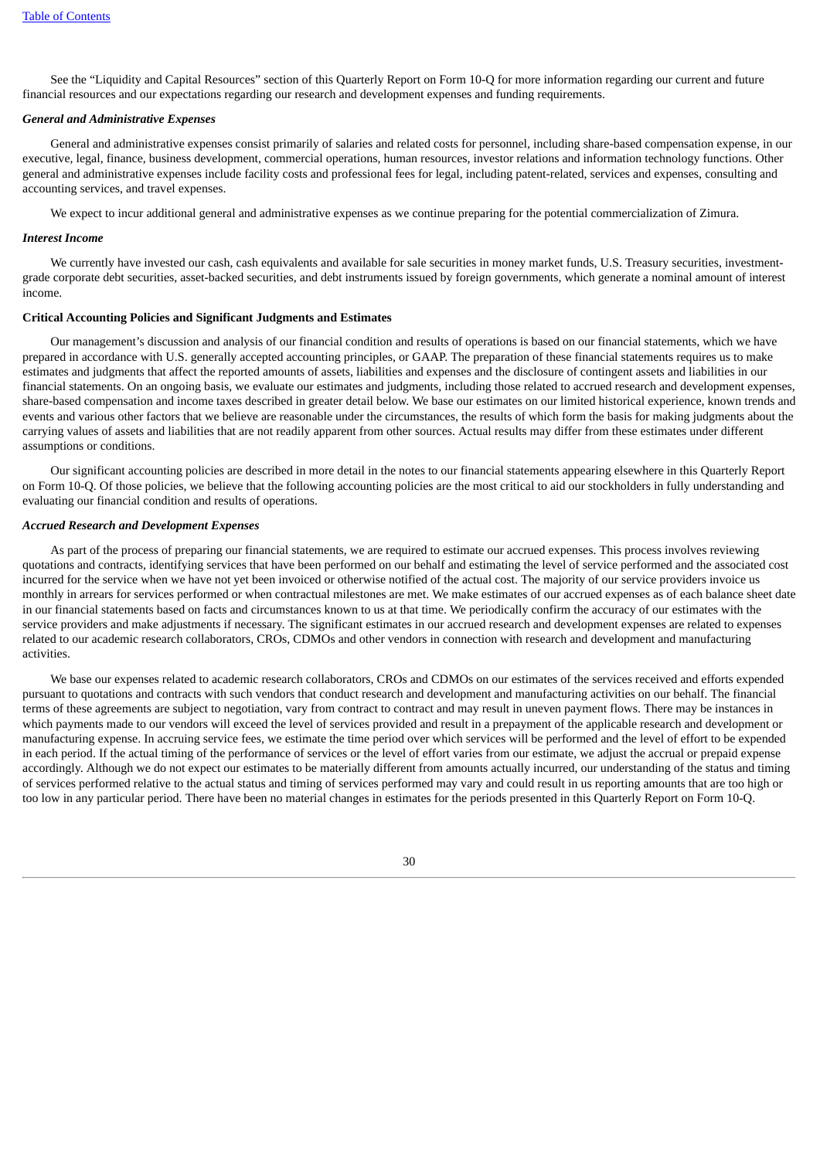See the "Liquidity and Capital Resources" section of this Quarterly Report on Form 10-Q for more information regarding our current and future financial resources and our expectations regarding our research and development expenses and funding requirements.

### *General and Administrative Expenses*

General and administrative expenses consist primarily of salaries and related costs for personnel, including share-based compensation expense, in our executive, legal, finance, business development, commercial operations, human resources, investor relations and information technology functions. Other general and administrative expenses include facility costs and professional fees for legal, including patent-related, services and expenses, consulting and accounting services, and travel expenses.

We expect to incur additional general and administrative expenses as we continue preparing for the potential commercialization of Zimura.

#### *Interest Income*

We currently have invested our cash, cash equivalents and available for sale securities in money market funds, U.S. Treasury securities, investmentgrade corporate debt securities, asset-backed securities, and debt instruments issued by foreign governments, which generate a nominal amount of interest income.

## **Critical Accounting Policies and Significant Judgments and Estimates**

Our management's discussion and analysis of our financial condition and results of operations is based on our financial statements, which we have prepared in accordance with U.S. generally accepted accounting principles, or GAAP. The preparation of these financial statements requires us to make estimates and judgments that affect the reported amounts of assets, liabilities and expenses and the disclosure of contingent assets and liabilities in our financial statements. On an ongoing basis, we evaluate our estimates and judgments, including those related to accrued research and development expenses, share-based compensation and income taxes described in greater detail below. We base our estimates on our limited historical experience, known trends and events and various other factors that we believe are reasonable under the circumstances, the results of which form the basis for making judgments about the carrying values of assets and liabilities that are not readily apparent from other sources. Actual results may differ from these estimates under different assumptions or conditions.

Our significant accounting policies are described in more detail in the notes to our financial statements appearing elsewhere in this Quarterly Report on Form 10-Q. Of those policies, we believe that the following accounting policies are the most critical to aid our stockholders in fully understanding and evaluating our financial condition and results of operations.

## *Accrued Research and Development Expenses*

As part of the process of preparing our financial statements, we are required to estimate our accrued expenses. This process involves reviewing quotations and contracts, identifying services that have been performed on our behalf and estimating the level of service performed and the associated cost incurred for the service when we have not yet been invoiced or otherwise notified of the actual cost. The majority of our service providers invoice us monthly in arrears for services performed or when contractual milestones are met. We make estimates of our accrued expenses as of each balance sheet date in our financial statements based on facts and circumstances known to us at that time. We periodically confirm the accuracy of our estimates with the service providers and make adjustments if necessary. The significant estimates in our accrued research and development expenses are related to expenses related to our academic research collaborators, CROs, CDMOs and other vendors in connection with research and development and manufacturing activities.

We base our expenses related to academic research collaborators, CROs and CDMOs on our estimates of the services received and efforts expended pursuant to quotations and contracts with such vendors that conduct research and development and manufacturing activities on our behalf. The financial terms of these agreements are subject to negotiation, vary from contract to contract and may result in uneven payment flows. There may be instances in which payments made to our vendors will exceed the level of services provided and result in a prepayment of the applicable research and development or manufacturing expense. In accruing service fees, we estimate the time period over which services will be performed and the level of effort to be expended in each period. If the actual timing of the performance of services or the level of effort varies from our estimate, we adjust the accrual or prepaid expense accordingly. Although we do not expect our estimates to be materially different from amounts actually incurred, our understanding of the status and timing of services performed relative to the actual status and timing of services performed may vary and could result in us reporting amounts that are too high or too low in any particular period. There have been no material changes in estimates for the periods presented in this Quarterly Report on Form 10-Q.

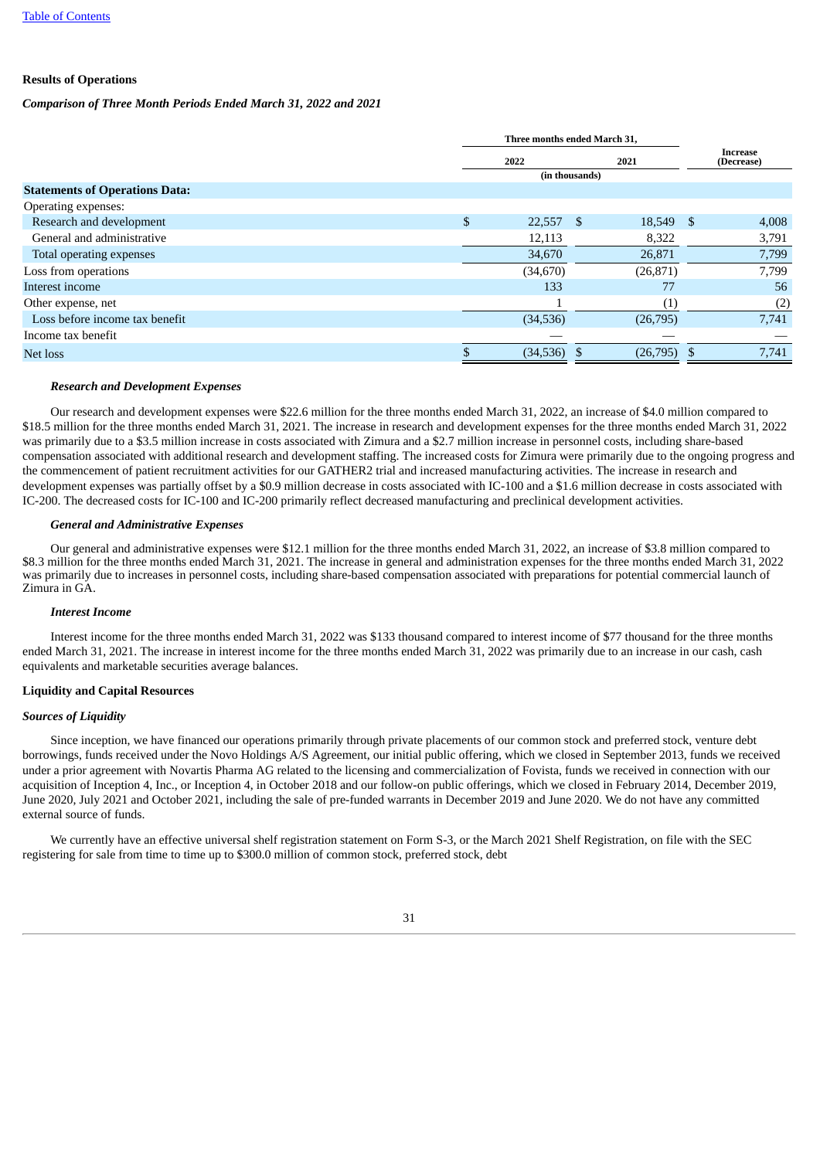## **Results of Operations**

## *Comparison of Three Month Periods Ended March 31, 2022 and 2021*

|                                       | Three months ended March 31, |                |   |                        |  |
|---------------------------------------|------------------------------|----------------|---|------------------------|--|
|                                       | 2022                         | 2021           |   | Increase<br>(Decrease) |  |
|                                       |                              | (in thousands) |   |                        |  |
| <b>Statements of Operations Data:</b> |                              |                |   |                        |  |
| Operating expenses:                   |                              |                |   |                        |  |
| Research and development              | \$<br>$22,557$ \$            | 18,549 \$      |   | 4,008                  |  |
| General and administrative            | 12,113                       | 8,322          |   | 3,791                  |  |
| Total operating expenses              | 34,670                       | 26,871         |   | 7,799                  |  |
| Loss from operations                  | (34, 670)                    | (26, 871)      |   | 7,799                  |  |
| Interest income                       | 133                          | 77             |   | 56                     |  |
| Other expense, net                    |                              | (1)            |   | (2)                    |  |
| Loss before income tax benefit        | (34, 536)                    | (26,795)       |   | 7,741                  |  |
| Income tax benefit                    |                              |                |   |                        |  |
| Net loss                              | (34, 536)                    | (26, 795)      | S | 7,741                  |  |
|                                       |                              |                |   |                        |  |

### *Research and Development Expenses*

Our research and development expenses were \$22.6 million for the three months ended March 31, 2022, an increase of \$4.0 million compared to \$18.5 million for the three months ended March 31, 2021. The increase in research and development expenses for the three months ended March 31, 2022 was primarily due to a \$3.5 million increase in costs associated with Zimura and a \$2.7 million increase in personnel costs, including share-based compensation associated with additional research and development staffing. The increased costs for Zimura were primarily due to the ongoing progress and the commencement of patient recruitment activities for our GATHER2 trial and increased manufacturing activities. The increase in research and development expenses was partially offset by a \$0.9 million decrease in costs associated with IC-100 and a \$1.6 million decrease in costs associated with IC-200. The decreased costs for IC-100 and IC-200 primarily reflect decreased manufacturing and preclinical development activities.

### *General and Administrative Expenses*

Our general and administrative expenses were \$12.1 million for the three months ended March 31, 2022, an increase of \$3.8 million compared to \$8.3 million for the three months ended March 31, 2021. The increase in general and administration expenses for the three months ended March 31, 2022 was primarily due to increases in personnel costs, including share-based compensation associated with preparations for potential commercial launch of Zimura in GA.

### *Interest Income*

Interest income for the three months ended March 31, 2022 was \$133 thousand compared to interest income of \$77 thousand for the three months ended March 31, 2021. The increase in interest income for the three months ended March 31, 2022 was primarily due to an increase in our cash, cash equivalents and marketable securities average balances.

## **Liquidity and Capital Resources**

## *Sources of Liquidity*

Since inception, we have financed our operations primarily through private placements of our common stock and preferred stock, venture debt borrowings, funds received under the Novo Holdings A/S Agreement, our initial public offering, which we closed in September 2013, funds we received under a prior agreement with Novartis Pharma AG related to the licensing and commercialization of Fovista, funds we received in connection with our acquisition of Inception 4, Inc., or Inception 4, in October 2018 and our follow-on public offerings, which we closed in February 2014, December 2019, June 2020, July 2021 and October 2021, including the sale of pre-funded warrants in December 2019 and June 2020. We do not have any committed external source of funds.

We currently have an effective universal shelf registration statement on Form S-3, or the March 2021 Shelf Registration, on file with the SEC registering for sale from time to time up to \$300.0 million of common stock, preferred stock, debt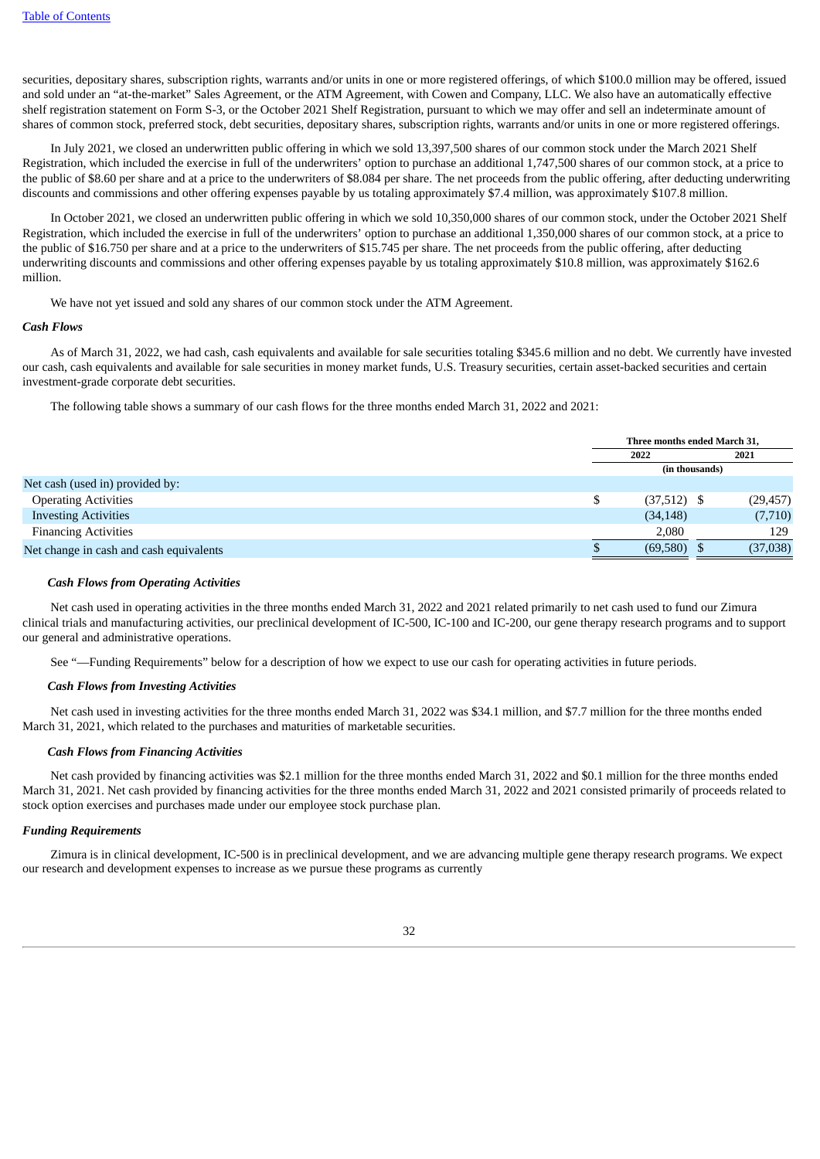securities, depositary shares, subscription rights, warrants and/or units in one or more registered offerings, of which \$100.0 million may be offered, issued and sold under an "at-the-market" Sales Agreement, or the ATM Agreement, with Cowen and Company, LLC. We also have an automatically effective shelf registration statement on Form S-3, or the October 2021 Shelf Registration, pursuant to which we may offer and sell an indeterminate amount of shares of common stock, preferred stock, debt securities, depositary shares, subscription rights, warrants and/or units in one or more registered offerings.

In July 2021, we closed an underwritten public offering in which we sold 13,397,500 shares of our common stock under the March 2021 Shelf Registration, which included the exercise in full of the underwriters' option to purchase an additional 1,747,500 shares of our common stock, at a price to the public of \$8.60 per share and at a price to the underwriters of \$8.084 per share. The net proceeds from the public offering, after deducting underwriting discounts and commissions and other offering expenses payable by us totaling approximately \$7.4 million, was approximately \$107.8 million.

In October 2021, we closed an underwritten public offering in which we sold 10,350,000 shares of our common stock, under the October 2021 Shelf Registration, which included the exercise in full of the underwriters' option to purchase an additional 1,350,000 shares of our common stock, at a price to the public of \$16.750 per share and at a price to the underwriters of \$15.745 per share. The net proceeds from the public offering, after deducting underwriting discounts and commissions and other offering expenses payable by us totaling approximately \$10.8 million, was approximately \$162.6 million.

We have not yet issued and sold any shares of our common stock under the ATM Agreement.

#### *Cash Flows*

As of March 31, 2022, we had cash, cash equivalents and available for sale securities totaling \$345.6 million and no debt. We currently have invested our cash, cash equivalents and available for sale securities in money market funds, U.S. Treasury securities, certain asset-backed securities and certain investment-grade corporate debt securities.

The following table shows a summary of our cash flows for the three months ended March 31, 2022 and 2021:

|                                         |   | Three months ended March 31, |           |  |  |
|-----------------------------------------|---|------------------------------|-----------|--|--|
|                                         |   | 2022                         | 2021      |  |  |
|                                         |   | (in thousands)               |           |  |  |
| Net cash (used in) provided by:         |   |                              |           |  |  |
| <b>Operating Activities</b>             | J | $(37,512)$ \$                | (29, 457) |  |  |
| <b>Investing Activities</b>             |   | (34, 148)                    | (7,710)   |  |  |
| <b>Financing Activities</b>             |   | 2,080                        | 129       |  |  |
| Net change in cash and cash equivalents |   | $(69,580)$ \$                | (37,038)  |  |  |

#### *Cash Flows from Operating Activities*

Net cash used in operating activities in the three months ended March 31, 2022 and 2021 related primarily to net cash used to fund our Zimura clinical trials and manufacturing activities, our preclinical development of IC-500, IC-100 and IC-200, our gene therapy research programs and to support our general and administrative operations.

See "—Funding Requirements" below for a description of how we expect to use our cash for operating activities in future periods.

### *Cash Flows from Investing Activities*

Net cash used in investing activities for the three months ended March 31, 2022 was \$34.1 million, and \$7.7 million for the three months ended March 31, 2021, which related to the purchases and maturities of marketable securities.

### *Cash Flows from Financing Activities*

Net cash provided by financing activities was \$2.1 million for the three months ended March 31, 2022 and \$0.1 million for the three months ended March 31, 2021. Net cash provided by financing activities for the three months ended March 31, 2022 and 2021 consisted primarily of proceeds related to stock option exercises and purchases made under our employee stock purchase plan.

#### *Funding Requirements*

Zimura is in clinical development, IC-500 is in preclinical development, and we are advancing multiple gene therapy research programs. We expect our research and development expenses to increase as we pursue these programs as currently

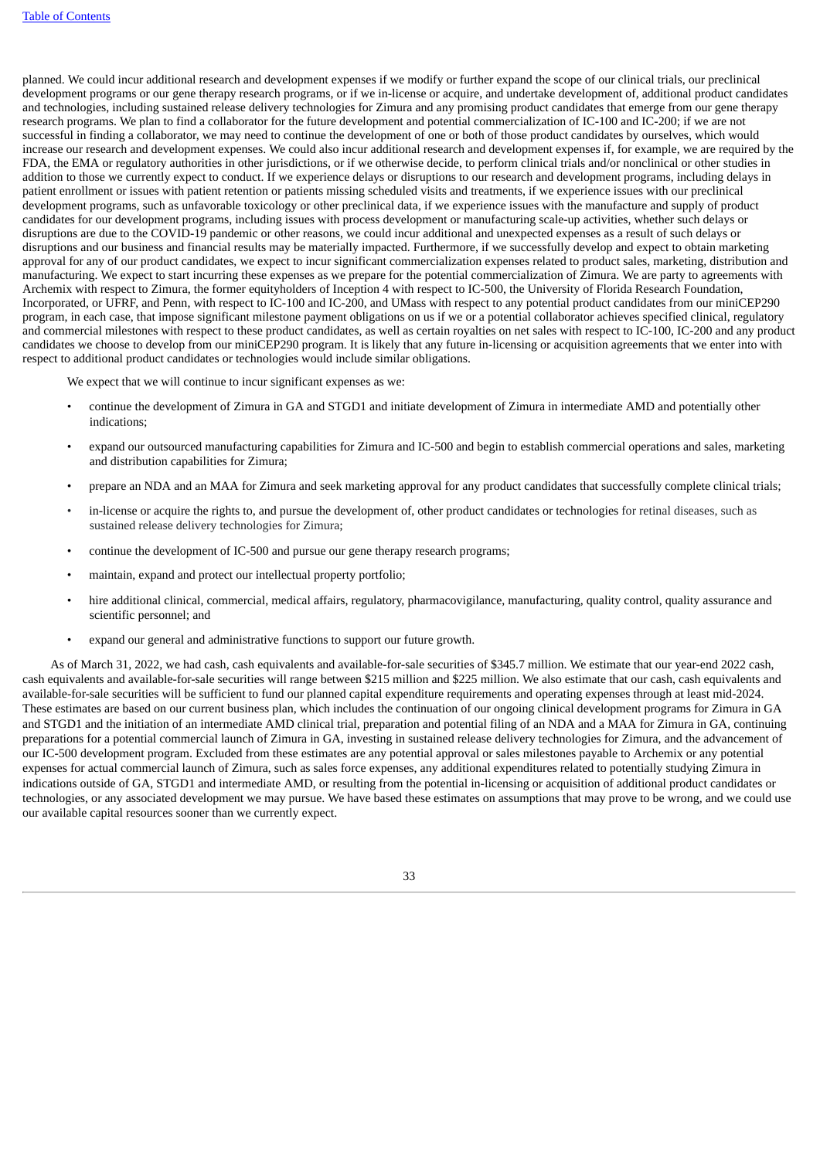planned. We could incur additional research and development expenses if we modify or further expand the scope of our clinical trials, our preclinical development programs or our gene therapy research programs, or if we in-license or acquire, and undertake development of, additional product candidates and technologies, including sustained release delivery technologies for Zimura and any promising product candidates that emerge from our gene therapy research programs. We plan to find a collaborator for the future development and potential commercialization of IC-100 and IC-200; if we are not successful in finding a collaborator, we may need to continue the development of one or both of those product candidates by ourselves, which would increase our research and development expenses. We could also incur additional research and development expenses if, for example, we are required by the FDA, the EMA or regulatory authorities in other jurisdictions, or if we otherwise decide, to perform clinical trials and/or nonclinical or other studies in addition to those we currently expect to conduct. If we experience delays or disruptions to our research and development programs, including delays in patient enrollment or issues with patient retention or patients missing scheduled visits and treatments, if we experience issues with our preclinical development programs, such as unfavorable toxicology or other preclinical data, if we experience issues with the manufacture and supply of product candidates for our development programs, including issues with process development or manufacturing scale-up activities, whether such delays or disruptions are due to the COVID-19 pandemic or other reasons, we could incur additional and unexpected expenses as a result of such delays or disruptions and our business and financial results may be materially impacted. Furthermore, if we successfully develop and expect to obtain marketing approval for any of our product candidates, we expect to incur significant commercialization expenses related to product sales, marketing, distribution and manufacturing. We expect to start incurring these expenses as we prepare for the potential commercialization of Zimura. We are party to agreements with Archemix with respect to Zimura, the former equityholders of Inception 4 with respect to IC-500, the University of Florida Research Foundation, Incorporated, or UFRF, and Penn, with respect to IC-100 and IC-200, and UMass with respect to any potential product candidates from our miniCEP290 program, in each case, that impose significant milestone payment obligations on us if we or a potential collaborator achieves specified clinical, regulatory and commercial milestones with respect to these product candidates, as well as certain royalties on net sales with respect to IC-100, IC-200 and any product candidates we choose to develop from our miniCEP290 program. It is likely that any future in-licensing or acquisition agreements that we enter into with respect to additional product candidates or technologies would include similar obligations.

We expect that we will continue to incur significant expenses as we:

- continue the development of Zimura in GA and STGD1 and initiate development of Zimura in intermediate AMD and potentially other indications;
- expand our outsourced manufacturing capabilities for Zimura and IC-500 and begin to establish commercial operations and sales, marketing and distribution capabilities for Zimura;
- prepare an NDA and an MAA for Zimura and seek marketing approval for any product candidates that successfully complete clinical trials;
- in-license or acquire the rights to, and pursue the development of, other product candidates or technologies for retinal diseases, such as sustained release delivery technologies for Zimura;
- continue the development of IC-500 and pursue our gene therapy research programs;
- maintain, expand and protect our intellectual property portfolio;
- hire additional clinical, commercial, medical affairs, regulatory, pharmacovigilance, manufacturing, quality control, quality assurance and scientific personnel; and
- expand our general and administrative functions to support our future growth.

As of March 31, 2022, we had cash, cash equivalents and available-for-sale securities of \$345.7 million. We estimate that our year-end 2022 cash, cash equivalents and available-for-sale securities will range between \$215 million and \$225 million. We also estimate that our cash, cash equivalents and available-for-sale securities will be sufficient to fund our planned capital expenditure requirements and operating expenses through at least mid-2024. These estimates are based on our current business plan, which includes the continuation of our ongoing clinical development programs for Zimura in GA and STGD1 and the initiation of an intermediate AMD clinical trial, preparation and potential filing of an NDA and a MAA for Zimura in GA, continuing preparations for a potential commercial launch of Zimura in GA, investing in sustained release delivery technologies for Zimura, and the advancement of our IC-500 development program. Excluded from these estimates are any potential approval or sales milestones payable to Archemix or any potential expenses for actual commercial launch of Zimura, such as sales force expenses, any additional expenditures related to potentially studying Zimura in indications outside of GA, STGD1 and intermediate AMD, or resulting from the potential in-licensing or acquisition of additional product candidates or technologies, or any associated development we may pursue. We have based these estimates on assumptions that may prove to be wrong, and we could use our available capital resources sooner than we currently expect.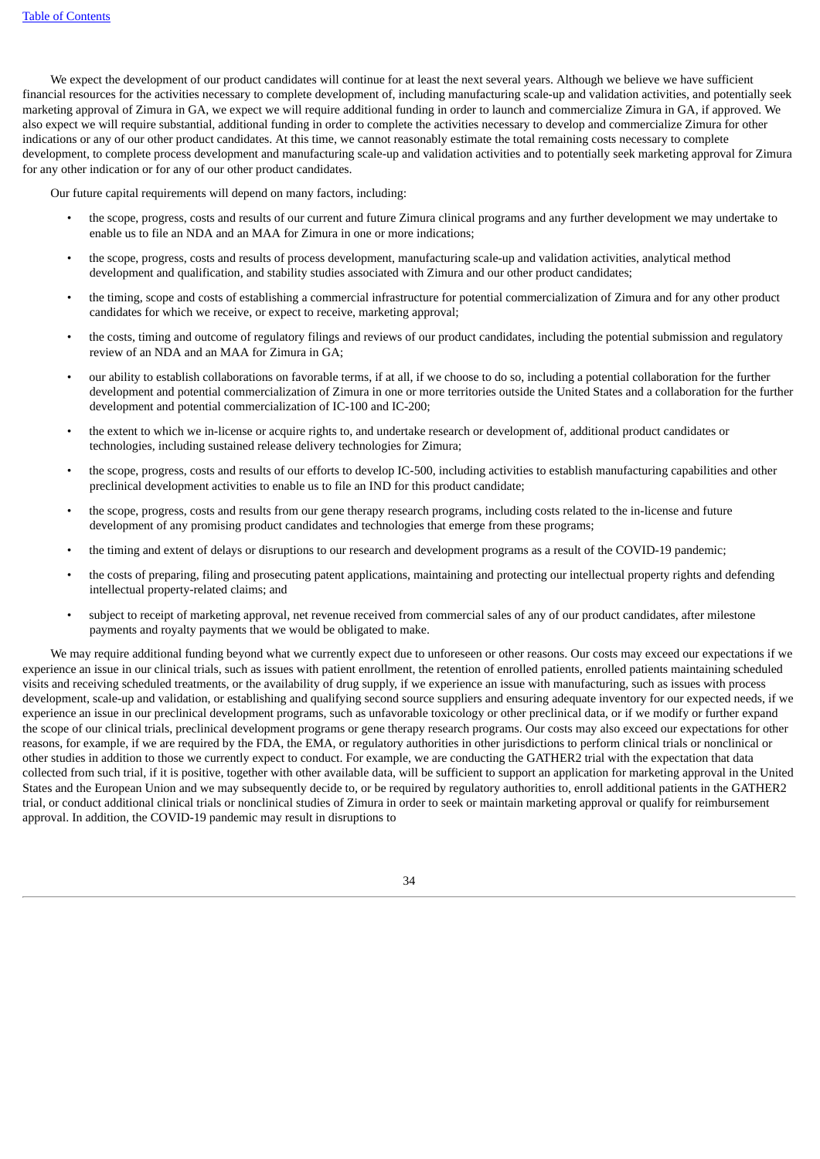We expect the development of our product candidates will continue for at least the next several years. Although we believe we have sufficient financial resources for the activities necessary to complete development of, including manufacturing scale-up and validation activities, and potentially seek marketing approval of Zimura in GA, we expect we will require additional funding in order to launch and commercialize Zimura in GA, if approved. We also expect we will require substantial, additional funding in order to complete the activities necessary to develop and commercialize Zimura for other indications or any of our other product candidates. At this time, we cannot reasonably estimate the total remaining costs necessary to complete development, to complete process development and manufacturing scale-up and validation activities and to potentially seek marketing approval for Zimura for any other indication or for any of our other product candidates.

Our future capital requirements will depend on many factors, including:

- the scope, progress, costs and results of our current and future Zimura clinical programs and any further development we may undertake to enable us to file an NDA and an MAA for Zimura in one or more indications;
- the scope, progress, costs and results of process development, manufacturing scale-up and validation activities, analytical method development and qualification, and stability studies associated with Zimura and our other product candidates;
- the timing, scope and costs of establishing a commercial infrastructure for potential commercialization of Zimura and for any other product candidates for which we receive, or expect to receive, marketing approval;
- the costs, timing and outcome of regulatory filings and reviews of our product candidates, including the potential submission and regulatory review of an NDA and an MAA for Zimura in GA;
- our ability to establish collaborations on favorable terms, if at all, if we choose to do so, including a potential collaboration for the further development and potential commercialization of Zimura in one or more territories outside the United States and a collaboration for the further development and potential commercialization of IC-100 and IC-200;
- the extent to which we in-license or acquire rights to, and undertake research or development of, additional product candidates or technologies, including sustained release delivery technologies for Zimura;
- the scope, progress, costs and results of our efforts to develop IC-500, including activities to establish manufacturing capabilities and other preclinical development activities to enable us to file an IND for this product candidate;
- the scope, progress, costs and results from our gene therapy research programs, including costs related to the in-license and future development of any promising product candidates and technologies that emerge from these programs;
- the timing and extent of delays or disruptions to our research and development programs as a result of the COVID-19 pandemic;
- the costs of preparing, filing and prosecuting patent applications, maintaining and protecting our intellectual property rights and defending intellectual property-related claims; and
- subject to receipt of marketing approval, net revenue received from commercial sales of any of our product candidates, after milestone payments and royalty payments that we would be obligated to make.

We may require additional funding beyond what we currently expect due to unforeseen or other reasons. Our costs may exceed our expectations if we experience an issue in our clinical trials, such as issues with patient enrollment, the retention of enrolled patients, enrolled patients maintaining scheduled visits and receiving scheduled treatments, or the availability of drug supply, if we experience an issue with manufacturing, such as issues with process development, scale-up and validation, or establishing and qualifying second source suppliers and ensuring adequate inventory for our expected needs, if we experience an issue in our preclinical development programs, such as unfavorable toxicology or other preclinical data, or if we modify or further expand the scope of our clinical trials, preclinical development programs or gene therapy research programs. Our costs may also exceed our expectations for other reasons, for example, if we are required by the FDA, the EMA, or regulatory authorities in other jurisdictions to perform clinical trials or nonclinical or other studies in addition to those we currently expect to conduct. For example, we are conducting the GATHER2 trial with the expectation that data collected from such trial, if it is positive, together with other available data, will be sufficient to support an application for marketing approval in the United States and the European Union and we may subsequently decide to, or be required by regulatory authorities to, enroll additional patients in the GATHER2 trial, or conduct additional clinical trials or nonclinical studies of Zimura in order to seek or maintain marketing approval or qualify for reimbursement approval. In addition, the COVID-19 pandemic may result in disruptions to

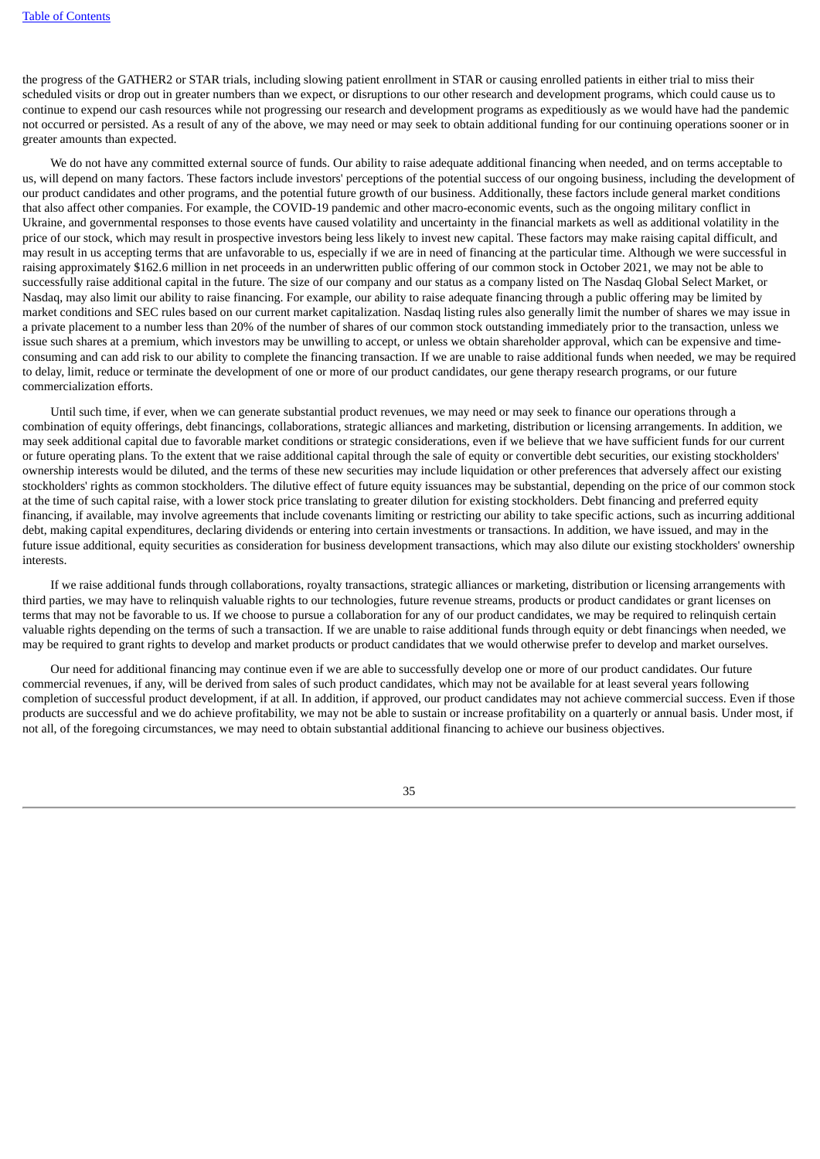the progress of the GATHER2 or STAR trials, including slowing patient enrollment in STAR or causing enrolled patients in either trial to miss their scheduled visits or drop out in greater numbers than we expect, or disruptions to our other research and development programs, which could cause us to continue to expend our cash resources while not progressing our research and development programs as expeditiously as we would have had the pandemic not occurred or persisted. As a result of any of the above, we may need or may seek to obtain additional funding for our continuing operations sooner or in greater amounts than expected.

We do not have any committed external source of funds. Our ability to raise adequate additional financing when needed, and on terms acceptable to us, will depend on many factors. These factors include investors' perceptions of the potential success of our ongoing business, including the development of our product candidates and other programs, and the potential future growth of our business. Additionally, these factors include general market conditions that also affect other companies. For example, the COVID-19 pandemic and other macro-economic events, such as the ongoing military conflict in Ukraine, and governmental responses to those events have caused volatility and uncertainty in the financial markets as well as additional volatility in the price of our stock, which may result in prospective investors being less likely to invest new capital. These factors may make raising capital difficult, and may result in us accepting terms that are unfavorable to us, especially if we are in need of financing at the particular time. Although we were successful in raising approximately \$162.6 million in net proceeds in an underwritten public offering of our common stock in October 2021, we may not be able to successfully raise additional capital in the future. The size of our company and our status as a company listed on The Nasdaq Global Select Market, or Nasdaq, may also limit our ability to raise financing. For example, our ability to raise adequate financing through a public offering may be limited by market conditions and SEC rules based on our current market capitalization. Nasdaq listing rules also generally limit the number of shares we may issue in a private placement to a number less than 20% of the number of shares of our common stock outstanding immediately prior to the transaction, unless we issue such shares at a premium, which investors may be unwilling to accept, or unless we obtain shareholder approval, which can be expensive and timeconsuming and can add risk to our ability to complete the financing transaction. If we are unable to raise additional funds when needed, we may be required to delay, limit, reduce or terminate the development of one or more of our product candidates, our gene therapy research programs, or our future commercialization efforts.

Until such time, if ever, when we can generate substantial product revenues, we may need or may seek to finance our operations through a combination of equity offerings, debt financings, collaborations, strategic alliances and marketing, distribution or licensing arrangements. In addition, we may seek additional capital due to favorable market conditions or strategic considerations, even if we believe that we have sufficient funds for our current or future operating plans. To the extent that we raise additional capital through the sale of equity or convertible debt securities, our existing stockholders' ownership interests would be diluted, and the terms of these new securities may include liquidation or other preferences that adversely affect our existing stockholders' rights as common stockholders. The dilutive effect of future equity issuances may be substantial, depending on the price of our common stock at the time of such capital raise, with a lower stock price translating to greater dilution for existing stockholders. Debt financing and preferred equity financing, if available, may involve agreements that include covenants limiting or restricting our ability to take specific actions, such as incurring additional debt, making capital expenditures, declaring dividends or entering into certain investments or transactions. In addition, we have issued, and may in the future issue additional, equity securities as consideration for business development transactions, which may also dilute our existing stockholders' ownership interests.

If we raise additional funds through collaborations, royalty transactions, strategic alliances or marketing, distribution or licensing arrangements with third parties, we may have to relinquish valuable rights to our technologies, future revenue streams, products or product candidates or grant licenses on terms that may not be favorable to us. If we choose to pursue a collaboration for any of our product candidates, we may be required to relinquish certain valuable rights depending on the terms of such a transaction. If we are unable to raise additional funds through equity or debt financings when needed, we may be required to grant rights to develop and market products or product candidates that we would otherwise prefer to develop and market ourselves.

Our need for additional financing may continue even if we are able to successfully develop one or more of our product candidates. Our future commercial revenues, if any, will be derived from sales of such product candidates, which may not be available for at least several years following completion of successful product development, if at all. In addition, if approved, our product candidates may not achieve commercial success. Even if those products are successful and we do achieve profitability, we may not be able to sustain or increase profitability on a quarterly or annual basis. Under most, if not all, of the foregoing circumstances, we may need to obtain substantial additional financing to achieve our business objectives.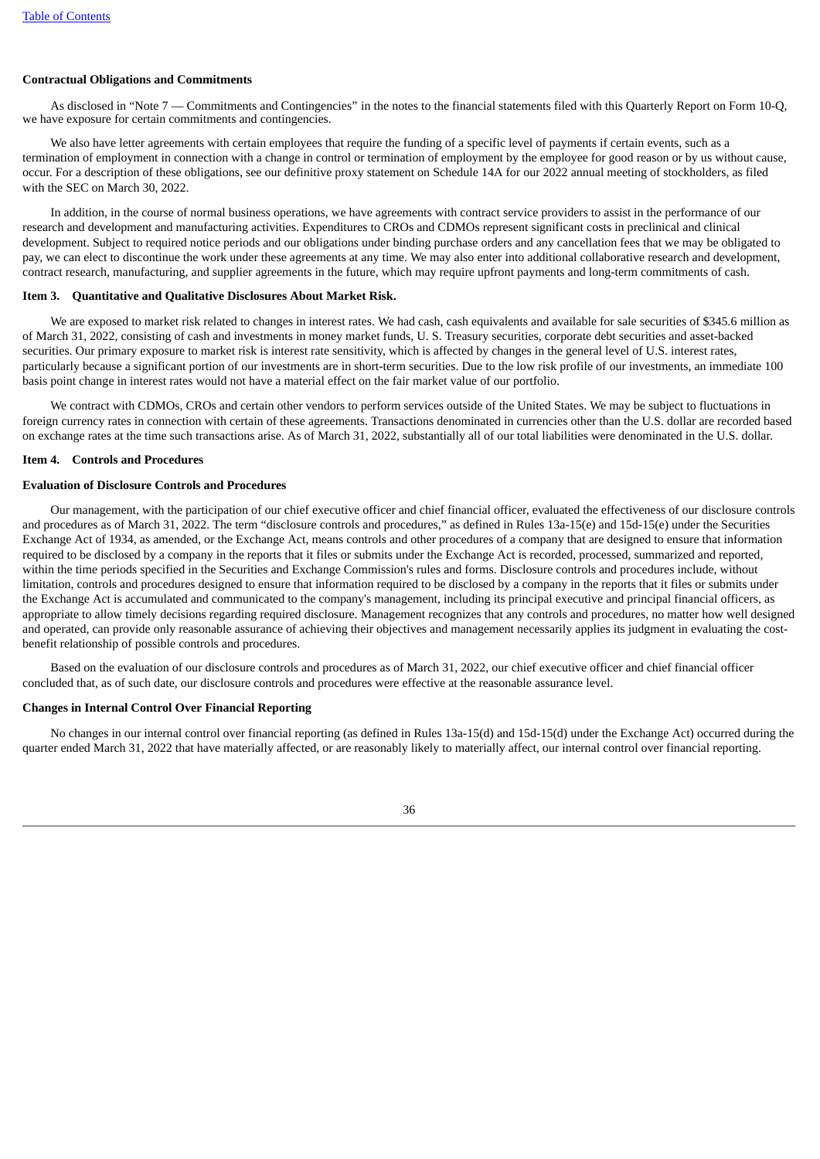# **Contractual Obligations and Commitments**

As disclosed in "Note 7 — Commitments and Contingencies" in the notes to the financial statements filed with this Quarterly Report on Form 10-Q, we have exposure for certain commitments and contingencies.

We also have letter agreements with certain employees that require the funding of a specific level of payments if certain events, such as a termination of employment in connection with a change in control or termination of employment by the employee for good reason or by us without cause, occur. For a description of these obligations, see our definitive proxy statement on Schedule 14A for our 2022 annual meeting of stockholders, as filed with the SEC on March 30, 2022.

In addition, in the course of normal business operations, we have agreements with contract service providers to assist in the performance of our research and development and manufacturing activities. Expenditures to CROs and CDMOs represent significant costs in preclinical and clinical development. Subject to required notice periods and our obligations under binding purchase orders and any cancellation fees that we may be obligated to pay, we can elect to discontinue the work under these agreements at any time. We may also enter into additional collaborative research and development, contract research, manufacturing, and supplier agreements in the future, which may require upfront payments and long-term commitments of cash.

# **Item 3. Quantitative and Qualitative Disclosures About Market Risk.**

We are exposed to market risk related to changes in interest rates. We had cash, cash equivalents and available for sale securities of \$345.6 million as of March 31, 2022, consisting of cash and investments in money market funds, U. S. Treasury securities, corporate debt securities and asset-backed securities. Our primary exposure to market risk is interest rate sensitivity, which is affected by changes in the general level of U.S. interest rates, particularly because a significant portion of our investments are in short-term securities. Due to the low risk profile of our investments, an immediate 100 basis point change in interest rates would not have a material effect on the fair market value of our portfolio.

We contract with CDMOs, CROs and certain other vendors to perform services outside of the United States. We may be subject to fluctuations in foreign currency rates in connection with certain of these agreements. Transactions denominated in currencies other than the U.S. dollar are recorded based on exchange rates at the time such transactions arise. As of March 31, 2022, substantially all of our total liabilities were denominated in the U.S. dollar.

# **Item 4. Controls and Procedures**

### **Evaluation of Disclosure Controls and Procedures**

Our management, with the participation of our chief executive officer and chief financial officer, evaluated the effectiveness of our disclosure controls and procedures as of March 31, 2022. The term "disclosure controls and procedures," as defined in Rules 13a-15(e) and 15d-15(e) under the Securities Exchange Act of 1934, as amended, or the Exchange Act, means controls and other procedures of a company that are designed to ensure that information required to be disclosed by a company in the reports that it files or submits under the Exchange Act is recorded, processed, summarized and reported, within the time periods specified in the Securities and Exchange Commission's rules and forms. Disclosure controls and procedures include, without limitation, controls and procedures designed to ensure that information required to be disclosed by a company in the reports that it files or submits under the Exchange Act is accumulated and communicated to the company's management, including its principal executive and principal financial officers, as appropriate to allow timely decisions regarding required disclosure. Management recognizes that any controls and procedures, no matter how well designed and operated, can provide only reasonable assurance of achieving their objectives and management necessarily applies its judgment in evaluating the costbenefit relationship of possible controls and procedures.

Based on the evaluation of our disclosure controls and procedures as of March 31, 2022, our chief executive officer and chief financial officer concluded that, as of such date, our disclosure controls and procedures were effective at the reasonable assurance level.

### **Changes in Internal Control Over Financial Reporting**

No changes in our internal control over financial reporting (as defined in Rules 13a-15(d) and 15d-15(d) under the Exchange Act) occurred during the quarter ended March 31, 2022 that have materially affected, or are reasonably likely to materially affect, our internal control over financial reporting.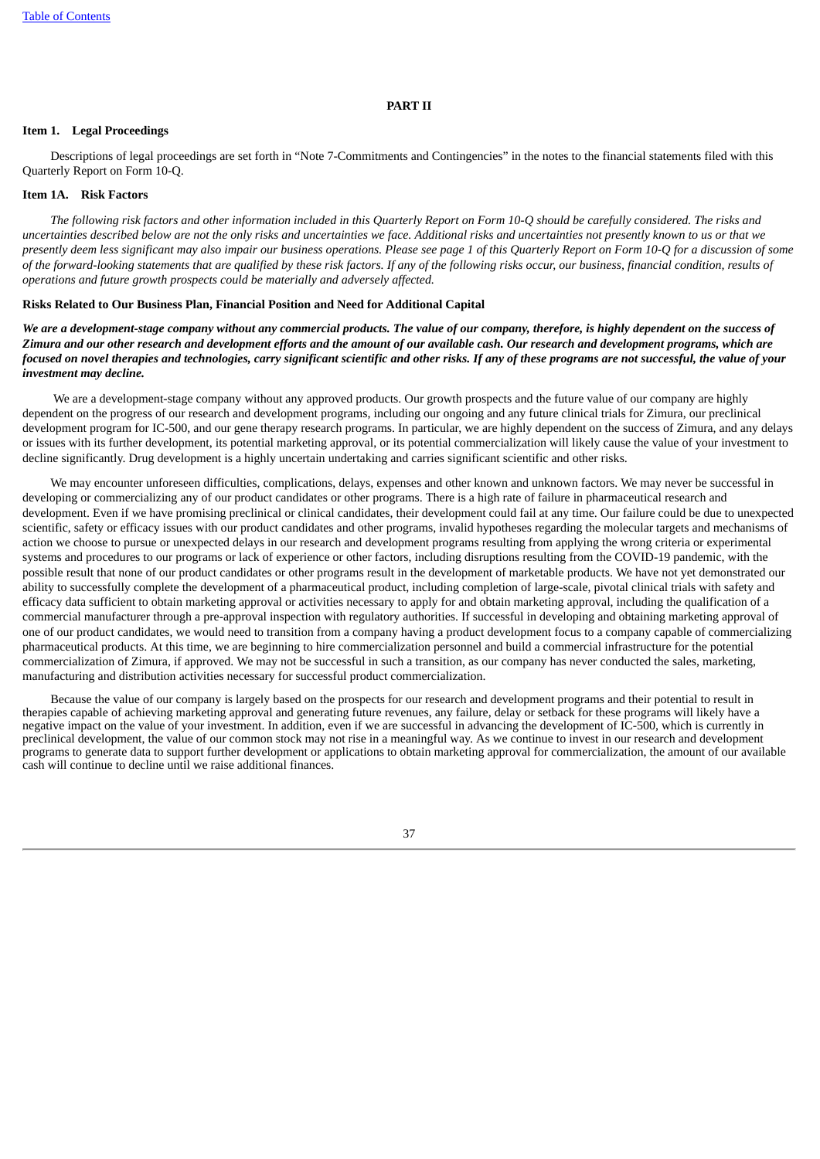#### **PART II**

#### **Item 1. Legal Proceedings**

Descriptions of legal proceedings are set forth in "Note 7-Commitments and Contingencies" in the notes to the financial statements filed with this Quarterly Report on Form 10-Q.

# **Item 1A. Risk Factors**

The following risk factors and other information included in this Quarterly Report on Form 10-Q should be carefully considered. The risks and uncertainties described below are not the only risks and uncertainties we face. Additional risks and uncertainties not presently known to us or that we presently deem less significant may also impair our business operations. Please see page 1 of this Quarterly Report on Form 10-O for a discussion of some of the forward-looking statements that are qualified by these risk factors. If any of the following risks occur, our business, financial condition, results of *operations and future growth prospects could be materially and adversely affected.*

#### **Risks Related to Our Business Plan, Financial Position and Need for Additional Capital**

We are a development-stage company without any commercial products. The value of our company, therefore, is highly dependent on the success of Zimura and our other research and development efforts and the amount of our available cash. Our research and development programs, which are focused on novel therapies and technologies, carry significant scientific and other risks. If any of these programs are not successful, the value of your *investment may decline.*

We are a development-stage company without any approved products. Our growth prospects and the future value of our company are highly dependent on the progress of our research and development programs, including our ongoing and any future clinical trials for Zimura, our preclinical development program for IC-500, and our gene therapy research programs. In particular, we are highly dependent on the success of Zimura, and any delays or issues with its further development, its potential marketing approval, or its potential commercialization will likely cause the value of your investment to decline significantly. Drug development is a highly uncertain undertaking and carries significant scientific and other risks.

We may encounter unforeseen difficulties, complications, delays, expenses and other known and unknown factors. We may never be successful in developing or commercializing any of our product candidates or other programs. There is a high rate of failure in pharmaceutical research and development. Even if we have promising preclinical or clinical candidates, their development could fail at any time. Our failure could be due to unexpected scientific, safety or efficacy issues with our product candidates and other programs, invalid hypotheses regarding the molecular targets and mechanisms of action we choose to pursue or unexpected delays in our research and development programs resulting from applying the wrong criteria or experimental systems and procedures to our programs or lack of experience or other factors, including disruptions resulting from the COVID-19 pandemic, with the possible result that none of our product candidates or other programs result in the development of marketable products. We have not yet demonstrated our ability to successfully complete the development of a pharmaceutical product, including completion of large-scale, pivotal clinical trials with safety and efficacy data sufficient to obtain marketing approval or activities necessary to apply for and obtain marketing approval, including the qualification of a commercial manufacturer through a pre-approval inspection with regulatory authorities. If successful in developing and obtaining marketing approval of one of our product candidates, we would need to transition from a company having a product development focus to a company capable of commercializing pharmaceutical products. At this time, we are beginning to hire commercialization personnel and build a commercial infrastructure for the potential commercialization of Zimura, if approved. We may not be successful in such a transition, as our company has never conducted the sales, marketing, manufacturing and distribution activities necessary for successful product commercialization.

Because the value of our company is largely based on the prospects for our research and development programs and their potential to result in therapies capable of achieving marketing approval and generating future revenues, any failure, delay or setback for these programs will likely have a negative impact on the value of your investment. In addition, even if we are successful in advancing the development of IC-500, which is currently in preclinical development, the value of our common stock may not rise in a meaningful way. As we continue to invest in our research and development programs to generate data to support further development or applications to obtain marketing approval for commercialization, the amount of our available cash will continue to decline until we raise additional finances.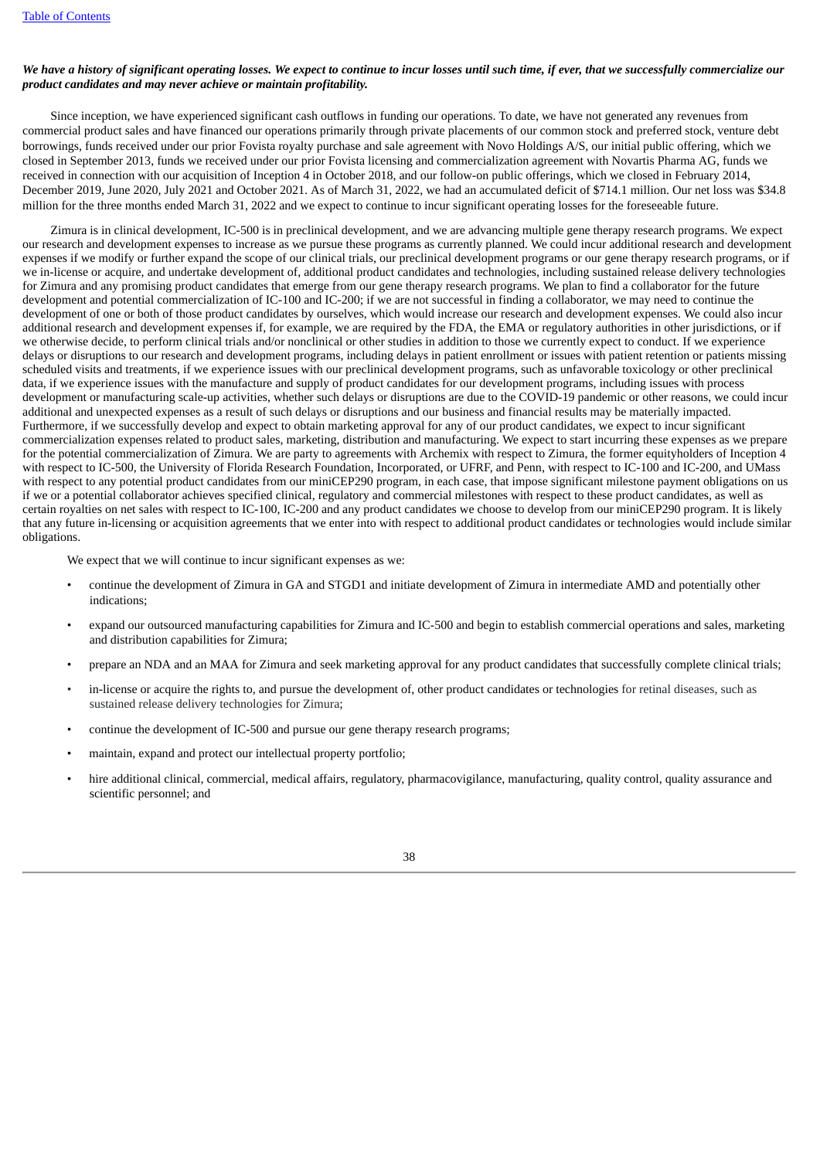# We have a history of significant operating losses. We expect to continue to incur losses until such time, if ever, that we successfully commercialize our *product candidates and may never achieve or maintain profitability.*

Since inception, we have experienced significant cash outflows in funding our operations. To date, we have not generated any revenues from commercial product sales and have financed our operations primarily through private placements of our common stock and preferred stock, venture debt borrowings, funds received under our prior Fovista royalty purchase and sale agreement with Novo Holdings A/S, our initial public offering, which we closed in September 2013, funds we received under our prior Fovista licensing and commercialization agreement with Novartis Pharma AG, funds we received in connection with our acquisition of Inception 4 in October 2018, and our follow-on public offerings, which we closed in February 2014, December 2019, June 2020, July 2021 and October 2021. As of March 31, 2022, we had an accumulated deficit of \$714.1 million. Our net loss was \$34.8 million for the three months ended March 31, 2022 and we expect to continue to incur significant operating losses for the foreseeable future.

Zimura is in clinical development, IC-500 is in preclinical development, and we are advancing multiple gene therapy research programs. We expect our research and development expenses to increase as we pursue these programs as currently planned. We could incur additional research and development expenses if we modify or further expand the scope of our clinical trials, our preclinical development programs or our gene therapy research programs, or if we in-license or acquire, and undertake development of, additional product candidates and technologies, including sustained release delivery technologies for Zimura and any promising product candidates that emerge from our gene therapy research programs. We plan to find a collaborator for the future development and potential commercialization of IC-100 and IC-200; if we are not successful in finding a collaborator, we may need to continue the development of one or both of those product candidates by ourselves, which would increase our research and development expenses. We could also incur additional research and development expenses if, for example, we are required by the FDA, the EMA or regulatory authorities in other jurisdictions, or if we otherwise decide, to perform clinical trials and/or nonclinical or other studies in addition to those we currently expect to conduct. If we experience delays or disruptions to our research and development programs, including delays in patient enrollment or issues with patient retention or patients missing scheduled visits and treatments, if we experience issues with our preclinical development programs, such as unfavorable toxicology or other preclinical data, if we experience issues with the manufacture and supply of product candidates for our development programs, including issues with process development or manufacturing scale-up activities, whether such delays or disruptions are due to the COVID-19 pandemic or other reasons, we could incur additional and unexpected expenses as a result of such delays or disruptions and our business and financial results may be materially impacted. Furthermore, if we successfully develop and expect to obtain marketing approval for any of our product candidates, we expect to incur significant commercialization expenses related to product sales, marketing, distribution and manufacturing. We expect to start incurring these expenses as we prepare for the potential commercialization of Zimura. We are party to agreements with Archemix with respect to Zimura, the former equityholders of Inception 4 with respect to IC-500, the University of Florida Research Foundation, Incorporated, or UFRF, and Penn, with respect to IC-100 and IC-200, and UMass with respect to any potential product candidates from our miniCEP290 program, in each case, that impose significant milestone payment obligations on us if we or a potential collaborator achieves specified clinical, regulatory and commercial milestones with respect to these product candidates, as well as certain royalties on net sales with respect to IC-100, IC-200 and any product candidates we choose to develop from our miniCEP290 program. It is likely that any future in-licensing or acquisition agreements that we enter into with respect to additional product candidates or technologies would include similar obligations.

We expect that we will continue to incur significant expenses as we:

- continue the development of Zimura in GA and STGD1 and initiate development of Zimura in intermediate AMD and potentially other indications;
- expand our outsourced manufacturing capabilities for Zimura and IC-500 and begin to establish commercial operations and sales, marketing and distribution capabilities for Zimura;
- prepare an NDA and an MAA for Zimura and seek marketing approval for any product candidates that successfully complete clinical trials;
- in-license or acquire the rights to, and pursue the development of, other product candidates or technologies for retinal diseases, such as sustained release delivery technologies for Zimura;
- continue the development of IC-500 and pursue our gene therapy research programs;
- maintain, expand and protect our intellectual property portfolio;
- hire additional clinical, commercial, medical affairs, regulatory, pharmacovigilance, manufacturing, quality control, quality assurance and scientific personnel; and

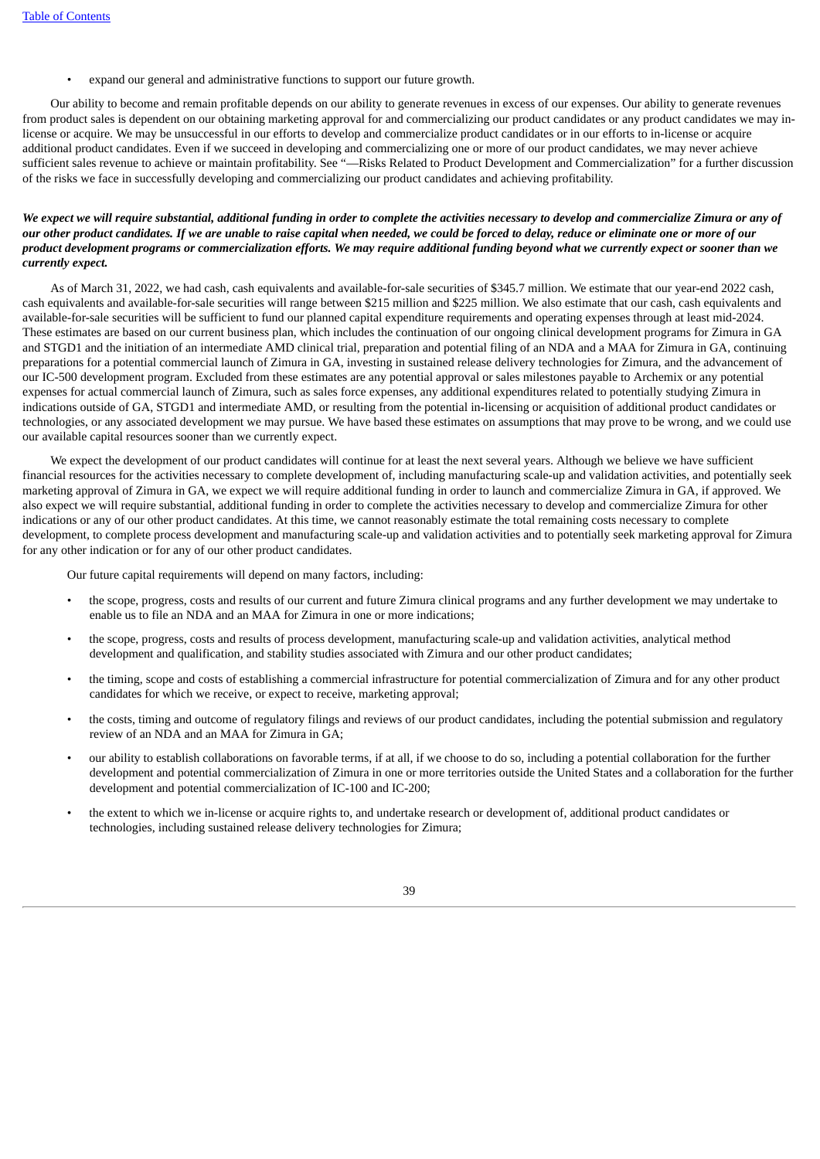expand our general and administrative functions to support our future growth.

Our ability to become and remain profitable depends on our ability to generate revenues in excess of our expenses. Our ability to generate revenues from product sales is dependent on our obtaining marketing approval for and commercializing our product candidates or any product candidates we may inlicense or acquire. We may be unsuccessful in our efforts to develop and commercialize product candidates or in our efforts to in-license or acquire additional product candidates. Even if we succeed in developing and commercializing one or more of our product candidates, we may never achieve sufficient sales revenue to achieve or maintain profitability. See "-Risks Related to Product Development and Commercialization" for a further discussion of the risks we face in successfully developing and commercializing our product candidates and achieving profitability.

### We expect we will require substantial, additional funding in order to complete the activities necessary to develop and commercialize Zimura or any of our other product candidates. If we are unable to raise capital when needed, we could be forced to delay, reduce or eliminate one or more of our product development programs or commercialization efforts. We may require additional funding beyond what we currently expect or sooner than we *currently expect.*

As of March 31, 2022, we had cash, cash equivalents and available-for-sale securities of \$345.7 million. We estimate that our year-end 2022 cash, cash equivalents and available-for-sale securities will range between \$215 million and \$225 million. We also estimate that our cash, cash equivalents and available-for-sale securities will be sufficient to fund our planned capital expenditure requirements and operating expenses through at least mid-2024. These estimates are based on our current business plan, which includes the continuation of our ongoing clinical development programs for Zimura in GA and STGD1 and the initiation of an intermediate AMD clinical trial, preparation and potential filing of an NDA and a MAA for Zimura in GA, continuing preparations for a potential commercial launch of Zimura in GA, investing in sustained release delivery technologies for Zimura, and the advancement of our IC-500 development program. Excluded from these estimates are any potential approval or sales milestones payable to Archemix or any potential expenses for actual commercial launch of Zimura, such as sales force expenses, any additional expenditures related to potentially studying Zimura in indications outside of GA, STGD1 and intermediate AMD, or resulting from the potential in-licensing or acquisition of additional product candidates or technologies, or any associated development we may pursue. We have based these estimates on assumptions that may prove to be wrong, and we could use our available capital resources sooner than we currently expect.

We expect the development of our product candidates will continue for at least the next several years. Although we believe we have sufficient financial resources for the activities necessary to complete development of, including manufacturing scale-up and validation activities, and potentially seek marketing approval of Zimura in GA, we expect we will require additional funding in order to launch and commercialize Zimura in GA, if approved. We also expect we will require substantial, additional funding in order to complete the activities necessary to develop and commercialize Zimura for other indications or any of our other product candidates. At this time, we cannot reasonably estimate the total remaining costs necessary to complete development, to complete process development and manufacturing scale-up and validation activities and to potentially seek marketing approval for Zimura for any other indication or for any of our other product candidates.

Our future capital requirements will depend on many factors, including:

- the scope, progress, costs and results of our current and future Zimura clinical programs and any further development we may undertake to enable us to file an NDA and an MAA for Zimura in one or more indications;
- the scope, progress, costs and results of process development, manufacturing scale-up and validation activities, analytical method development and qualification, and stability studies associated with Zimura and our other product candidates;
- the timing, scope and costs of establishing a commercial infrastructure for potential commercialization of Zimura and for any other product candidates for which we receive, or expect to receive, marketing approval;
- the costs, timing and outcome of regulatory filings and reviews of our product candidates, including the potential submission and regulatory review of an NDA and an MAA for Zimura in GA;
- our ability to establish collaborations on favorable terms, if at all, if we choose to do so, including a potential collaboration for the further development and potential commercialization of Zimura in one or more territories outside the United States and a collaboration for the further development and potential commercialization of IC-100 and IC-200;
- the extent to which we in-license or acquire rights to, and undertake research or development of, additional product candidates or technologies, including sustained release delivery technologies for Zimura;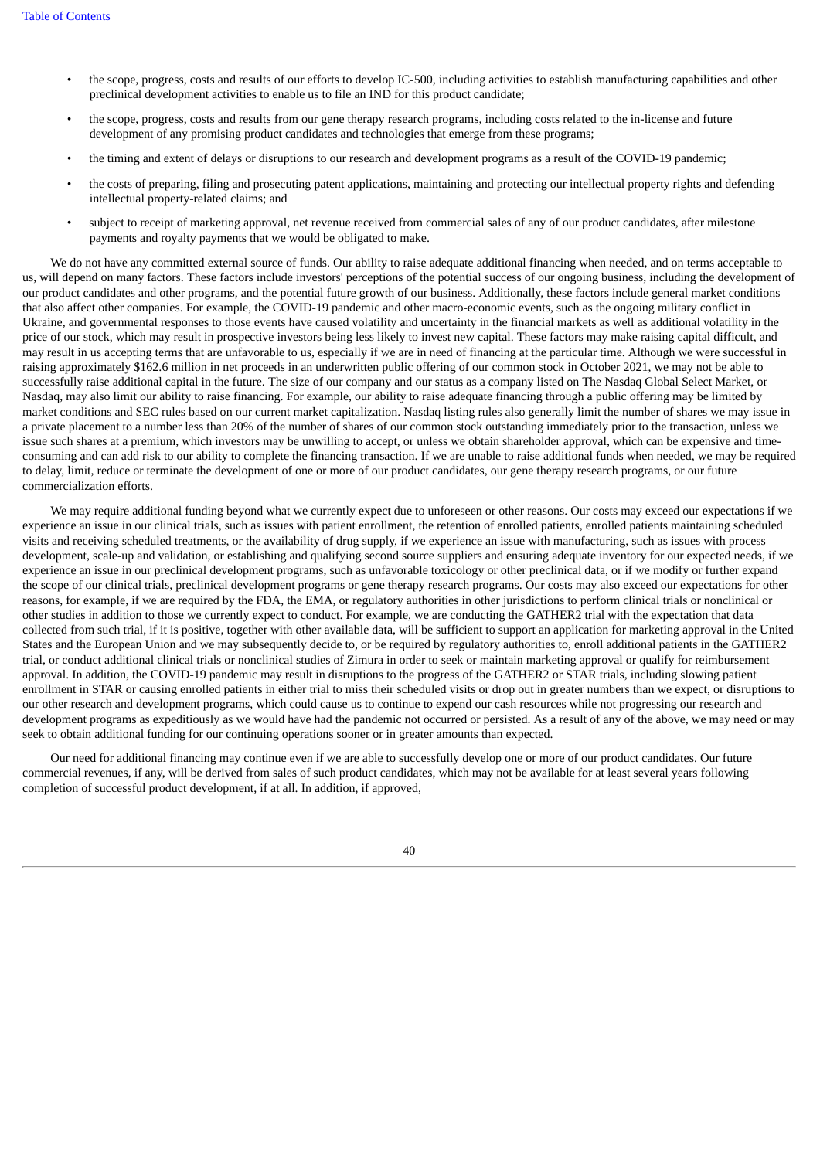- the scope, progress, costs and results of our efforts to develop IC-500, including activities to establish manufacturing capabilities and other preclinical development activities to enable us to file an IND for this product candidate;
- the scope, progress, costs and results from our gene therapy research programs, including costs related to the in-license and future development of any promising product candidates and technologies that emerge from these programs;
- the timing and extent of delays or disruptions to our research and development programs as a result of the COVID-19 pandemic;
- the costs of preparing, filing and prosecuting patent applications, maintaining and protecting our intellectual property rights and defending intellectual property-related claims; and
- subject to receipt of marketing approval, net revenue received from commercial sales of any of our product candidates, after milestone payments and royalty payments that we would be obligated to make.

We do not have any committed external source of funds. Our ability to raise adequate additional financing when needed, and on terms acceptable to us, will depend on many factors. These factors include investors' perceptions of the potential success of our ongoing business, including the development of our product candidates and other programs, and the potential future growth of our business. Additionally, these factors include general market conditions that also affect other companies. For example, the COVID-19 pandemic and other macro-economic events, such as the ongoing military conflict in Ukraine, and governmental responses to those events have caused volatility and uncertainty in the financial markets as well as additional volatility in the price of our stock, which may result in prospective investors being less likely to invest new capital. These factors may make raising capital difficult, and may result in us accepting terms that are unfavorable to us, especially if we are in need of financing at the particular time. Although we were successful in raising approximately \$162.6 million in net proceeds in an underwritten public offering of our common stock in October 2021, we may not be able to successfully raise additional capital in the future. The size of our company and our status as a company listed on The Nasdaq Global Select Market, or Nasdaq, may also limit our ability to raise financing. For example, our ability to raise adequate financing through a public offering may be limited by market conditions and SEC rules based on our current market capitalization. Nasdaq listing rules also generally limit the number of shares we may issue in a private placement to a number less than 20% of the number of shares of our common stock outstanding immediately prior to the transaction, unless we issue such shares at a premium, which investors may be unwilling to accept, or unless we obtain shareholder approval, which can be expensive and timeconsuming and can add risk to our ability to complete the financing transaction. If we are unable to raise additional funds when needed, we may be required to delay, limit, reduce or terminate the development of one or more of our product candidates, our gene therapy research programs, or our future commercialization efforts.

We may require additional funding beyond what we currently expect due to unforeseen or other reasons. Our costs may exceed our expectations if we experience an issue in our clinical trials, such as issues with patient enrollment, the retention of enrolled patients, enrolled patients maintaining scheduled visits and receiving scheduled treatments, or the availability of drug supply, if we experience an issue with manufacturing, such as issues with process development, scale-up and validation, or establishing and qualifying second source suppliers and ensuring adequate inventory for our expected needs, if we experience an issue in our preclinical development programs, such as unfavorable toxicology or other preclinical data, or if we modify or further expand the scope of our clinical trials, preclinical development programs or gene therapy research programs. Our costs may also exceed our expectations for other reasons, for example, if we are required by the FDA, the EMA, or regulatory authorities in other jurisdictions to perform clinical trials or nonclinical or other studies in addition to those we currently expect to conduct. For example, we are conducting the GATHER2 trial with the expectation that data collected from such trial, if it is positive, together with other available data, will be sufficient to support an application for marketing approval in the United States and the European Union and we may subsequently decide to, or be required by regulatory authorities to, enroll additional patients in the GATHER2 trial, or conduct additional clinical trials or nonclinical studies of Zimura in order to seek or maintain marketing approval or qualify for reimbursement approval. In addition, the COVID-19 pandemic may result in disruptions to the progress of the GATHER2 or STAR trials, including slowing patient enrollment in STAR or causing enrolled patients in either trial to miss their scheduled visits or drop out in greater numbers than we expect, or disruptions to our other research and development programs, which could cause us to continue to expend our cash resources while not progressing our research and development programs as expeditiously as we would have had the pandemic not occurred or persisted. As a result of any of the above, we may need or may seek to obtain additional funding for our continuing operations sooner or in greater amounts than expected.

Our need for additional financing may continue even if we are able to successfully develop one or more of our product candidates. Our future commercial revenues, if any, will be derived from sales of such product candidates, which may not be available for at least several years following completion of successful product development, if at all. In addition, if approved,

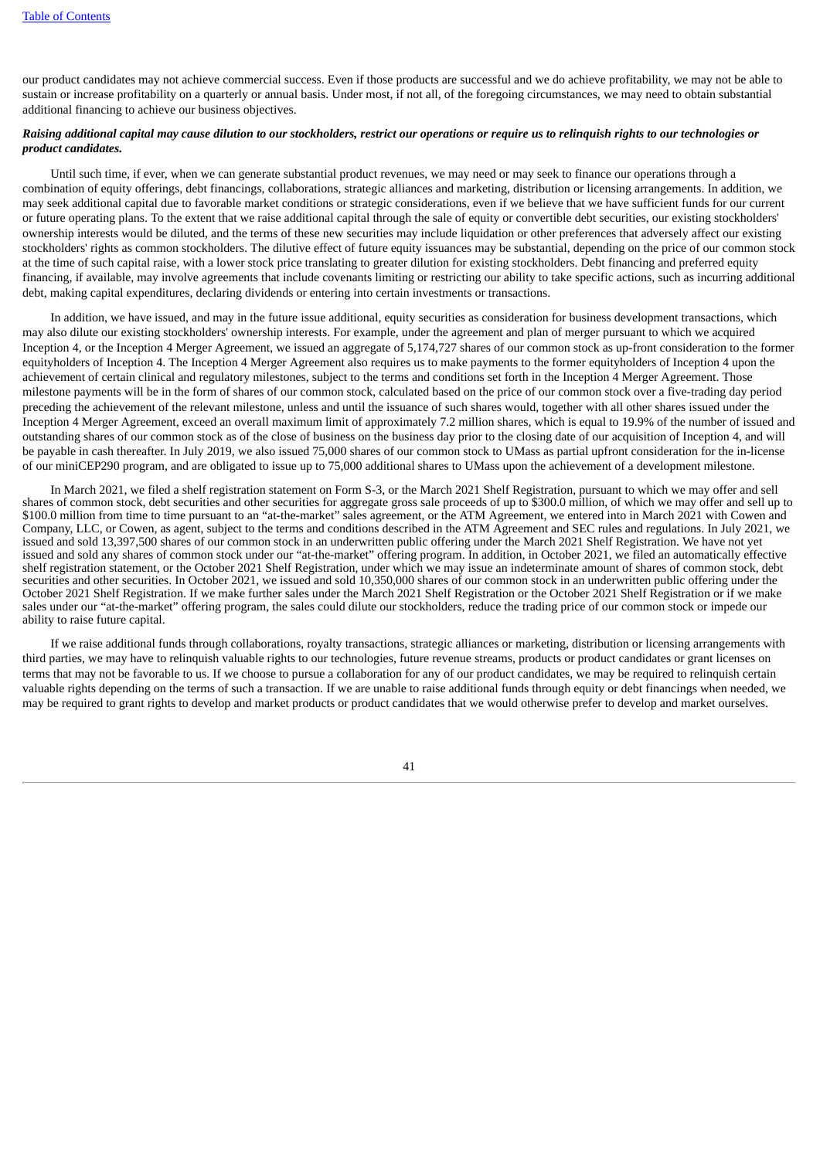our product candidates may not achieve commercial success. Even if those products are successful and we do achieve profitability, we may not be able to sustain or increase profitability on a quarterly or annual basis. Under most, if not all, of the foregoing circumstances, we may need to obtain substantial additional financing to achieve our business objectives.

#### Raising additional capital may cause dilution to our stockholders, restrict our operations or require us to relinquish rights to our technologies or *product candidates.*

Until such time, if ever, when we can generate substantial product revenues, we may need or may seek to finance our operations through a combination of equity offerings, debt financings, collaborations, strategic alliances and marketing, distribution or licensing arrangements. In addition, we may seek additional capital due to favorable market conditions or strategic considerations, even if we believe that we have sufficient funds for our current or future operating plans. To the extent that we raise additional capital through the sale of equity or convertible debt securities, our existing stockholders' ownership interests would be diluted, and the terms of these new securities may include liquidation or other preferences that adversely affect our existing stockholders' rights as common stockholders. The dilutive effect of future equity issuances may be substantial, depending on the price of our common stock at the time of such capital raise, with a lower stock price translating to greater dilution for existing stockholders. Debt financing and preferred equity financing, if available, may involve agreements that include covenants limiting or restricting our ability to take specific actions, such as incurring additional debt, making capital expenditures, declaring dividends or entering into certain investments or transactions.

In addition, we have issued, and may in the future issue additional, equity securities as consideration for business development transactions, which may also dilute our existing stockholders' ownership interests. For example, under the agreement and plan of merger pursuant to which we acquired Inception 4, or the Inception 4 Merger Agreement, we issued an aggregate of 5,174,727 shares of our common stock as up-front consideration to the former equityholders of Inception 4. The Inception 4 Merger Agreement also requires us to make payments to the former equityholders of Inception 4 upon the achievement of certain clinical and regulatory milestones, subject to the terms and conditions set forth in the Inception 4 Merger Agreement. Those milestone payments will be in the form of shares of our common stock, calculated based on the price of our common stock over a five-trading day period preceding the achievement of the relevant milestone, unless and until the issuance of such shares would, together with all other shares issued under the Inception 4 Merger Agreement, exceed an overall maximum limit of approximately 7.2 million shares, which is equal to 19.9% of the number of issued and outstanding shares of our common stock as of the close of business on the business day prior to the closing date of our acquisition of Inception 4, and will be payable in cash thereafter. In July 2019, we also issued 75,000 shares of our common stock to UMass as partial upfront consideration for the in-license of our miniCEP290 program, and are obligated to issue up to 75,000 additional shares to UMass upon the achievement of a development milestone.

In March 2021, we filed a shelf registration statement on Form S-3, or the March 2021 Shelf Registration, pursuant to which we may offer and sell shares of common stock, debt securities and other securities for aggregate gross sale proceeds of up to \$300.0 million, of which we may offer and sell up to \$100.0 million from time to time pursuant to an "at-the-market" sales agreement, or the ATM Agreement, we entered into in March 2021 with Cowen and Company, LLC, or Cowen, as agent, subject to the terms and conditions described in the ATM Agreement and SEC rules and regulations. In July 2021, we issued and sold 13,397,500 shares of our common stock in an underwritten public offering under the March 2021 Shelf Registration. We have not yet issued and sold any shares of common stock under our "at-the-market" offering program. In addition, in October 2021, we filed an automatically effective shelf registration statement, or the October 2021 Shelf Registration, under which we may issue an indeterminate amount of shares of common stock, debt securities and other securities. In October 2021, we issued and sold 10,350,000 shares of our common stock in an underwritten public offering under the October 2021 Shelf Registration. If we make further sales under the March 2021 Shelf Registration or the October 2021 Shelf Registration or if we make sales under our "at-the-market" offering program, the sales could dilute our stockholders, reduce the trading price of our common stock or impede our ability to raise future capital.

If we raise additional funds through collaborations, royalty transactions, strategic alliances or marketing, distribution or licensing arrangements with third parties, we may have to relinquish valuable rights to our technologies, future revenue streams, products or product candidates or grant licenses on terms that may not be favorable to us. If we choose to pursue a collaboration for any of our product candidates, we may be required to relinquish certain valuable rights depending on the terms of such a transaction. If we are unable to raise additional funds through equity or debt financings when needed, we may be required to grant rights to develop and market products or product candidates that we would otherwise prefer to develop and market ourselves.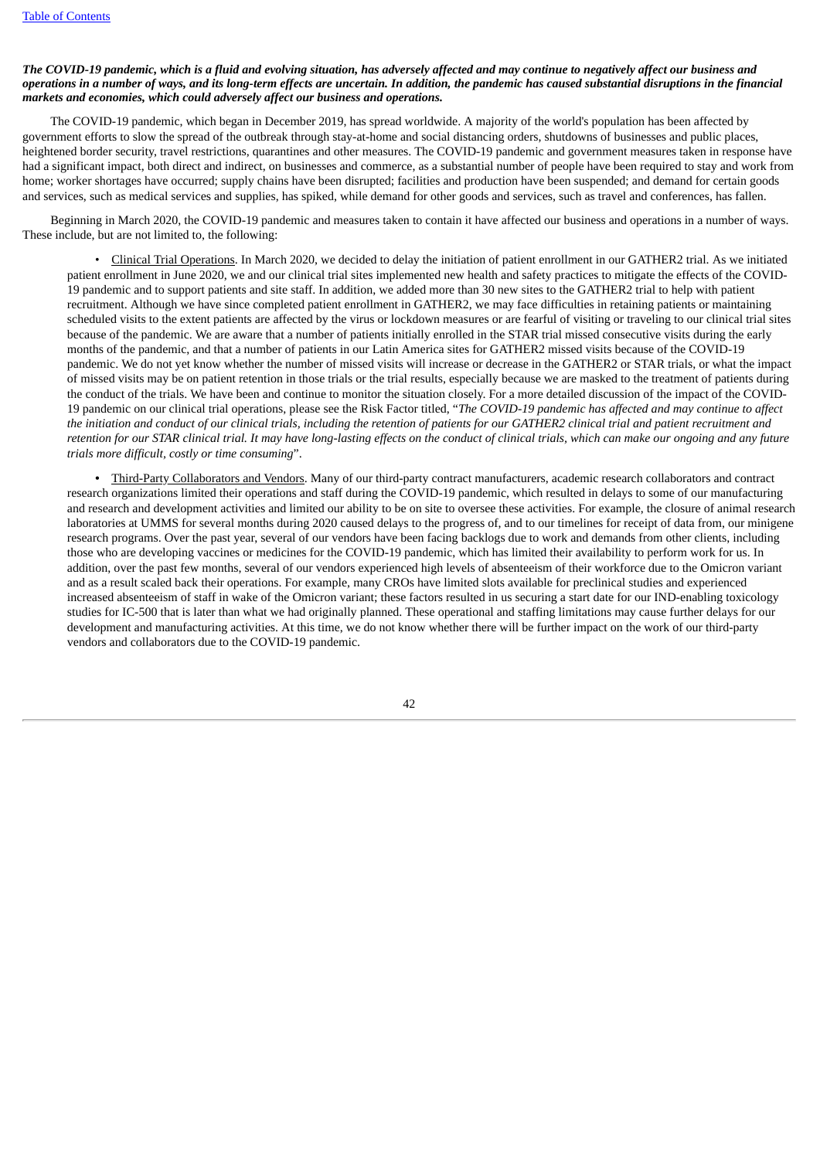#### The COVID-19 pandemic, which is a fluid and evolving situation, has adversely affected and may continue to negatively affect our business and operations in a number of ways, and its long-term effects are uncertain. In addition, the pandemic has caused substantial disruptions in the financial *markets and economies, which could adversely affect our business and operations.*

The COVID-19 pandemic, which began in December 2019, has spread worldwide. A majority of the world's population has been affected by government efforts to slow the spread of the outbreak through stay-at-home and social distancing orders, shutdowns of businesses and public places, heightened border security, travel restrictions, quarantines and other measures. The COVID-19 pandemic and government measures taken in response have had a significant impact, both direct and indirect, on businesses and commerce, as a substantial number of people have been required to stay and work from home; worker shortages have occurred; supply chains have been disrupted; facilities and production have been suspended; and demand for certain goods and services, such as medical services and supplies, has spiked, while demand for other goods and services, such as travel and conferences, has fallen.

Beginning in March 2020, the COVID-19 pandemic and measures taken to contain it have affected our business and operations in a number of ways. These include, but are not limited to, the following:

• Clinical Trial Operations. In March 2020, we decided to delay the initiation of patient enrollment in our GATHER2 trial. As we initiated patient enrollment in June 2020, we and our clinical trial sites implemented new health and safety practices to mitigate the effects of the COVID-19 pandemic and to support patients and site staff. In addition, we added more than 30 new sites to the GATHER2 trial to help with patient recruitment. Although we have since completed patient enrollment in GATHER2, we may face difficulties in retaining patients or maintaining scheduled visits to the extent patients are affected by the virus or lockdown measures or are fearful of visiting or traveling to our clinical trial sites because of the pandemic. We are aware that a number of patients initially enrolled in the STAR trial missed consecutive visits during the early months of the pandemic, and that a number of patients in our Latin America sites for GATHER2 missed visits because of the COVID-19 pandemic. We do not yet know whether the number of missed visits will increase or decrease in the GATHER2 or STAR trials, or what the impact of missed visits may be on patient retention in those trials or the trial results, especially because we are masked to the treatment of patients during the conduct of the trials. We have been and continue to monitor the situation closely. For a more detailed discussion of the impact of the COVID-19 pandemic on our clinical trial operations, please see the Risk Factor titled, "*The COVID-19 pandemic has affected and may continue to affect* the initiation and conduct of our clinical trials, including the retention of patients for our GATHER2 clinical trial and patient recruitment and retention for our STAR clinical trial. It may have long-lasting effects on the conduct of clinical trials, which can make our ongoing and any future *trials more difficult, costly or time consuming*".

*•* Third-Party Collaborators and Vendors. Many of our third-party contract manufacturers, academic research collaborators and contract research organizations limited their operations and staff during the COVID-19 pandemic, which resulted in delays to some of our manufacturing and research and development activities and limited our ability to be on site to oversee these activities. For example, the closure of animal research laboratories at UMMS for several months during 2020 caused delays to the progress of, and to our timelines for receipt of data from, our minigene research programs. Over the past year, several of our vendors have been facing backlogs due to work and demands from other clients, including those who are developing vaccines or medicines for the COVID-19 pandemic, which has limited their availability to perform work for us. In addition, over the past few months, several of our vendors experienced high levels of absenteeism of their workforce due to the Omicron variant and as a result scaled back their operations. For example, many CROs have limited slots available for preclinical studies and experienced increased absenteeism of staff in wake of the Omicron variant; these factors resulted in us securing a start date for our IND-enabling toxicology studies for IC-500 that is later than what we had originally planned. These operational and staffing limitations may cause further delays for our development and manufacturing activities. At this time, we do not know whether there will be further impact on the work of our third-party vendors and collaborators due to the COVID-19 pandemic.

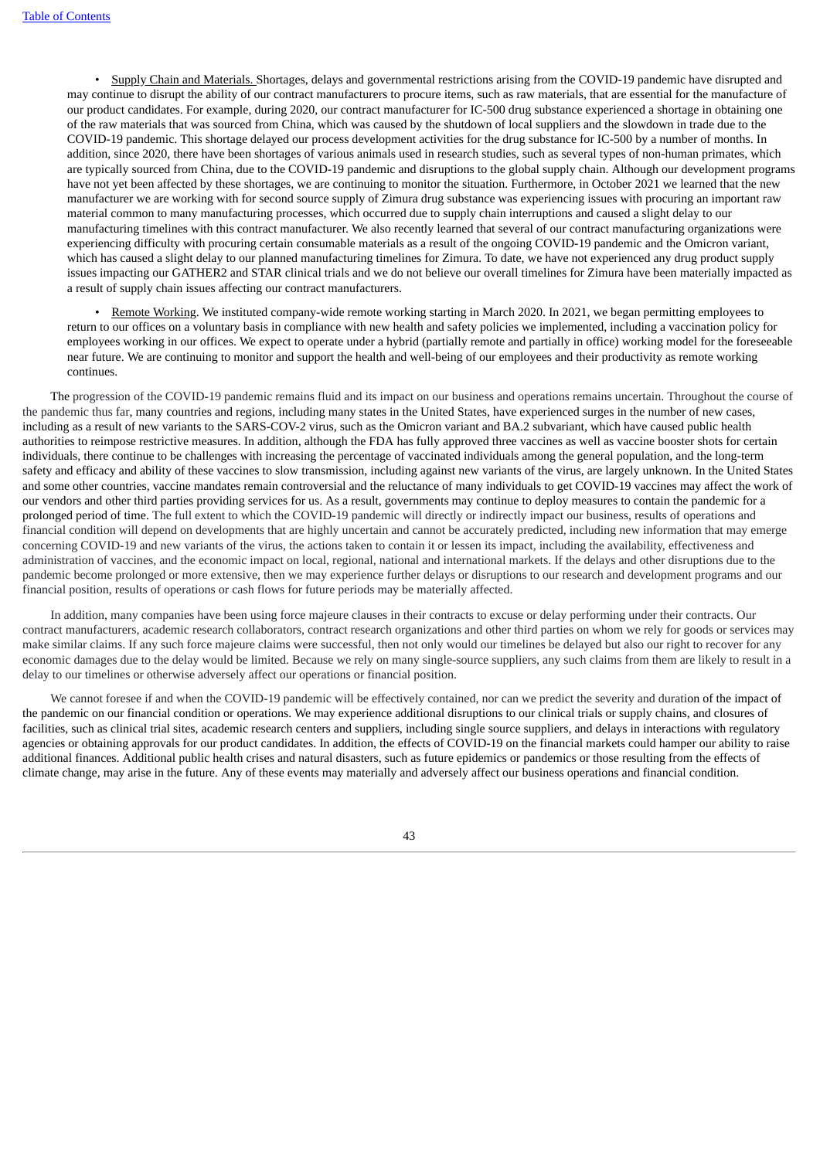• Supply Chain and Materials. Shortages, delays and governmental restrictions arising from the COVID-19 pandemic have disrupted and may continue to disrupt the ability of our contract manufacturers to procure items, such as raw materials, that are essential for the manufacture of our product candidates. For example, during 2020, our contract manufacturer for IC-500 drug substance experienced a shortage in obtaining one of the raw materials that was sourced from China, which was caused by the shutdown of local suppliers and the slowdown in trade due to the COVID-19 pandemic. This shortage delayed our process development activities for the drug substance for IC-500 by a number of months. In addition, since 2020, there have been shortages of various animals used in research studies, such as several types of non-human primates, which are typically sourced from China, due to the COVID-19 pandemic and disruptions to the global supply chain. Although our development programs have not yet been affected by these shortages, we are continuing to monitor the situation. Furthermore, in October 2021 we learned that the new manufacturer we are working with for second source supply of Zimura drug substance was experiencing issues with procuring an important raw material common to many manufacturing processes, which occurred due to supply chain interruptions and caused a slight delay to our manufacturing timelines with this contract manufacturer. We also recently learned that several of our contract manufacturing organizations were experiencing difficulty with procuring certain consumable materials as a result of the ongoing COVID-19 pandemic and the Omicron variant, which has caused a slight delay to our planned manufacturing timelines for Zimura. To date, we have not experienced any drug product supply issues impacting our GATHER2 and STAR clinical trials and we do not believe our overall timelines for Zimura have been materially impacted as a result of supply chain issues affecting our contract manufacturers.

• Remote Working. We instituted company-wide remote working starting in March 2020. In 2021, we began permitting employees to return to our offices on a voluntary basis in compliance with new health and safety policies we implemented, including a vaccination policy for employees working in our offices. We expect to operate under a hybrid (partially remote and partially in office) working model for the foreseeable near future. We are continuing to monitor and support the health and well-being of our employees and their productivity as remote working continues.

The progression of the COVID-19 pandemic remains fluid and its impact on our business and operations remains uncertain. Throughout the course of the pandemic thus far, many countries and regions, including many states in the United States, have experienced surges in the number of new cases, including as a result of new variants to the SARS-COV-2 virus, such as the Omicron variant and BA.2 subvariant, which have caused public health authorities to reimpose restrictive measures. In addition, although the FDA has fully approved three vaccines as well as vaccine booster shots for certain individuals, there continue to be challenges with increasing the percentage of vaccinated individuals among the general population, and the long-term safety and efficacy and ability of these vaccines to slow transmission, including against new variants of the virus, are largely unknown. In the United States and some other countries, vaccine mandates remain controversial and the reluctance of many individuals to get COVID-19 vaccines may affect the work of our vendors and other third parties providing services for us. As a result, governments may continue to deploy measures to contain the pandemic for a prolonged period of time. The full extent to which the COVID-19 pandemic will directly or indirectly impact our business, results of operations and financial condition will depend on developments that are highly uncertain and cannot be accurately predicted, including new information that may emerge concerning COVID-19 and new variants of the virus, the actions taken to contain it or lessen its impact, including the availability, effectiveness and administration of vaccines, and the economic impact on local, regional, national and international markets. If the delays and other disruptions due to the pandemic become prolonged or more extensive, then we may experience further delays or disruptions to our research and development programs and our financial position, results of operations or cash flows for future periods may be materially affected.

In addition, many companies have been using force majeure clauses in their contracts to excuse or delay performing under their contracts. Our contract manufacturers, academic research collaborators, contract research organizations and other third parties on whom we rely for goods or services may make similar claims. If any such force majeure claims were successful, then not only would our timelines be delayed but also our right to recover for any economic damages due to the delay would be limited. Because we rely on many single-source suppliers, any such claims from them are likely to result in a delay to our timelines or otherwise adversely affect our operations or financial position.

We cannot foresee if and when the COVID-19 pandemic will be effectively contained, nor can we predict the severity and duration of the impact of the pandemic on our financial condition or operations. We may experience additional disruptions to our clinical trials or supply chains, and closures of facilities, such as clinical trial sites, academic research centers and suppliers, including single source suppliers, and delays in interactions with regulatory agencies or obtaining approvals for our product candidates. In addition, the effects of COVID-19 on the financial markets could hamper our ability to raise additional finances. Additional public health crises and natural disasters, such as future epidemics or pandemics or those resulting from the effects of climate change, may arise in the future. Any of these events may materially and adversely affect our business operations and financial condition.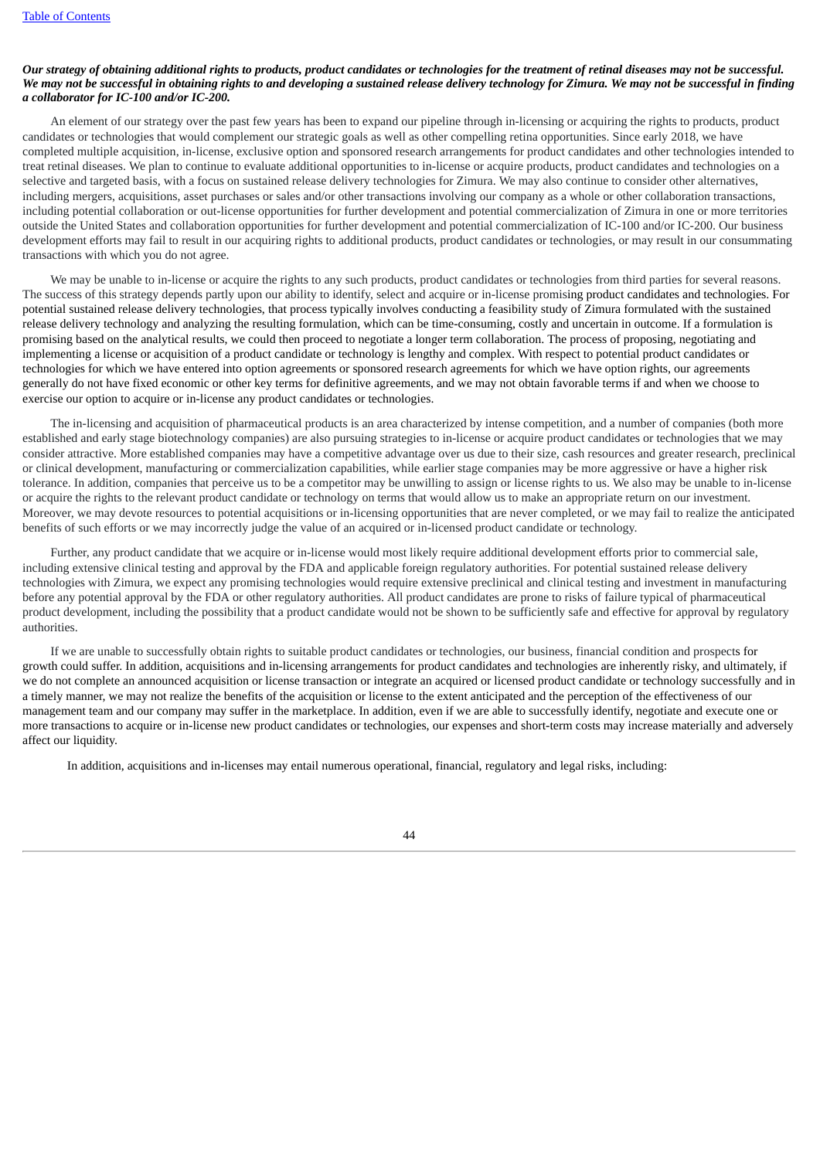### Our strategy of obtaining additional rights to products, product candidates or technologies for the treatment of retinal diseases may not be successful. We may not be successful in obtaining rights to and developing a sustained release delivery technology for Zimura. We may not be successful in finding *a collaborator for IC-100 and/or IC-200.*

An element of our strategy over the past few years has been to expand our pipeline through in-licensing or acquiring the rights to products, product candidates or technologies that would complement our strategic goals as well as other compelling retina opportunities. Since early 2018, we have completed multiple acquisition, in-license, exclusive option and sponsored research arrangements for product candidates and other technologies intended to treat retinal diseases. We plan to continue to evaluate additional opportunities to in-license or acquire products, product candidates and technologies on a selective and targeted basis, with a focus on sustained release delivery technologies for Zimura. We may also continue to consider other alternatives, including mergers, acquisitions, asset purchases or sales and/or other transactions involving our company as a whole or other collaboration transactions, including potential collaboration or out-license opportunities for further development and potential commercialization of Zimura in one or more territories outside the United States and collaboration opportunities for further development and potential commercialization of IC-100 and/or IC-200. Our business development efforts may fail to result in our acquiring rights to additional products, product candidates or technologies, or may result in our consummating transactions with which you do not agree.

We may be unable to in-license or acquire the rights to any such products, product candidates or technologies from third parties for several reasons. The success of this strategy depends partly upon our ability to identify, select and acquire or in-license promising product candidates and technologies. For potential sustained release delivery technologies, that process typically involves conducting a feasibility study of Zimura formulated with the sustained release delivery technology and analyzing the resulting formulation, which can be time-consuming, costly and uncertain in outcome. If a formulation is promising based on the analytical results, we could then proceed to negotiate a longer term collaboration. The process of proposing, negotiating and implementing a license or acquisition of a product candidate or technology is lengthy and complex. With respect to potential product candidates or technologies for which we have entered into option agreements or sponsored research agreements for which we have option rights, our agreements generally do not have fixed economic or other key terms for definitive agreements, and we may not obtain favorable terms if and when we choose to exercise our option to acquire or in-license any product candidates or technologies.

The in-licensing and acquisition of pharmaceutical products is an area characterized by intense competition, and a number of companies (both more established and early stage biotechnology companies) are also pursuing strategies to in-license or acquire product candidates or technologies that we may consider attractive. More established companies may have a competitive advantage over us due to their size, cash resources and greater research, preclinical or clinical development, manufacturing or commercialization capabilities, while earlier stage companies may be more aggressive or have a higher risk tolerance. In addition, companies that perceive us to be a competitor may be unwilling to assign or license rights to us. We also may be unable to in-license or acquire the rights to the relevant product candidate or technology on terms that would allow us to make an appropriate return on our investment. Moreover, we may devote resources to potential acquisitions or in-licensing opportunities that are never completed, or we may fail to realize the anticipated benefits of such efforts or we may incorrectly judge the value of an acquired or in-licensed product candidate or technology.

Further, any product candidate that we acquire or in-license would most likely require additional development efforts prior to commercial sale, including extensive clinical testing and approval by the FDA and applicable foreign regulatory authorities. For potential sustained release delivery technologies with Zimura, we expect any promising technologies would require extensive preclinical and clinical testing and investment in manufacturing before any potential approval by the FDA or other regulatory authorities. All product candidates are prone to risks of failure typical of pharmaceutical product development, including the possibility that a product candidate would not be shown to be sufficiently safe and effective for approval by regulatory authorities.

If we are unable to successfully obtain rights to suitable product candidates or technologies, our business, financial condition and prospects for growth could suffer. In addition, acquisitions and in-licensing arrangements for product candidates and technologies are inherently risky, and ultimately, if we do not complete an announced acquisition or license transaction or integrate an acquired or licensed product candidate or technology successfully and in a timely manner, we may not realize the benefits of the acquisition or license to the extent anticipated and the perception of the effectiveness of our management team and our company may suffer in the marketplace. In addition, even if we are able to successfully identify, negotiate and execute one or more transactions to acquire or in-license new product candidates or technologies, our expenses and short-term costs may increase materially and adversely affect our liquidity.

In addition, acquisitions and in-licenses may entail numerous operational, financial, regulatory and legal risks, including:

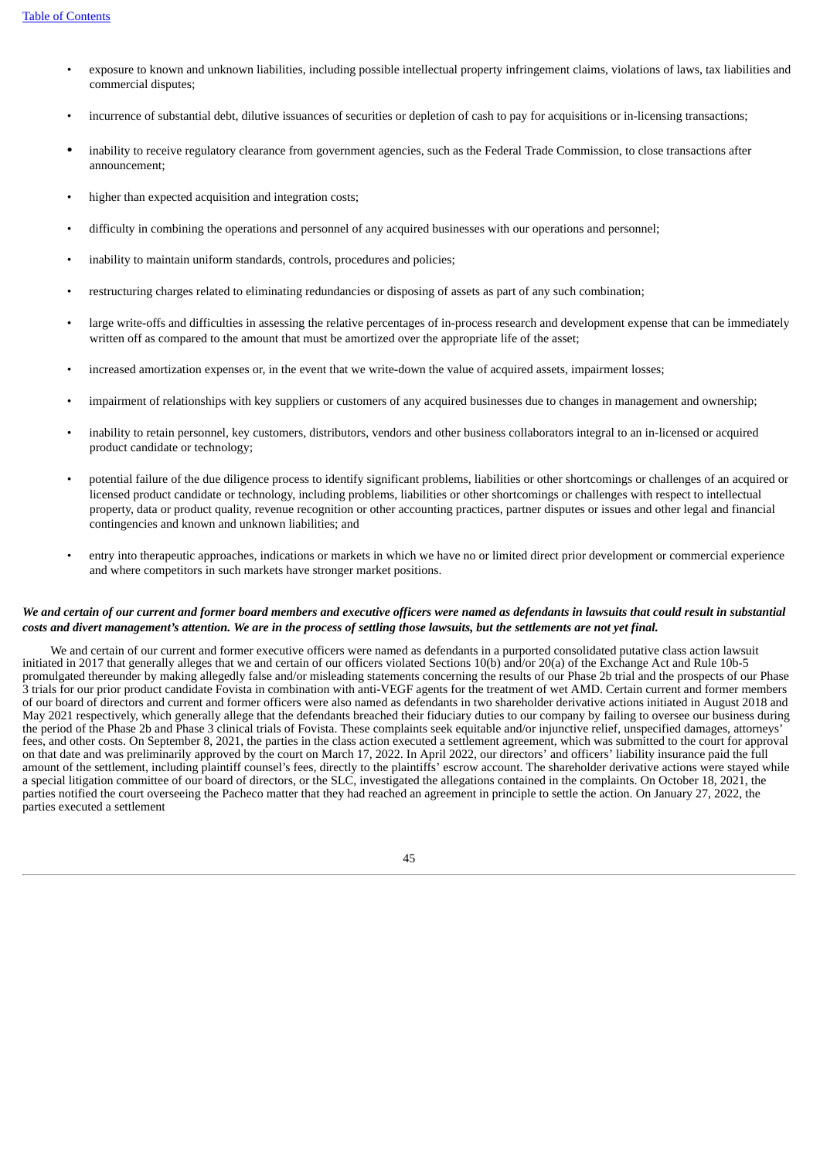- exposure to known and unknown liabilities, including possible intellectual property infringement claims, violations of laws, tax liabilities and commercial disputes;
- incurrence of substantial debt, dilutive issuances of securities or depletion of cash to pay for acquisitions or in-licensing transactions;
- inability to receive regulatory clearance from government agencies, such as the Federal Trade Commission, to close transactions after announcement;
- higher than expected acquisition and integration costs;
- difficulty in combining the operations and personnel of any acquired businesses with our operations and personnel;
- inability to maintain uniform standards, controls, procedures and policies;
- restructuring charges related to eliminating redundancies or disposing of assets as part of any such combination;
- large write-offs and difficulties in assessing the relative percentages of in-process research and development expense that can be immediately written off as compared to the amount that must be amortized over the appropriate life of the asset;
- increased amortization expenses or, in the event that we write-down the value of acquired assets, impairment losses;
- impairment of relationships with key suppliers or customers of any acquired businesses due to changes in management and ownership;
- inability to retain personnel, key customers, distributors, vendors and other business collaborators integral to an in-licensed or acquired product candidate or technology;
- potential failure of the due diligence process to identify significant problems, liabilities or other shortcomings or challenges of an acquired or licensed product candidate or technology, including problems, liabilities or other shortcomings or challenges with respect to intellectual property, data or product quality, revenue recognition or other accounting practices, partner disputes or issues and other legal and financial contingencies and known and unknown liabilities; and
- entry into therapeutic approaches, indications or markets in which we have no or limited direct prior development or commercial experience and where competitors in such markets have stronger market positions.

#### We and certain of our current and former board members and executive officers were named as defendants in lawsuits that could result in substantial costs and divert management's attention. We are in the process of settling those lawsuits, but the settlements are not yet final.

We and certain of our current and former executive officers were named as defendants in a purported consolidated putative class action lawsuit initiated in 2017 that generally alleges that we and certain of our officers violated Sections 10(b) and/or 20(a) of the Exchange Act and Rule 10b-5 promulgated thereunder by making allegedly false and/or misleading statements concerning the results of our Phase 2b trial and the prospects of our Phase 3 trials for our prior product candidate Fovista in combination with anti-VEGF agents for the treatment of wet AMD. Certain current and former members of our board of directors and current and former officers were also named as defendants in two shareholder derivative actions initiated in August 2018 and May 2021 respectively, which generally allege that the defendants breached their fiduciary duties to our company by failing to oversee our business during the period of the Phase 2b and Phase 3 clinical trials of Fovista. These complaints seek equitable and/or injunctive relief, unspecified damages, attorneys' fees, and other costs. On September 8, 2021, the parties in the class action executed a settlement agreement, which was submitted to the court for approval on that date and was preliminarily approved by the court on March 17, 2022. In April 2022, our directors' and officers' liability insurance paid the full amount of the settlement, including plaintiff counsel's fees, directly to the plaintiffs' escrow account. The shareholder derivative actions were stayed while a special litigation committee of our board of directors, or the SLC, investigated the allegations contained in the complaints. On October 18, 2021, the parties notified the court overseeing the Pacheco matter that they had reached an agreement in principle to settle the action. On January 27, 2022, the parties executed a settlement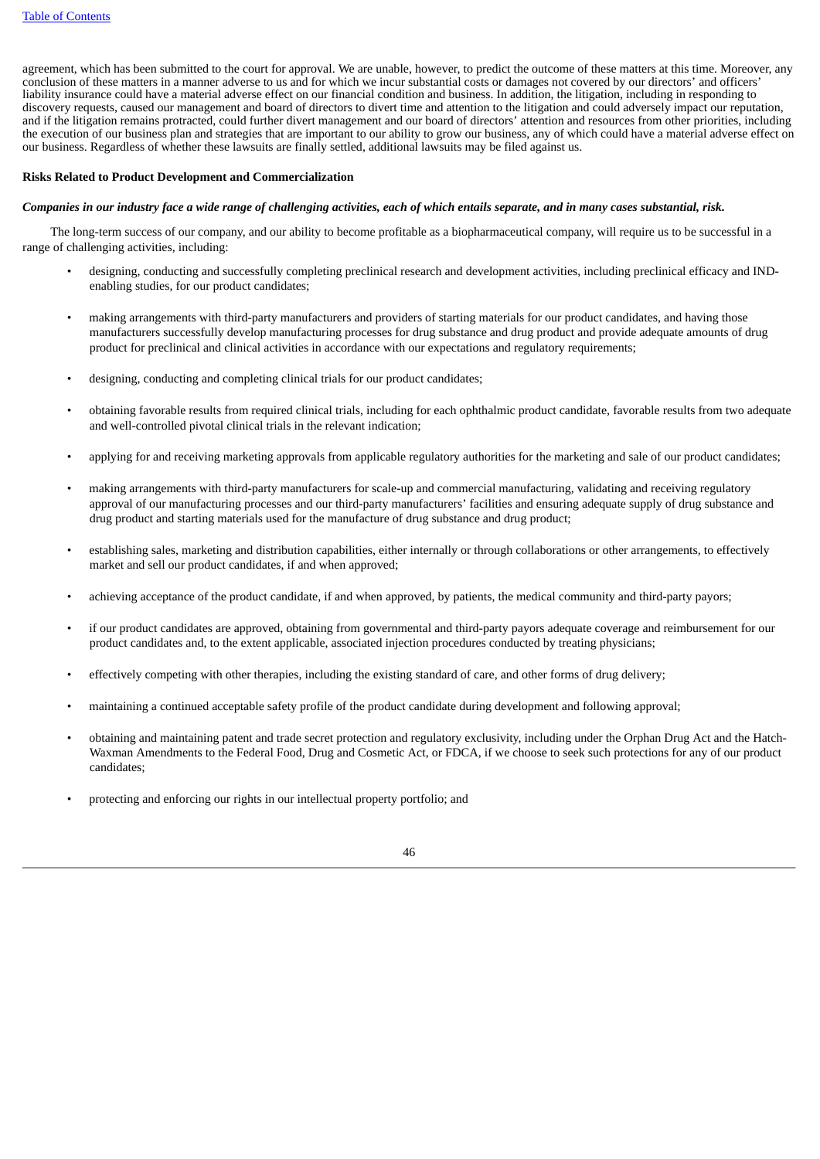agreement, which has been submitted to the court for approval. We are unable, however, to predict the outcome of these matters at this time. Moreover, any conclusion of these matters in a manner adverse to us and for which we incur substantial costs or damages not covered by our directors' and officers' liability insurance could have a material adverse effect on our financial condition and business. In addition, the litigation, including in responding to discovery requests, caused our management and board of directors to divert time and attention to the litigation and could adversely impact our reputation, and if the litigation remains protracted, could further divert management and our board of directors' attention and resources from other priorities, including the execution of our business plan and strategies that are important to our ability to grow our business, any of which could have a material adverse effect on our business. Regardless of whether these lawsuits are finally settled, additional lawsuits may be filed against us.

#### **Risks Related to Product Development and Commercialization**

#### Companies in our industry face a wide range of challenging activities, each of which entails separate, and in many cases substantial, risk.

The long-term success of our company, and our ability to become profitable as a biopharmaceutical company, will require us to be successful in a range of challenging activities, including:

- designing, conducting and successfully completing preclinical research and development activities, including preclinical efficacy and INDenabling studies, for our product candidates;
- making arrangements with third-party manufacturers and providers of starting materials for our product candidates, and having those manufacturers successfully develop manufacturing processes for drug substance and drug product and provide adequate amounts of drug product for preclinical and clinical activities in accordance with our expectations and regulatory requirements;
- designing, conducting and completing clinical trials for our product candidates;
- obtaining favorable results from required clinical trials, including for each ophthalmic product candidate, favorable results from two adequate and well-controlled pivotal clinical trials in the relevant indication;
- applying for and receiving marketing approvals from applicable regulatory authorities for the marketing and sale of our product candidates;
- making arrangements with third-party manufacturers for scale-up and commercial manufacturing, validating and receiving regulatory approval of our manufacturing processes and our third-party manufacturers' facilities and ensuring adequate supply of drug substance and drug product and starting materials used for the manufacture of drug substance and drug product;
- establishing sales, marketing and distribution capabilities, either internally or through collaborations or other arrangements, to effectively market and sell our product candidates, if and when approved;
- achieving acceptance of the product candidate, if and when approved, by patients, the medical community and third-party payors;
- if our product candidates are approved, obtaining from governmental and third-party payors adequate coverage and reimbursement for our product candidates and, to the extent applicable, associated injection procedures conducted by treating physicians;
- effectively competing with other therapies, including the existing standard of care, and other forms of drug delivery;
- maintaining a continued acceptable safety profile of the product candidate during development and following approval;
- obtaining and maintaining patent and trade secret protection and regulatory exclusivity, including under the Orphan Drug Act and the Hatch-Waxman Amendments to the Federal Food, Drug and Cosmetic Act, or FDCA, if we choose to seek such protections for any of our product candidates;
- protecting and enforcing our rights in our intellectual property portfolio; and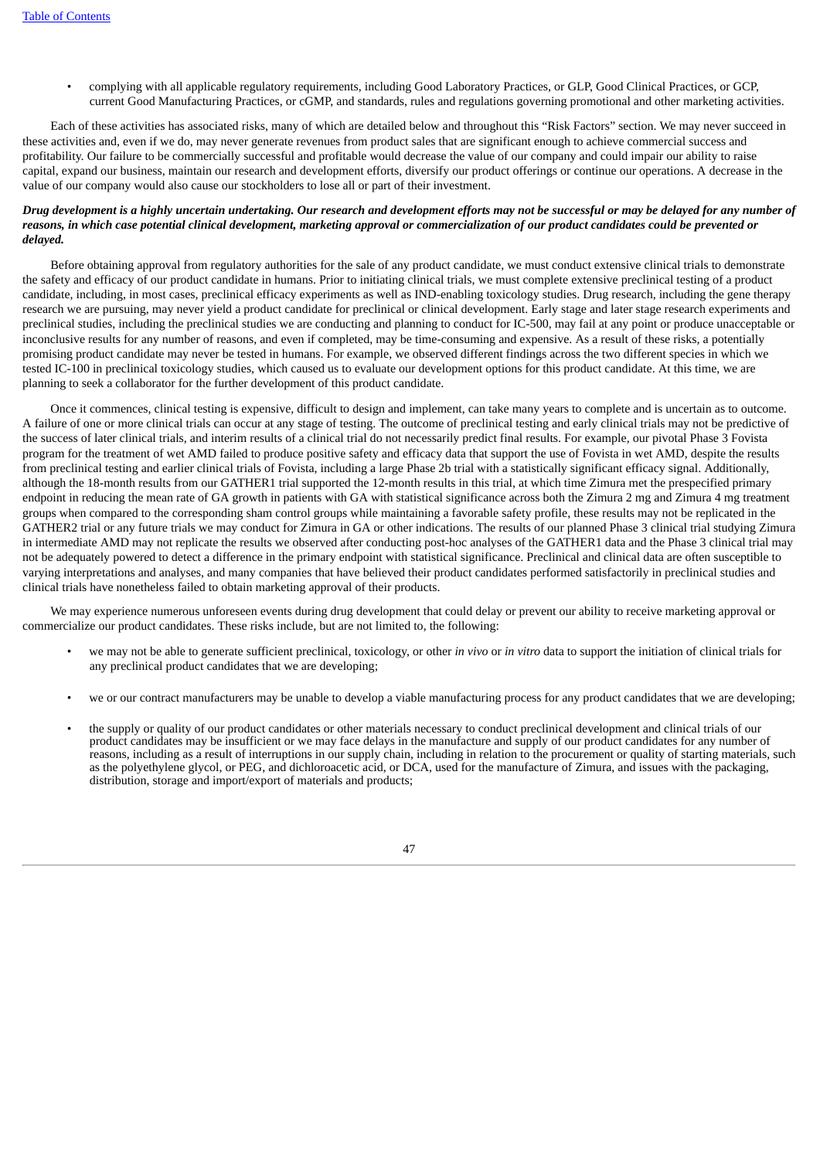• complying with all applicable regulatory requirements, including Good Laboratory Practices, or GLP, Good Clinical Practices, or GCP, current Good Manufacturing Practices, or cGMP, and standards, rules and regulations governing promotional and other marketing activities.

Each of these activities has associated risks, many of which are detailed below and throughout this "Risk Factors" section. We may never succeed in these activities and, even if we do, may never generate revenues from product sales that are significant enough to achieve commercial success and profitability. Our failure to be commercially successful and profitable would decrease the value of our company and could impair our ability to raise capital, expand our business, maintain our research and development efforts, diversify our product offerings or continue our operations. A decrease in the value of our company would also cause our stockholders to lose all or part of their investment.

# Drua development is a highly uncertain undertaking. Our research and development efforts may not be successful or may be delaved for any number of reasons, in which case potential clinical development, marketing approval or commercialization of our product candidates could be prevented or *delayed.*

Before obtaining approval from regulatory authorities for the sale of any product candidate, we must conduct extensive clinical trials to demonstrate the safety and efficacy of our product candidate in humans. Prior to initiating clinical trials, we must complete extensive preclinical testing of a product candidate, including, in most cases, preclinical efficacy experiments as well as IND-enabling toxicology studies. Drug research, including the gene therapy research we are pursuing, may never yield a product candidate for preclinical or clinical development. Early stage and later stage research experiments and preclinical studies, including the preclinical studies we are conducting and planning to conduct for IC-500, may fail at any point or produce unacceptable or inconclusive results for any number of reasons, and even if completed, may be time-consuming and expensive. As a result of these risks, a potentially promising product candidate may never be tested in humans. For example, we observed different findings across the two different species in which we tested IC-100 in preclinical toxicology studies, which caused us to evaluate our development options for this product candidate. At this time, we are planning to seek a collaborator for the further development of this product candidate.

Once it commences, clinical testing is expensive, difficult to design and implement, can take many years to complete and is uncertain as to outcome. A failure of one or more clinical trials can occur at any stage of testing. The outcome of preclinical testing and early clinical trials may not be predictive of the success of later clinical trials, and interim results of a clinical trial do not necessarily predict final results. For example, our pivotal Phase 3 Fovista program for the treatment of wet AMD failed to produce positive safety and efficacy data that support the use of Fovista in wet AMD, despite the results from preclinical testing and earlier clinical trials of Fovista, including a large Phase 2b trial with a statistically significant efficacy signal. Additionally, although the 18-month results from our GATHER1 trial supported the 12-month results in this trial, at which time Zimura met the prespecified primary endpoint in reducing the mean rate of GA growth in patients with GA with statistical significance across both the Zimura 2 mg and Zimura 4 mg treatment groups when compared to the corresponding sham control groups while maintaining a favorable safety profile, these results may not be replicated in the GATHER2 trial or any future trials we may conduct for Zimura in GA or other indications. The results of our planned Phase 3 clinical trial studying Zimura in intermediate AMD may not replicate the results we observed after conducting post-hoc analyses of the GATHER1 data and the Phase 3 clinical trial may not be adequately powered to detect a difference in the primary endpoint with statistical significance. Preclinical and clinical data are often susceptible to varying interpretations and analyses, and many companies that have believed their product candidates performed satisfactorily in preclinical studies and clinical trials have nonetheless failed to obtain marketing approval of their products.

We may experience numerous unforeseen events during drug development that could delay or prevent our ability to receive marketing approval or commercialize our product candidates. These risks include, but are not limited to, the following:

- we may not be able to generate sufficient preclinical, toxicology, or other *in vivo* or *in vitro* data to support the initiation of clinical trials for any preclinical product candidates that we are developing;
- we or our contract manufacturers may be unable to develop a viable manufacturing process for any product candidates that we are developing;
- the supply or quality of our product candidates or other materials necessary to conduct preclinical development and clinical trials of our product candidates may be insufficient or we may face delays in the manufacture and supply of our product candidates for any number of reasons, including as a result of interruptions in our supply chain, including in relation to the procurement or quality of starting materials, such as the polyethylene glycol, or PEG, and dichloroacetic acid, or DCA, used for the manufacture of Zimura, and issues with the packaging, distribution, storage and import/export of materials and products;

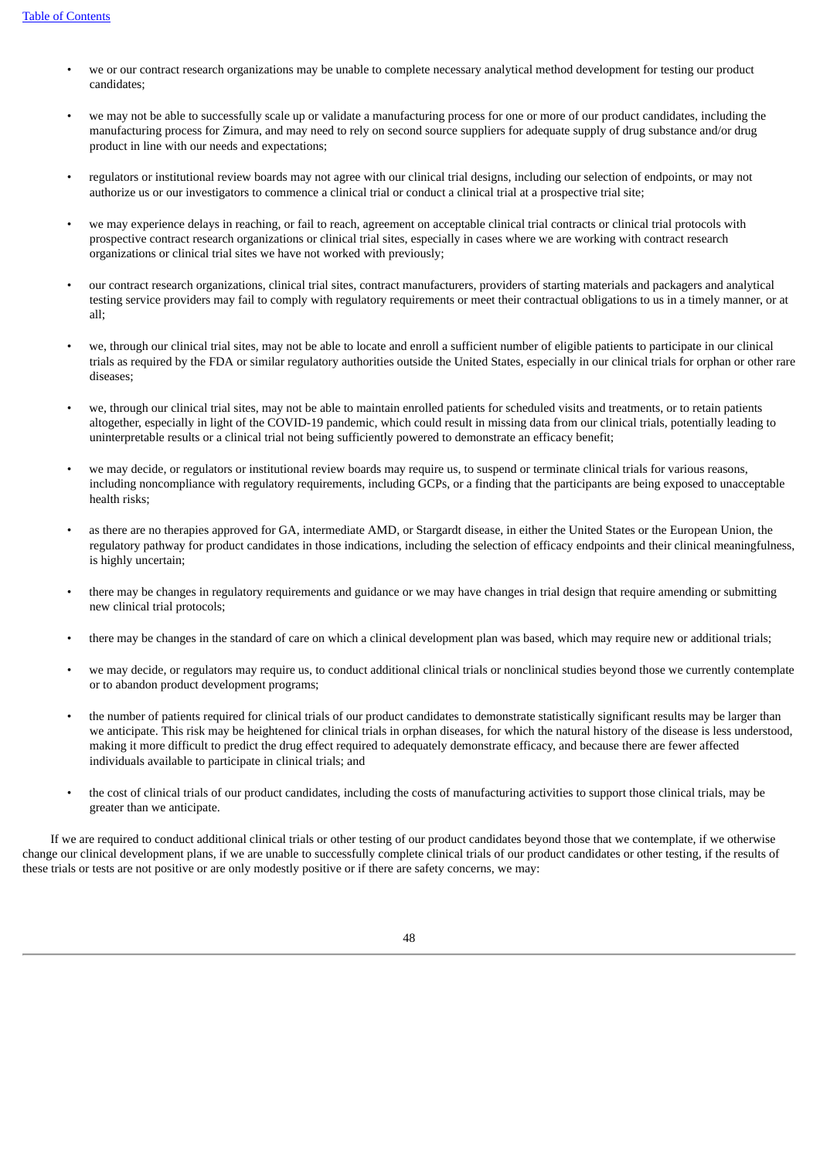- we or our contract research organizations may be unable to complete necessary analytical method development for testing our product candidates;
- we may not be able to successfully scale up or validate a manufacturing process for one or more of our product candidates, including the manufacturing process for Zimura, and may need to rely on second source suppliers for adequate supply of drug substance and/or drug product in line with our needs and expectations;
- regulators or institutional review boards may not agree with our clinical trial designs, including our selection of endpoints, or may not authorize us or our investigators to commence a clinical trial or conduct a clinical trial at a prospective trial site;
- we may experience delays in reaching, or fail to reach, agreement on acceptable clinical trial contracts or clinical trial protocols with prospective contract research organizations or clinical trial sites, especially in cases where we are working with contract research organizations or clinical trial sites we have not worked with previously;
- our contract research organizations, clinical trial sites, contract manufacturers, providers of starting materials and packagers and analytical testing service providers may fail to comply with regulatory requirements or meet their contractual obligations to us in a timely manner, or at all;
- we, through our clinical trial sites, may not be able to locate and enroll a sufficient number of eligible patients to participate in our clinical trials as required by the FDA or similar regulatory authorities outside the United States, especially in our clinical trials for orphan or other rare diseases;
- we, through our clinical trial sites, may not be able to maintain enrolled patients for scheduled visits and treatments, or to retain patients altogether, especially in light of the COVID-19 pandemic, which could result in missing data from our clinical trials, potentially leading to uninterpretable results or a clinical trial not being sufficiently powered to demonstrate an efficacy benefit;
- we may decide, or regulators or institutional review boards may require us, to suspend or terminate clinical trials for various reasons, including noncompliance with regulatory requirements, including GCPs, or a finding that the participants are being exposed to unacceptable health risks;
- as there are no therapies approved for GA, intermediate AMD, or Stargardt disease, in either the United States or the European Union, the regulatory pathway for product candidates in those indications, including the selection of efficacy endpoints and their clinical meaningfulness, is highly uncertain;
- there may be changes in regulatory requirements and guidance or we may have changes in trial design that require amending or submitting new clinical trial protocols;
- there may be changes in the standard of care on which a clinical development plan was based, which may require new or additional trials;
- we may decide, or regulators may require us, to conduct additional clinical trials or nonclinical studies beyond those we currently contemplate or to abandon product development programs;
- the number of patients required for clinical trials of our product candidates to demonstrate statistically significant results may be larger than we anticipate. This risk may be heightened for clinical trials in orphan diseases, for which the natural history of the disease is less understood, making it more difficult to predict the drug effect required to adequately demonstrate efficacy, and because there are fewer affected individuals available to participate in clinical trials; and
- the cost of clinical trials of our product candidates, including the costs of manufacturing activities to support those clinical trials, may be greater than we anticipate.

If we are required to conduct additional clinical trials or other testing of our product candidates beyond those that we contemplate, if we otherwise change our clinical development plans, if we are unable to successfully complete clinical trials of our product candidates or other testing, if the results of these trials or tests are not positive or are only modestly positive or if there are safety concerns, we may: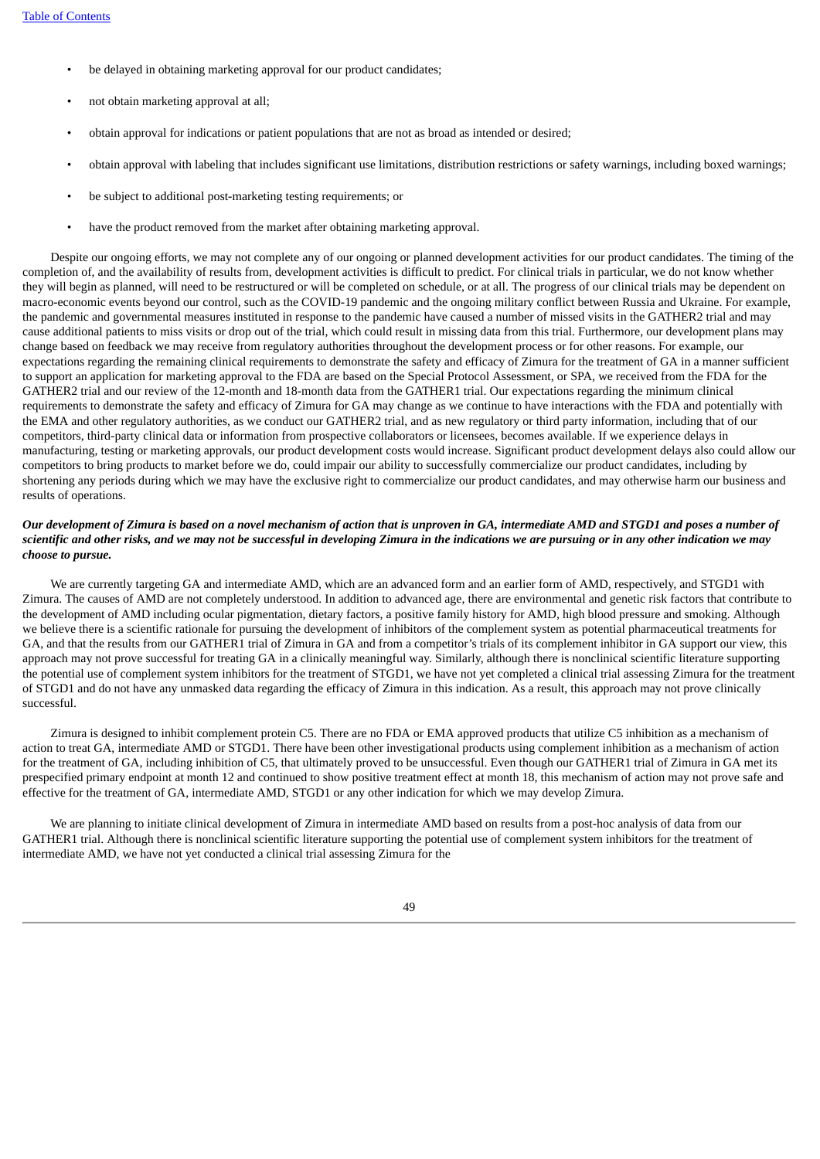- be delayed in obtaining marketing approval for our product candidates;
- not obtain marketing approval at all;
- obtain approval for indications or patient populations that are not as broad as intended or desired;
- obtain approval with labeling that includes significant use limitations, distribution restrictions or safety warnings, including boxed warnings;
- be subject to additional post-marketing testing requirements; or
- have the product removed from the market after obtaining marketing approval.

Despite our ongoing efforts, we may not complete any of our ongoing or planned development activities for our product candidates. The timing of the completion of, and the availability of results from, development activities is difficult to predict. For clinical trials in particular, we do not know whether they will begin as planned, will need to be restructured or will be completed on schedule, or at all. The progress of our clinical trials may be dependent on macro-economic events beyond our control, such as the COVID-19 pandemic and the ongoing military conflict between Russia and Ukraine. For example, the pandemic and governmental measures instituted in response to the pandemic have caused a number of missed visits in the GATHER2 trial and may cause additional patients to miss visits or drop out of the trial, which could result in missing data from this trial. Furthermore, our development plans may change based on feedback we may receive from regulatory authorities throughout the development process or for other reasons. For example, our expectations regarding the remaining clinical requirements to demonstrate the safety and efficacy of Zimura for the treatment of GA in a manner sufficient to support an application for marketing approval to the FDA are based on the Special Protocol Assessment, or SPA, we received from the FDA for the GATHER2 trial and our review of the 12-month and 18-month data from the GATHER1 trial. Our expectations regarding the minimum clinical requirements to demonstrate the safety and efficacy of Zimura for GA may change as we continue to have interactions with the FDA and potentially with the EMA and other regulatory authorities, as we conduct our GATHER2 trial, and as new regulatory or third party information, including that of our competitors, third-party clinical data or information from prospective collaborators or licensees, becomes available. If we experience delays in manufacturing, testing or marketing approvals, our product development costs would increase. Significant product development delays also could allow our competitors to bring products to market before we do, could impair our ability to successfully commercialize our product candidates, including by shortening any periods during which we may have the exclusive right to commercialize our product candidates, and may otherwise harm our business and results of operations.

### Our development of Zimura is based on a novel mechanism of action that is unproven in GA, intermediate AMD and STGD1 and poses a number of scientific and other risks, and we may not be successful in developing Zimura in the indications we are pursuing or in any other indication we may *choose to pursue.*

We are currently targeting GA and intermediate AMD, which are an advanced form and an earlier form of AMD, respectively, and STGD1 with Zimura. The causes of AMD are not completely understood. In addition to advanced age, there are environmental and genetic risk factors that contribute to the development of AMD including ocular pigmentation, dietary factors, a positive family history for AMD, high blood pressure and smoking. Although we believe there is a scientific rationale for pursuing the development of inhibitors of the complement system as potential pharmaceutical treatments for GA, and that the results from our GATHER1 trial of Zimura in GA and from a competitor's trials of its complement inhibitor in GA support our view, this approach may not prove successful for treating GA in a clinically meaningful way. Similarly, although there is nonclinical scientific literature supporting the potential use of complement system inhibitors for the treatment of STGD1, we have not yet completed a clinical trial assessing Zimura for the treatment of STGD1 and do not have any unmasked data regarding the efficacy of Zimura in this indication. As a result, this approach may not prove clinically successful.

Zimura is designed to inhibit complement protein C5. There are no FDA or EMA approved products that utilize C5 inhibition as a mechanism of action to treat GA, intermediate AMD or STGD1. There have been other investigational products using complement inhibition as a mechanism of action for the treatment of GA, including inhibition of C5, that ultimately proved to be unsuccessful. Even though our GATHER1 trial of Zimura in GA met its prespecified primary endpoint at month 12 and continued to show positive treatment effect at month 18, this mechanism of action may not prove safe and effective for the treatment of GA, intermediate AMD, STGD1 or any other indication for which we may develop Zimura.

We are planning to initiate clinical development of Zimura in intermediate AMD based on results from a post-hoc analysis of data from our GATHER1 trial. Although there is nonclinical scientific literature supporting the potential use of complement system inhibitors for the treatment of intermediate AMD, we have not yet conducted a clinical trial assessing Zimura for the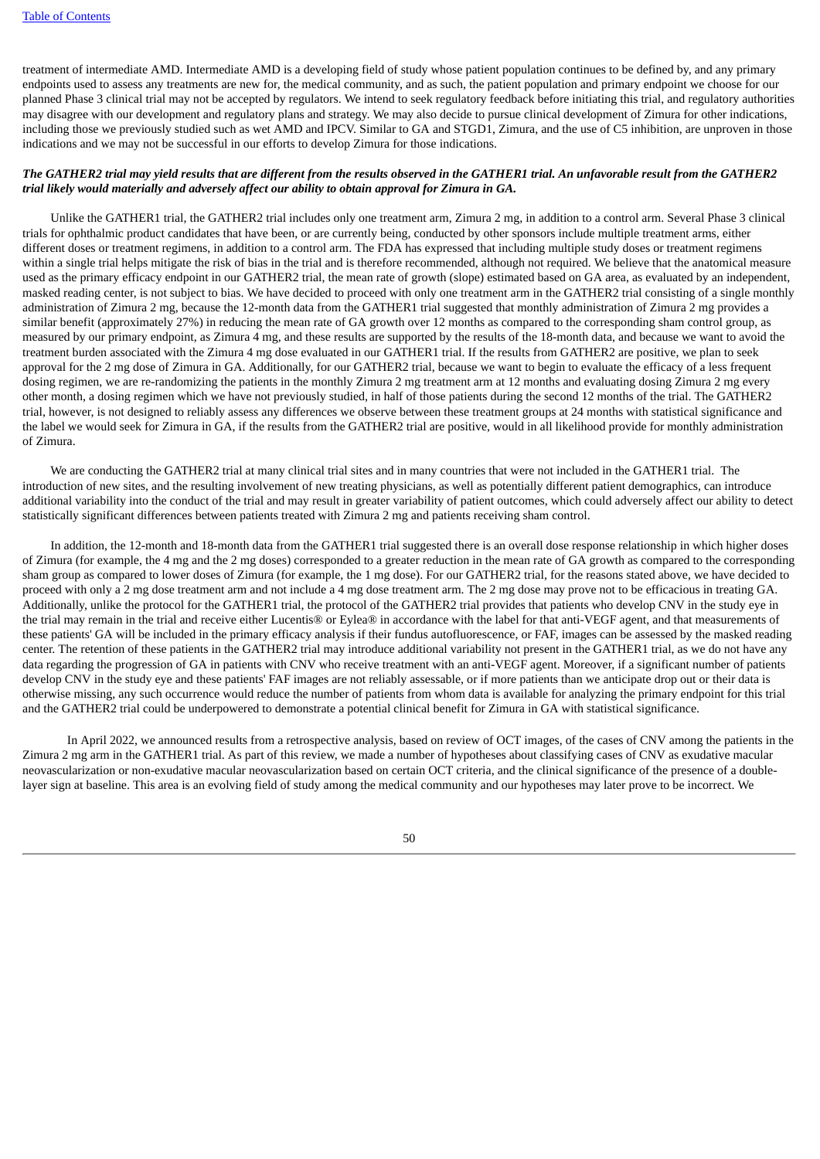treatment of intermediate AMD. Intermediate AMD is a developing field of study whose patient population continues to be defined by, and any primary endpoints used to assess any treatments are new for, the medical community, and as such, the patient population and primary endpoint we choose for our planned Phase 3 clinical trial may not be accepted by regulators. We intend to seek regulatory feedback before initiating this trial, and regulatory authorities may disagree with our development and regulatory plans and strategy. We may also decide to pursue clinical development of Zimura for other indications, including those we previously studied such as wet AMD and IPCV. Similar to GA and STGD1, Zimura, and the use of C5 inhibition, are unproven in those indications and we may not be successful in our efforts to develop Zimura for those indications.

# The GATHER2 trial may yield results that are different from the results observed in the GATHER1 trial. An unfavorable result from the GATHER2 *trial likely would materially and adversely affect our ability to obtain approval for Zimura in GA.*

Unlike the GATHER1 trial, the GATHER2 trial includes only one treatment arm, Zimura 2 mg, in addition to a control arm. Several Phase 3 clinical trials for ophthalmic product candidates that have been, or are currently being, conducted by other sponsors include multiple treatment arms, either different doses or treatment regimens, in addition to a control arm. The FDA has expressed that including multiple study doses or treatment regimens within a single trial helps mitigate the risk of bias in the trial and is therefore recommended, although not required. We believe that the anatomical measure used as the primary efficacy endpoint in our GATHER2 trial, the mean rate of growth (slope) estimated based on GA area, as evaluated by an independent, masked reading center, is not subject to bias. We have decided to proceed with only one treatment arm in the GATHER2 trial consisting of a single monthly administration of Zimura 2 mg, because the 12-month data from the GATHER1 trial suggested that monthly administration of Zimura 2 mg provides a similar benefit (approximately 27%) in reducing the mean rate of GA growth over 12 months as compared to the corresponding sham control group, as measured by our primary endpoint, as Zimura 4 mg, and these results are supported by the results of the 18-month data, and because we want to avoid the treatment burden associated with the Zimura 4 mg dose evaluated in our GATHER1 trial. If the results from GATHER2 are positive, we plan to seek approval for the 2 mg dose of Zimura in GA. Additionally, for our GATHER2 trial, because we want to begin to evaluate the efficacy of a less frequent dosing regimen, we are re-randomizing the patients in the monthly Zimura 2 mg treatment arm at 12 months and evaluating dosing Zimura 2 mg every other month, a dosing regimen which we have not previously studied, in half of those patients during the second 12 months of the trial. The GATHER2 trial, however, is not designed to reliably assess any differences we observe between these treatment groups at 24 months with statistical significance and the label we would seek for Zimura in GA, if the results from the GATHER2 trial are positive, would in all likelihood provide for monthly administration of Zimura.

We are conducting the GATHER2 trial at many clinical trial sites and in many countries that were not included in the GATHER1 trial. The introduction of new sites, and the resulting involvement of new treating physicians, as well as potentially different patient demographics, can introduce additional variability into the conduct of the trial and may result in greater variability of patient outcomes, which could adversely affect our ability to detect statistically significant differences between patients treated with Zimura 2 mg and patients receiving sham control.

In addition, the 12-month and 18-month data from the GATHER1 trial suggested there is an overall dose response relationship in which higher doses of Zimura (for example, the 4 mg and the 2 mg doses) corresponded to a greater reduction in the mean rate of GA growth as compared to the corresponding sham group as compared to lower doses of Zimura (for example, the 1 mg dose). For our GATHER2 trial, for the reasons stated above, we have decided to proceed with only a 2 mg dose treatment arm and not include a 4 mg dose treatment arm. The 2 mg dose may prove not to be efficacious in treating GA. Additionally, unlike the protocol for the GATHER1 trial, the protocol of the GATHER2 trial provides that patients who develop CNV in the study eye in the trial may remain in the trial and receive either Lucentis® or Eylea® in accordance with the label for that anti-VEGF agent, and that measurements of these patients' GA will be included in the primary efficacy analysis if their fundus autofluorescence, or FAF, images can be assessed by the masked reading center. The retention of these patients in the GATHER2 trial may introduce additional variability not present in the GATHER1 trial, as we do not have any data regarding the progression of GA in patients with CNV who receive treatment with an anti-VEGF agent. Moreover, if a significant number of patients develop CNV in the study eye and these patients' FAF images are not reliably assessable, or if more patients than we anticipate drop out or their data is otherwise missing, any such occurrence would reduce the number of patients from whom data is available for analyzing the primary endpoint for this trial and the GATHER2 trial could be underpowered to demonstrate a potential clinical benefit for Zimura in GA with statistical significance.

In April 2022, we announced results from a retrospective analysis, based on review of OCT images, of the cases of CNV among the patients in the Zimura 2 mg arm in the GATHER1 trial. As part of this review, we made a number of hypotheses about classifying cases of CNV as exudative macular neovascularization or non-exudative macular neovascularization based on certain OCT criteria, and the clinical significance of the presence of a doublelayer sign at baseline. This area is an evolving field of study among the medical community and our hypotheses may later prove to be incorrect. We

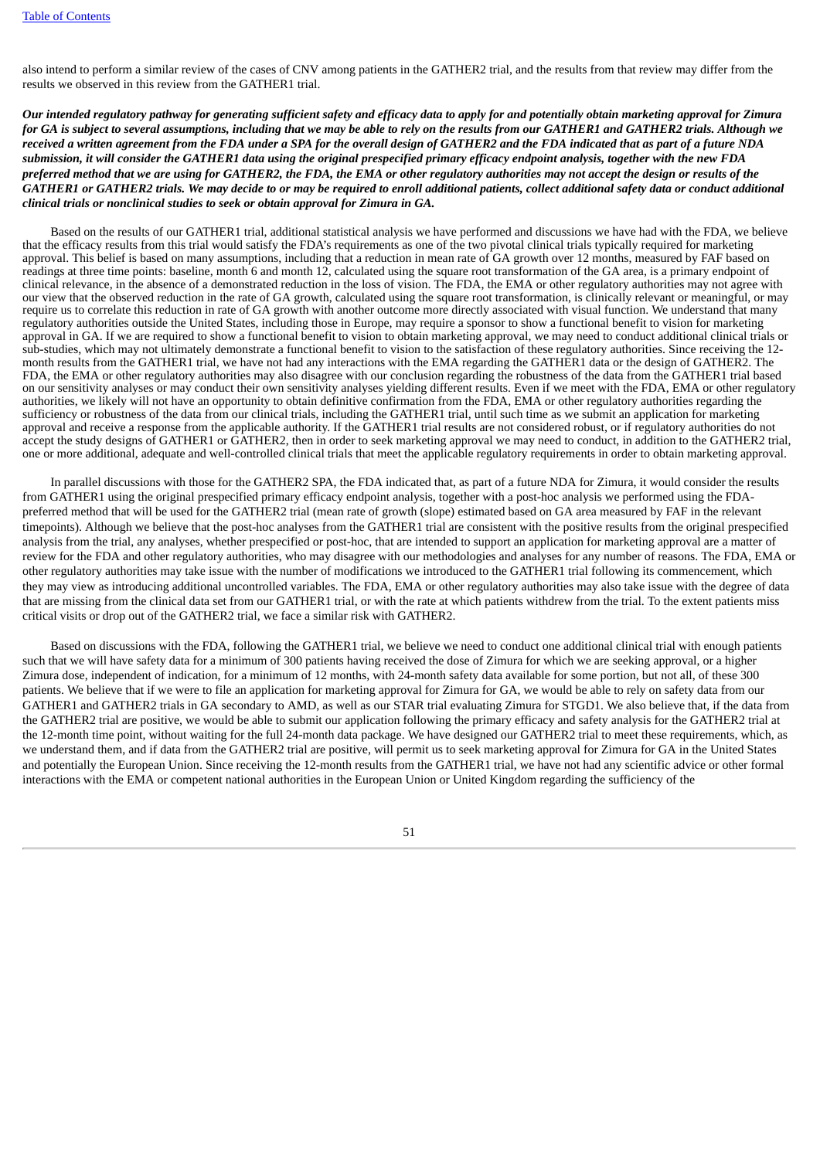also intend to perform a similar review of the cases of CNV among patients in the GATHER2 trial, and the results from that review may differ from the results we observed in this review from the GATHER1 trial.

Our intended regulatory pathway for generating sufficient safety and efficacy data to apply for and potentially obtain marketing approval for Zimura for GA is subject to several assumptions, including that we may be able to rely on the results from our GATHER1 and GATHER2 trials. Although we received a written agreement from the FDA under a SPA for the overall design of GATHER2 and the FDA indicated that as part of a future NDA submission, it will consider the GATHER1 data using the original prespecified primary efficacy endpoint analysis, together with the new FDA preferred method that we are using for GATHER2, the FDA, the EMA or other regulatory authorities may not accept the design or results of the GATHER1 or GATHER2 trials. We may decide to or may be required to enroll additional patients, collect additional safety data or conduct additional *clinical trials or nonclinical studies to seek or obtain approval for Zimura in GA.*

Based on the results of our GATHER1 trial, additional statistical analysis we have performed and discussions we have had with the FDA, we believe that the efficacy results from this trial would satisfy the FDA's requirements as one of the two pivotal clinical trials typically required for marketing approval. This belief is based on many assumptions, including that a reduction in mean rate of GA growth over 12 months, measured by FAF based on readings at three time points: baseline, month 6 and month 12, calculated using the square root transformation of the GA area, is a primary endpoint of clinical relevance, in the absence of a demonstrated reduction in the loss of vision. The FDA, the EMA or other regulatory authorities may not agree with our view that the observed reduction in the rate of GA growth, calculated using the square root transformation, is clinically relevant or meaningful, or may require us to correlate this reduction in rate of GA growth with another outcome more directly associated with visual function. We understand that many regulatory authorities outside the United States, including those in Europe, may require a sponsor to show a functional benefit to vision for marketing approval in GA. If we are required to show a functional benefit to vision to obtain marketing approval, we may need to conduct additional clinical trials or sub-studies, which may not ultimately demonstrate a functional benefit to vision to the satisfaction of these regulatory authorities. Since receiving the 12 month results from the GATHER1 trial, we have not had any interactions with the EMA regarding the GATHER1 data or the design of GATHER2. The FDA, the EMA or other regulatory authorities may also disagree with our conclusion regarding the robustness of the data from the GATHER1 trial based on our sensitivity analyses or may conduct their own sensitivity analyses yielding different results. Even if we meet with the FDA, EMA or other regulatory authorities, we likely will not have an opportunity to obtain definitive confirmation from the FDA, EMA or other regulatory authorities regarding the sufficiency or robustness of the data from our clinical trials, including the GATHER1 trial, until such time as we submit an application for marketing approval and receive a response from the applicable authority. If the GATHER1 trial results are not considered robust, or if regulatory authorities do not accept the study designs of GATHER1 or GATHER2, then in order to seek marketing approval we may need to conduct, in addition to the GATHER2 trial, one or more additional, adequate and well-controlled clinical trials that meet the applicable regulatory requirements in order to obtain marketing approval.

In parallel discussions with those for the GATHER2 SPA, the FDA indicated that, as part of a future NDA for Zimura, it would consider the results from GATHER1 using the original prespecified primary efficacy endpoint analysis, together with a post-hoc analysis we performed using the FDApreferred method that will be used for the GATHER2 trial (mean rate of growth (slope) estimated based on GA area measured by FAF in the relevant timepoints). Although we believe that the post-hoc analyses from the GATHER1 trial are consistent with the positive results from the original prespecified analysis from the trial, any analyses, whether prespecified or post-hoc, that are intended to support an application for marketing approval are a matter of review for the FDA and other regulatory authorities, who may disagree with our methodologies and analyses for any number of reasons. The FDA, EMA or other regulatory authorities may take issue with the number of modifications we introduced to the GATHER1 trial following its commencement, which they may view as introducing additional uncontrolled variables. The FDA, EMA or other regulatory authorities may also take issue with the degree of data that are missing from the clinical data set from our GATHER1 trial, or with the rate at which patients withdrew from the trial. To the extent patients miss critical visits or drop out of the GATHER2 trial, we face a similar risk with GATHER2.

Based on discussions with the FDA, following the GATHER1 trial, we believe we need to conduct one additional clinical trial with enough patients such that we will have safety data for a minimum of 300 patients having received the dose of Zimura for which we are seeking approval, or a higher Zimura dose, independent of indication, for a minimum of 12 months, with 24-month safety data available for some portion, but not all, of these 300 patients. We believe that if we were to file an application for marketing approval for Zimura for GA, we would be able to rely on safety data from our GATHER1 and GATHER2 trials in GA secondary to AMD, as well as our STAR trial evaluating Zimura for STGD1. We also believe that, if the data from the GATHER2 trial are positive, we would be able to submit our application following the primary efficacy and safety analysis for the GATHER2 trial at the 12-month time point, without waiting for the full 24-month data package. We have designed our GATHER2 trial to meet these requirements, which, as we understand them, and if data from the GATHER2 trial are positive, will permit us to seek marketing approval for Zimura for GA in the United States and potentially the European Union. Since receiving the 12-month results from the GATHER1 trial, we have not had any scientific advice or other formal interactions with the EMA or competent national authorities in the European Union or United Kingdom regarding the sufficiency of the

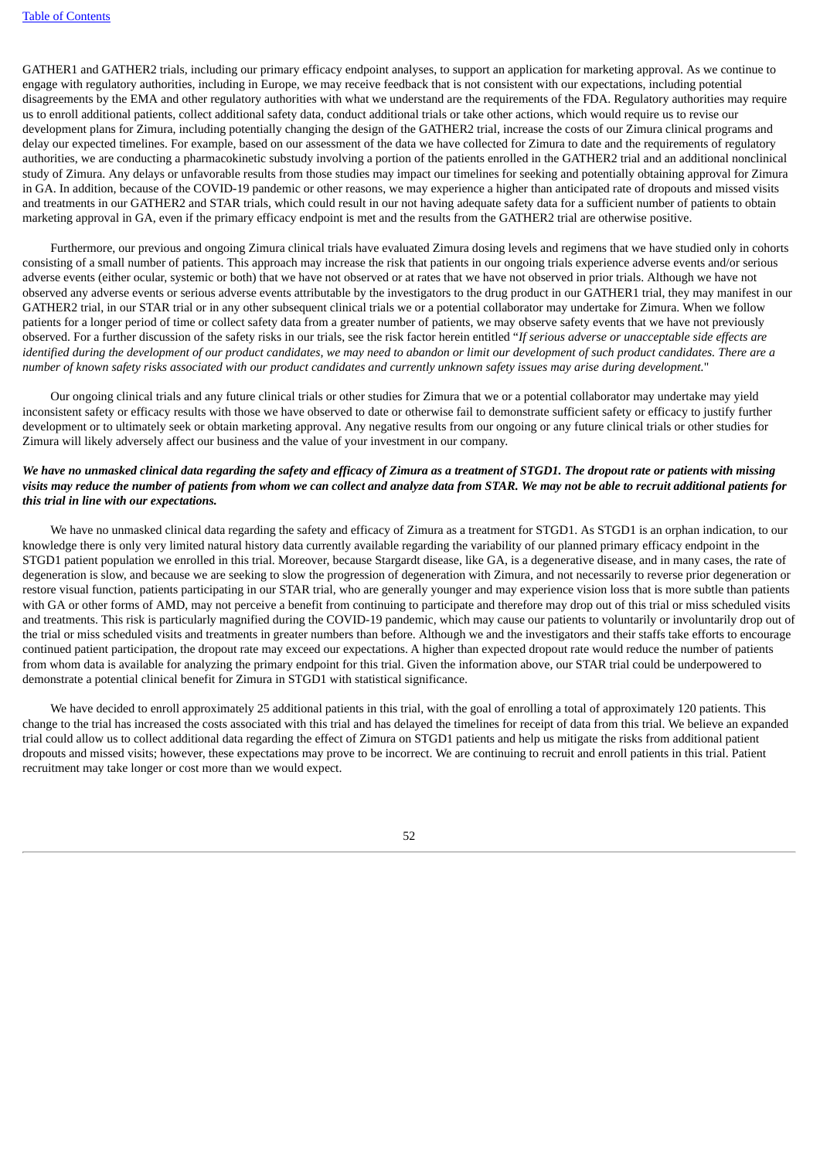GATHER1 and GATHER2 trials, including our primary efficacy endpoint analyses, to support an application for marketing approval. As we continue to engage with regulatory authorities, including in Europe, we may receive feedback that is not consistent with our expectations, including potential disagreements by the EMA and other regulatory authorities with what we understand are the requirements of the FDA. Regulatory authorities may require us to enroll additional patients, collect additional safety data, conduct additional trials or take other actions, which would require us to revise our development plans for Zimura, including potentially changing the design of the GATHER2 trial, increase the costs of our Zimura clinical programs and delay our expected timelines. For example, based on our assessment of the data we have collected for Zimura to date and the requirements of regulatory authorities, we are conducting a pharmacokinetic substudy involving a portion of the patients enrolled in the GATHER2 trial and an additional nonclinical study of Zimura. Any delays or unfavorable results from those studies may impact our timelines for seeking and potentially obtaining approval for Zimura in GA. In addition, because of the COVID-19 pandemic or other reasons, we may experience a higher than anticipated rate of dropouts and missed visits and treatments in our GATHER2 and STAR trials, which could result in our not having adequate safety data for a sufficient number of patients to obtain marketing approval in GA, even if the primary efficacy endpoint is met and the results from the GATHER2 trial are otherwise positive.

Furthermore, our previous and ongoing Zimura clinical trials have evaluated Zimura dosing levels and regimens that we have studied only in cohorts consisting of a small number of patients. This approach may increase the risk that patients in our ongoing trials experience adverse events and/or serious adverse events (either ocular, systemic or both) that we have not observed or at rates that we have not observed in prior trials. Although we have not observed any adverse events or serious adverse events attributable by the investigators to the drug product in our GATHER1 trial, they may manifest in our GATHER2 trial, in our STAR trial or in any other subsequent clinical trials we or a potential collaborator may undertake for Zimura. When we follow patients for a longer period of time or collect safety data from a greater number of patients, we may observe safety events that we have not previously observed. For a further discussion of the safety risks in our trials, see the risk factor herein entitled "*If serious adverse or unacceptable side effects are* identified during the development of our product candidates, we may need to abandon or limit our development of such product candidates. There are a number of known safety risks associated with our product candidates and currently unknown safety issues may arise during development."

Our ongoing clinical trials and any future clinical trials or other studies for Zimura that we or a potential collaborator may undertake may yield inconsistent safety or efficacy results with those we have observed to date or otherwise fail to demonstrate sufficient safety or efficacy to justify further development or to ultimately seek or obtain marketing approval. Any negative results from our ongoing or any future clinical trials or other studies for Zimura will likely adversely affect our business and the value of your investment in our company.

#### We have no unmasked clinical data regarding the safety and efficacy of Zimura as a treatment of STGD1. The dropout rate or patients with missing visits may reduce the number of patients from whom we can collect and analyze data from STAR. We may not be able to recruit additional patients for *this trial in line with our expectations.*

We have no unmasked clinical data regarding the safety and efficacy of Zimura as a treatment for STGD1. As STGD1 is an orphan indication, to our knowledge there is only very limited natural history data currently available regarding the variability of our planned primary efficacy endpoint in the STGD1 patient population we enrolled in this trial. Moreover, because Stargardt disease, like GA, is a degenerative disease, and in many cases, the rate of degeneration is slow, and because we are seeking to slow the progression of degeneration with Zimura, and not necessarily to reverse prior degeneration or restore visual function, patients participating in our STAR trial, who are generally younger and may experience vision loss that is more subtle than patients with GA or other forms of AMD, may not perceive a benefit from continuing to participate and therefore may drop out of this trial or miss scheduled visits and treatments. This risk is particularly magnified during the COVID-19 pandemic, which may cause our patients to voluntarily or involuntarily drop out of the trial or miss scheduled visits and treatments in greater numbers than before. Although we and the investigators and their staffs take efforts to encourage continued patient participation, the dropout rate may exceed our expectations. A higher than expected dropout rate would reduce the number of patients from whom data is available for analyzing the primary endpoint for this trial. Given the information above, our STAR trial could be underpowered to demonstrate a potential clinical benefit for Zimura in STGD1 with statistical significance.

We have decided to enroll approximately 25 additional patients in this trial, with the goal of enrolling a total of approximately 120 patients. This change to the trial has increased the costs associated with this trial and has delayed the timelines for receipt of data from this trial. We believe an expanded trial could allow us to collect additional data regarding the effect of Zimura on STGD1 patients and help us mitigate the risks from additional patient dropouts and missed visits; however, these expectations may prove to be incorrect. We are continuing to recruit and enroll patients in this trial. Patient recruitment may take longer or cost more than we would expect.

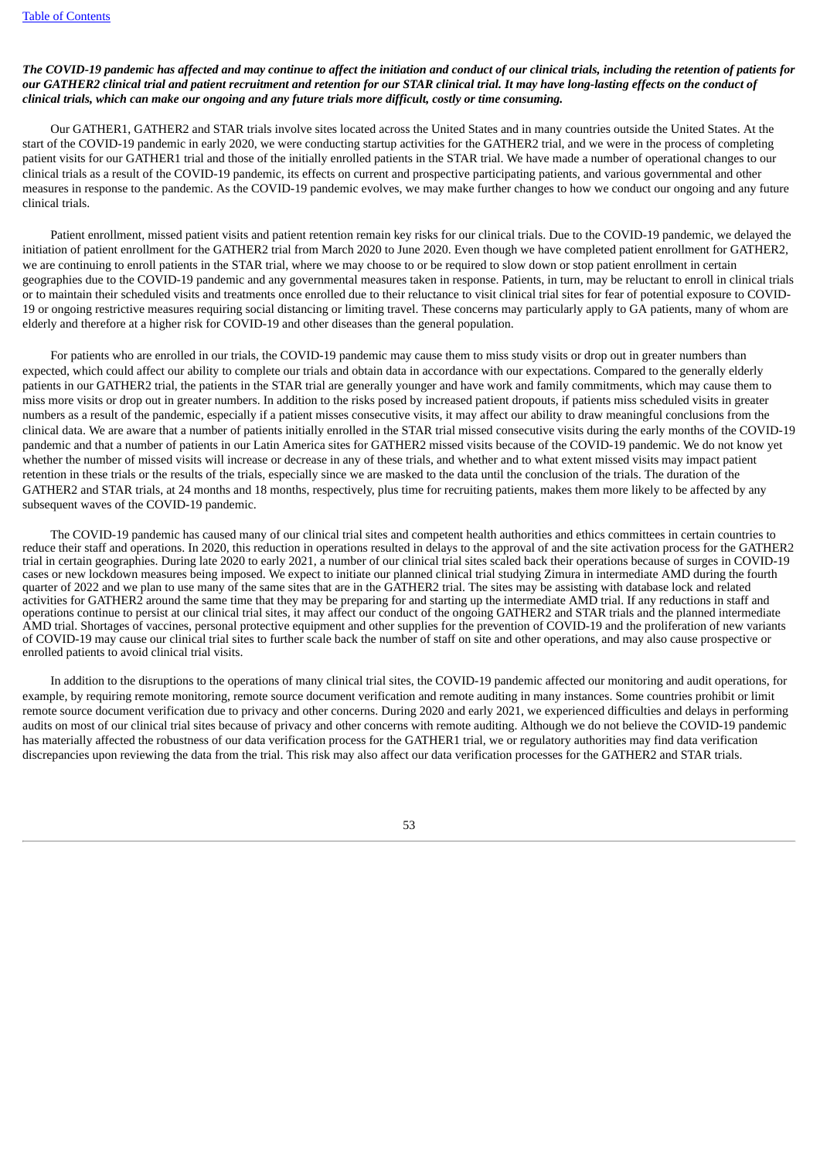# The COVID-19 pandemic has affected and may continue to affect the initiation and conduct of our clinical trials, including the retention of patients for our GATHER2 clinical trial and patient recruitment and retention for our STAR clinical trial. It may have long-lasting effects on the conduct of clinical trials, which can make our ongoing and any future trials more difficult, costly or time consuming.

Our GATHER1, GATHER2 and STAR trials involve sites located across the United States and in many countries outside the United States. At the start of the COVID-19 pandemic in early 2020, we were conducting startup activities for the GATHER2 trial, and we were in the process of completing patient visits for our GATHER1 trial and those of the initially enrolled patients in the STAR trial. We have made a number of operational changes to our clinical trials as a result of the COVID-19 pandemic, its effects on current and prospective participating patients, and various governmental and other measures in response to the pandemic. As the COVID-19 pandemic evolves, we may make further changes to how we conduct our ongoing and any future clinical trials.

Patient enrollment, missed patient visits and patient retention remain key risks for our clinical trials. Due to the COVID-19 pandemic, we delayed the initiation of patient enrollment for the GATHER2 trial from March 2020 to June 2020. Even though we have completed patient enrollment for GATHER2, we are continuing to enroll patients in the STAR trial, where we may choose to or be required to slow down or stop patient enrollment in certain geographies due to the COVID-19 pandemic and any governmental measures taken in response. Patients, in turn, may be reluctant to enroll in clinical trials or to maintain their scheduled visits and treatments once enrolled due to their reluctance to visit clinical trial sites for fear of potential exposure to COVID-19 or ongoing restrictive measures requiring social distancing or limiting travel. These concerns may particularly apply to GA patients, many of whom are elderly and therefore at a higher risk for COVID-19 and other diseases than the general population.

For patients who are enrolled in our trials, the COVID-19 pandemic may cause them to miss study visits or drop out in greater numbers than expected, which could affect our ability to complete our trials and obtain data in accordance with our expectations. Compared to the generally elderly patients in our GATHER2 trial, the patients in the STAR trial are generally younger and have work and family commitments, which may cause them to miss more visits or drop out in greater numbers. In addition to the risks posed by increased patient dropouts, if patients miss scheduled visits in greater numbers as a result of the pandemic, especially if a patient misses consecutive visits, it may affect our ability to draw meaningful conclusions from the clinical data. We are aware that a number of patients initially enrolled in the STAR trial missed consecutive visits during the early months of the COVID-19 pandemic and that a number of patients in our Latin America sites for GATHER2 missed visits because of the COVID-19 pandemic. We do not know yet whether the number of missed visits will increase or decrease in any of these trials, and whether and to what extent missed visits may impact patient retention in these trials or the results of the trials, especially since we are masked to the data until the conclusion of the trials. The duration of the GATHER2 and STAR trials, at 24 months and 18 months, respectively, plus time for recruiting patients, makes them more likely to be affected by any subsequent waves of the COVID-19 pandemic.

The COVID-19 pandemic has caused many of our clinical trial sites and competent health authorities and ethics committees in certain countries to reduce their staff and operations. In 2020, this reduction in operations resulted in delays to the approval of and the site activation process for the GATHER2 trial in certain geographies. During late 2020 to early 2021, a number of our clinical trial sites scaled back their operations because of surges in COVID-19 cases or new lockdown measures being imposed. We expect to initiate our planned clinical trial studying Zimura in intermediate AMD during the fourth quarter of 2022 and we plan to use many of the same sites that are in the GATHER2 trial. The sites may be assisting with database lock and related activities for GATHER2 around the same time that they may be preparing for and starting up the intermediate AMD trial. If any reductions in staff and operations continue to persist at our clinical trial sites, it may affect our conduct of the ongoing GATHER2 and STAR trials and the planned intermediate AMD trial. Shortages of vaccines, personal protective equipment and other supplies for the prevention of COVID-19 and the proliferation of new variants of COVID-19 may cause our clinical trial sites to further scale back the number of staff on site and other operations, and may also cause prospective or enrolled patients to avoid clinical trial visits.

In addition to the disruptions to the operations of many clinical trial sites, the COVID-19 pandemic affected our monitoring and audit operations, for example, by requiring remote monitoring, remote source document verification and remote auditing in many instances. Some countries prohibit or limit remote source document verification due to privacy and other concerns. During 2020 and early 2021, we experienced difficulties and delays in performing audits on most of our clinical trial sites because of privacy and other concerns with remote auditing. Although we do not believe the COVID-19 pandemic has materially affected the robustness of our data verification process for the GATHER1 trial, we or regulatory authorities may find data verification discrepancies upon reviewing the data from the trial. This risk may also affect our data verification processes for the GATHER2 and STAR trials.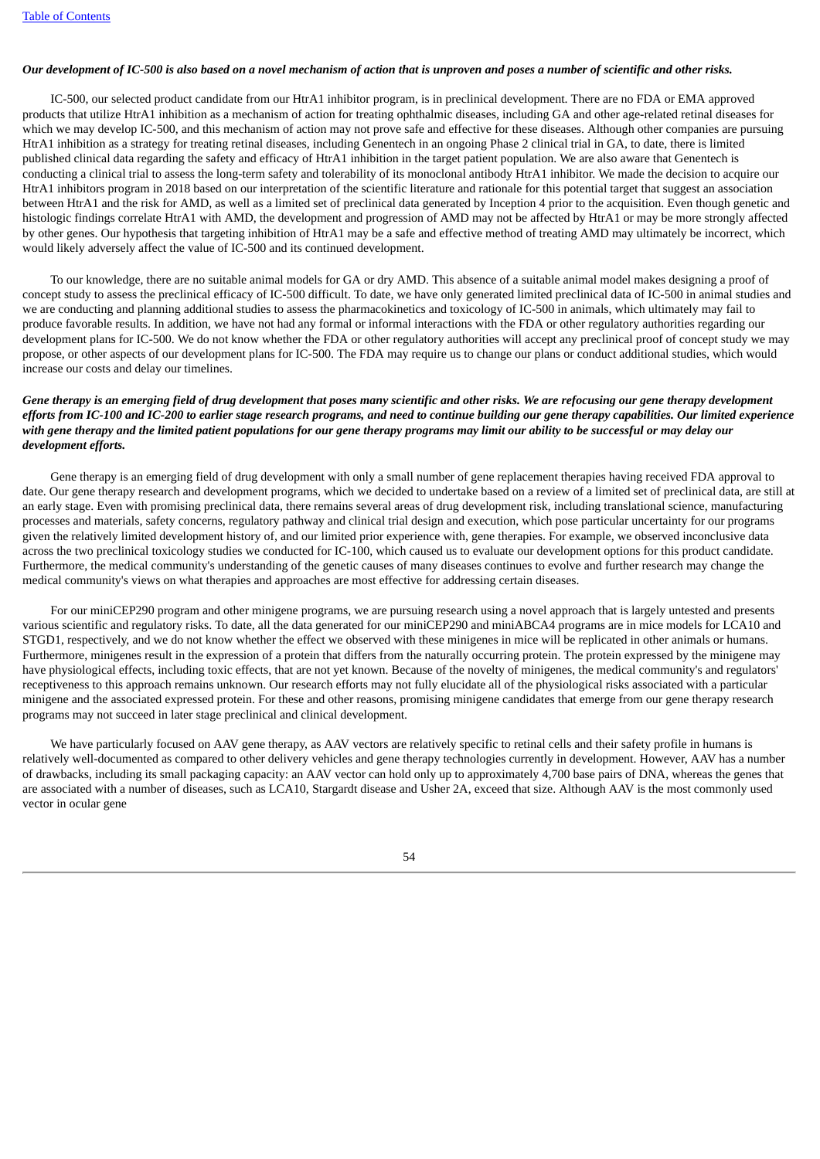#### Our development of IC-500 is also based on a novel mechanism of action that is unproven and poses a number of scientific and other risks.

IC-500, our selected product candidate from our HtrA1 inhibitor program, is in preclinical development. There are no FDA or EMA approved products that utilize HtrA1 inhibition as a mechanism of action for treating ophthalmic diseases, including GA and other age-related retinal diseases for which we may develop IC-500, and this mechanism of action may not prove safe and effective for these diseases. Although other companies are pursuing HtrA1 inhibition as a strategy for treating retinal diseases, including Genentech in an ongoing Phase 2 clinical trial in GA, to date, there is limited published clinical data regarding the safety and efficacy of HtrA1 inhibition in the target patient population. We are also aware that Genentech is conducting a clinical trial to assess the long-term safety and tolerability of its monoclonal antibody HtrA1 inhibitor. We made the decision to acquire our HtrA1 inhibitors program in 2018 based on our interpretation of the scientific literature and rationale for this potential target that suggest an association between HtrA1 and the risk for AMD, as well as a limited set of preclinical data generated by Inception 4 prior to the acquisition. Even though genetic and histologic findings correlate HtrA1 with AMD, the development and progression of AMD may not be affected by HtrA1 or may be more strongly affected by other genes. Our hypothesis that targeting inhibition of HtrA1 may be a safe and effective method of treating AMD may ultimately be incorrect, which would likely adversely affect the value of IC-500 and its continued development.

To our knowledge, there are no suitable animal models for GA or dry AMD. This absence of a suitable animal model makes designing a proof of concept study to assess the preclinical efficacy of IC-500 difficult. To date, we have only generated limited preclinical data of IC-500 in animal studies and we are conducting and planning additional studies to assess the pharmacokinetics and toxicology of IC-500 in animals, which ultimately may fail to produce favorable results. In addition, we have not had any formal or informal interactions with the FDA or other regulatory authorities regarding our development plans for IC-500. We do not know whether the FDA or other regulatory authorities will accept any preclinical proof of concept study we may propose, or other aspects of our development plans for IC-500. The FDA may require us to change our plans or conduct additional studies, which would increase our costs and delay our timelines.

# Gene therapy is an emerging field of drug development that poses many scientific and other risks. We are refocusing our gene therapy development efforts from IC-100 and IC-200 to earlier stage research programs, and need to continue building our gene therapy capabilities. Our limited experience with gene therapy and the limited patient populations for our gene therapy programs may limit our ability to be successful or may delay our *development efforts.*

Gene therapy is an emerging field of drug development with only a small number of gene replacement therapies having received FDA approval to date. Our gene therapy research and development programs, which we decided to undertake based on a review of a limited set of preclinical data, are still at an early stage. Even with promising preclinical data, there remains several areas of drug development risk, including translational science, manufacturing processes and materials, safety concerns, regulatory pathway and clinical trial design and execution, which pose particular uncertainty for our programs given the relatively limited development history of, and our limited prior experience with, gene therapies. For example, we observed inconclusive data across the two preclinical toxicology studies we conducted for IC-100, which caused us to evaluate our development options for this product candidate. Furthermore, the medical community's understanding of the genetic causes of many diseases continues to evolve and further research may change the medical community's views on what therapies and approaches are most effective for addressing certain diseases.

For our miniCEP290 program and other minigene programs, we are pursuing research using a novel approach that is largely untested and presents various scientific and regulatory risks. To date, all the data generated for our miniCEP290 and miniABCA4 programs are in mice models for LCA10 and STGD1, respectively, and we do not know whether the effect we observed with these minigenes in mice will be replicated in other animals or humans. Furthermore, minigenes result in the expression of a protein that differs from the naturally occurring protein. The protein expressed by the minigene may have physiological effects, including toxic effects, that are not yet known. Because of the novelty of minigenes, the medical community's and regulators' receptiveness to this approach remains unknown. Our research efforts may not fully elucidate all of the physiological risks associated with a particular minigene and the associated expressed protein. For these and other reasons, promising minigene candidates that emerge from our gene therapy research programs may not succeed in later stage preclinical and clinical development.

We have particularly focused on AAV gene therapy, as AAV vectors are relatively specific to retinal cells and their safety profile in humans is relatively well-documented as compared to other delivery vehicles and gene therapy technologies currently in development. However, AAV has a number of drawbacks, including its small packaging capacity: an AAV vector can hold only up to approximately 4,700 base pairs of DNA, whereas the genes that are associated with a number of diseases, such as LCA10, Stargardt disease and Usher 2A, exceed that size. Although AAV is the most commonly used vector in ocular gene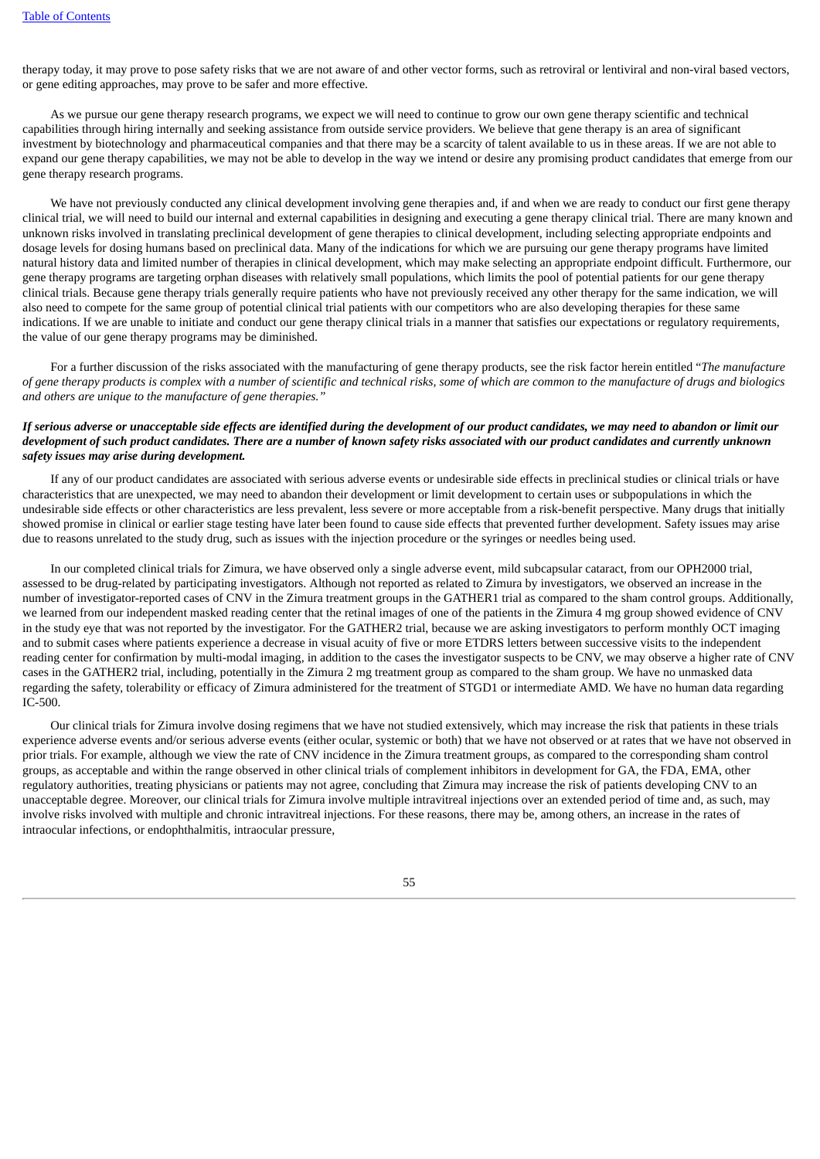therapy today, it may prove to pose safety risks that we are not aware of and other vector forms, such as retroviral or lentiviral and non-viral based vectors, or gene editing approaches, may prove to be safer and more effective.

As we pursue our gene therapy research programs, we expect we will need to continue to grow our own gene therapy scientific and technical capabilities through hiring internally and seeking assistance from outside service providers. We believe that gene therapy is an area of significant investment by biotechnology and pharmaceutical companies and that there may be a scarcity of talent available to us in these areas. If we are not able to expand our gene therapy capabilities, we may not be able to develop in the way we intend or desire any promising product candidates that emerge from our gene therapy research programs.

We have not previously conducted any clinical development involving gene therapies and, if and when we are ready to conduct our first gene therapy clinical trial, we will need to build our internal and external capabilities in designing and executing a gene therapy clinical trial. There are many known and unknown risks involved in translating preclinical development of gene therapies to clinical development, including selecting appropriate endpoints and dosage levels for dosing humans based on preclinical data. Many of the indications for which we are pursuing our gene therapy programs have limited natural history data and limited number of therapies in clinical development, which may make selecting an appropriate endpoint difficult. Furthermore, our gene therapy programs are targeting orphan diseases with relatively small populations, which limits the pool of potential patients for our gene therapy clinical trials. Because gene therapy trials generally require patients who have not previously received any other therapy for the same indication, we will also need to compete for the same group of potential clinical trial patients with our competitors who are also developing therapies for these same indications. If we are unable to initiate and conduct our gene therapy clinical trials in a manner that satisfies our expectations or regulatory requirements, the value of our gene therapy programs may be diminished.

For a further discussion of the risks associated with the manufacturing of gene therapy products, see the risk factor herein entitled "*The manufacture* of gene therapy products is complex with a number of scientific and technical risks, some of which are common to the manufacture of drugs and biologics *and others are unique to the manufacture of gene therapies."*

### If serious adverse or unacceptable side effects are identified during the development of our product candidates, we may need to abandon or limit our development of such product candidates. There are a number of known safety risks associated with our product candidates and currently unknown *safety issues may arise during development.*

If any of our product candidates are associated with serious adverse events or undesirable side effects in preclinical studies or clinical trials or have characteristics that are unexpected, we may need to abandon their development or limit development to certain uses or subpopulations in which the undesirable side effects or other characteristics are less prevalent, less severe or more acceptable from a risk-benefit perspective. Many drugs that initially showed promise in clinical or earlier stage testing have later been found to cause side effects that prevented further development. Safety issues may arise due to reasons unrelated to the study drug, such as issues with the injection procedure or the syringes or needles being used.

In our completed clinical trials for Zimura, we have observed only a single adverse event, mild subcapsular cataract, from our OPH2000 trial, assessed to be drug-related by participating investigators. Although not reported as related to Zimura by investigators, we observed an increase in the number of investigator-reported cases of CNV in the Zimura treatment groups in the GATHER1 trial as compared to the sham control groups. Additionally, we learned from our independent masked reading center that the retinal images of one of the patients in the Zimura 4 mg group showed evidence of CNV in the study eye that was not reported by the investigator. For the GATHER2 trial, because we are asking investigators to perform monthly OCT imaging and to submit cases where patients experience a decrease in visual acuity of five or more ETDRS letters between successive visits to the independent reading center for confirmation by multi-modal imaging, in addition to the cases the investigator suspects to be CNV, we may observe a higher rate of CNV cases in the GATHER2 trial, including, potentially in the Zimura 2 mg treatment group as compared to the sham group. We have no unmasked data regarding the safety, tolerability or efficacy of Zimura administered for the treatment of STGD1 or intermediate AMD. We have no human data regarding IC-500.

Our clinical trials for Zimura involve dosing regimens that we have not studied extensively, which may increase the risk that patients in these trials experience adverse events and/or serious adverse events (either ocular, systemic or both) that we have not observed or at rates that we have not observed in prior trials. For example, although we view the rate of CNV incidence in the Zimura treatment groups, as compared to the corresponding sham control groups, as acceptable and within the range observed in other clinical trials of complement inhibitors in development for GA, the FDA, EMA, other regulatory authorities, treating physicians or patients may not agree, concluding that Zimura may increase the risk of patients developing CNV to an unacceptable degree. Moreover, our clinical trials for Zimura involve multiple intravitreal injections over an extended period of time and, as such, may involve risks involved with multiple and chronic intravitreal injections. For these reasons, there may be, among others, an increase in the rates of intraocular infections, or endophthalmitis, intraocular pressure,

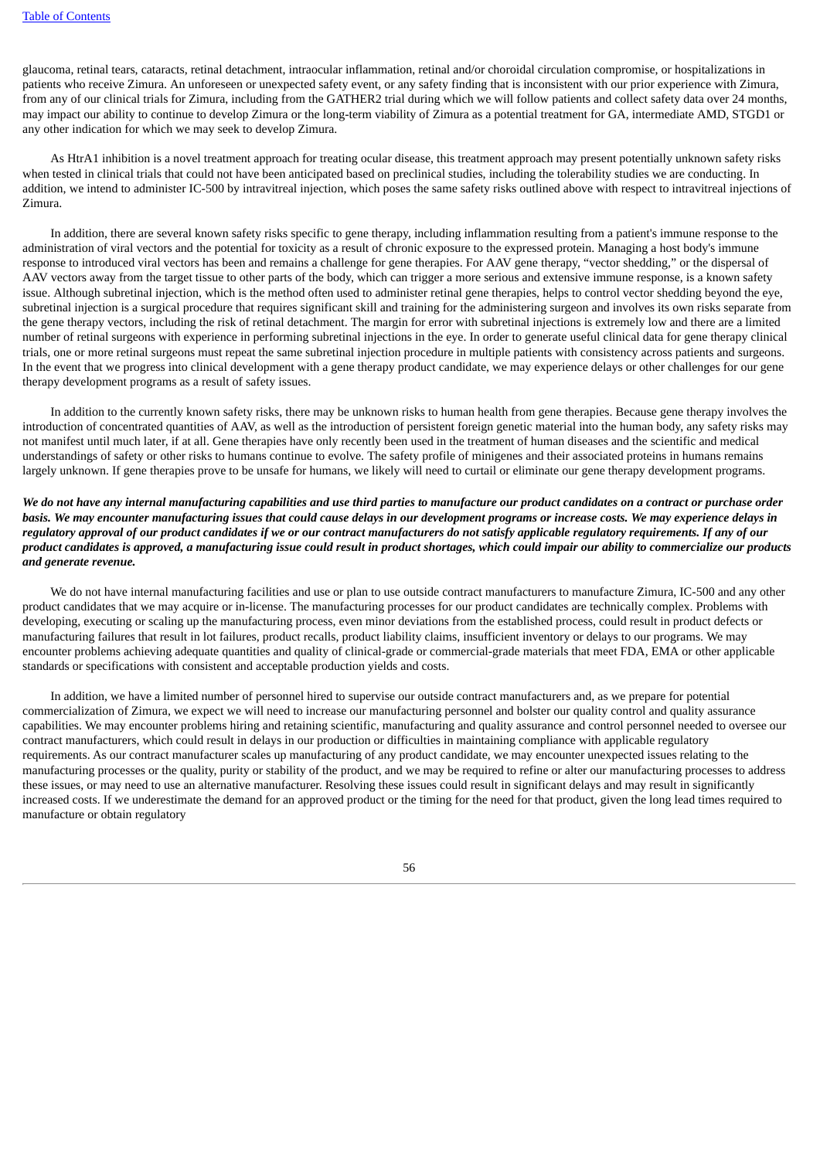glaucoma, retinal tears, cataracts, retinal detachment, intraocular inflammation, retinal and/or choroidal circulation compromise, or hospitalizations in patients who receive Zimura. An unforeseen or unexpected safety event, or any safety finding that is inconsistent with our prior experience with Zimura, from any of our clinical trials for Zimura, including from the GATHER2 trial during which we will follow patients and collect safety data over 24 months, may impact our ability to continue to develop Zimura or the long-term viability of Zimura as a potential treatment for GA, intermediate AMD, STGD1 or any other indication for which we may seek to develop Zimura.

As HtrA1 inhibition is a novel treatment approach for treating ocular disease, this treatment approach may present potentially unknown safety risks when tested in clinical trials that could not have been anticipated based on preclinical studies, including the tolerability studies we are conducting. In addition, we intend to administer IC-500 by intravitreal injection, which poses the same safety risks outlined above with respect to intravitreal injections of Zimura.

In addition, there are several known safety risks specific to gene therapy, including inflammation resulting from a patient's immune response to the administration of viral vectors and the potential for toxicity as a result of chronic exposure to the expressed protein. Managing a host body's immune response to introduced viral vectors has been and remains a challenge for gene therapies. For AAV gene therapy, "vector shedding," or the dispersal of AAV vectors away from the target tissue to other parts of the body, which can trigger a more serious and extensive immune response, is a known safety issue. Although subretinal injection, which is the method often used to administer retinal gene therapies, helps to control vector shedding beyond the eye, subretinal injection is a surgical procedure that requires significant skill and training for the administering surgeon and involves its own risks separate from the gene therapy vectors, including the risk of retinal detachment. The margin for error with subretinal injections is extremely low and there are a limited number of retinal surgeons with experience in performing subretinal injections in the eye. In order to generate useful clinical data for gene therapy clinical trials, one or more retinal surgeons must repeat the same subretinal injection procedure in multiple patients with consistency across patients and surgeons. In the event that we progress into clinical development with a gene therapy product candidate, we may experience delays or other challenges for our gene therapy development programs as a result of safety issues.

In addition to the currently known safety risks, there may be unknown risks to human health from gene therapies. Because gene therapy involves the introduction of concentrated quantities of AAV, as well as the introduction of persistent foreign genetic material into the human body, any safety risks may not manifest until much later, if at all. Gene therapies have only recently been used in the treatment of human diseases and the scientific and medical understandings of safety or other risks to humans continue to evolve. The safety profile of minigenes and their associated proteins in humans remains largely unknown. If gene therapies prove to be unsafe for humans, we likely will need to curtail or eliminate our gene therapy development programs.

We do not have any internal manufacturing capabilities and use third parties to manufacture our product candidates on a contract or purchase order basis. We may encounter manufacturing issues that could cause delays in our development programs or increase costs. We may experience delays in regulatory approval of our product candidates if we or our contract manufacturers do not satisfy applicable regulatory requirements. If any of our product candidates is approved, a manufacturing issue could result in product shortages, which could impair our ability to commercialize our products *and generate revenue.*

We do not have internal manufacturing facilities and use or plan to use outside contract manufacturers to manufacture Zimura, IC-500 and any other product candidates that we may acquire or in-license. The manufacturing processes for our product candidates are technically complex. Problems with developing, executing or scaling up the manufacturing process, even minor deviations from the established process, could result in product defects or manufacturing failures that result in lot failures, product recalls, product liability claims, insufficient inventory or delays to our programs. We may encounter problems achieving adequate quantities and quality of clinical-grade or commercial-grade materials that meet FDA, EMA or other applicable standards or specifications with consistent and acceptable production yields and costs.

In addition, we have a limited number of personnel hired to supervise our outside contract manufacturers and, as we prepare for potential commercialization of Zimura, we expect we will need to increase our manufacturing personnel and bolster our quality control and quality assurance capabilities. We may encounter problems hiring and retaining scientific, manufacturing and quality assurance and control personnel needed to oversee our contract manufacturers, which could result in delays in our production or difficulties in maintaining compliance with applicable regulatory requirements. As our contract manufacturer scales up manufacturing of any product candidate, we may encounter unexpected issues relating to the manufacturing processes or the quality, purity or stability of the product, and we may be required to refine or alter our manufacturing processes to address these issues, or may need to use an alternative manufacturer. Resolving these issues could result in significant delays and may result in significantly increased costs. If we underestimate the demand for an approved product or the timing for the need for that product, given the long lead times required to manufacture or obtain regulatory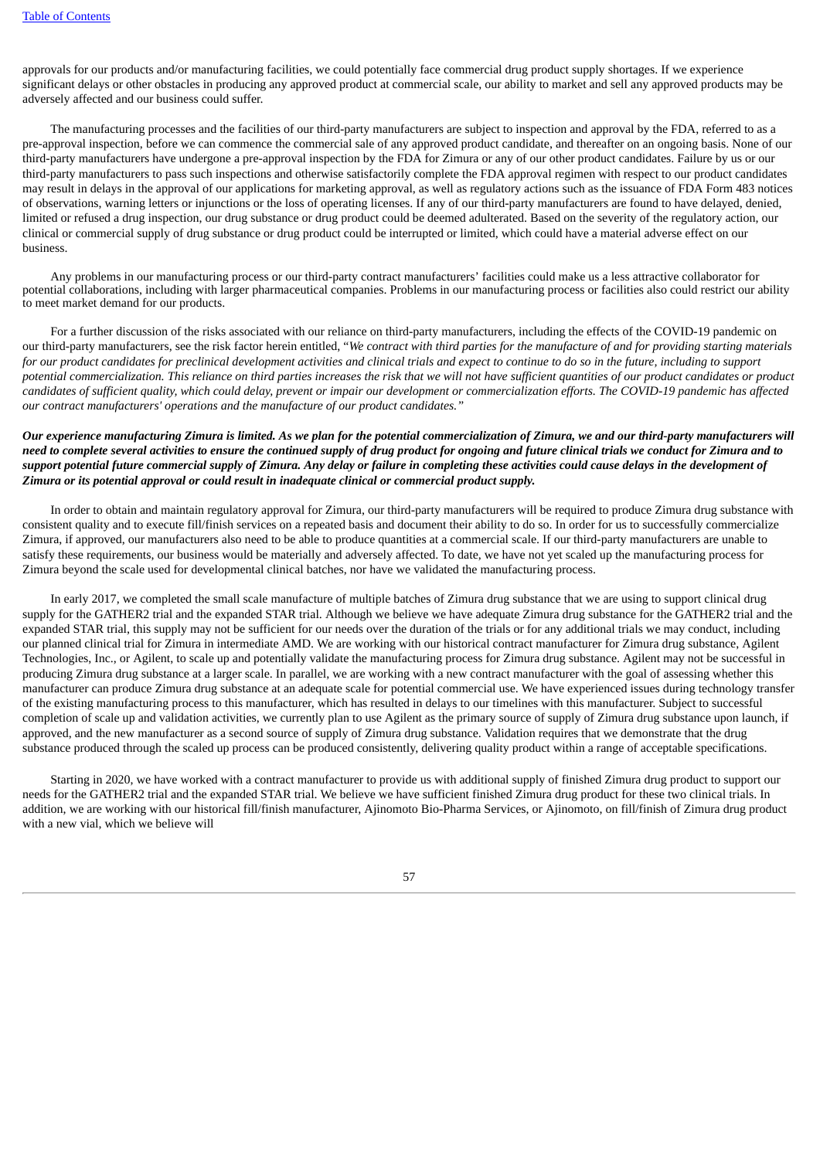approvals for our products and/or manufacturing facilities, we could potentially face commercial drug product supply shortages. If we experience significant delays or other obstacles in producing any approved product at commercial scale, our ability to market and sell any approved products may be adversely affected and our business could suffer.

The manufacturing processes and the facilities of our third-party manufacturers are subject to inspection and approval by the FDA, referred to as a pre-approval inspection, before we can commence the commercial sale of any approved product candidate, and thereafter on an ongoing basis. None of our third-party manufacturers have undergone a pre-approval inspection by the FDA for Zimura or any of our other product candidates. Failure by us or our third-party manufacturers to pass such inspections and otherwise satisfactorily complete the FDA approval regimen with respect to our product candidates may result in delays in the approval of our applications for marketing approval, as well as regulatory actions such as the issuance of FDA Form 483 notices of observations, warning letters or injunctions or the loss of operating licenses. If any of our third-party manufacturers are found to have delayed, denied, limited or refused a drug inspection, our drug substance or drug product could be deemed adulterated. Based on the severity of the regulatory action, our clinical or commercial supply of drug substance or drug product could be interrupted or limited, which could have a material adverse effect on our business.

Any problems in our manufacturing process or our third-party contract manufacturers' facilities could make us a less attractive collaborator for potential collaborations, including with larger pharmaceutical companies. Problems in our manufacturing process or facilities also could restrict our ability to meet market demand for our products.

For a further discussion of the risks associated with our reliance on third-party manufacturers, including the effects of the COVID-19 pandemic on our third-party manufacturers, see the risk factor herein entitled, "We contract with third parties for the manufacture of and for providing starting materials for our product candidates for preclinical development activities and clinical trials and expect to continue to do so in the future, including to support potential commercialization. This reliance on third parties increases the risk that we will not have sufficient quantities of our product candidates or product candidates of sufficient quality, which could delay, prevent or impair our development or commercialization efforts. The COVID-19 pandemic has affected *our contract manufacturers' operations and the manufacture of our product candidates."*

#### Our experience manufacturing Zimura is limited. As we plan for the potential commercialization of Zimura, we and our third-party manufacturers will need to complete several activities to ensure the continued supply of drug product for ongoing and future clinical trials we conduct for Zimura and to support potential future commercial supply of Zimura. Any delay or failure in completing these activities could cause delays in the development of *Zimura or its potential approval or could result in inadequate clinical or commercial product supply.*

In order to obtain and maintain regulatory approval for Zimura, our third-party manufacturers will be required to produce Zimura drug substance with consistent quality and to execute fill/finish services on a repeated basis and document their ability to do so. In order for us to successfully commercialize Zimura, if approved, our manufacturers also need to be able to produce quantities at a commercial scale. If our third-party manufacturers are unable to satisfy these requirements, our business would be materially and adversely affected. To date, we have not yet scaled up the manufacturing process for Zimura beyond the scale used for developmental clinical batches, nor have we validated the manufacturing process.

In early 2017, we completed the small scale manufacture of multiple batches of Zimura drug substance that we are using to support clinical drug supply for the GATHER2 trial and the expanded STAR trial. Although we believe we have adequate Zimura drug substance for the GATHER2 trial and the expanded STAR trial, this supply may not be sufficient for our needs over the duration of the trials or for any additional trials we may conduct, including our planned clinical trial for Zimura in intermediate AMD. We are working with our historical contract manufacturer for Zimura drug substance, Agilent Technologies, Inc., or Agilent, to scale up and potentially validate the manufacturing process for Zimura drug substance. Agilent may not be successful in producing Zimura drug substance at a larger scale. In parallel, we are working with a new contract manufacturer with the goal of assessing whether this manufacturer can produce Zimura drug substance at an adequate scale for potential commercial use. We have experienced issues during technology transfer of the existing manufacturing process to this manufacturer, which has resulted in delays to our timelines with this manufacturer. Subject to successful completion of scale up and validation activities, we currently plan to use Agilent as the primary source of supply of Zimura drug substance upon launch, if approved, and the new manufacturer as a second source of supply of Zimura drug substance. Validation requires that we demonstrate that the drug substance produced through the scaled up process can be produced consistently, delivering quality product within a range of acceptable specifications.

Starting in 2020, we have worked with a contract manufacturer to provide us with additional supply of finished Zimura drug product to support our needs for the GATHER2 trial and the expanded STAR trial. We believe we have sufficient finished Zimura drug product for these two clinical trials. In addition, we are working with our historical fill/finish manufacturer, Ajinomoto Bio-Pharma Services, or Ajinomoto, on fill/finish of Zimura drug product with a new vial, which we believe will

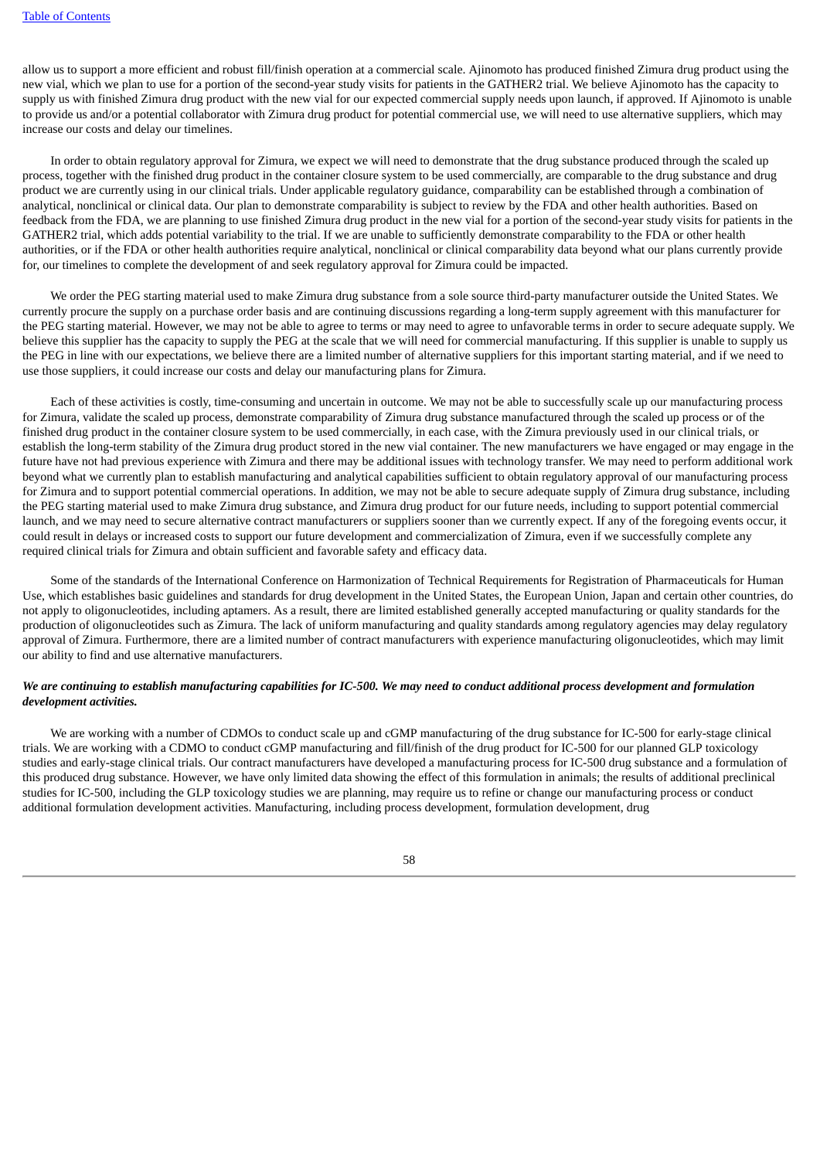allow us to support a more efficient and robust fill/finish operation at a commercial scale. Ajinomoto has produced finished Zimura drug product using the new vial, which we plan to use for a portion of the second-year study visits for patients in the GATHER2 trial. We believe Ajinomoto has the capacity to supply us with finished Zimura drug product with the new vial for our expected commercial supply needs upon launch, if approved. If Ajinomoto is unable to provide us and/or a potential collaborator with Zimura drug product for potential commercial use, we will need to use alternative suppliers, which may increase our costs and delay our timelines.

In order to obtain regulatory approval for Zimura, we expect we will need to demonstrate that the drug substance produced through the scaled up process, together with the finished drug product in the container closure system to be used commercially, are comparable to the drug substance and drug product we are currently using in our clinical trials. Under applicable regulatory guidance, comparability can be established through a combination of analytical, nonclinical or clinical data. Our plan to demonstrate comparability is subject to review by the FDA and other health authorities. Based on feedback from the FDA, we are planning to use finished Zimura drug product in the new vial for a portion of the second-year study visits for patients in the GATHER2 trial, which adds potential variability to the trial. If we are unable to sufficiently demonstrate comparability to the FDA or other health authorities, or if the FDA or other health authorities require analytical, nonclinical or clinical comparability data beyond what our plans currently provide for, our timelines to complete the development of and seek regulatory approval for Zimura could be impacted.

We order the PEG starting material used to make Zimura drug substance from a sole source third-party manufacturer outside the United States. We currently procure the supply on a purchase order basis and are continuing discussions regarding a long-term supply agreement with this manufacturer for the PEG starting material. However, we may not be able to agree to terms or may need to agree to unfavorable terms in order to secure adequate supply. We believe this supplier has the capacity to supply the PEG at the scale that we will need for commercial manufacturing. If this supplier is unable to supply us the PEG in line with our expectations, we believe there are a limited number of alternative suppliers for this important starting material, and if we need to use those suppliers, it could increase our costs and delay our manufacturing plans for Zimura.

Each of these activities is costly, time-consuming and uncertain in outcome. We may not be able to successfully scale up our manufacturing process for Zimura, validate the scaled up process, demonstrate comparability of Zimura drug substance manufactured through the scaled up process or of the finished drug product in the container closure system to be used commercially, in each case, with the Zimura previously used in our clinical trials, or establish the long-term stability of the Zimura drug product stored in the new vial container. The new manufacturers we have engaged or may engage in the future have not had previous experience with Zimura and there may be additional issues with technology transfer. We may need to perform additional work beyond what we currently plan to establish manufacturing and analytical capabilities sufficient to obtain regulatory approval of our manufacturing process for Zimura and to support potential commercial operations. In addition, we may not be able to secure adequate supply of Zimura drug substance, including the PEG starting material used to make Zimura drug substance, and Zimura drug product for our future needs, including to support potential commercial launch, and we may need to secure alternative contract manufacturers or suppliers sooner than we currently expect. If any of the foregoing events occur, it could result in delays or increased costs to support our future development and commercialization of Zimura, even if we successfully complete any required clinical trials for Zimura and obtain sufficient and favorable safety and efficacy data.

Some of the standards of the International Conference on Harmonization of Technical Requirements for Registration of Pharmaceuticals for Human Use, which establishes basic guidelines and standards for drug development in the United States, the European Union, Japan and certain other countries, do not apply to oligonucleotides, including aptamers. As a result, there are limited established generally accepted manufacturing or quality standards for the production of oligonucleotides such as Zimura. The lack of uniform manufacturing and quality standards among regulatory agencies may delay regulatory approval of Zimura. Furthermore, there are a limited number of contract manufacturers with experience manufacturing oligonucleotides, which may limit our ability to find and use alternative manufacturers.

# We are continuing to establish manufacturing capabilities for IC-500. We may need to conduct additional process development and formulation *development activities.*

We are working with a number of CDMOs to conduct scale up and cGMP manufacturing of the drug substance for IC-500 for early-stage clinical trials. We are working with a CDMO to conduct cGMP manufacturing and fill/finish of the drug product for IC-500 for our planned GLP toxicology studies and early-stage clinical trials. Our contract manufacturers have developed a manufacturing process for IC-500 drug substance and a formulation of this produced drug substance. However, we have only limited data showing the effect of this formulation in animals; the results of additional preclinical studies for IC-500, including the GLP toxicology studies we are planning, may require us to refine or change our manufacturing process or conduct additional formulation development activities. Manufacturing, including process development, formulation development, drug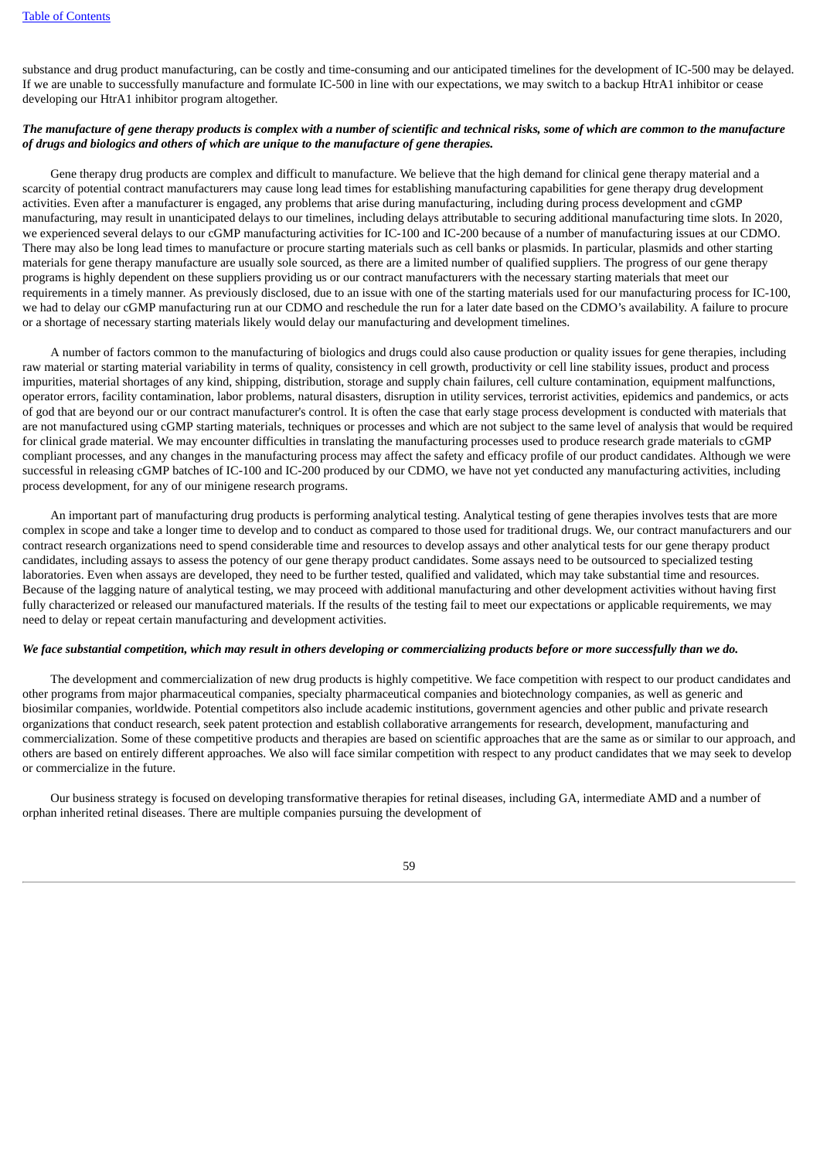substance and drug product manufacturing, can be costly and time-consuming and our anticipated timelines for the development of IC-500 may be delayed. If we are unable to successfully manufacture and formulate IC-500 in line with our expectations, we may switch to a backup HtrA1 inhibitor or cease developing our HtrA1 inhibitor program altogether.

# The manufacture of gene therapy products is complex with a number of scientific and technical risks, some of which are common to the manufacture *of drugs and biologics and others of which are unique to the manufacture of gene therapies.*

Gene therapy drug products are complex and difficult to manufacture. We believe that the high demand for clinical gene therapy material and a scarcity of potential contract manufacturers may cause long lead times for establishing manufacturing capabilities for gene therapy drug development activities. Even after a manufacturer is engaged, any problems that arise during manufacturing, including during process development and cGMP manufacturing, may result in unanticipated delays to our timelines, including delays attributable to securing additional manufacturing time slots. In 2020, we experienced several delays to our cGMP manufacturing activities for IC-100 and IC-200 because of a number of manufacturing issues at our CDMO. There may also be long lead times to manufacture or procure starting materials such as cell banks or plasmids. In particular, plasmids and other starting materials for gene therapy manufacture are usually sole sourced, as there are a limited number of qualified suppliers. The progress of our gene therapy programs is highly dependent on these suppliers providing us or our contract manufacturers with the necessary starting materials that meet our requirements in a timely manner. As previously disclosed, due to an issue with one of the starting materials used for our manufacturing process for IC-100, we had to delay our cGMP manufacturing run at our CDMO and reschedule the run for a later date based on the CDMO's availability. A failure to procure or a shortage of necessary starting materials likely would delay our manufacturing and development timelines.

A number of factors common to the manufacturing of biologics and drugs could also cause production or quality issues for gene therapies, including raw material or starting material variability in terms of quality, consistency in cell growth, productivity or cell line stability issues, product and process impurities, material shortages of any kind, shipping, distribution, storage and supply chain failures, cell culture contamination, equipment malfunctions, operator errors, facility contamination, labor problems, natural disasters, disruption in utility services, terrorist activities, epidemics and pandemics, or acts of god that are beyond our or our contract manufacturer's control. It is often the case that early stage process development is conducted with materials that are not manufactured using cGMP starting materials, techniques or processes and which are not subject to the same level of analysis that would be required for clinical grade material. We may encounter difficulties in translating the manufacturing processes used to produce research grade materials to cGMP compliant processes, and any changes in the manufacturing process may affect the safety and efficacy profile of our product candidates. Although we were successful in releasing cGMP batches of IC-100 and IC-200 produced by our CDMO, we have not yet conducted any manufacturing activities, including process development, for any of our minigene research programs.

An important part of manufacturing drug products is performing analytical testing. Analytical testing of gene therapies involves tests that are more complex in scope and take a longer time to develop and to conduct as compared to those used for traditional drugs. We, our contract manufacturers and our contract research organizations need to spend considerable time and resources to develop assays and other analytical tests for our gene therapy product candidates, including assays to assess the potency of our gene therapy product candidates. Some assays need to be outsourced to specialized testing laboratories. Even when assays are developed, they need to be further tested, qualified and validated, which may take substantial time and resources. Because of the lagging nature of analytical testing, we may proceed with additional manufacturing and other development activities without having first fully characterized or released our manufactured materials. If the results of the testing fail to meet our expectations or applicable requirements, we may need to delay or repeat certain manufacturing and development activities.

#### We face substantial competition, which may result in others developing or commercializing products before or more successfully than we do.

The development and commercialization of new drug products is highly competitive. We face competition with respect to our product candidates and other programs from major pharmaceutical companies, specialty pharmaceutical companies and biotechnology companies, as well as generic and biosimilar companies, worldwide. Potential competitors also include academic institutions, government agencies and other public and private research organizations that conduct research, seek patent protection and establish collaborative arrangements for research, development, manufacturing and commercialization. Some of these competitive products and therapies are based on scientific approaches that are the same as or similar to our approach, and others are based on entirely different approaches. We also will face similar competition with respect to any product candidates that we may seek to develop or commercialize in the future.

Our business strategy is focused on developing transformative therapies for retinal diseases, including GA, intermediate AMD and a number of orphan inherited retinal diseases. There are multiple companies pursuing the development of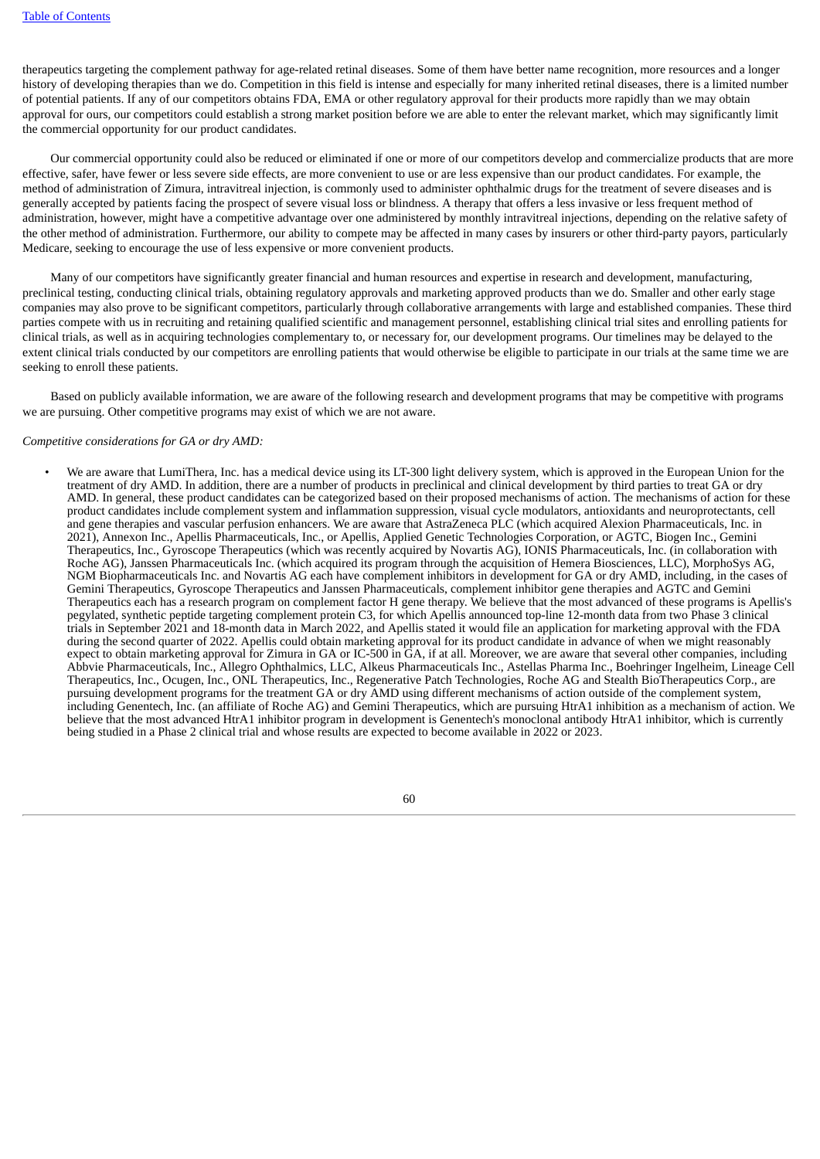therapeutics targeting the complement pathway for age-related retinal diseases. Some of them have better name recognition, more resources and a longer history of developing therapies than we do. Competition in this field is intense and especially for many inherited retinal diseases, there is a limited number of potential patients. If any of our competitors obtains FDA, EMA or other regulatory approval for their products more rapidly than we may obtain approval for ours, our competitors could establish a strong market position before we are able to enter the relevant market, which may significantly limit the commercial opportunity for our product candidates.

Our commercial opportunity could also be reduced or eliminated if one or more of our competitors develop and commercialize products that are more effective, safer, have fewer or less severe side effects, are more convenient to use or are less expensive than our product candidates. For example, the method of administration of Zimura, intravitreal injection, is commonly used to administer ophthalmic drugs for the treatment of severe diseases and is generally accepted by patients facing the prospect of severe visual loss or blindness. A therapy that offers a less invasive or less frequent method of administration, however, might have a competitive advantage over one administered by monthly intravitreal injections, depending on the relative safety of the other method of administration. Furthermore, our ability to compete may be affected in many cases by insurers or other third-party payors, particularly Medicare, seeking to encourage the use of less expensive or more convenient products.

Many of our competitors have significantly greater financial and human resources and expertise in research and development, manufacturing, preclinical testing, conducting clinical trials, obtaining regulatory approvals and marketing approved products than we do. Smaller and other early stage companies may also prove to be significant competitors, particularly through collaborative arrangements with large and established companies. These third parties compete with us in recruiting and retaining qualified scientific and management personnel, establishing clinical trial sites and enrolling patients for clinical trials, as well as in acquiring technologies complementary to, or necessary for, our development programs. Our timelines may be delayed to the extent clinical trials conducted by our competitors are enrolling patients that would otherwise be eligible to participate in our trials at the same time we are seeking to enroll these patients.

Based on publicly available information, we are aware of the following research and development programs that may be competitive with programs we are pursuing. Other competitive programs may exist of which we are not aware.

#### *Competitive considerations for GA or dry AMD:*

• We are aware that LumiThera, Inc. has a medical device using its LT-300 light delivery system, which is approved in the European Union for the treatment of dry AMD. In addition, there are a number of products in preclinical and clinical development by third parties to treat GA or dry AMD. In general, these product candidates can be categorized based on their proposed mechanisms of action. The mechanisms of action for these product candidates include complement system and inflammation suppression, visual cycle modulators, antioxidants and neuroprotectants, cell and gene therapies and vascular perfusion enhancers. We are aware that AstraZeneca PLC (which acquired Alexion Pharmaceuticals, Inc. in 2021), Annexon Inc., Apellis Pharmaceuticals, Inc., or Apellis, Applied Genetic Technologies Corporation, or AGTC, Biogen Inc., Gemini Therapeutics, Inc., Gyroscope Therapeutics (which was recently acquired by Novartis AG), IONIS Pharmaceuticals, Inc. (in collaboration with Roche AG), Janssen Pharmaceuticals Inc. (which acquired its program through the acquisition of Hemera Biosciences, LLC), MorphoSys AG, NGM Biopharmaceuticals Inc. and Novartis AG each have complement inhibitors in development for GA or dry AMD, including, in the cases of Gemini Therapeutics, Gyroscope Therapeutics and Janssen Pharmaceuticals, complement inhibitor gene therapies and AGTC and Gemini Therapeutics each has a research program on complement factor H gene therapy. We believe that the most advanced of these programs is Apellis's pegylated, synthetic peptide targeting complement protein C3, for which Apellis announced top-line 12-month data from two Phase 3 clinical trials in September 2021 and 18-month data in March 2022, and Apellis stated it would file an application for marketing approval with the FDA during the second quarter of 2022. Apellis could obtain marketing approval for its product candidate in advance of when we might reasonably expect to obtain marketing approval for Zimura in GA or IC-500 in GA, if at all. Moreover, we are aware that several other companies, including Abbvie Pharmaceuticals, Inc., Allegro Ophthalmics, LLC, Alkeus Pharmaceuticals Inc., Astellas Pharma Inc., Boehringer Ingelheim, Lineage Cell Therapeutics, Inc., Ocugen, Inc., ONL Therapeutics, Inc., Regenerative Patch Technologies, Roche AG and Stealth BioTherapeutics Corp., are pursuing development programs for the treatment GA or dry AMD using different mechanisms of action outside of the complement system, including Genentech, Inc. (an affiliate of Roche AG) and Gemini Therapeutics, which are pursuing HtrA1 inhibition as a mechanism of action. We believe that the most advanced HtrA1 inhibitor program in development is Genentech's monoclonal antibody HtrA1 inhibitor, which is currently being studied in a Phase 2 clinical trial and whose results are expected to become available in 2022 or 2023.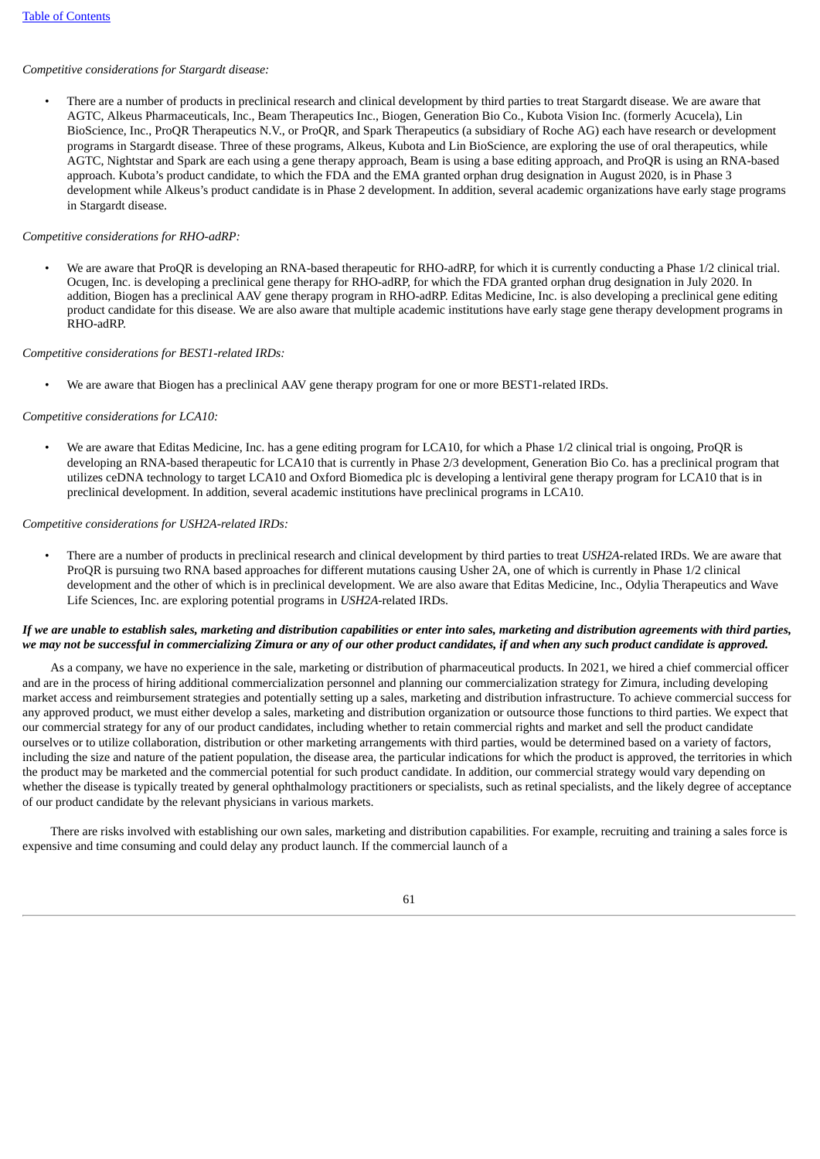# *Competitive considerations for Stargardt disease:*

• There are a number of products in preclinical research and clinical development by third parties to treat Stargardt disease. We are aware that AGTC, Alkeus Pharmaceuticals, Inc., Beam Therapeutics Inc., Biogen, Generation Bio Co., Kubota Vision Inc. (formerly Acucela), Lin BioScience, Inc., ProQR Therapeutics N.V., or ProQR, and Spark Therapeutics (a subsidiary of Roche AG) each have research or development programs in Stargardt disease. Three of these programs, Alkeus, Kubota and Lin BioScience, are exploring the use of oral therapeutics, while AGTC, Nightstar and Spark are each using a gene therapy approach, Beam is using a base editing approach, and ProQR is using an RNA-based approach. Kubota's product candidate, to which the FDA and the EMA granted orphan drug designation in August 2020, is in Phase 3 development while Alkeus's product candidate is in Phase 2 development. In addition, several academic organizations have early stage programs in Stargardt disease.

# *Competitive considerations for RHO-adRP:*

• We are aware that ProQR is developing an RNA-based therapeutic for RHO-adRP, for which it is currently conducting a Phase 1/2 clinical trial. Ocugen, Inc. is developing a preclinical gene therapy for RHO-adRP, for which the FDA granted orphan drug designation in July 2020. In addition, Biogen has a preclinical AAV gene therapy program in RHO-adRP. Editas Medicine, Inc. is also developing a preclinical gene editing product candidate for this disease. We are also aware that multiple academic institutions have early stage gene therapy development programs in RHO-adRP.

# *Competitive considerations for BEST1-related IRDs:*

• We are aware that Biogen has a preclinical AAV gene therapy program for one or more BEST1-related IRDs.

# *Competitive considerations for LCA10:*

• We are aware that Editas Medicine, Inc. has a gene editing program for LCA10, for which a Phase 1/2 clinical trial is ongoing, ProQR is developing an RNA-based therapeutic for LCA10 that is currently in Phase 2/3 development, Generation Bio Co. has a preclinical program that utilizes ceDNA technology to target LCA10 and Oxford Biomedica plc is developing a lentiviral gene therapy program for LCA10 that is in preclinical development. In addition, several academic institutions have preclinical programs in LCA10.

# *Competitive considerations for USH2A-related IRDs:*

• There are a number of products in preclinical research and clinical development by third parties to treat *USH2A*-related IRDs. We are aware that ProQR is pursuing two RNA based approaches for different mutations causing Usher 2A, one of which is currently in Phase 1/2 clinical development and the other of which is in preclinical development. We are also aware that Editas Medicine, Inc., Odylia Therapeutics and Wave Life Sciences, Inc. are exploring potential programs in *USH2A*-related IRDs.

# If we are unable to establish sales, marketina and distribution capabilities or enter into sales, marketina and distribution aareements with third parties, we may not be successful in commercializing Zimura or any of our other product candidates, if and when any such product candidate is approved.

As a company, we have no experience in the sale, marketing or distribution of pharmaceutical products. In 2021, we hired a chief commercial officer and are in the process of hiring additional commercialization personnel and planning our commercialization strategy for Zimura, including developing market access and reimbursement strategies and potentially setting up a sales, marketing and distribution infrastructure. To achieve commercial success for any approved product, we must either develop a sales, marketing and distribution organization or outsource those functions to third parties. We expect that our commercial strategy for any of our product candidates, including whether to retain commercial rights and market and sell the product candidate ourselves or to utilize collaboration, distribution or other marketing arrangements with third parties, would be determined based on a variety of factors, including the size and nature of the patient population, the disease area, the particular indications for which the product is approved, the territories in which the product may be marketed and the commercial potential for such product candidate. In addition, our commercial strategy would vary depending on whether the disease is typically treated by general ophthalmology practitioners or specialists, such as retinal specialists, and the likely degree of acceptance of our product candidate by the relevant physicians in various markets.

There are risks involved with establishing our own sales, marketing and distribution capabilities. For example, recruiting and training a sales force is expensive and time consuming and could delay any product launch. If the commercial launch of a

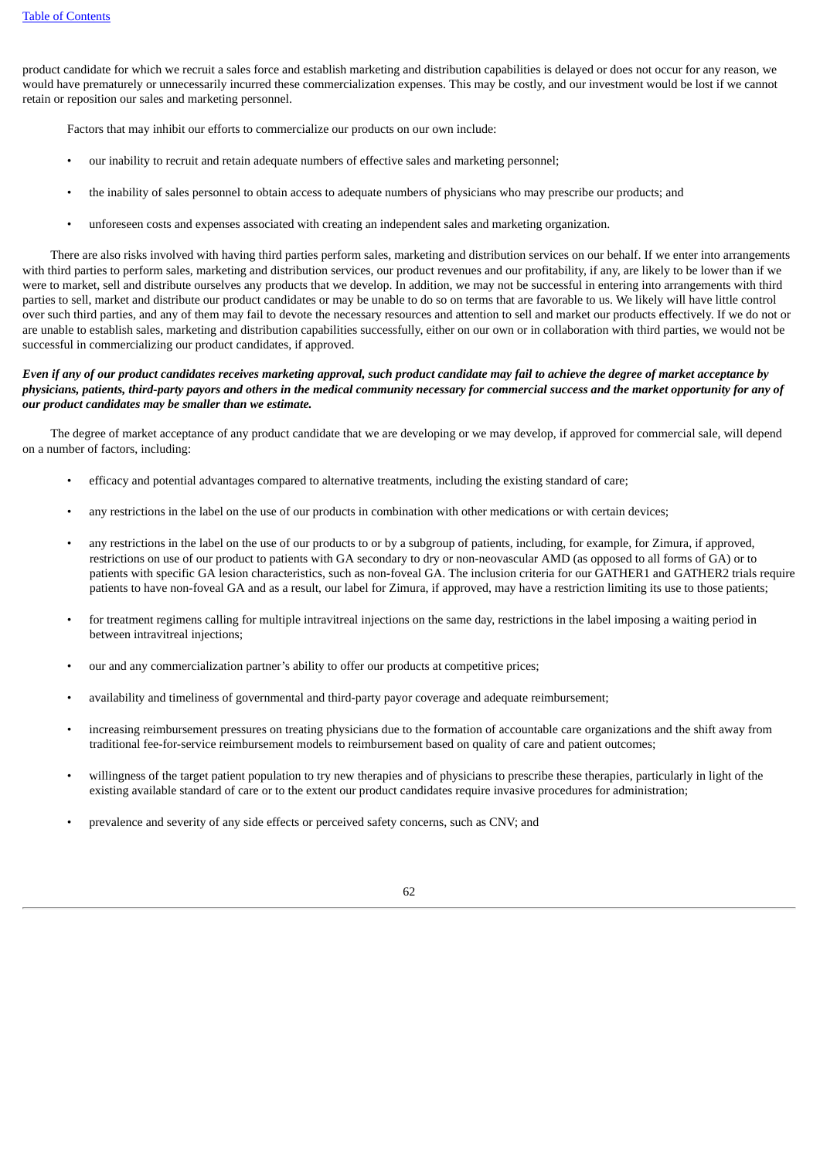product candidate for which we recruit a sales force and establish marketing and distribution capabilities is delayed or does not occur for any reason, we would have prematurely or unnecessarily incurred these commercialization expenses. This may be costly, and our investment would be lost if we cannot retain or reposition our sales and marketing personnel.

Factors that may inhibit our efforts to commercialize our products on our own include:

- our inability to recruit and retain adequate numbers of effective sales and marketing personnel;
- the inability of sales personnel to obtain access to adequate numbers of physicians who may prescribe our products; and
- unforeseen costs and expenses associated with creating an independent sales and marketing organization.

There are also risks involved with having third parties perform sales, marketing and distribution services on our behalf. If we enter into arrangements with third parties to perform sales, marketing and distribution services, our product revenues and our profitability, if any, are likely to be lower than if we were to market, sell and distribute ourselves any products that we develop. In addition, we may not be successful in entering into arrangements with third parties to sell, market and distribute our product candidates or may be unable to do so on terms that are favorable to us. We likely will have little control over such third parties, and any of them may fail to devote the necessary resources and attention to sell and market our products effectively. If we do not or are unable to establish sales, marketing and distribution capabilities successfully, either on our own or in collaboration with third parties, we would not be successful in commercializing our product candidates, if approved.

#### Even if any of our product candidates receives marketing approval, such product candidate may fail to achieve the degree of market acceptance by physicians, patients, third-party payors and others in the medical community necessary for commercial success and the market opportunity for any of *our product candidates may be smaller than we estimate.*

The degree of market acceptance of any product candidate that we are developing or we may develop, if approved for commercial sale, will depend on a number of factors, including:

- efficacy and potential advantages compared to alternative treatments, including the existing standard of care;
- any restrictions in the label on the use of our products in combination with other medications or with certain devices;
- any restrictions in the label on the use of our products to or by a subgroup of patients, including, for example, for Zimura, if approved, restrictions on use of our product to patients with GA secondary to dry or non-neovascular AMD (as opposed to all forms of GA) or to patients with specific GA lesion characteristics, such as non-foveal GA. The inclusion criteria for our GATHER1 and GATHER2 trials require patients to have non-foveal GA and as a result, our label for Zimura, if approved, may have a restriction limiting its use to those patients;
- for treatment regimens calling for multiple intravitreal injections on the same day, restrictions in the label imposing a waiting period in between intravitreal injections;
- our and any commercialization partner's ability to offer our products at competitive prices;
- availability and timeliness of governmental and third-party payor coverage and adequate reimbursement;
- increasing reimbursement pressures on treating physicians due to the formation of accountable care organizations and the shift away from traditional fee-for-service reimbursement models to reimbursement based on quality of care and patient outcomes;
- willingness of the target patient population to try new therapies and of physicians to prescribe these therapies, particularly in light of the existing available standard of care or to the extent our product candidates require invasive procedures for administration;
- prevalence and severity of any side effects or perceived safety concerns, such as CNV; and

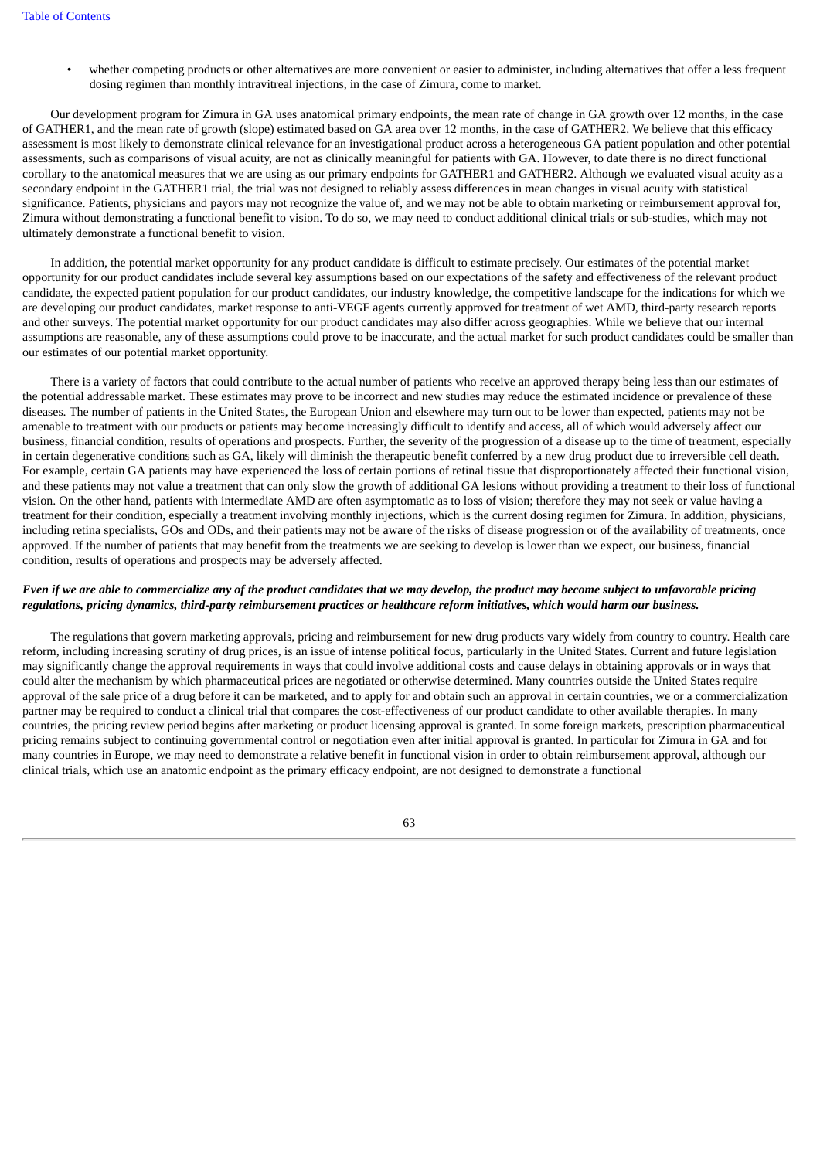• whether competing products or other alternatives are more convenient or easier to administer, including alternatives that offer a less frequent dosing regimen than monthly intravitreal injections, in the case of Zimura, come to market.

Our development program for Zimura in GA uses anatomical primary endpoints, the mean rate of change in GA growth over 12 months, in the case of GATHER1, and the mean rate of growth (slope) estimated based on GA area over 12 months, in the case of GATHER2. We believe that this efficacy assessment is most likely to demonstrate clinical relevance for an investigational product across a heterogeneous GA patient population and other potential assessments, such as comparisons of visual acuity, are not as clinically meaningful for patients with GA. However, to date there is no direct functional corollary to the anatomical measures that we are using as our primary endpoints for GATHER1 and GATHER2. Although we evaluated visual acuity as a secondary endpoint in the GATHER1 trial, the trial was not designed to reliably assess differences in mean changes in visual acuity with statistical significance. Patients, physicians and payors may not recognize the value of, and we may not be able to obtain marketing or reimbursement approval for, Zimura without demonstrating a functional benefit to vision. To do so, we may need to conduct additional clinical trials or sub-studies, which may not ultimately demonstrate a functional benefit to vision.

In addition, the potential market opportunity for any product candidate is difficult to estimate precisely. Our estimates of the potential market opportunity for our product candidates include several key assumptions based on our expectations of the safety and effectiveness of the relevant product candidate, the expected patient population for our product candidates, our industry knowledge, the competitive landscape for the indications for which we are developing our product candidates, market response to anti-VEGF agents currently approved for treatment of wet AMD, third-party research reports and other surveys. The potential market opportunity for our product candidates may also differ across geographies. While we believe that our internal assumptions are reasonable, any of these assumptions could prove to be inaccurate, and the actual market for such product candidates could be smaller than our estimates of our potential market opportunity.

There is a variety of factors that could contribute to the actual number of patients who receive an approved therapy being less than our estimates of the potential addressable market. These estimates may prove to be incorrect and new studies may reduce the estimated incidence or prevalence of these diseases. The number of patients in the United States, the European Union and elsewhere may turn out to be lower than expected, patients may not be amenable to treatment with our products or patients may become increasingly difficult to identify and access, all of which would adversely affect our business, financial condition, results of operations and prospects. Further, the severity of the progression of a disease up to the time of treatment, especially in certain degenerative conditions such as GA, likely will diminish the therapeutic benefit conferred by a new drug product due to irreversible cell death. For example, certain GA patients may have experienced the loss of certain portions of retinal tissue that disproportionately affected their functional vision, and these patients may not value a treatment that can only slow the growth of additional GA lesions without providing a treatment to their loss of functional vision. On the other hand, patients with intermediate AMD are often asymptomatic as to loss of vision; therefore they may not seek or value having a treatment for their condition, especially a treatment involving monthly injections, which is the current dosing regimen for Zimura. In addition, physicians, including retina specialists, GOs and ODs, and their patients may not be aware of the risks of disease progression or of the availability of treatments, once approved. If the number of patients that may benefit from the treatments we are seeking to develop is lower than we expect, our business, financial condition, results of operations and prospects may be adversely affected.

#### Even if we are able to commercialize any of the product candidates that we may develop, the product may become subject to unfavorable pricing regulations, pricing dynamics, third-party reimbursement practices or healthcare reform initiatives, which would harm our business.

The regulations that govern marketing approvals, pricing and reimbursement for new drug products vary widely from country to country. Health care reform, including increasing scrutiny of drug prices, is an issue of intense political focus, particularly in the United States. Current and future legislation may significantly change the approval requirements in ways that could involve additional costs and cause delays in obtaining approvals or in ways that could alter the mechanism by which pharmaceutical prices are negotiated or otherwise determined. Many countries outside the United States require approval of the sale price of a drug before it can be marketed, and to apply for and obtain such an approval in certain countries, we or a commercialization partner may be required to conduct a clinical trial that compares the cost-effectiveness of our product candidate to other available therapies. In many countries, the pricing review period begins after marketing or product licensing approval is granted. In some foreign markets, prescription pharmaceutical pricing remains subject to continuing governmental control or negotiation even after initial approval is granted. In particular for Zimura in GA and for many countries in Europe, we may need to demonstrate a relative benefit in functional vision in order to obtain reimbursement approval, although our clinical trials, which use an anatomic endpoint as the primary efficacy endpoint, are not designed to demonstrate a functional

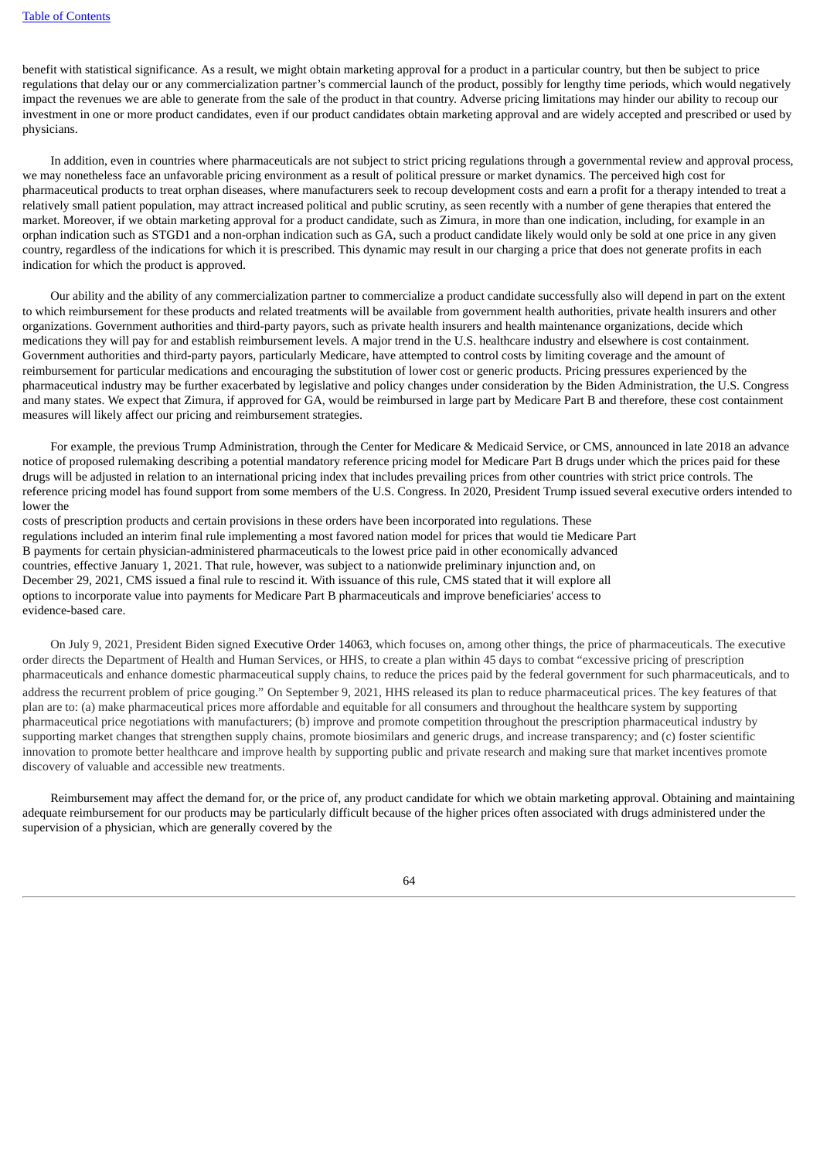benefit with statistical significance. As a result, we might obtain marketing approval for a product in a particular country, but then be subject to price regulations that delay our or any commercialization partner's commercial launch of the product, possibly for lengthy time periods, which would negatively impact the revenues we are able to generate from the sale of the product in that country. Adverse pricing limitations may hinder our ability to recoup our investment in one or more product candidates, even if our product candidates obtain marketing approval and are widely accepted and prescribed or used by physicians.

In addition, even in countries where pharmaceuticals are not subject to strict pricing regulations through a governmental review and approval process, we may nonetheless face an unfavorable pricing environment as a result of political pressure or market dynamics. The perceived high cost for pharmaceutical products to treat orphan diseases, where manufacturers seek to recoup development costs and earn a profit for a therapy intended to treat a relatively small patient population, may attract increased political and public scrutiny, as seen recently with a number of gene therapies that entered the market. Moreover, if we obtain marketing approval for a product candidate, such as Zimura, in more than one indication, including, for example in an orphan indication such as STGD1 and a non-orphan indication such as GA, such a product candidate likely would only be sold at one price in any given country, regardless of the indications for which it is prescribed. This dynamic may result in our charging a price that does not generate profits in each indication for which the product is approved.

Our ability and the ability of any commercialization partner to commercialize a product candidate successfully also will depend in part on the extent to which reimbursement for these products and related treatments will be available from government health authorities, private health insurers and other organizations. Government authorities and third-party payors, such as private health insurers and health maintenance organizations, decide which medications they will pay for and establish reimbursement levels. A major trend in the U.S. healthcare industry and elsewhere is cost containment. Government authorities and third-party payors, particularly Medicare, have attempted to control costs by limiting coverage and the amount of reimbursement for particular medications and encouraging the substitution of lower cost or generic products. Pricing pressures experienced by the pharmaceutical industry may be further exacerbated by legislative and policy changes under consideration by the Biden Administration, the U.S. Congress and many states. We expect that Zimura, if approved for GA, would be reimbursed in large part by Medicare Part B and therefore, these cost containment measures will likely affect our pricing and reimbursement strategies.

For example, the previous Trump Administration, through the Center for Medicare & Medicaid Service, or CMS, announced in late 2018 an advance notice of proposed rulemaking describing a potential mandatory reference pricing model for Medicare Part B drugs under which the prices paid for these drugs will be adjusted in relation to an international pricing index that includes prevailing prices from other countries with strict price controls. The reference pricing model has found support from some members of the U.S. Congress. In 2020, President Trump issued several executive orders intended to lower the

costs of prescription products and certain provisions in these orders have been incorporated into regulations. These regulations included an interim final rule implementing a most favored nation model for prices that would tie Medicare Part B payments for certain physician-administered pharmaceuticals to the lowest price paid in other economically advanced countries, effective January 1, 2021. That rule, however, was subject to a nationwide preliminary injunction and, on December 29, 2021, CMS issued a final rule to rescind it. With issuance of this rule, CMS stated that it will explore all options to incorporate value into payments for Medicare Part B pharmaceuticals and improve beneficiaries' access to evidence-based care.

On July 9, 2021, President Biden signed Executive Order 14063, which focuses on, among other things, the price of pharmaceuticals. The executive order directs the Department of Health and Human Services, or HHS, to create a plan within 45 days to combat "excessive pricing of prescription pharmaceuticals and enhance domestic pharmaceutical supply chains, to reduce the prices paid by the federal government for such pharmaceuticals, and to address the recurrent problem of price gouging." On September 9, 2021, HHS released its plan to reduce pharmaceutical prices. The key features of that plan are to: (a) make pharmaceutical prices more affordable and equitable for all consumers and throughout the healthcare system by supporting pharmaceutical price negotiations with manufacturers; (b) improve and promote competition throughout the prescription pharmaceutical industry by supporting market changes that strengthen supply chains, promote biosimilars and generic drugs, and increase transparency; and (c) foster scientific innovation to promote better healthcare and improve health by supporting public and private research and making sure that market incentives promote discovery of valuable and accessible new treatments.

Reimbursement may affect the demand for, or the price of, any product candidate for which we obtain marketing approval. Obtaining and maintaining adequate reimbursement for our products may be particularly difficult because of the higher prices often associated with drugs administered under the supervision of a physician, which are generally covered by the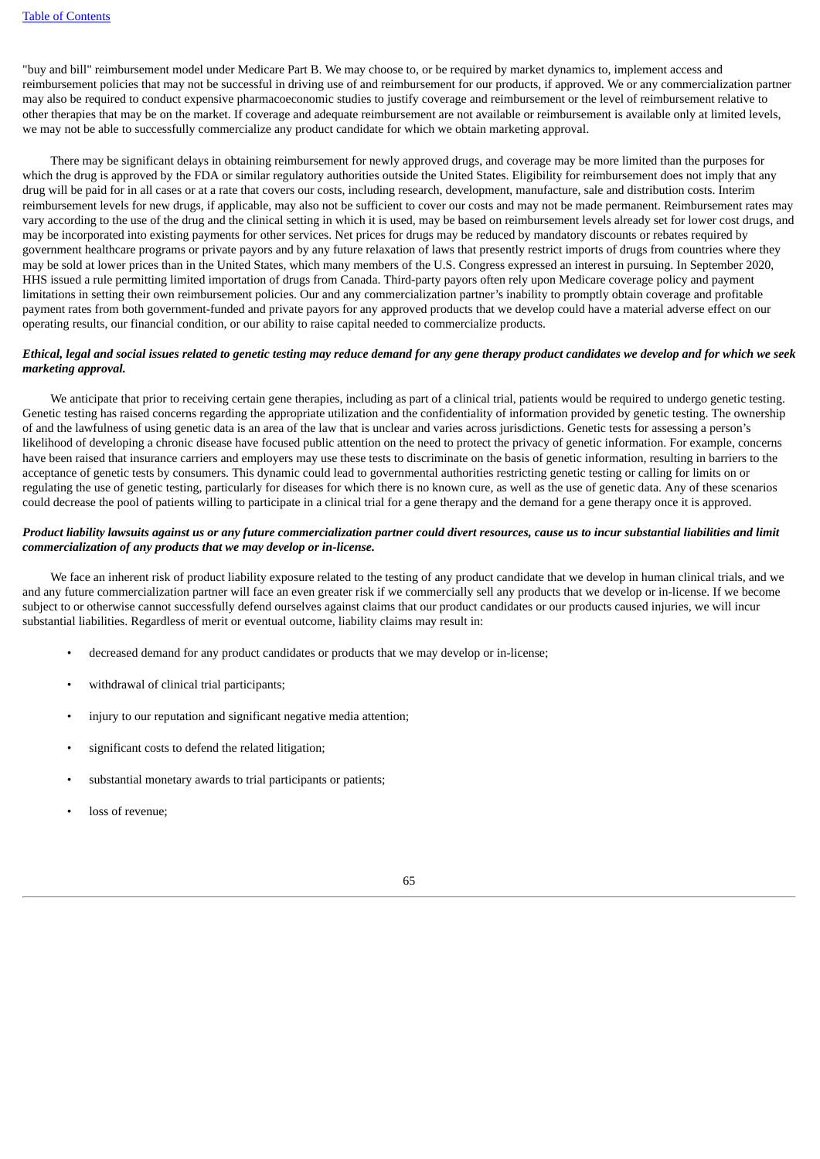"buy and bill" reimbursement model under Medicare Part B. We may choose to, or be required by market dynamics to, implement access and reimbursement policies that may not be successful in driving use of and reimbursement for our products, if approved. We or any commercialization partner may also be required to conduct expensive pharmacoeconomic studies to justify coverage and reimbursement or the level of reimbursement relative to other therapies that may be on the market. If coverage and adequate reimbursement are not available or reimbursement is available only at limited levels, we may not be able to successfully commercialize any product candidate for which we obtain marketing approval.

There may be significant delays in obtaining reimbursement for newly approved drugs, and coverage may be more limited than the purposes for which the drug is approved by the FDA or similar regulatory authorities outside the United States. Eligibility for reimbursement does not imply that any drug will be paid for in all cases or at a rate that covers our costs, including research, development, manufacture, sale and distribution costs. Interim reimbursement levels for new drugs, if applicable, may also not be sufficient to cover our costs and may not be made permanent. Reimbursement rates may vary according to the use of the drug and the clinical setting in which it is used, may be based on reimbursement levels already set for lower cost drugs, and may be incorporated into existing payments for other services. Net prices for drugs may be reduced by mandatory discounts or rebates required by government healthcare programs or private payors and by any future relaxation of laws that presently restrict imports of drugs from countries where they may be sold at lower prices than in the United States, which many members of the U.S. Congress expressed an interest in pursuing. In September 2020, HHS issued a rule permitting limited importation of drugs from Canada. Third-party payors often rely upon Medicare coverage policy and payment limitations in setting their own reimbursement policies. Our and any commercialization partner's inability to promptly obtain coverage and profitable payment rates from both government-funded and private payors for any approved products that we develop could have a material adverse effect on our operating results, our financial condition, or our ability to raise capital needed to commercialize products.

#### Ethical, legal and social issues related to genetic testing may reduce demand for any gene therapy product candidates we develop and for which we seek *marketing approval.*

We anticipate that prior to receiving certain gene therapies, including as part of a clinical trial, patients would be required to undergo genetic testing. Genetic testing has raised concerns regarding the appropriate utilization and the confidentiality of information provided by genetic testing. The ownership of and the lawfulness of using genetic data is an area of the law that is unclear and varies across jurisdictions. Genetic tests for assessing a person's likelihood of developing a chronic disease have focused public attention on the need to protect the privacy of genetic information. For example, concerns have been raised that insurance carriers and employers may use these tests to discriminate on the basis of genetic information, resulting in barriers to the acceptance of genetic tests by consumers. This dynamic could lead to governmental authorities restricting genetic testing or calling for limits on or regulating the use of genetic testing, particularly for diseases for which there is no known cure, as well as the use of genetic data. Any of these scenarios could decrease the pool of patients willing to participate in a clinical trial for a gene therapy and the demand for a gene therapy once it is approved.

### Product liability lawsuits against us or any future commercialization partner could divert resources, cause us to incur substantial liabilities and limit *commercialization of any products that we may develop or in-license.*

We face an inherent risk of product liability exposure related to the testing of any product candidate that we develop in human clinical trials, and we and any future commercialization partner will face an even greater risk if we commercially sell any products that we develop or in-license. If we become subject to or otherwise cannot successfully defend ourselves against claims that our product candidates or our products caused injuries, we will incur substantial liabilities. Regardless of merit or eventual outcome, liability claims may result in:

- decreased demand for any product candidates or products that we may develop or in-license;
- withdrawal of clinical trial participants;
- injury to our reputation and significant negative media attention;
- significant costs to defend the related litigation;
- substantial monetary awards to trial participants or patients;
- loss of revenue;

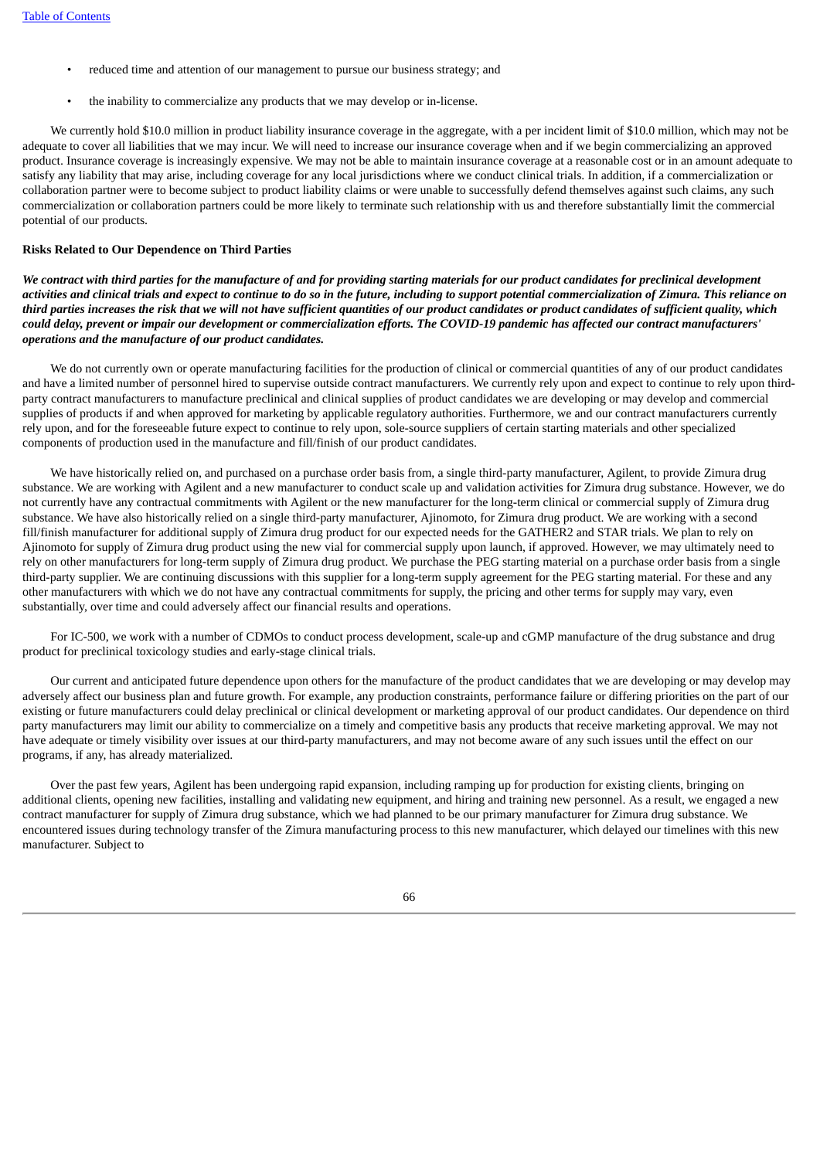- reduced time and attention of our management to pursue our business strategy; and
- the inability to commercialize any products that we may develop or in-license.

We currently hold \$10.0 million in product liability insurance coverage in the aggregate, with a per incident limit of \$10.0 million, which may not be adequate to cover all liabilities that we may incur. We will need to increase our insurance coverage when and if we begin commercializing an approved product. Insurance coverage is increasingly expensive. We may not be able to maintain insurance coverage at a reasonable cost or in an amount adequate to satisfy any liability that may arise, including coverage for any local jurisdictions where we conduct clinical trials. In addition, if a commercialization or collaboration partner were to become subject to product liability claims or were unable to successfully defend themselves against such claims, any such commercialization or collaboration partners could be more likely to terminate such relationship with us and therefore substantially limit the commercial potential of our products.

#### **Risks Related to Our Dependence on Third Parties**

We contract with third parties for the manufacture of and for providing starting materials for our product candidates for preclinical development activities and clinical trials and expect to continue to do so in the future, including to support potential commercialization of Zimura. This reliance on third parties increases the risk that we will not have sufficient quantities of our product candidates or product candidates of sufficient quality, which could delay, prevent or impair our development or commercialization efforts. The COVID-19 pandemic has affected our contract manufacturers' *operations and the manufacture of our product candidates.*

We do not currently own or operate manufacturing facilities for the production of clinical or commercial quantities of any of our product candidates and have a limited number of personnel hired to supervise outside contract manufacturers. We currently rely upon and expect to continue to rely upon thirdparty contract manufacturers to manufacture preclinical and clinical supplies of product candidates we are developing or may develop and commercial supplies of products if and when approved for marketing by applicable regulatory authorities. Furthermore, we and our contract manufacturers currently rely upon, and for the foreseeable future expect to continue to rely upon, sole-source suppliers of certain starting materials and other specialized components of production used in the manufacture and fill/finish of our product candidates.

We have historically relied on, and purchased on a purchase order basis from, a single third-party manufacturer, Agilent, to provide Zimura drug substance. We are working with Agilent and a new manufacturer to conduct scale up and validation activities for Zimura drug substance. However, we do not currently have any contractual commitments with Agilent or the new manufacturer for the long-term clinical or commercial supply of Zimura drug substance. We have also historically relied on a single third-party manufacturer, Ajinomoto, for Zimura drug product. We are working with a second fill/finish manufacturer for additional supply of Zimura drug product for our expected needs for the GATHER2 and STAR trials. We plan to rely on Ajinomoto for supply of Zimura drug product using the new vial for commercial supply upon launch, if approved. However, we may ultimately need to rely on other manufacturers for long-term supply of Zimura drug product. We purchase the PEG starting material on a purchase order basis from a single third-party supplier. We are continuing discussions with this supplier for a long-term supply agreement for the PEG starting material. For these and any other manufacturers with which we do not have any contractual commitments for supply, the pricing and other terms for supply may vary, even substantially, over time and could adversely affect our financial results and operations.

For IC-500, we work with a number of CDMOs to conduct process development, scale-up and cGMP manufacture of the drug substance and drug product for preclinical toxicology studies and early-stage clinical trials.

Our current and anticipated future dependence upon others for the manufacture of the product candidates that we are developing or may develop may adversely affect our business plan and future growth. For example, any production constraints, performance failure or differing priorities on the part of our existing or future manufacturers could delay preclinical or clinical development or marketing approval of our product candidates. Our dependence on third party manufacturers may limit our ability to commercialize on a timely and competitive basis any products that receive marketing approval. We may not have adequate or timely visibility over issues at our third-party manufacturers, and may not become aware of any such issues until the effect on our programs, if any, has already materialized.

Over the past few years, Agilent has been undergoing rapid expansion, including ramping up for production for existing clients, bringing on additional clients, opening new facilities, installing and validating new equipment, and hiring and training new personnel. As a result, we engaged a new contract manufacturer for supply of Zimura drug substance, which we had planned to be our primary manufacturer for Zimura drug substance. We encountered issues during technology transfer of the Zimura manufacturing process to this new manufacturer, which delayed our timelines with this new manufacturer. Subject to

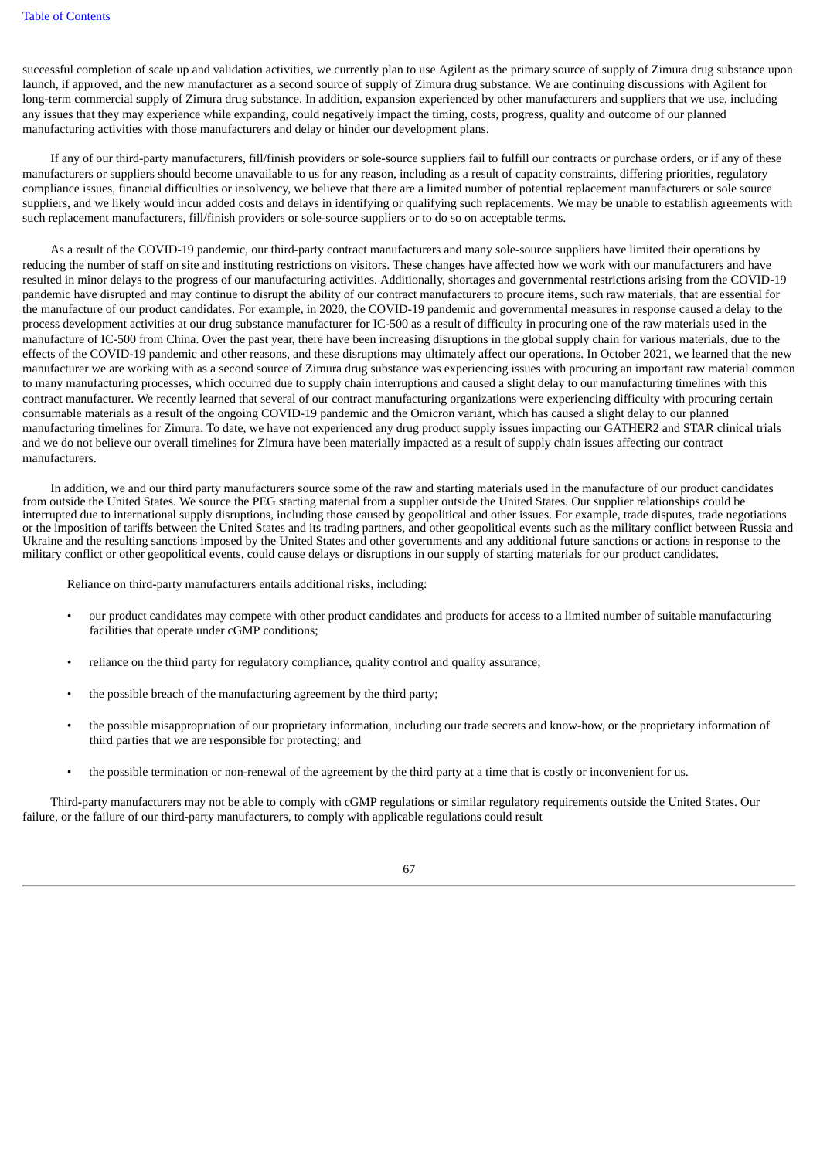successful completion of scale up and validation activities, we currently plan to use Agilent as the primary source of supply of Zimura drug substance upon launch, if approved, and the new manufacturer as a second source of supply of Zimura drug substance. We are continuing discussions with Agilent for long-term commercial supply of Zimura drug substance. In addition, expansion experienced by other manufacturers and suppliers that we use, including any issues that they may experience while expanding, could negatively impact the timing, costs, progress, quality and outcome of our planned manufacturing activities with those manufacturers and delay or hinder our development plans.

If any of our third-party manufacturers, fill/finish providers or sole-source suppliers fail to fulfill our contracts or purchase orders, or if any of these manufacturers or suppliers should become unavailable to us for any reason, including as a result of capacity constraints, differing priorities, regulatory compliance issues, financial difficulties or insolvency, we believe that there are a limited number of potential replacement manufacturers or sole source suppliers, and we likely would incur added costs and delays in identifying or qualifying such replacements. We may be unable to establish agreements with such replacement manufacturers, fill/finish providers or sole-source suppliers or to do so on acceptable terms.

As a result of the COVID-19 pandemic, our third-party contract manufacturers and many sole-source suppliers have limited their operations by reducing the number of staff on site and instituting restrictions on visitors. These changes have affected how we work with our manufacturers and have resulted in minor delays to the progress of our manufacturing activities. Additionally, shortages and governmental restrictions arising from the COVID-19 pandemic have disrupted and may continue to disrupt the ability of our contract manufacturers to procure items, such raw materials, that are essential for the manufacture of our product candidates. For example, in 2020, the COVID-19 pandemic and governmental measures in response caused a delay to the process development activities at our drug substance manufacturer for IC-500 as a result of difficulty in procuring one of the raw materials used in the manufacture of IC-500 from China. Over the past year, there have been increasing disruptions in the global supply chain for various materials, due to the effects of the COVID-19 pandemic and other reasons, and these disruptions may ultimately affect our operations. In October 2021, we learned that the new manufacturer we are working with as a second source of Zimura drug substance was experiencing issues with procuring an important raw material common to many manufacturing processes, which occurred due to supply chain interruptions and caused a slight delay to our manufacturing timelines with this contract manufacturer. We recently learned that several of our contract manufacturing organizations were experiencing difficulty with procuring certain consumable materials as a result of the ongoing COVID-19 pandemic and the Omicron variant, which has caused a slight delay to our planned manufacturing timelines for Zimura. To date, we have not experienced any drug product supply issues impacting our GATHER2 and STAR clinical trials and we do not believe our overall timelines for Zimura have been materially impacted as a result of supply chain issues affecting our contract manufacturers.

In addition, we and our third party manufacturers source some of the raw and starting materials used in the manufacture of our product candidates from outside the United States. We source the PEG starting material from a supplier outside the United States. Our supplier relationships could be interrupted due to international supply disruptions, including those caused by geopolitical and other issues. For example, trade disputes, trade negotiations or the imposition of tariffs between the United States and its trading partners, and other geopolitical events such as the military conflict between Russia and Ukraine and the resulting sanctions imposed by the United States and other governments and any additional future sanctions or actions in response to the military conflict or other geopolitical events, could cause delays or disruptions in our supply of starting materials for our product candidates.

Reliance on third-party manufacturers entails additional risks, including:

- our product candidates may compete with other product candidates and products for access to a limited number of suitable manufacturing facilities that operate under cGMP conditions;
- reliance on the third party for regulatory compliance, quality control and quality assurance;
- the possible breach of the manufacturing agreement by the third party;
- the possible misappropriation of our proprietary information, including our trade secrets and know-how, or the proprietary information of third parties that we are responsible for protecting; and
- the possible termination or non-renewal of the agreement by the third party at a time that is costly or inconvenient for us.

Third-party manufacturers may not be able to comply with cGMP regulations or similar regulatory requirements outside the United States. Our failure, or the failure of our third-party manufacturers, to comply with applicable regulations could result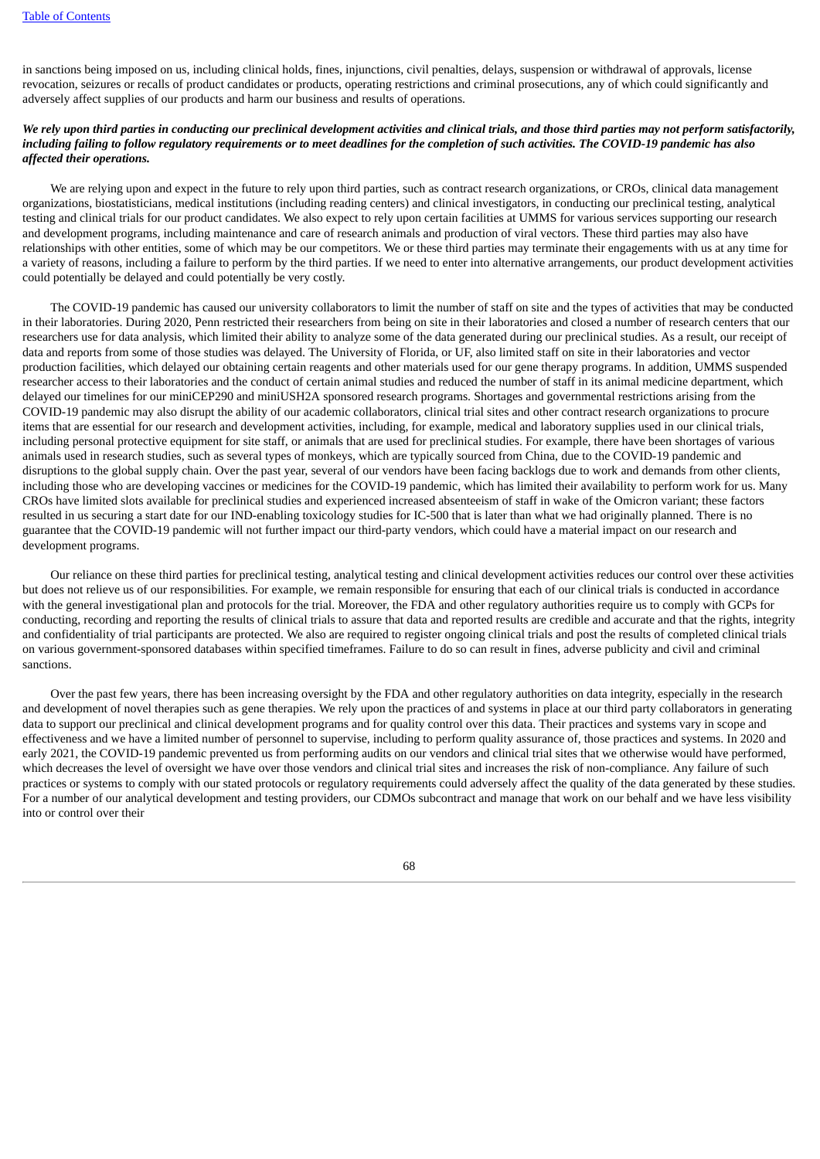in sanctions being imposed on us, including clinical holds, fines, injunctions, civil penalties, delays, suspension or withdrawal of approvals, license revocation, seizures or recalls of product candidates or products, operating restrictions and criminal prosecutions, any of which could significantly and adversely affect supplies of our products and harm our business and results of operations.

# We rely upon third parties in conducting our preclinical development activities and clinical trials, and those third parties may not perform satisfactorily, including failing to follow regulatory requirements or to meet deadlines for the completion of such activities. The COVID-19 pandemic has also *affected their operations.*

We are relying upon and expect in the future to rely upon third parties, such as contract research organizations, or CROs, clinical data management organizations, biostatisticians, medical institutions (including reading centers) and clinical investigators, in conducting our preclinical testing, analytical testing and clinical trials for our product candidates. We also expect to rely upon certain facilities at UMMS for various services supporting our research and development programs, including maintenance and care of research animals and production of viral vectors. These third parties may also have relationships with other entities, some of which may be our competitors. We or these third parties may terminate their engagements with us at any time for a variety of reasons, including a failure to perform by the third parties. If we need to enter into alternative arrangements, our product development activities could potentially be delayed and could potentially be very costly.

The COVID-19 pandemic has caused our university collaborators to limit the number of staff on site and the types of activities that may be conducted in their laboratories. During 2020, Penn restricted their researchers from being on site in their laboratories and closed a number of research centers that our researchers use for data analysis, which limited their ability to analyze some of the data generated during our preclinical studies. As a result, our receipt of data and reports from some of those studies was delayed. The University of Florida, or UF, also limited staff on site in their laboratories and vector production facilities, which delayed our obtaining certain reagents and other materials used for our gene therapy programs. In addition, UMMS suspended researcher access to their laboratories and the conduct of certain animal studies and reduced the number of staff in its animal medicine department, which delayed our timelines for our miniCEP290 and miniUSH2A sponsored research programs. Shortages and governmental restrictions arising from the COVID-19 pandemic may also disrupt the ability of our academic collaborators, clinical trial sites and other contract research organizations to procure items that are essential for our research and development activities, including, for example, medical and laboratory supplies used in our clinical trials, including personal protective equipment for site staff, or animals that are used for preclinical studies. For example, there have been shortages of various animals used in research studies, such as several types of monkeys, which are typically sourced from China, due to the COVID-19 pandemic and disruptions to the global supply chain. Over the past year, several of our vendors have been facing backlogs due to work and demands from other clients, including those who are developing vaccines or medicines for the COVID-19 pandemic, which has limited their availability to perform work for us. Many CROs have limited slots available for preclinical studies and experienced increased absenteeism of staff in wake of the Omicron variant; these factors resulted in us securing a start date for our IND-enabling toxicology studies for IC-500 that is later than what we had originally planned. There is no guarantee that the COVID-19 pandemic will not further impact our third-party vendors, which could have a material impact on our research and development programs.

Our reliance on these third parties for preclinical testing, analytical testing and clinical development activities reduces our control over these activities but does not relieve us of our responsibilities. For example, we remain responsible for ensuring that each of our clinical trials is conducted in accordance with the general investigational plan and protocols for the trial. Moreover, the FDA and other regulatory authorities require us to comply with GCPs for conducting, recording and reporting the results of clinical trials to assure that data and reported results are credible and accurate and that the rights, integrity and confidentiality of trial participants are protected. We also are required to register ongoing clinical trials and post the results of completed clinical trials on various government-sponsored databases within specified timeframes. Failure to do so can result in fines, adverse publicity and civil and criminal sanctions.

Over the past few years, there has been increasing oversight by the FDA and other regulatory authorities on data integrity, especially in the research and development of novel therapies such as gene therapies. We rely upon the practices of and systems in place at our third party collaborators in generating data to support our preclinical and clinical development programs and for quality control over this data. Their practices and systems vary in scope and effectiveness and we have a limited number of personnel to supervise, including to perform quality assurance of, those practices and systems. In 2020 and early 2021, the COVID-19 pandemic prevented us from performing audits on our vendors and clinical trial sites that we otherwise would have performed, which decreases the level of oversight we have over those vendors and clinical trial sites and increases the risk of non-compliance. Any failure of such practices or systems to comply with our stated protocols or regulatory requirements could adversely affect the quality of the data generated by these studies. For a number of our analytical development and testing providers, our CDMOs subcontract and manage that work on our behalf and we have less visibility into or control over their

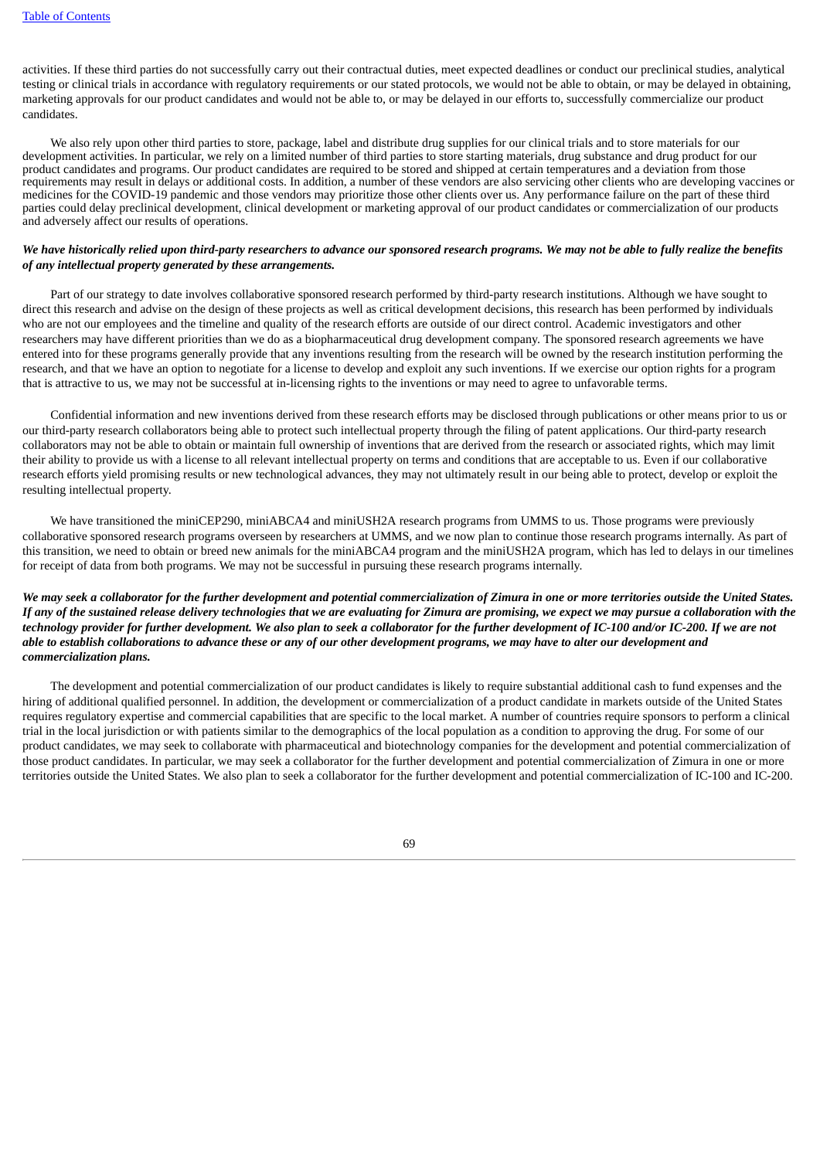activities. If these third parties do not successfully carry out their contractual duties, meet expected deadlines or conduct our preclinical studies, analytical testing or clinical trials in accordance with regulatory requirements or our stated protocols, we would not be able to obtain, or may be delayed in obtaining, marketing approvals for our product candidates and would not be able to, or may be delayed in our efforts to, successfully commercialize our product candidates.

We also rely upon other third parties to store, package, label and distribute drug supplies for our clinical trials and to store materials for our development activities. In particular, we rely on a limited number of third parties to store starting materials, drug substance and drug product for our product candidates and programs. Our product candidates are required to be stored and shipped at certain temperatures and a deviation from those requirements may result in delays or additional costs. In addition, a number of these vendors are also servicing other clients who are developing vaccines or medicines for the COVID-19 pandemic and those vendors may prioritize those other clients over us. Any performance failure on the part of these third parties could delay preclinical development, clinical development or marketing approval of our product candidates or commercialization of our products and adversely affect our results of operations.

#### We have historically relied upon third-party researchers to advance our sponsored research programs. We may not be able to fully realize the benefits *of any intellectual property generated by these arrangements.*

Part of our strategy to date involves collaborative sponsored research performed by third-party research institutions. Although we have sought to direct this research and advise on the design of these projects as well as critical development decisions, this research has been performed by individuals who are not our employees and the timeline and quality of the research efforts are outside of our direct control. Academic investigators and other researchers may have different priorities than we do as a biopharmaceutical drug development company. The sponsored research agreements we have entered into for these programs generally provide that any inventions resulting from the research will be owned by the research institution performing the research, and that we have an option to negotiate for a license to develop and exploit any such inventions. If we exercise our option rights for a program that is attractive to us, we may not be successful at in-licensing rights to the inventions or may need to agree to unfavorable terms.

Confidential information and new inventions derived from these research efforts may be disclosed through publications or other means prior to us or our third-party research collaborators being able to protect such intellectual property through the filing of patent applications. Our third-party research collaborators may not be able to obtain or maintain full ownership of inventions that are derived from the research or associated rights, which may limit their ability to provide us with a license to all relevant intellectual property on terms and conditions that are acceptable to us. Even if our collaborative research efforts yield promising results or new technological advances, they may not ultimately result in our being able to protect, develop or exploit the resulting intellectual property.

We have transitioned the miniCEP290, miniABCA4 and miniUSH2A research programs from UMMS to us. Those programs were previously collaborative sponsored research programs overseen by researchers at UMMS, and we now plan to continue those research programs internally. As part of this transition, we need to obtain or breed new animals for the miniABCA4 program and the miniUSH2A program, which has led to delays in our timelines for receipt of data from both programs. We may not be successful in pursuing these research programs internally.

We may seek a collaborator for the further development and potential commercialization of Zimura in one or more territories outside the United States. If any of the sustained release delivery technologies that we are evaluating for Zimura are promising, we expect we may pursue a collaboration with the technology provider for further development. We also plan to seek a collaborator for the further development of IC-100 and/or IC-200. If we are not able to establish collaborations to advance these or any of our other development programs, we may have to alter our development and *commercialization plans.*

The development and potential commercialization of our product candidates is likely to require substantial additional cash to fund expenses and the hiring of additional qualified personnel. In addition, the development or commercialization of a product candidate in markets outside of the United States requires regulatory expertise and commercial capabilities that are specific to the local market. A number of countries require sponsors to perform a clinical trial in the local jurisdiction or with patients similar to the demographics of the local population as a condition to approving the drug. For some of our product candidates, we may seek to collaborate with pharmaceutical and biotechnology companies for the development and potential commercialization of those product candidates. In particular, we may seek a collaborator for the further development and potential commercialization of Zimura in one or more territories outside the United States. We also plan to seek a collaborator for the further development and potential commercialization of IC-100 and IC-200.

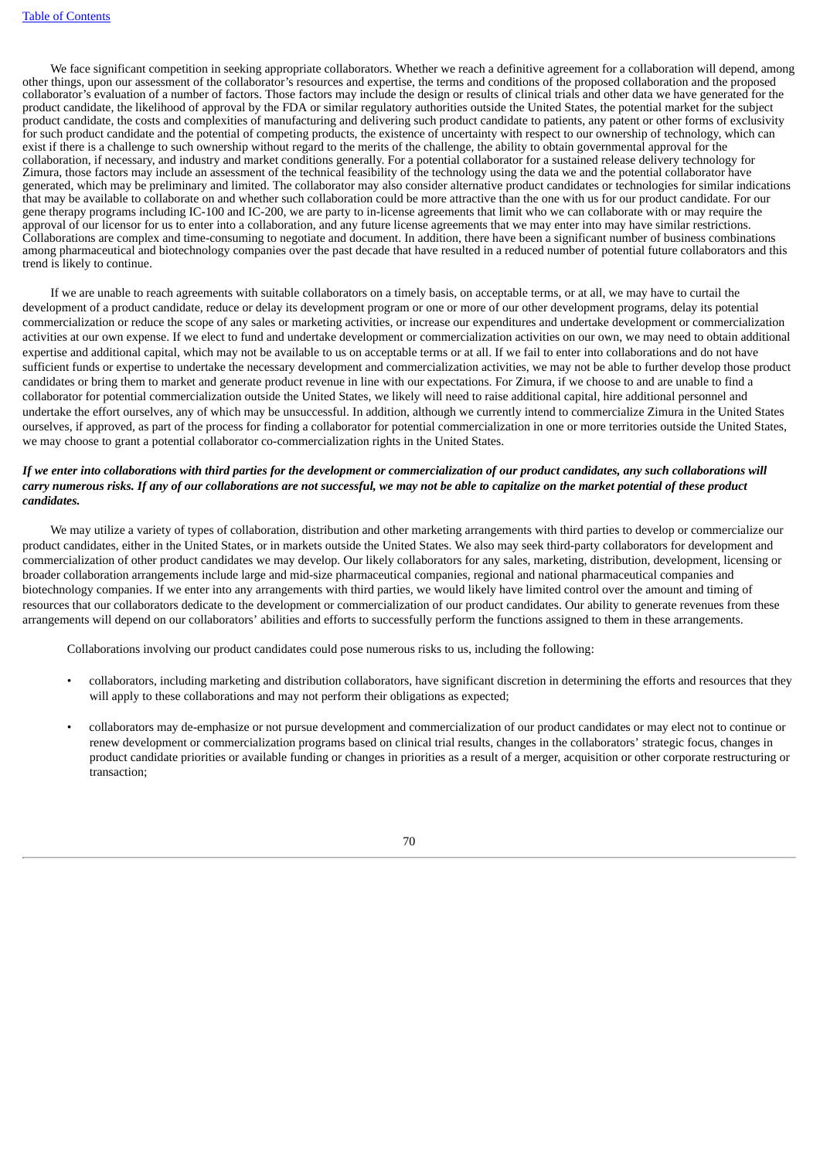We face significant competition in seeking appropriate collaborators. Whether we reach a definitive agreement for a collaboration will depend, among other things, upon our assessment of the collaborator's resources and expertise, the terms and conditions of the proposed collaboration and the proposed collaborator's evaluation of a number of factors. Those factors may include the design or results of clinical trials and other data we have generated for the product candidate, the likelihood of approval by the FDA or similar regulatory authorities outside the United States, the potential market for the subject product candidate, the costs and complexities of manufacturing and delivering such product candidate to patients, any patent or other forms of exclusivity for such product candidate and the potential of competing products, the existence of uncertainty with respect to our ownership of technology, which can exist if there is a challenge to such ownership without regard to the merits of the challenge, the ability to obtain governmental approval for the collaboration, if necessary, and industry and market conditions generally. For a potential collaborator for a sustained release delivery technology for Zimura, those factors may include an assessment of the technical feasibility of the technology using the data we and the potential collaborator have generated, which may be preliminary and limited. The collaborator may also consider alternative product candidates or technologies for similar indications that may be available to collaborate on and whether such collaboration could be more attractive than the one with us for our product candidate. For our gene therapy programs including IC-100 and IC-200, we are party to in-license agreements that limit who we can collaborate with or may require the approval of our licensor for us to enter into a collaboration, and any future license agreements that we may enter into may have similar restrictions. Collaborations are complex and time-consuming to negotiate and document. In addition, there have been a significant number of business combinations among pharmaceutical and biotechnology companies over the past decade that have resulted in a reduced number of potential future collaborators and this trend is likely to continue.

If we are unable to reach agreements with suitable collaborators on a timely basis, on acceptable terms, or at all, we may have to curtail the development of a product candidate, reduce or delay its development program or one or more of our other development programs, delay its potential commercialization or reduce the scope of any sales or marketing activities, or increase our expenditures and undertake development or commercialization activities at our own expense. If we elect to fund and undertake development or commercialization activities on our own, we may need to obtain additional expertise and additional capital, which may not be available to us on acceptable terms or at all. If we fail to enter into collaborations and do not have sufficient funds or expertise to undertake the necessary development and commercialization activities, we may not be able to further develop those product candidates or bring them to market and generate product revenue in line with our expectations. For Zimura, if we choose to and are unable to find a collaborator for potential commercialization outside the United States, we likely will need to raise additional capital, hire additional personnel and undertake the effort ourselves, any of which may be unsuccessful. In addition, although we currently intend to commercialize Zimura in the United States ourselves, if approved, as part of the process for finding a collaborator for potential commercialization in one or more territories outside the United States, we may choose to grant a potential collaborator co-commercialization rights in the United States.

### If we enter into collaborations with third parties for the development or commercialization of our product candidates, any such collaborations will carry numerous risks. If any of our collaborations are not successful, we may not be able to capitalize on the market potential of these product *candidates.*

We may utilize a variety of types of collaboration, distribution and other marketing arrangements with third parties to develop or commercialize our product candidates, either in the United States, or in markets outside the United States. We also may seek third-party collaborators for development and commercialization of other product candidates we may develop. Our likely collaborators for any sales, marketing, distribution, development, licensing or broader collaboration arrangements include large and mid-size pharmaceutical companies, regional and national pharmaceutical companies and biotechnology companies. If we enter into any arrangements with third parties, we would likely have limited control over the amount and timing of resources that our collaborators dedicate to the development or commercialization of our product candidates. Our ability to generate revenues from these arrangements will depend on our collaborators' abilities and efforts to successfully perform the functions assigned to them in these arrangements.

Collaborations involving our product candidates could pose numerous risks to us, including the following:

- collaborators, including marketing and distribution collaborators, have significant discretion in determining the efforts and resources that they will apply to these collaborations and may not perform their obligations as expected;
- collaborators may de-emphasize or not pursue development and commercialization of our product candidates or may elect not to continue or renew development or commercialization programs based on clinical trial results, changes in the collaborators' strategic focus, changes in product candidate priorities or available funding or changes in priorities as a result of a merger, acquisition or other corporate restructuring or transaction;

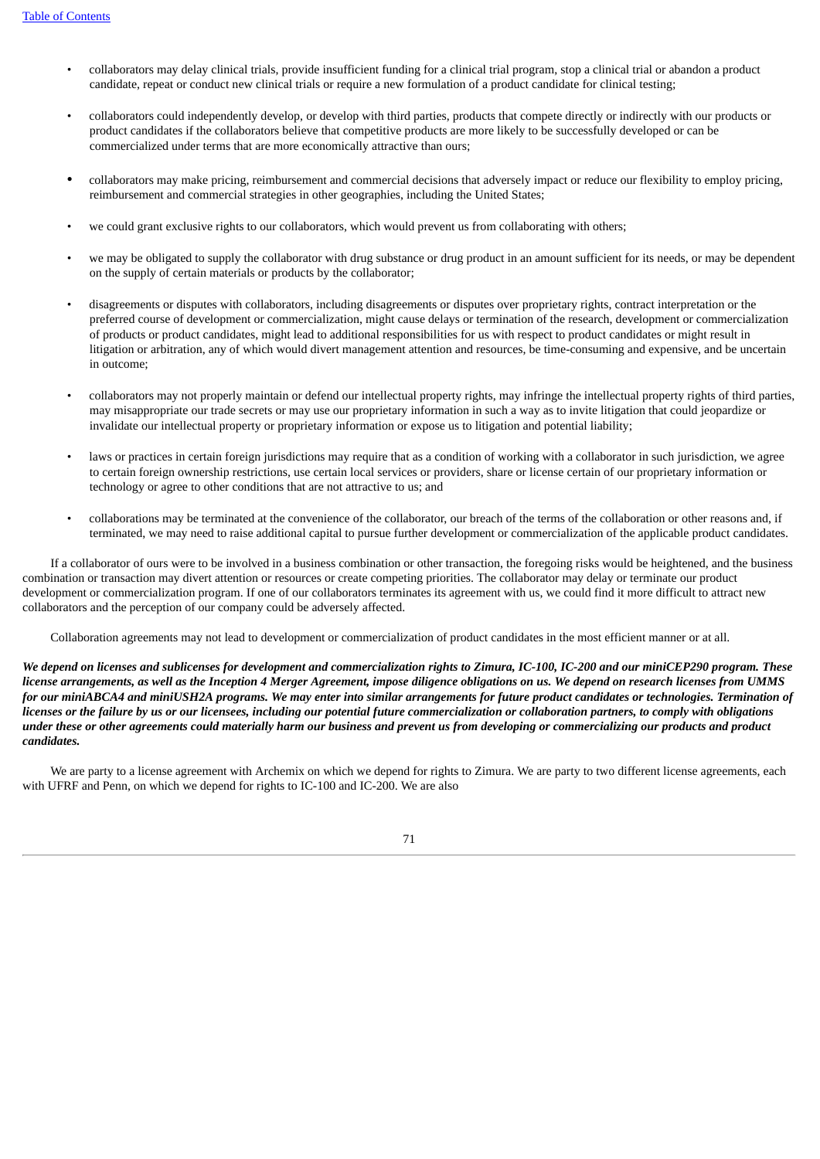- collaborators may delay clinical trials, provide insufficient funding for a clinical trial program, stop a clinical trial or abandon a product candidate, repeat or conduct new clinical trials or require a new formulation of a product candidate for clinical testing;
- collaborators could independently develop, or develop with third parties, products that compete directly or indirectly with our products or product candidates if the collaborators believe that competitive products are more likely to be successfully developed or can be commercialized under terms that are more economically attractive than ours;
- collaborators may make pricing, reimbursement and commercial decisions that adversely impact or reduce our flexibility to employ pricing, reimbursement and commercial strategies in other geographies, including the United States;
- we could grant exclusive rights to our collaborators, which would prevent us from collaborating with others;
- we may be obligated to supply the collaborator with drug substance or drug product in an amount sufficient for its needs, or may be dependent on the supply of certain materials or products by the collaborator;
- disagreements or disputes with collaborators, including disagreements or disputes over proprietary rights, contract interpretation or the preferred course of development or commercialization, might cause delays or termination of the research, development or commercialization of products or product candidates, might lead to additional responsibilities for us with respect to product candidates or might result in litigation or arbitration, any of which would divert management attention and resources, be time-consuming and expensive, and be uncertain in outcome;
- collaborators may not properly maintain or defend our intellectual property rights, may infringe the intellectual property rights of third parties, may misappropriate our trade secrets or may use our proprietary information in such a way as to invite litigation that could jeopardize or invalidate our intellectual property or proprietary information or expose us to litigation and potential liability;
- laws or practices in certain foreign jurisdictions may require that as a condition of working with a collaborator in such jurisdiction, we agree to certain foreign ownership restrictions, use certain local services or providers, share or license certain of our proprietary information or technology or agree to other conditions that are not attractive to us; and
- collaborations may be terminated at the convenience of the collaborator, our breach of the terms of the collaboration or other reasons and, if terminated, we may need to raise additional capital to pursue further development or commercialization of the applicable product candidates.

If a collaborator of ours were to be involved in a business combination or other transaction, the foregoing risks would be heightened, and the business combination or transaction may divert attention or resources or create competing priorities. The collaborator may delay or terminate our product development or commercialization program. If one of our collaborators terminates its agreement with us, we could find it more difficult to attract new collaborators and the perception of our company could be adversely affected.

Collaboration agreements may not lead to development or commercialization of product candidates in the most efficient manner or at all.

We depend on licenses and sublicenses for development and commercialization rights to Zimura, IC-100, IC-200 and our miniCEP290 program. These license arrangements, as well as the Inception 4 Merger Agreement, impose diligence obligations on us. We depend on research licenses from UMMS for our miniABCA4 and miniUSH2A programs. We may enter into similar arrangements for future product candidates or technologies. Termination of licenses or the failure by us or our licensees, including our potential future commercialization or collaboration partners, to comply with obligations under these or other agreements could materially harm our business and prevent us from developing or commercializing our products and product *candidates.*

We are party to a license agreement with Archemix on which we depend for rights to Zimura. We are party to two different license agreements, each with UFRF and Penn, on which we depend for rights to IC-100 and IC-200. We are also

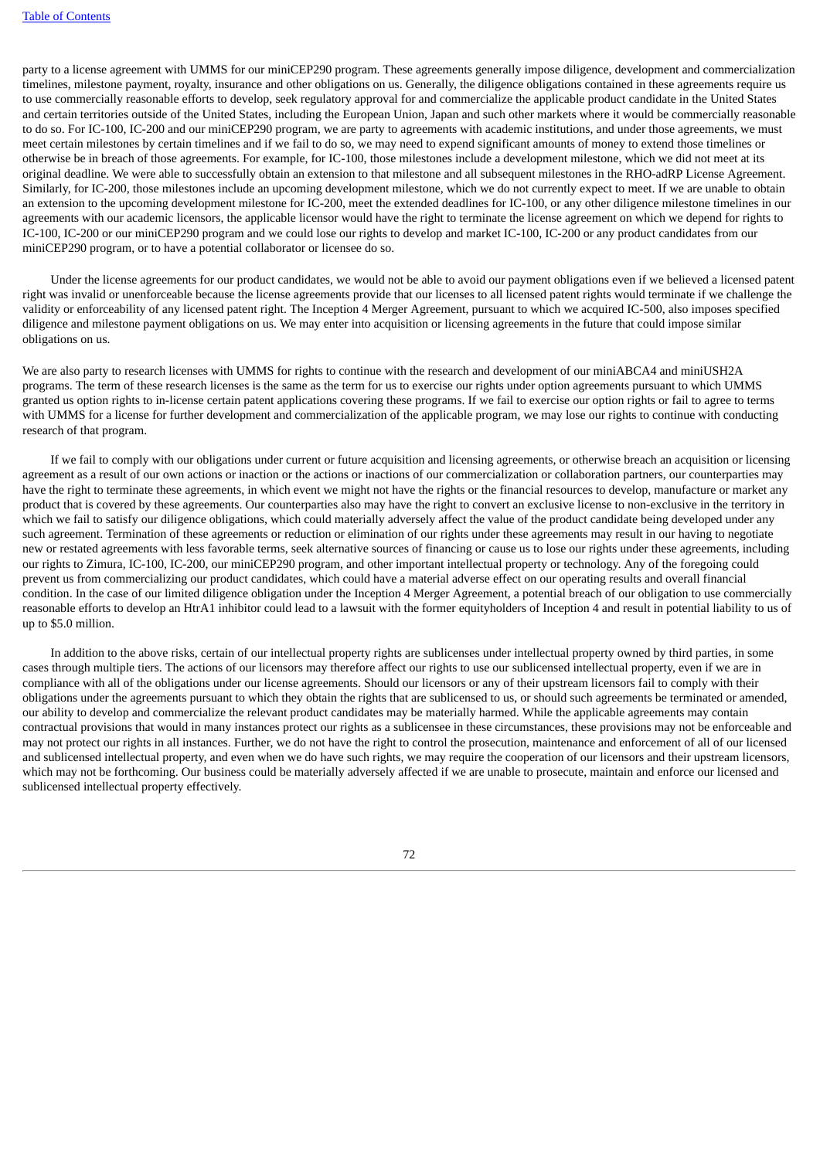party to a license agreement with UMMS for our miniCEP290 program. These agreements generally impose diligence, development and commercialization timelines, milestone payment, royalty, insurance and other obligations on us. Generally, the diligence obligations contained in these agreements require us to use commercially reasonable efforts to develop, seek regulatory approval for and commercialize the applicable product candidate in the United States and certain territories outside of the United States, including the European Union, Japan and such other markets where it would be commercially reasonable to do so. For IC-100, IC-200 and our miniCEP290 program, we are party to agreements with academic institutions, and under those agreements, we must meet certain milestones by certain timelines and if we fail to do so, we may need to expend significant amounts of money to extend those timelines or otherwise be in breach of those agreements. For example, for IC-100, those milestones include a development milestone, which we did not meet at its original deadline. We were able to successfully obtain an extension to that milestone and all subsequent milestones in the RHO-adRP License Agreement. Similarly, for IC-200, those milestones include an upcoming development milestone, which we do not currently expect to meet. If we are unable to obtain an extension to the upcoming development milestone for IC-200, meet the extended deadlines for IC-100, or any other diligence milestone timelines in our agreements with our academic licensors, the applicable licensor would have the right to terminate the license agreement on which we depend for rights to IC-100, IC-200 or our miniCEP290 program and we could lose our rights to develop and market IC-100, IC-200 or any product candidates from our miniCEP290 program, or to have a potential collaborator or licensee do so.

Under the license agreements for our product candidates, we would not be able to avoid our payment obligations even if we believed a licensed patent right was invalid or unenforceable because the license agreements provide that our licenses to all licensed patent rights would terminate if we challenge the validity or enforceability of any licensed patent right. The Inception 4 Merger Agreement, pursuant to which we acquired IC-500, also imposes specified diligence and milestone payment obligations on us. We may enter into acquisition or licensing agreements in the future that could impose similar obligations on us.

We are also party to research licenses with UMMS for rights to continue with the research and development of our miniABCA4 and miniUSH2A programs. The term of these research licenses is the same as the term for us to exercise our rights under option agreements pursuant to which UMMS granted us option rights to in-license certain patent applications covering these programs. If we fail to exercise our option rights or fail to agree to terms with UMMS for a license for further development and commercialization of the applicable program, we may lose our rights to continue with conducting research of that program.

If we fail to comply with our obligations under current or future acquisition and licensing agreements, or otherwise breach an acquisition or licensing agreement as a result of our own actions or inaction or the actions or inactions of our commercialization or collaboration partners, our counterparties may have the right to terminate these agreements, in which event we might not have the rights or the financial resources to develop, manufacture or market any product that is covered by these agreements. Our counterparties also may have the right to convert an exclusive license to non-exclusive in the territory in which we fail to satisfy our diligence obligations, which could materially adversely affect the value of the product candidate being developed under any such agreement. Termination of these agreements or reduction or elimination of our rights under these agreements may result in our having to negotiate new or restated agreements with less favorable terms, seek alternative sources of financing or cause us to lose our rights under these agreements, including our rights to Zimura, IC-100, IC-200, our miniCEP290 program, and other important intellectual property or technology. Any of the foregoing could prevent us from commercializing our product candidates, which could have a material adverse effect on our operating results and overall financial condition. In the case of our limited diligence obligation under the Inception 4 Merger Agreement, a potential breach of our obligation to use commercially reasonable efforts to develop an HtrA1 inhibitor could lead to a lawsuit with the former equityholders of Inception 4 and result in potential liability to us of up to \$5.0 million.

In addition to the above risks, certain of our intellectual property rights are sublicenses under intellectual property owned by third parties, in some cases through multiple tiers. The actions of our licensors may therefore affect our rights to use our sublicensed intellectual property, even if we are in compliance with all of the obligations under our license agreements. Should our licensors or any of their upstream licensors fail to comply with their obligations under the agreements pursuant to which they obtain the rights that are sublicensed to us, or should such agreements be terminated or amended, our ability to develop and commercialize the relevant product candidates may be materially harmed. While the applicable agreements may contain contractual provisions that would in many instances protect our rights as a sublicensee in these circumstances, these provisions may not be enforceable and may not protect our rights in all instances. Further, we do not have the right to control the prosecution, maintenance and enforcement of all of our licensed and sublicensed intellectual property, and even when we do have such rights, we may require the cooperation of our licensors and their upstream licensors, which may not be forthcoming. Our business could be materially adversely affected if we are unable to prosecute, maintain and enforce our licensed and sublicensed intellectual property effectively.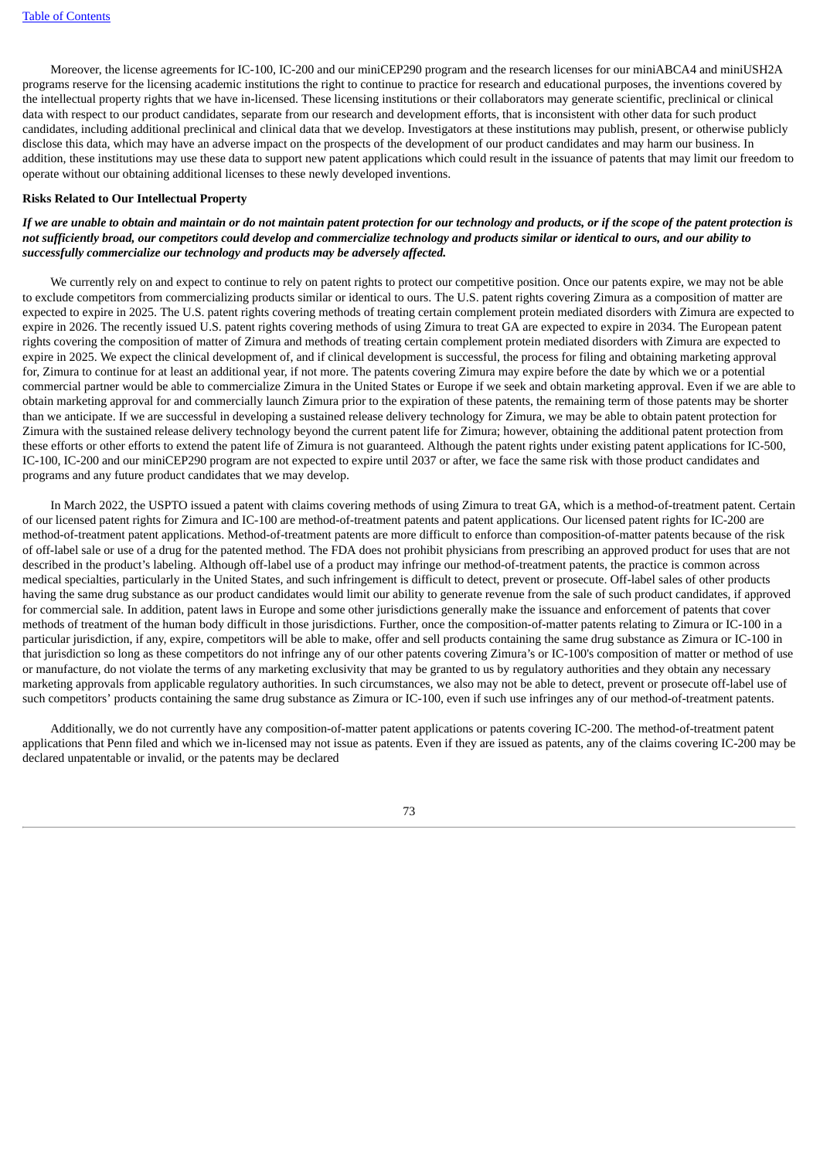Moreover, the license agreements for IC-100, IC-200 and our miniCEP290 program and the research licenses for our miniABCA4 and miniUSH2A programs reserve for the licensing academic institutions the right to continue to practice for research and educational purposes, the inventions covered by the intellectual property rights that we have in-licensed. These licensing institutions or their collaborators may generate scientific, preclinical or clinical data with respect to our product candidates, separate from our research and development efforts, that is inconsistent with other data for such product candidates, including additional preclinical and clinical data that we develop. Investigators at these institutions may publish, present, or otherwise publicly disclose this data, which may have an adverse impact on the prospects of the development of our product candidates and may harm our business. In addition, these institutions may use these data to support new patent applications which could result in the issuance of patents that may limit our freedom to operate without our obtaining additional licenses to these newly developed inventions.

#### **Risks Related to Our Intellectual Property**

### If we are unable to obtain and maintain or do not maintain patent protection for our technology and products, or if the scope of the patent protection is not sufficiently broad, our competitors could develop and commercialize technology and products similar or identical to ours, and our ability to *successfully commercialize our technology and products may be adversely affected.*

We currently rely on and expect to continue to rely on patent rights to protect our competitive position. Once our patents expire, we may not be able to exclude competitors from commercializing products similar or identical to ours. The U.S. patent rights covering Zimura as a composition of matter are expected to expire in 2025. The U.S. patent rights covering methods of treating certain complement protein mediated disorders with Zimura are expected to expire in 2026. The recently issued U.S. patent rights covering methods of using Zimura to treat GA are expected to expire in 2034. The European patent rights covering the composition of matter of Zimura and methods of treating certain complement protein mediated disorders with Zimura are expected to expire in 2025. We expect the clinical development of, and if clinical development is successful, the process for filing and obtaining marketing approval for, Zimura to continue for at least an additional year, if not more. The patents covering Zimura may expire before the date by which we or a potential commercial partner would be able to commercialize Zimura in the United States or Europe if we seek and obtain marketing approval. Even if we are able to obtain marketing approval for and commercially launch Zimura prior to the expiration of these patents, the remaining term of those patents may be shorter than we anticipate. If we are successful in developing a sustained release delivery technology for Zimura, we may be able to obtain patent protection for Zimura with the sustained release delivery technology beyond the current patent life for Zimura; however, obtaining the additional patent protection from these efforts or other efforts to extend the patent life of Zimura is not guaranteed. Although the patent rights under existing patent applications for IC-500, IC-100, IC-200 and our miniCEP290 program are not expected to expire until 2037 or after, we face the same risk with those product candidates and programs and any future product candidates that we may develop.

In March 2022, the USPTO issued a patent with claims covering methods of using Zimura to treat GA, which is a method-of-treatment patent. Certain of our licensed patent rights for Zimura and IC-100 are method-of-treatment patents and patent applications. Our licensed patent rights for IC-200 are method-of-treatment patent applications. Method-of-treatment patents are more difficult to enforce than composition-of-matter patents because of the risk of off-label sale or use of a drug for the patented method. The FDA does not prohibit physicians from prescribing an approved product for uses that are not described in the product's labeling. Although off-label use of a product may infringe our method-of-treatment patents, the practice is common across medical specialties, particularly in the United States, and such infringement is difficult to detect, prevent or prosecute. Off-label sales of other products having the same drug substance as our product candidates would limit our ability to generate revenue from the sale of such product candidates, if approved for commercial sale. In addition, patent laws in Europe and some other jurisdictions generally make the issuance and enforcement of patents that cover methods of treatment of the human body difficult in those jurisdictions. Further, once the composition-of-matter patents relating to Zimura or IC-100 in a particular jurisdiction, if any, expire, competitors will be able to make, offer and sell products containing the same drug substance as Zimura or IC-100 in that jurisdiction so long as these competitors do not infringe any of our other patents covering Zimura's or IC-100's composition of matter or method of use or manufacture, do not violate the terms of any marketing exclusivity that may be granted to us by regulatory authorities and they obtain any necessary marketing approvals from applicable regulatory authorities. In such circumstances, we also may not be able to detect, prevent or prosecute off-label use of such competitors' products containing the same drug substance as Zimura or IC-100, even if such use infringes any of our method-of-treatment patents.

Additionally, we do not currently have any composition-of-matter patent applications or patents covering IC-200. The method-of-treatment patent applications that Penn filed and which we in-licensed may not issue as patents. Even if they are issued as patents, any of the claims covering IC-200 may be declared unpatentable or invalid, or the patents may be declared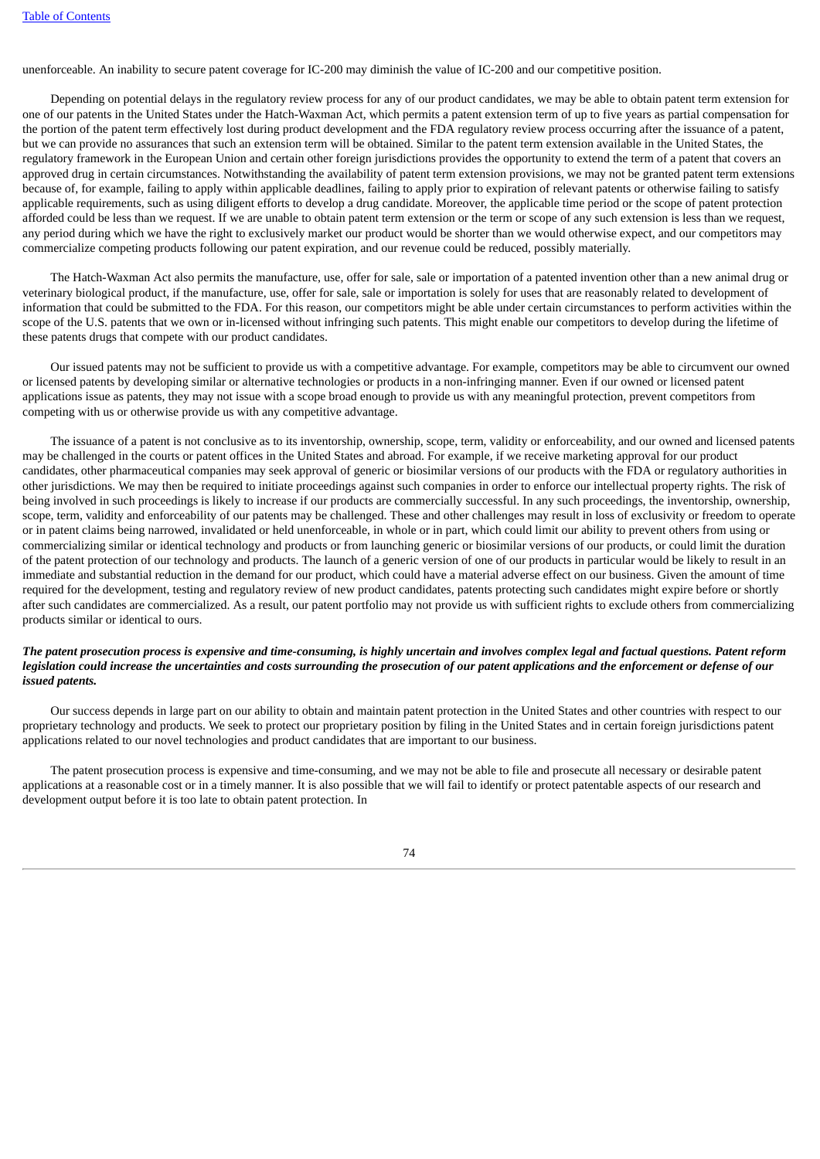unenforceable. An inability to secure patent coverage for IC-200 may diminish the value of IC-200 and our competitive position.

Depending on potential delays in the regulatory review process for any of our product candidates, we may be able to obtain patent term extension for one of our patents in the United States under the Hatch-Waxman Act, which permits a patent extension term of up to five years as partial compensation for the portion of the patent term effectively lost during product development and the FDA regulatory review process occurring after the issuance of a patent, but we can provide no assurances that such an extension term will be obtained. Similar to the patent term extension available in the United States, the regulatory framework in the European Union and certain other foreign jurisdictions provides the opportunity to extend the term of a patent that covers an approved drug in certain circumstances. Notwithstanding the availability of patent term extension provisions, we may not be granted patent term extensions because of, for example, failing to apply within applicable deadlines, failing to apply prior to expiration of relevant patents or otherwise failing to satisfy applicable requirements, such as using diligent efforts to develop a drug candidate. Moreover, the applicable time period or the scope of patent protection afforded could be less than we request. If we are unable to obtain patent term extension or the term or scope of any such extension is less than we request, any period during which we have the right to exclusively market our product would be shorter than we would otherwise expect, and our competitors may commercialize competing products following our patent expiration, and our revenue could be reduced, possibly materially.

The Hatch-Waxman Act also permits the manufacture, use, offer for sale, sale or importation of a patented invention other than a new animal drug or veterinary biological product, if the manufacture, use, offer for sale, sale or importation is solely for uses that are reasonably related to development of information that could be submitted to the FDA. For this reason, our competitors might be able under certain circumstances to perform activities within the scope of the U.S. patents that we own or in-licensed without infringing such patents. This might enable our competitors to develop during the lifetime of these patents drugs that compete with our product candidates.

Our issued patents may not be sufficient to provide us with a competitive advantage. For example, competitors may be able to circumvent our owned or licensed patents by developing similar or alternative technologies or products in a non-infringing manner. Even if our owned or licensed patent applications issue as patents, they may not issue with a scope broad enough to provide us with any meaningful protection, prevent competitors from competing with us or otherwise provide us with any competitive advantage.

The issuance of a patent is not conclusive as to its inventorship, ownership, scope, term, validity or enforceability, and our owned and licensed patents may be challenged in the courts or patent offices in the United States and abroad. For example, if we receive marketing approval for our product candidates, other pharmaceutical companies may seek approval of generic or biosimilar versions of our products with the FDA or regulatory authorities in other jurisdictions. We may then be required to initiate proceedings against such companies in order to enforce our intellectual property rights. The risk of being involved in such proceedings is likely to increase if our products are commercially successful. In any such proceedings, the inventorship, ownership, scope, term, validity and enforceability of our patents may be challenged. These and other challenges may result in loss of exclusivity or freedom to operate or in patent claims being narrowed, invalidated or held unenforceable, in whole or in part, which could limit our ability to prevent others from using or commercializing similar or identical technology and products or from launching generic or biosimilar versions of our products, or could limit the duration of the patent protection of our technology and products. The launch of a generic version of one of our products in particular would be likely to result in an immediate and substantial reduction in the demand for our product, which could have a material adverse effect on our business. Given the amount of time required for the development, testing and regulatory review of new product candidates, patents protecting such candidates might expire before or shortly after such candidates are commercialized. As a result, our patent portfolio may not provide us with sufficient rights to exclude others from commercializing products similar or identical to ours.

### The patent prosecution process is expensive and time-consuming, is highly uncertain and involves complex legal and factual questions. Patent reform legislation could increase the uncertainties and costs surrounding the prosecution of our patent applications and the enforcement or defense of our *issued patents.*

Our success depends in large part on our ability to obtain and maintain patent protection in the United States and other countries with respect to our proprietary technology and products. We seek to protect our proprietary position by filing in the United States and in certain foreign jurisdictions patent applications related to our novel technologies and product candidates that are important to our business.

The patent prosecution process is expensive and time-consuming, and we may not be able to file and prosecute all necessary or desirable patent applications at a reasonable cost or in a timely manner. It is also possible that we will fail to identify or protect patentable aspects of our research and development output before it is too late to obtain patent protection. In

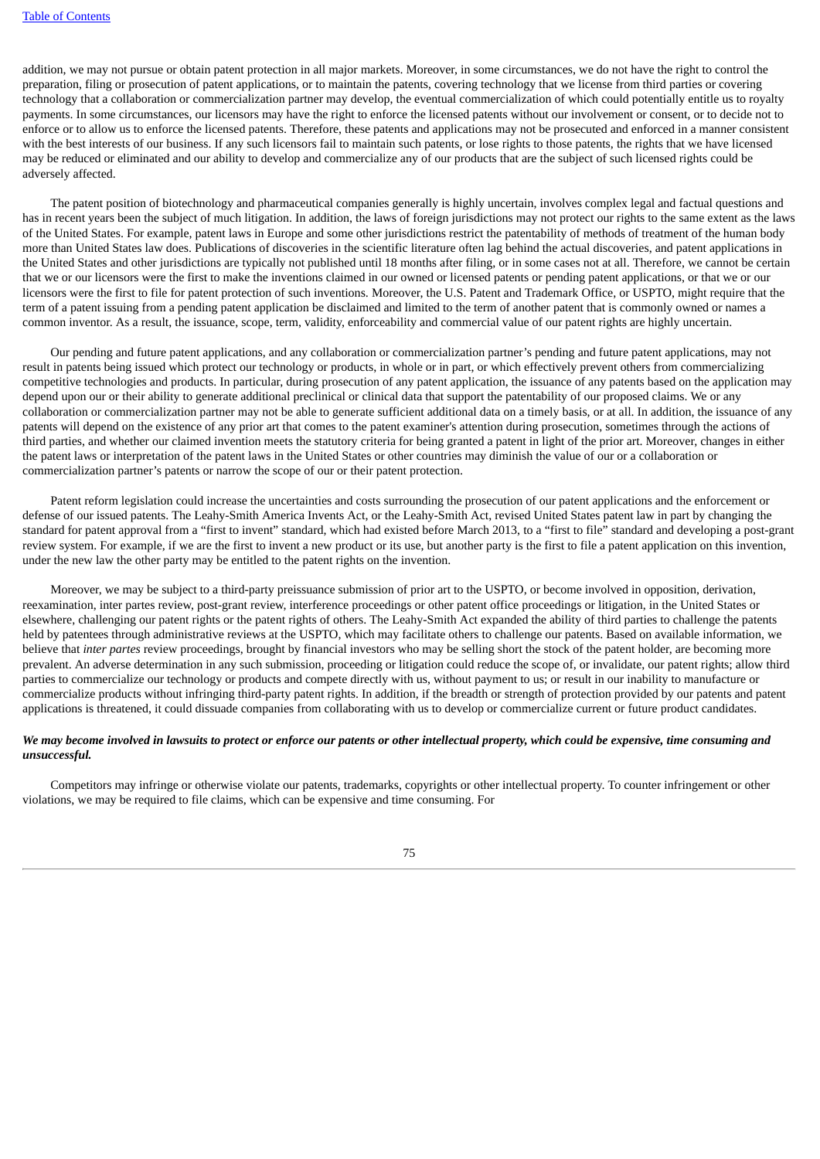addition, we may not pursue or obtain patent protection in all major markets. Moreover, in some circumstances, we do not have the right to control the preparation, filing or prosecution of patent applications, or to maintain the patents, covering technology that we license from third parties or covering technology that a collaboration or commercialization partner may develop, the eventual commercialization of which could potentially entitle us to royalty payments. In some circumstances, our licensors may have the right to enforce the licensed patents without our involvement or consent, or to decide not to enforce or to allow us to enforce the licensed patents. Therefore, these patents and applications may not be prosecuted and enforced in a manner consistent with the best interests of our business. If any such licensors fail to maintain such patents, or lose rights to those patents, the rights that we have licensed may be reduced or eliminated and our ability to develop and commercialize any of our products that are the subject of such licensed rights could be adversely affected.

The patent position of biotechnology and pharmaceutical companies generally is highly uncertain, involves complex legal and factual questions and has in recent years been the subject of much litigation. In addition, the laws of foreign jurisdictions may not protect our rights to the same extent as the laws of the United States. For example, patent laws in Europe and some other jurisdictions restrict the patentability of methods of treatment of the human body more than United States law does. Publications of discoveries in the scientific literature often lag behind the actual discoveries, and patent applications in the United States and other jurisdictions are typically not published until 18 months after filing, or in some cases not at all. Therefore, we cannot be certain that we or our licensors were the first to make the inventions claimed in our owned or licensed patents or pending patent applications, or that we or our licensors were the first to file for patent protection of such inventions. Moreover, the U.S. Patent and Trademark Office, or USPTO, might require that the term of a patent issuing from a pending patent application be disclaimed and limited to the term of another patent that is commonly owned or names a common inventor. As a result, the issuance, scope, term, validity, enforceability and commercial value of our patent rights are highly uncertain.

Our pending and future patent applications, and any collaboration or commercialization partner's pending and future patent applications, may not result in patents being issued which protect our technology or products, in whole or in part, or which effectively prevent others from commercializing competitive technologies and products. In particular, during prosecution of any patent application, the issuance of any patents based on the application may depend upon our or their ability to generate additional preclinical or clinical data that support the patentability of our proposed claims. We or any collaboration or commercialization partner may not be able to generate sufficient additional data on a timely basis, or at all. In addition, the issuance of any patents will depend on the existence of any prior art that comes to the patent examiner's attention during prosecution, sometimes through the actions of third parties, and whether our claimed invention meets the statutory criteria for being granted a patent in light of the prior art. Moreover, changes in either the patent laws or interpretation of the patent laws in the United States or other countries may diminish the value of our or a collaboration or commercialization partner's patents or narrow the scope of our or their patent protection.

Patent reform legislation could increase the uncertainties and costs surrounding the prosecution of our patent applications and the enforcement or defense of our issued patents. The Leahy-Smith America Invents Act, or the Leahy-Smith Act, revised United States patent law in part by changing the standard for patent approval from a "first to invent" standard, which had existed before March 2013, to a "first to file" standard and developing a post-grant review system. For example, if we are the first to invent a new product or its use, but another party is the first to file a patent application on this invention, under the new law the other party may be entitled to the patent rights on the invention.

Moreover, we may be subject to a third-party preissuance submission of prior art to the USPTO, or become involved in opposition, derivation, reexamination, inter partes review, post-grant review, interference proceedings or other patent office proceedings or litigation, in the United States or elsewhere, challenging our patent rights or the patent rights of others. The Leahy-Smith Act expanded the ability of third parties to challenge the patents held by patentees through administrative reviews at the USPTO, which may facilitate others to challenge our patents. Based on available information, we believe that *inter partes* review proceedings, brought by financial investors who may be selling short the stock of the patent holder, are becoming more prevalent. An adverse determination in any such submission, proceeding or litigation could reduce the scope of, or invalidate, our patent rights; allow third parties to commercialize our technology or products and compete directly with us, without payment to us; or result in our inability to manufacture or commercialize products without infringing third-party patent rights. In addition, if the breadth or strength of protection provided by our patents and patent applications is threatened, it could dissuade companies from collaborating with us to develop or commercialize current or future product candidates.

#### We may become involved in lawsuits to protect or enforce our patents or other intellectual property, which could be expensive, time consuming and *unsuccessful.*

Competitors may infringe or otherwise violate our patents, trademarks, copyrights or other intellectual property. To counter infringement or other violations, we may be required to file claims, which can be expensive and time consuming. For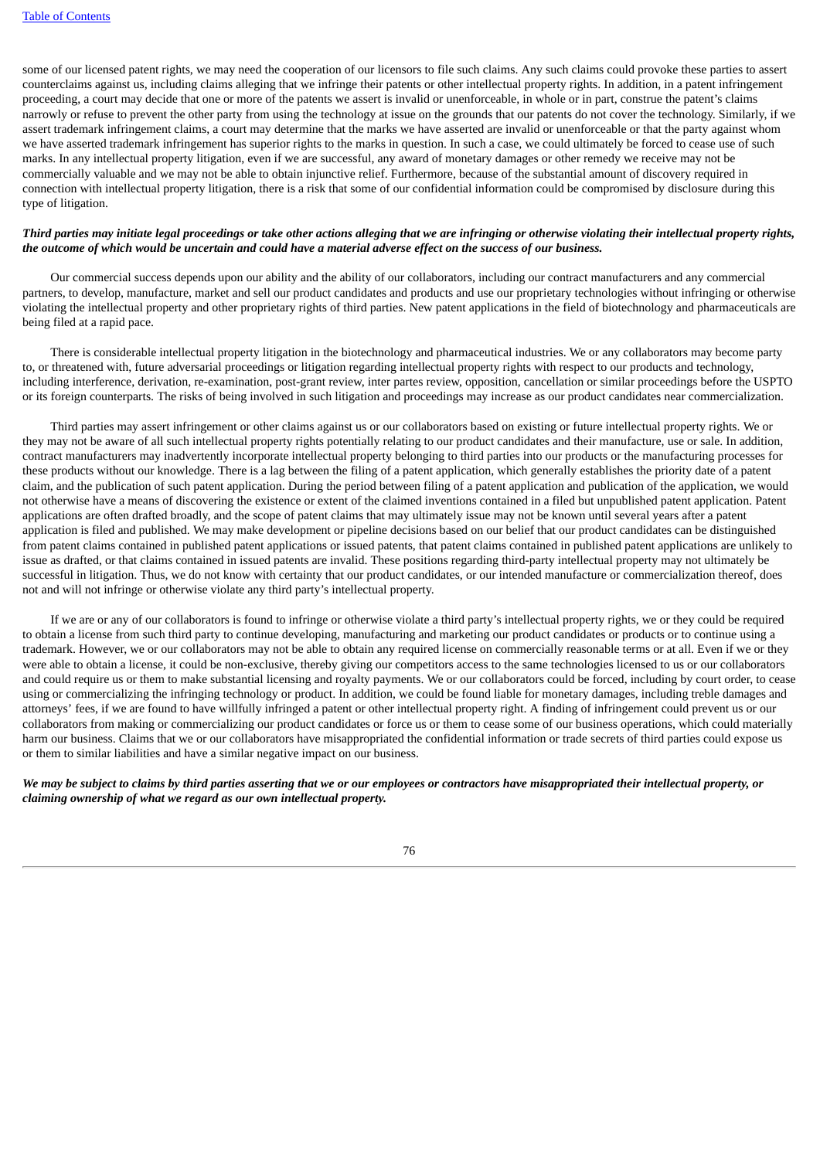some of our licensed patent rights, we may need the cooperation of our licensors to file such claims. Any such claims could provoke these parties to assert counterclaims against us, including claims alleging that we infringe their patents or other intellectual property rights. In addition, in a patent infringement proceeding, a court may decide that one or more of the patents we assert is invalid or unenforceable, in whole or in part, construe the patent's claims narrowly or refuse to prevent the other party from using the technology at issue on the grounds that our patents do not cover the technology. Similarly, if we assert trademark infringement claims, a court may determine that the marks we have asserted are invalid or unenforceable or that the party against whom we have asserted trademark infringement has superior rights to the marks in question. In such a case, we could ultimately be forced to cease use of such marks. In any intellectual property litigation, even if we are successful, any award of monetary damages or other remedy we receive may not be commercially valuable and we may not be able to obtain injunctive relief. Furthermore, because of the substantial amount of discovery required in connection with intellectual property litigation, there is a risk that some of our confidential information could be compromised by disclosure during this type of litigation.

#### Third parties may initiate legal proceedings or take other actions alleging that we are infringing or otherwise violating their intellectual property rights, the outcome of which would be uncertain and could have a material adverse effect on the success of our business.

Our commercial success depends upon our ability and the ability of our collaborators, including our contract manufacturers and any commercial partners, to develop, manufacture, market and sell our product candidates and products and use our proprietary technologies without infringing or otherwise violating the intellectual property and other proprietary rights of third parties. New patent applications in the field of biotechnology and pharmaceuticals are being filed at a rapid pace.

There is considerable intellectual property litigation in the biotechnology and pharmaceutical industries. We or any collaborators may become party to, or threatened with, future adversarial proceedings or litigation regarding intellectual property rights with respect to our products and technology, including interference, derivation, re-examination, post-grant review, inter partes review, opposition, cancellation or similar proceedings before the USPTO or its foreign counterparts. The risks of being involved in such litigation and proceedings may increase as our product candidates near commercialization.

Third parties may assert infringement or other claims against us or our collaborators based on existing or future intellectual property rights. We or they may not be aware of all such intellectual property rights potentially relating to our product candidates and their manufacture, use or sale. In addition, contract manufacturers may inadvertently incorporate intellectual property belonging to third parties into our products or the manufacturing processes for these products without our knowledge. There is a lag between the filing of a patent application, which generally establishes the priority date of a patent claim, and the publication of such patent application. During the period between filing of a patent application and publication of the application, we would not otherwise have a means of discovering the existence or extent of the claimed inventions contained in a filed but unpublished patent application. Patent applications are often drafted broadly, and the scope of patent claims that may ultimately issue may not be known until several years after a patent application is filed and published. We may make development or pipeline decisions based on our belief that our product candidates can be distinguished from patent claims contained in published patent applications or issued patents, that patent claims contained in published patent applications are unlikely to issue as drafted, or that claims contained in issued patents are invalid. These positions regarding third-party intellectual property may not ultimately be successful in litigation. Thus, we do not know with certainty that our product candidates, or our intended manufacture or commercialization thereof, does not and will not infringe or otherwise violate any third party's intellectual property.

If we are or any of our collaborators is found to infringe or otherwise violate a third party's intellectual property rights, we or they could be required to obtain a license from such third party to continue developing, manufacturing and marketing our product candidates or products or to continue using a trademark. However, we or our collaborators may not be able to obtain any required license on commercially reasonable terms or at all. Even if we or they were able to obtain a license, it could be non-exclusive, thereby giving our competitors access to the same technologies licensed to us or our collaborators and could require us or them to make substantial licensing and royalty payments. We or our collaborators could be forced, including by court order, to cease using or commercializing the infringing technology or product. In addition, we could be found liable for monetary damages, including treble damages and attorneys' fees, if we are found to have willfully infringed a patent or other intellectual property right. A finding of infringement could prevent us or our collaborators from making or commercializing our product candidates or force us or them to cease some of our business operations, which could materially harm our business. Claims that we or our collaborators have misappropriated the confidential information or trade secrets of third parties could expose us or them to similar liabilities and have a similar negative impact on our business.

#### We may be subject to claims by third parties asserting that we or our employees or contractors have misappropriated their intellectual property, or *claiming ownership of what we regard as our own intellectual property.*

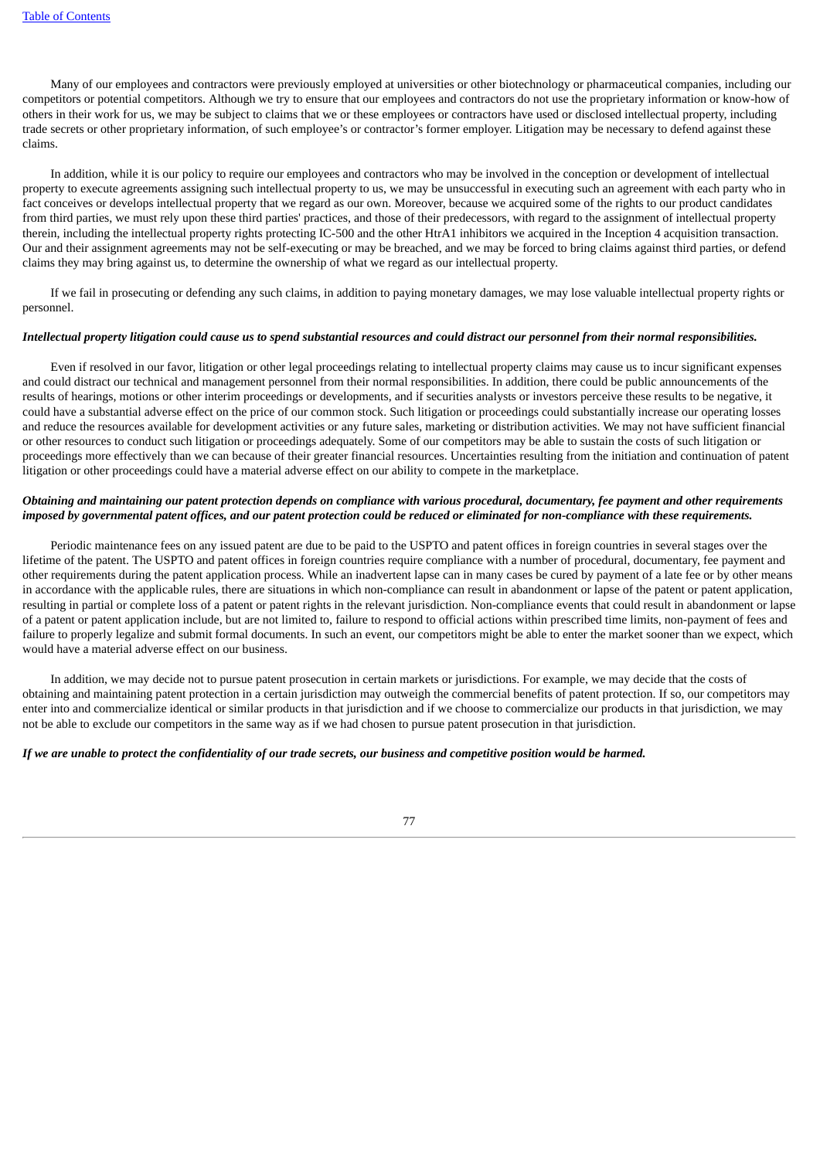Many of our employees and contractors were previously employed at universities or other biotechnology or pharmaceutical companies, including our competitors or potential competitors. Although we try to ensure that our employees and contractors do not use the proprietary information or know-how of others in their work for us, we may be subject to claims that we or these employees or contractors have used or disclosed intellectual property, including trade secrets or other proprietary information, of such employee's or contractor's former employer. Litigation may be necessary to defend against these claims.

In addition, while it is our policy to require our employees and contractors who may be involved in the conception or development of intellectual property to execute agreements assigning such intellectual property to us, we may be unsuccessful in executing such an agreement with each party who in fact conceives or develops intellectual property that we regard as our own. Moreover, because we acquired some of the rights to our product candidates from third parties, we must rely upon these third parties' practices, and those of their predecessors, with regard to the assignment of intellectual property therein, including the intellectual property rights protecting IC-500 and the other HtrA1 inhibitors we acquired in the Inception 4 acquisition transaction. Our and their assignment agreements may not be self-executing or may be breached, and we may be forced to bring claims against third parties, or defend claims they may bring against us, to determine the ownership of what we regard as our intellectual property.

If we fail in prosecuting or defending any such claims, in addition to paying monetary damages, we may lose valuable intellectual property rights or personnel.

## Intellectual property litigation could cause us to spend substantial resources and could distract our personnel from their normal responsibilities.

Even if resolved in our favor, litigation or other legal proceedings relating to intellectual property claims may cause us to incur significant expenses and could distract our technical and management personnel from their normal responsibilities. In addition, there could be public announcements of the results of hearings, motions or other interim proceedings or developments, and if securities analysts or investors perceive these results to be negative, it could have a substantial adverse effect on the price of our common stock. Such litigation or proceedings could substantially increase our operating losses and reduce the resources available for development activities or any future sales, marketing or distribution activities. We may not have sufficient financial or other resources to conduct such litigation or proceedings adequately. Some of our competitors may be able to sustain the costs of such litigation or proceedings more effectively than we can because of their greater financial resources. Uncertainties resulting from the initiation and continuation of patent litigation or other proceedings could have a material adverse effect on our ability to compete in the marketplace.

### Obtaining and maintaining our patent protection depends on compliance with various procedural, documentary, fee payment and other requirements imposed by governmental patent offices, and our patent protection could be reduced or eliminated for non-compliance with these requirements.

Periodic maintenance fees on any issued patent are due to be paid to the USPTO and patent offices in foreign countries in several stages over the lifetime of the patent. The USPTO and patent offices in foreign countries require compliance with a number of procedural, documentary, fee payment and other requirements during the patent application process. While an inadvertent lapse can in many cases be cured by payment of a late fee or by other means in accordance with the applicable rules, there are situations in which non-compliance can result in abandonment or lapse of the patent or patent application, resulting in partial or complete loss of a patent or patent rights in the relevant jurisdiction. Non-compliance events that could result in abandonment or lapse of a patent or patent application include, but are not limited to, failure to respond to official actions within prescribed time limits, non-payment of fees and failure to properly legalize and submit formal documents. In such an event, our competitors might be able to enter the market sooner than we expect, which would have a material adverse effect on our business.

In addition, we may decide not to pursue patent prosecution in certain markets or jurisdictions. For example, we may decide that the costs of obtaining and maintaining patent protection in a certain jurisdiction may outweigh the commercial benefits of patent protection. If so, our competitors may enter into and commercialize identical or similar products in that jurisdiction and if we choose to commercialize our products in that jurisdiction, we may not be able to exclude our competitors in the same way as if we had chosen to pursue patent prosecution in that jurisdiction.

### If we are unable to protect the confidentiality of our trade secrets, our business and competitive position would be harmed.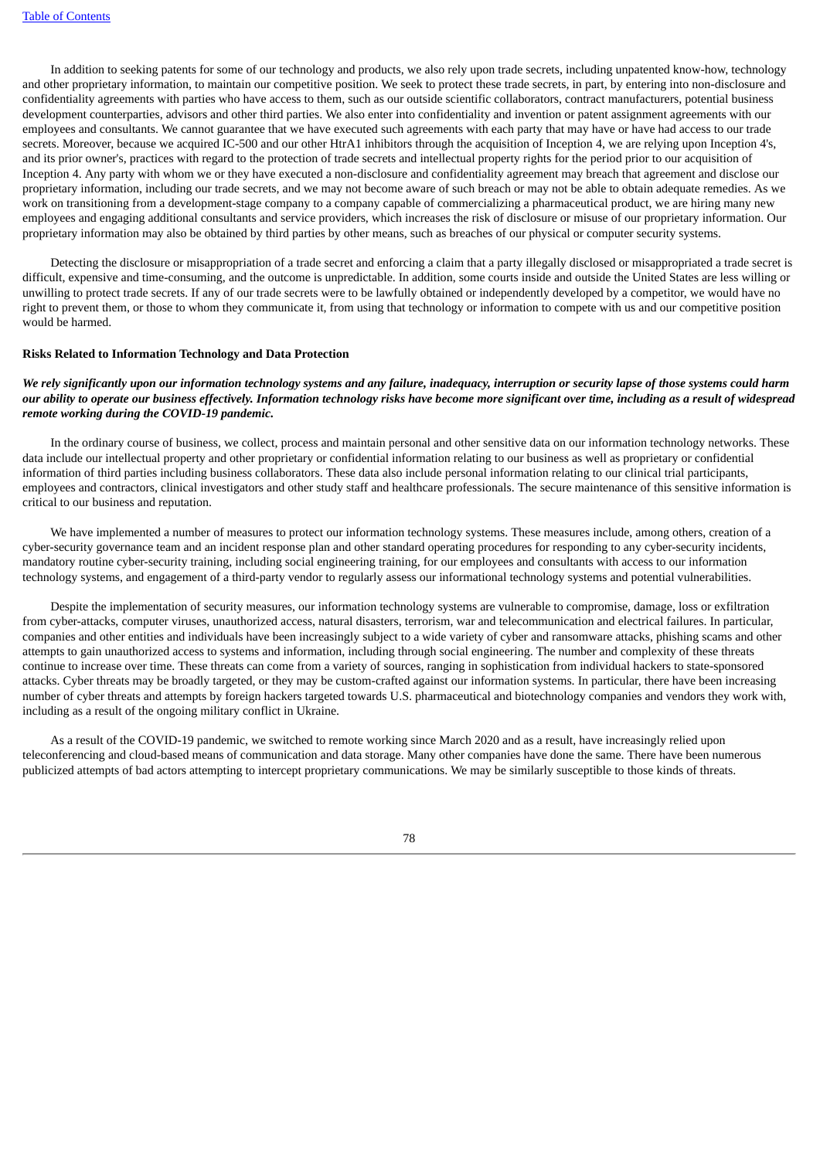In addition to seeking patents for some of our technology and products, we also rely upon trade secrets, including unpatented know-how, technology and other proprietary information, to maintain our competitive position. We seek to protect these trade secrets, in part, by entering into non-disclosure and confidentiality agreements with parties who have access to them, such as our outside scientific collaborators, contract manufacturers, potential business development counterparties, advisors and other third parties. We also enter into confidentiality and invention or patent assignment agreements with our employees and consultants. We cannot guarantee that we have executed such agreements with each party that may have or have had access to our trade secrets. Moreover, because we acquired IC-500 and our other HtrA1 inhibitors through the acquisition of Inception 4, we are relying upon Inception 4's, and its prior owner's, practices with regard to the protection of trade secrets and intellectual property rights for the period prior to our acquisition of Inception 4. Any party with whom we or they have executed a non-disclosure and confidentiality agreement may breach that agreement and disclose our proprietary information, including our trade secrets, and we may not become aware of such breach or may not be able to obtain adequate remedies. As we work on transitioning from a development-stage company to a company capable of commercializing a pharmaceutical product, we are hiring many new employees and engaging additional consultants and service providers, which increases the risk of disclosure or misuse of our proprietary information. Our proprietary information may also be obtained by third parties by other means, such as breaches of our physical or computer security systems.

Detecting the disclosure or misappropriation of a trade secret and enforcing a claim that a party illegally disclosed or misappropriated a trade secret is difficult, expensive and time-consuming, and the outcome is unpredictable. In addition, some courts inside and outside the United States are less willing or unwilling to protect trade secrets. If any of our trade secrets were to be lawfully obtained or independently developed by a competitor, we would have no right to prevent them, or those to whom they communicate it, from using that technology or information to compete with us and our competitive position would be harmed.

#### **Risks Related to Information Technology and Data Protection**

## We rely significantly upon our information technology systems and any failure, inadequacy, interruption or security lapse of those systems could harm our ability to operate our business effectively. Information technology risks have become more significant over time, including as a result of widespread *remote working during the COVID-19 pandemic.*

In the ordinary course of business, we collect, process and maintain personal and other sensitive data on our information technology networks. These data include our intellectual property and other proprietary or confidential information relating to our business as well as proprietary or confidential information of third parties including business collaborators. These data also include personal information relating to our clinical trial participants, employees and contractors, clinical investigators and other study staff and healthcare professionals. The secure maintenance of this sensitive information is critical to our business and reputation.

We have implemented a number of measures to protect our information technology systems. These measures include, among others, creation of a cyber-security governance team and an incident response plan and other standard operating procedures for responding to any cyber-security incidents, mandatory routine cyber-security training, including social engineering training, for our employees and consultants with access to our information technology systems, and engagement of a third-party vendor to regularly assess our informational technology systems and potential vulnerabilities.

Despite the implementation of security measures, our information technology systems are vulnerable to compromise, damage, loss or exfiltration from cyber-attacks, computer viruses, unauthorized access, natural disasters, terrorism, war and telecommunication and electrical failures. In particular, companies and other entities and individuals have been increasingly subject to a wide variety of cyber and ransomware attacks, phishing scams and other attempts to gain unauthorized access to systems and information, including through social engineering. The number and complexity of these threats continue to increase over time. These threats can come from a variety of sources, ranging in sophistication from individual hackers to state-sponsored attacks. Cyber threats may be broadly targeted, or they may be custom-crafted against our information systems. In particular, there have been increasing number of cyber threats and attempts by foreign hackers targeted towards U.S. pharmaceutical and biotechnology companies and vendors they work with, including as a result of the ongoing military conflict in Ukraine.

As a result of the COVID-19 pandemic, we switched to remote working since March 2020 and as a result, have increasingly relied upon teleconferencing and cloud-based means of communication and data storage. Many other companies have done the same. There have been numerous publicized attempts of bad actors attempting to intercept proprietary communications. We may be similarly susceptible to those kinds of threats.

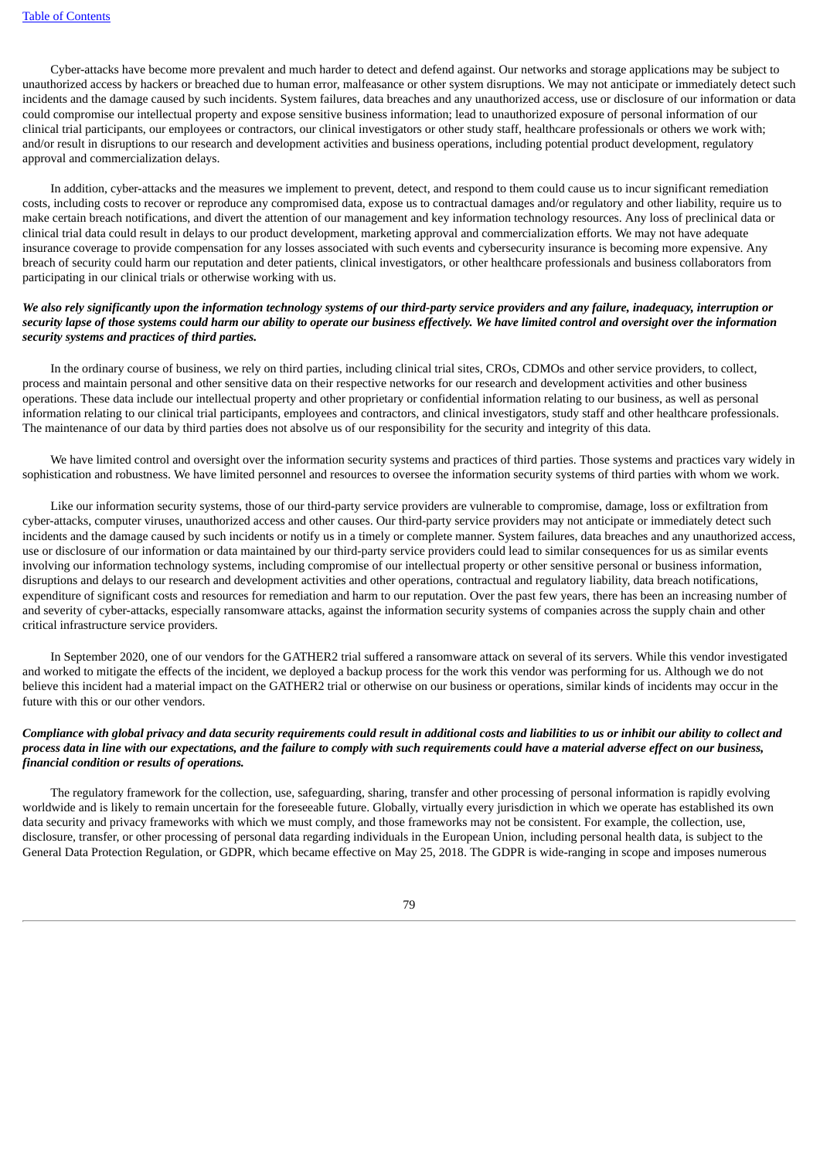Cyber-attacks have become more prevalent and much harder to detect and defend against. Our networks and storage applications may be subject to unauthorized access by hackers or breached due to human error, malfeasance or other system disruptions. We may not anticipate or immediately detect such incidents and the damage caused by such incidents. System failures, data breaches and any unauthorized access, use or disclosure of our information or data could compromise our intellectual property and expose sensitive business information; lead to unauthorized exposure of personal information of our clinical trial participants, our employees or contractors, our clinical investigators or other study staff, healthcare professionals or others we work with; and/or result in disruptions to our research and development activities and business operations, including potential product development, regulatory approval and commercialization delays.

In addition, cyber-attacks and the measures we implement to prevent, detect, and respond to them could cause us to incur significant remediation costs, including costs to recover or reproduce any compromised data, expose us to contractual damages and/or regulatory and other liability, require us to make certain breach notifications, and divert the attention of our management and key information technology resources. Any loss of preclinical data or clinical trial data could result in delays to our product development, marketing approval and commercialization efforts. We may not have adequate insurance coverage to provide compensation for any losses associated with such events and cybersecurity insurance is becoming more expensive. Any breach of security could harm our reputation and deter patients, clinical investigators, or other healthcare professionals and business collaborators from participating in our clinical trials or otherwise working with us.

## We also rely significantly upon the information technology systems of our third-party service providers and any failure, inadequacy, interruption or security lapse of those systems could harm our ability to operate our business effectively. We have limited control and oversight over the information *security systems and practices of third parties.*

In the ordinary course of business, we rely on third parties, including clinical trial sites, CROs, CDMOs and other service providers, to collect, process and maintain personal and other sensitive data on their respective networks for our research and development activities and other business operations. These data include our intellectual property and other proprietary or confidential information relating to our business, as well as personal information relating to our clinical trial participants, employees and contractors, and clinical investigators, study staff and other healthcare professionals. The maintenance of our data by third parties does not absolve us of our responsibility for the security and integrity of this data.

We have limited control and oversight over the information security systems and practices of third parties. Those systems and practices vary widely in sophistication and robustness. We have limited personnel and resources to oversee the information security systems of third parties with whom we work.

Like our information security systems, those of our third-party service providers are vulnerable to compromise, damage, loss or exfiltration from cyber-attacks, computer viruses, unauthorized access and other causes. Our third-party service providers may not anticipate or immediately detect such incidents and the damage caused by such incidents or notify us in a timely or complete manner. System failures, data breaches and any unauthorized access, use or disclosure of our information or data maintained by our third-party service providers could lead to similar consequences for us as similar events involving our information technology systems, including compromise of our intellectual property or other sensitive personal or business information, disruptions and delays to our research and development activities and other operations, contractual and regulatory liability, data breach notifications, expenditure of significant costs and resources for remediation and harm to our reputation. Over the past few years, there has been an increasing number of and severity of cyber-attacks, especially ransomware attacks, against the information security systems of companies across the supply chain and other critical infrastructure service providers.

In September 2020, one of our vendors for the GATHER2 trial suffered a ransomware attack on several of its servers. While this vendor investigated and worked to mitigate the effects of the incident, we deployed a backup process for the work this vendor was performing for us. Although we do not believe this incident had a material impact on the GATHER2 trial or otherwise on our business or operations, similar kinds of incidents may occur in the future with this or our other vendors.

# Compliance with alobal privacy and data security requirements could result in additional costs and liabilities to us or inhibit our ability to collect and process data in line with our expectations, and the failure to comply with such requirements could have a material adverse effect on our business, *financial condition or results of operations.*

The regulatory framework for the collection, use, safeguarding, sharing, transfer and other processing of personal information is rapidly evolving worldwide and is likely to remain uncertain for the foreseeable future. Globally, virtually every jurisdiction in which we operate has established its own data security and privacy frameworks with which we must comply, and those frameworks may not be consistent. For example, the collection, use, disclosure, transfer, or other processing of personal data regarding individuals in the European Union, including personal health data, is subject to the General Data Protection Regulation, or GDPR, which became effective on May 25, 2018. The GDPR is wide-ranging in scope and imposes numerous

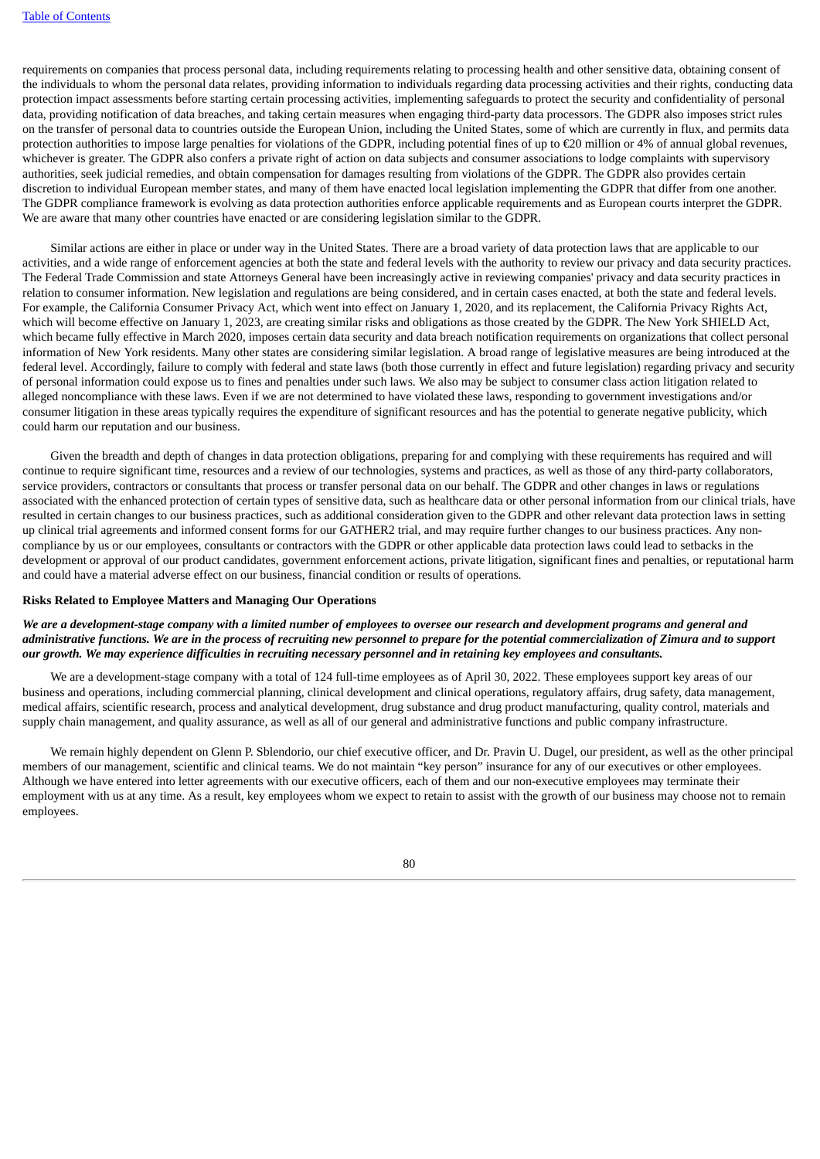requirements on companies that process personal data, including requirements relating to processing health and other sensitive data, obtaining consent of the individuals to whom the personal data relates, providing information to individuals regarding data processing activities and their rights, conducting data protection impact assessments before starting certain processing activities, implementing safeguards to protect the security and confidentiality of personal data, providing notification of data breaches, and taking certain measures when engaging third-party data processors. The GDPR also imposes strict rules on the transfer of personal data to countries outside the European Union, including the United States, some of which are currently in flux, and permits data protection authorities to impose large penalties for violations of the GDPR, including potential fines of up to €20 million or 4% of annual global revenues, whichever is greater. The GDPR also confers a private right of action on data subjects and consumer associations to lodge complaints with supervisory authorities, seek judicial remedies, and obtain compensation for damages resulting from violations of the GDPR. The GDPR also provides certain discretion to individual European member states, and many of them have enacted local legislation implementing the GDPR that differ from one another. The GDPR compliance framework is evolving as data protection authorities enforce applicable requirements and as European courts interpret the GDPR. We are aware that many other countries have enacted or are considering legislation similar to the GDPR.

Similar actions are either in place or under way in the United States. There are a broad variety of data protection laws that are applicable to our activities, and a wide range of enforcement agencies at both the state and federal levels with the authority to review our privacy and data security practices. The Federal Trade Commission and state Attorneys General have been increasingly active in reviewing companies' privacy and data security practices in relation to consumer information. New legislation and regulations are being considered, and in certain cases enacted, at both the state and federal levels. For example, the California Consumer Privacy Act, which went into effect on January 1, 2020, and its replacement, the California Privacy Rights Act, which will become effective on January 1, 2023, are creating similar risks and obligations as those created by the GDPR. The New York SHIELD Act, which became fully effective in March 2020, imposes certain data security and data breach notification requirements on organizations that collect personal information of New York residents. Many other states are considering similar legislation. A broad range of legislative measures are being introduced at the federal level. Accordingly, failure to comply with federal and state laws (both those currently in effect and future legislation) regarding privacy and security of personal information could expose us to fines and penalties under such laws. We also may be subject to consumer class action litigation related to alleged noncompliance with these laws. Even if we are not determined to have violated these laws, responding to government investigations and/or consumer litigation in these areas typically requires the expenditure of significant resources and has the potential to generate negative publicity, which could harm our reputation and our business.

Given the breadth and depth of changes in data protection obligations, preparing for and complying with these requirements has required and will continue to require significant time, resources and a review of our technologies, systems and practices, as well as those of any third-party collaborators, service providers, contractors or consultants that process or transfer personal data on our behalf. The GDPR and other changes in laws or regulations associated with the enhanced protection of certain types of sensitive data, such as healthcare data or other personal information from our clinical trials, have resulted in certain changes to our business practices, such as additional consideration given to the GDPR and other relevant data protection laws in setting up clinical trial agreements and informed consent forms for our GATHER2 trial, and may require further changes to our business practices. Any noncompliance by us or our employees, consultants or contractors with the GDPR or other applicable data protection laws could lead to setbacks in the development or approval of our product candidates, government enforcement actions, private litigation, significant fines and penalties, or reputational harm and could have a material adverse effect on our business, financial condition or results of operations.

#### **Risks Related to Employee Matters and Managing Our Operations**

We are a development-stage company with a limited number of employees to oversee our research and development programs and general and administrative functions. We are in the process of recruiting new personnel to prepare for the potential commercialization of Zimura and to support our growth. We may experience difficulties in recruiting necessary personnel and in retaining key employees and consultants.

We are a development-stage company with a total of 124 full-time employees as of April 30, 2022. These employees support key areas of our business and operations, including commercial planning, clinical development and clinical operations, regulatory affairs, drug safety, data management, medical affairs, scientific research, process and analytical development, drug substance and drug product manufacturing, quality control, materials and supply chain management, and quality assurance, as well as all of our general and administrative functions and public company infrastructure.

We remain highly dependent on Glenn P. Sblendorio, our chief executive officer, and Dr. Pravin U. Dugel, our president, as well as the other principal members of our management, scientific and clinical teams. We do not maintain "key person" insurance for any of our executives or other employees. Although we have entered into letter agreements with our executive officers, each of them and our non-executive employees may terminate their employment with us at any time. As a result, key employees whom we expect to retain to assist with the growth of our business may choose not to remain employees.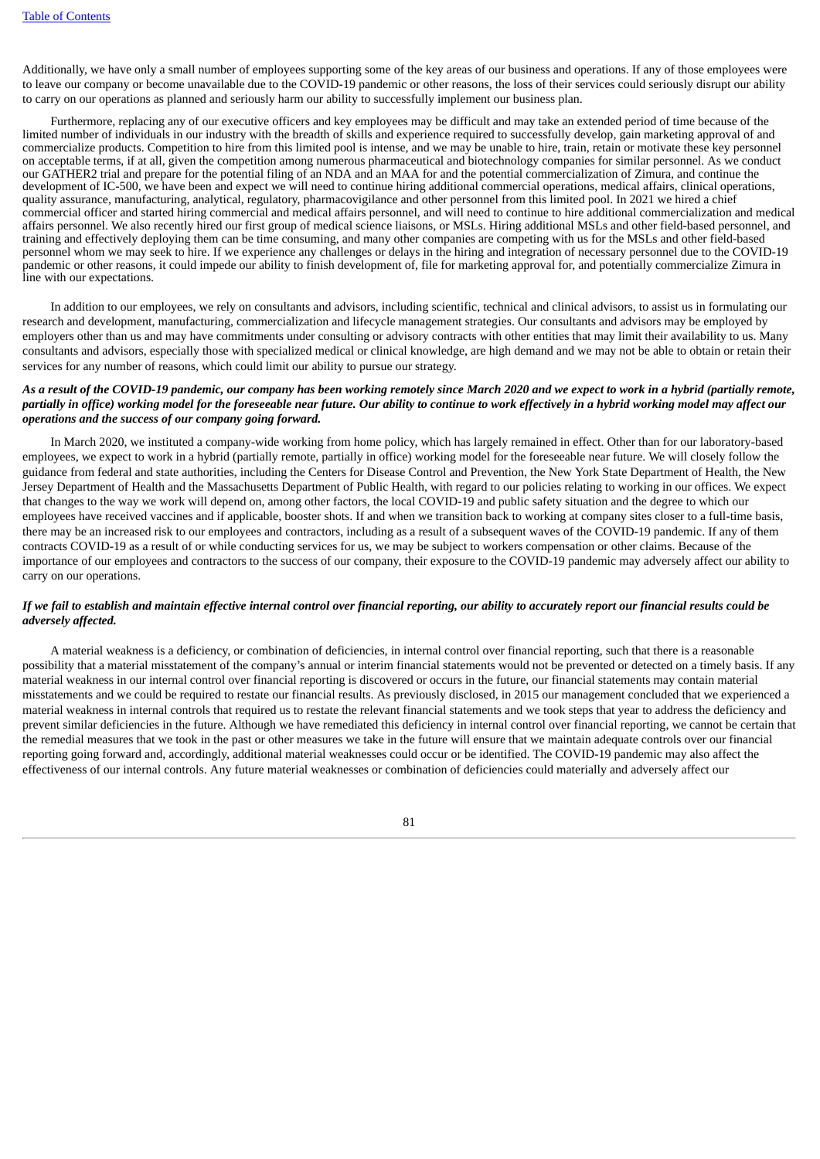Additionally, we have only a small number of employees supporting some of the key areas of our business and operations. If any of those employees were to leave our company or become unavailable due to the COVID-19 pandemic or other reasons, the loss of their services could seriously disrupt our ability to carry on our operations as planned and seriously harm our ability to successfully implement our business plan.

Furthermore, replacing any of our executive officers and key employees may be difficult and may take an extended period of time because of the limited number of individuals in our industry with the breadth of skills and experience required to successfully develop, gain marketing approval of and commercialize products. Competition to hire from this limited pool is intense, and we may be unable to hire, train, retain or motivate these key personnel on acceptable terms, if at all, given the competition among numerous pharmaceutical and biotechnology companies for similar personnel. As we conduct our GATHER2 trial and prepare for the potential filing of an NDA and an MAA for and the potential commercialization of Zimura, and continue the development of IC-500, we have been and expect we will need to continue hiring additional commercial operations, medical affairs, clinical operations, quality assurance, manufacturing, analytical, regulatory, pharmacovigilance and other personnel from this limited pool. In 2021 we hired a chief commercial officer and started hiring commercial and medical affairs personnel, and will need to continue to hire additional commercialization and medical affairs personnel. We also recently hired our first group of medical science liaisons, or MSLs. Hiring additional MSLs and other field-based personnel, and training and effectively deploying them can be time consuming, and many other companies are competing with us for the MSLs and other field-based personnel whom we may seek to hire. If we experience any challenges or delays in the hiring and integration of necessary personnel due to the COVID-19 pandemic or other reasons, it could impede our ability to finish development of, file for marketing approval for, and potentially commercialize Zimura in line with our expectations.

In addition to our employees, we rely on consultants and advisors, including scientific, technical and clinical advisors, to assist us in formulating our research and development, manufacturing, commercialization and lifecycle management strategies. Our consultants and advisors may be employed by employers other than us and may have commitments under consulting or advisory contracts with other entities that may limit their availability to us. Many consultants and advisors, especially those with specialized medical or clinical knowledge, are high demand and we may not be able to obtain or retain their services for any number of reasons, which could limit our ability to pursue our strategy.

# As a result of the COVID-19 pandemic, our company has been working remotely since March 2020 and we expect to work in a hybrid (partially remote, partially in office) working model for the foreseeable near future. Our ability to continue to work effectively in a hybrid working model may affect our *operations and the success of our company going forward.*

In March 2020, we instituted a company-wide working from home policy, which has largely remained in effect. Other than for our laboratory-based employees, we expect to work in a hybrid (partially remote, partially in office) working model for the foreseeable near future. We will closely follow the guidance from federal and state authorities, including the Centers for Disease Control and Prevention, the New York State Department of Health, the New Jersey Department of Health and the Massachusetts Department of Public Health, with regard to our policies relating to working in our offices. We expect that changes to the way we work will depend on, among other factors, the local COVID-19 and public safety situation and the degree to which our employees have received vaccines and if applicable, booster shots. If and when we transition back to working at company sites closer to a full-time basis, there may be an increased risk to our employees and contractors, including as a result of a subsequent waves of the COVID-19 pandemic. If any of them contracts COVID-19 as a result of or while conducting services for us, we may be subject to workers compensation or other claims. Because of the importance of our employees and contractors to the success of our company, their exposure to the COVID-19 pandemic may adversely affect our ability to carry on our operations.

# If we fail to establish and maintain effective internal control over financial reporting, our ability to accurately report our financial results could be *adversely affected.*

A material weakness is a deficiency, or combination of deficiencies, in internal control over financial reporting, such that there is a reasonable possibility that a material misstatement of the company's annual or interim financial statements would not be prevented or detected on a timely basis. If any material weakness in our internal control over financial reporting is discovered or occurs in the future, our financial statements may contain material misstatements and we could be required to restate our financial results. As previously disclosed, in 2015 our management concluded that we experienced a material weakness in internal controls that required us to restate the relevant financial statements and we took steps that year to address the deficiency and prevent similar deficiencies in the future. Although we have remediated this deficiency in internal control over financial reporting, we cannot be certain that the remedial measures that we took in the past or other measures we take in the future will ensure that we maintain adequate controls over our financial reporting going forward and, accordingly, additional material weaknesses could occur or be identified. The COVID-19 pandemic may also affect the effectiveness of our internal controls. Any future material weaknesses or combination of deficiencies could materially and adversely affect our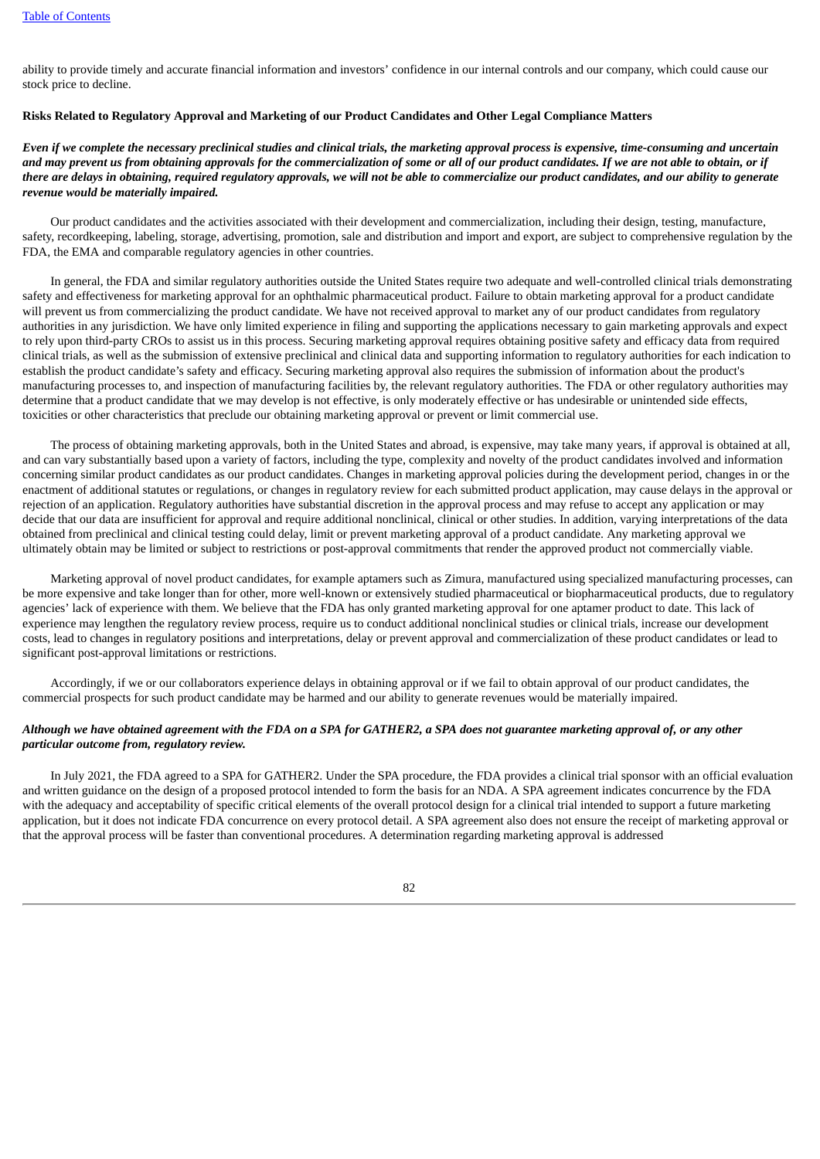ability to provide timely and accurate financial information and investors' confidence in our internal controls and our company, which could cause our stock price to decline.

#### **Risks Related to Regulatory Approval and Marketing of our Product Candidates and Other Legal Compliance Matters**

Even if we complete the necessary preclinical studies and clinical trials, the marketing approval process is expensive, time-consuming and uncertain and may prevent us from obtaining approvals for the commercialization of some or all of our product candidates. If we are not able to obtain, or if there are delays in obtaining, required requlatory approvals, we will not be able to commercialize our product candidates, and our ability to generate *revenue would be materially impaired.*

Our product candidates and the activities associated with their development and commercialization, including their design, testing, manufacture, safety, recordkeeping, labeling, storage, advertising, promotion, sale and distribution and import and export, are subject to comprehensive regulation by the FDA, the EMA and comparable regulatory agencies in other countries.

In general, the FDA and similar regulatory authorities outside the United States require two adequate and well-controlled clinical trials demonstrating safety and effectiveness for marketing approval for an ophthalmic pharmaceutical product. Failure to obtain marketing approval for a product candidate will prevent us from commercializing the product candidate. We have not received approval to market any of our product candidates from regulatory authorities in any jurisdiction. We have only limited experience in filing and supporting the applications necessary to gain marketing approvals and expect to rely upon third-party CROs to assist us in this process. Securing marketing approval requires obtaining positive safety and efficacy data from required clinical trials, as well as the submission of extensive preclinical and clinical data and supporting information to regulatory authorities for each indication to establish the product candidate's safety and efficacy. Securing marketing approval also requires the submission of information about the product's manufacturing processes to, and inspection of manufacturing facilities by, the relevant regulatory authorities. The FDA or other regulatory authorities may determine that a product candidate that we may develop is not effective, is only moderately effective or has undesirable or unintended side effects, toxicities or other characteristics that preclude our obtaining marketing approval or prevent or limit commercial use.

The process of obtaining marketing approvals, both in the United States and abroad, is expensive, may take many years, if approval is obtained at all, and can vary substantially based upon a variety of factors, including the type, complexity and novelty of the product candidates involved and information concerning similar product candidates as our product candidates. Changes in marketing approval policies during the development period, changes in or the enactment of additional statutes or regulations, or changes in regulatory review for each submitted product application, may cause delays in the approval or rejection of an application. Regulatory authorities have substantial discretion in the approval process and may refuse to accept any application or may decide that our data are insufficient for approval and require additional nonclinical, clinical or other studies. In addition, varying interpretations of the data obtained from preclinical and clinical testing could delay, limit or prevent marketing approval of a product candidate. Any marketing approval we ultimately obtain may be limited or subject to restrictions or post-approval commitments that render the approved product not commercially viable.

Marketing approval of novel product candidates, for example aptamers such as Zimura, manufactured using specialized manufacturing processes, can be more expensive and take longer than for other, more well-known or extensively studied pharmaceutical or biopharmaceutical products, due to regulatory agencies' lack of experience with them. We believe that the FDA has only granted marketing approval for one aptamer product to date. This lack of experience may lengthen the regulatory review process, require us to conduct additional nonclinical studies or clinical trials, increase our development costs, lead to changes in regulatory positions and interpretations, delay or prevent approval and commercialization of these product candidates or lead to significant post-approval limitations or restrictions.

Accordingly, if we or our collaborators experience delays in obtaining approval or if we fail to obtain approval of our product candidates, the commercial prospects for such product candidate may be harmed and our ability to generate revenues would be materially impaired.

### Although we have obtained agreement with the FDA on a SPA for GATHER2, a SPA does not guarantee marketing approval of, or any other *particular outcome from, regulatory review.*

In July 2021, the FDA agreed to a SPA for GATHER2. Under the SPA procedure, the FDA provides a clinical trial sponsor with an official evaluation and written guidance on the design of a proposed protocol intended to form the basis for an NDA. A SPA agreement indicates concurrence by the FDA with the adequacy and acceptability of specific critical elements of the overall protocol design for a clinical trial intended to support a future marketing application, but it does not indicate FDA concurrence on every protocol detail. A SPA agreement also does not ensure the receipt of marketing approval or that the approval process will be faster than conventional procedures. A determination regarding marketing approval is addressed

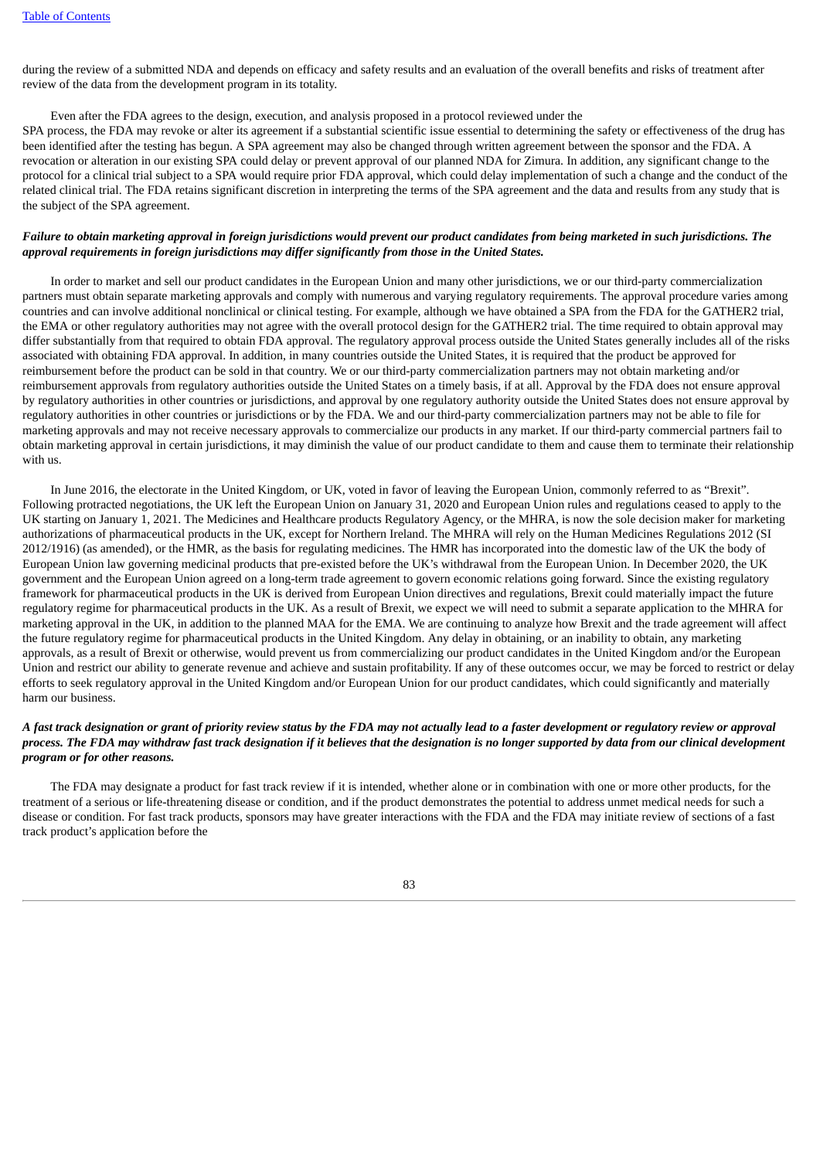during the review of a submitted NDA and depends on efficacy and safety results and an evaluation of the overall benefits and risks of treatment after review of the data from the development program in its totality.

### Even after the FDA agrees to the design, execution, and analysis proposed in a protocol reviewed under the

SPA process, the FDA may revoke or alter its agreement if a substantial scientific issue essential to determining the safety or effectiveness of the drug has been identified after the testing has begun. A SPA agreement may also be changed through written agreement between the sponsor and the FDA. A revocation or alteration in our existing SPA could delay or prevent approval of our planned NDA for Zimura. In addition, any significant change to the protocol for a clinical trial subject to a SPA would require prior FDA approval, which could delay implementation of such a change and the conduct of the related clinical trial. The FDA retains significant discretion in interpreting the terms of the SPA agreement and the data and results from any study that is the subject of the SPA agreement.

### Failure to obtain marketing approval in foreign jurisdictions would prevent our product candidates from being marketed in such jurisdictions. The *approval requirements in foreign jurisdictions may differ significantly from those in the United States.*

In order to market and sell our product candidates in the European Union and many other jurisdictions, we or our third-party commercialization partners must obtain separate marketing approvals and comply with numerous and varying regulatory requirements. The approval procedure varies among countries and can involve additional nonclinical or clinical testing. For example, although we have obtained a SPA from the FDA for the GATHER2 trial, the EMA or other regulatory authorities may not agree with the overall protocol design for the GATHER2 trial. The time required to obtain approval may differ substantially from that required to obtain FDA approval. The regulatory approval process outside the United States generally includes all of the risks associated with obtaining FDA approval. In addition, in many countries outside the United States, it is required that the product be approved for reimbursement before the product can be sold in that country. We or our third-party commercialization partners may not obtain marketing and/or reimbursement approvals from regulatory authorities outside the United States on a timely basis, if at all. Approval by the FDA does not ensure approval by regulatory authorities in other countries or jurisdictions, and approval by one regulatory authority outside the United States does not ensure approval by regulatory authorities in other countries or jurisdictions or by the FDA. We and our third-party commercialization partners may not be able to file for marketing approvals and may not receive necessary approvals to commercialize our products in any market. If our third-party commercial partners fail to obtain marketing approval in certain jurisdictions, it may diminish the value of our product candidate to them and cause them to terminate their relationship with us.

In June 2016, the electorate in the United Kingdom, or UK, voted in favor of leaving the European Union, commonly referred to as "Brexit". Following protracted negotiations, the UK left the European Union on January 31, 2020 and European Union rules and regulations ceased to apply to the UK starting on January 1, 2021. The Medicines and Healthcare products Regulatory Agency, or the MHRA, is now the sole decision maker for marketing authorizations of pharmaceutical products in the UK, except for Northern Ireland. The MHRA will rely on the Human Medicines Regulations 2012 (SI 2012/1916) (as amended), or the HMR, as the basis for regulating medicines. The HMR has incorporated into the domestic law of the UK the body of European Union law governing medicinal products that pre-existed before the UK's withdrawal from the European Union. In December 2020, the UK government and the European Union agreed on a long-term trade agreement to govern economic relations going forward. Since the existing regulatory framework for pharmaceutical products in the UK is derived from European Union directives and regulations, Brexit could materially impact the future regulatory regime for pharmaceutical products in the UK. As a result of Brexit, we expect we will need to submit a separate application to the MHRA for marketing approval in the UK, in addition to the planned MAA for the EMA. We are continuing to analyze how Brexit and the trade agreement will affect the future regulatory regime for pharmaceutical products in the United Kingdom. Any delay in obtaining, or an inability to obtain, any marketing approvals, as a result of Brexit or otherwise, would prevent us from commercializing our product candidates in the United Kingdom and/or the European Union and restrict our ability to generate revenue and achieve and sustain profitability. If any of these outcomes occur, we may be forced to restrict or delay efforts to seek regulatory approval in the United Kingdom and/or European Union for our product candidates, which could significantly and materially harm our business.

# A fast track designation or grant of priority review status by the FDA may not actually lead to a faster development or regulatory review or approval process. The FDA may withdraw fast track designation if it believes that the designation is no longer supported by data from our clinical development *program or for other reasons.*

The FDA may designate a product for fast track review if it is intended, whether alone or in combination with one or more other products, for the treatment of a serious or life-threatening disease or condition, and if the product demonstrates the potential to address unmet medical needs for such a disease or condition. For fast track products, sponsors may have greater interactions with the FDA and the FDA may initiate review of sections of a fast track product's application before the

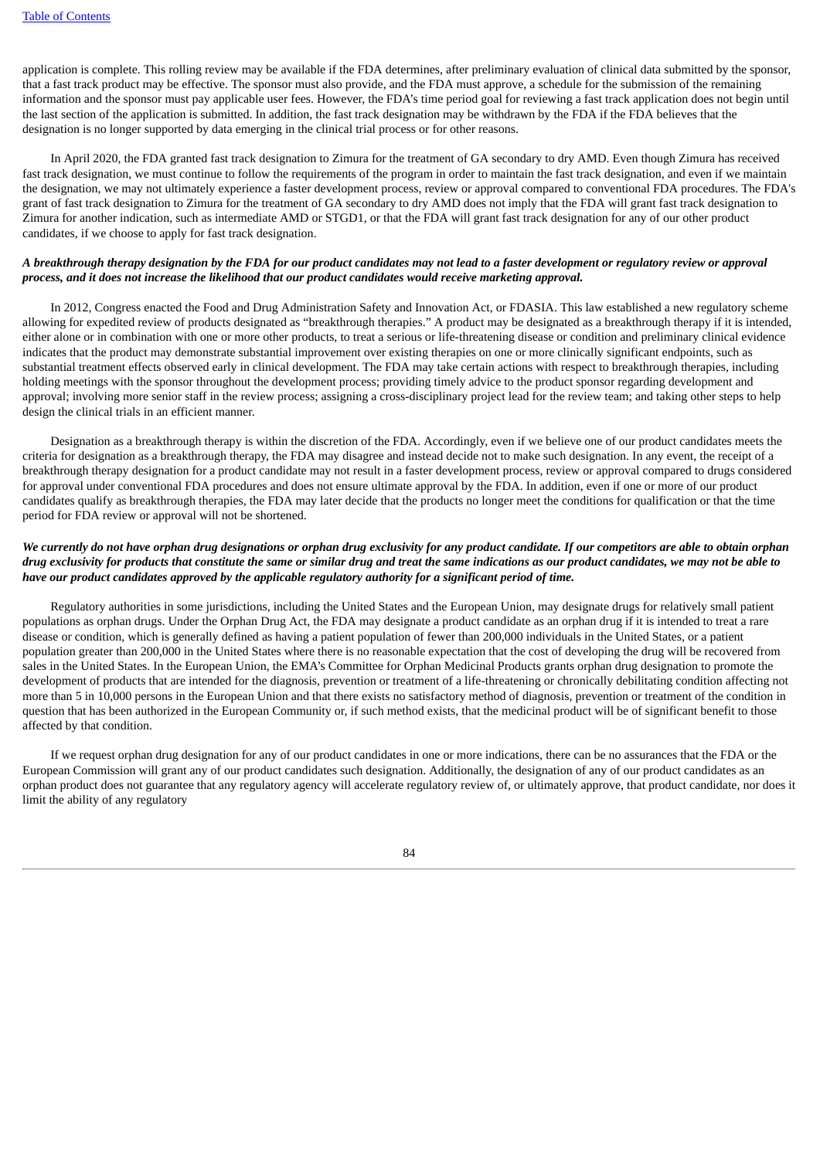application is complete. This rolling review may be available if the FDA determines, after preliminary evaluation of clinical data submitted by the sponsor, that a fast track product may be effective. The sponsor must also provide, and the FDA must approve, a schedule for the submission of the remaining information and the sponsor must pay applicable user fees. However, the FDA's time period goal for reviewing a fast track application does not begin until the last section of the application is submitted. In addition, the fast track designation may be withdrawn by the FDA if the FDA believes that the designation is no longer supported by data emerging in the clinical trial process or for other reasons.

In April 2020, the FDA granted fast track designation to Zimura for the treatment of GA secondary to dry AMD. Even though Zimura has received fast track designation, we must continue to follow the requirements of the program in order to maintain the fast track designation, and even if we maintain the designation, we may not ultimately experience a faster development process, review or approval compared to conventional FDA procedures. The FDA's grant of fast track designation to Zimura for the treatment of GA secondary to dry AMD does not imply that the FDA will grant fast track designation to Zimura for another indication, such as intermediate AMD or STGD1, or that the FDA will grant fast track designation for any of our other product candidates, if we choose to apply for fast track designation.

### A breakthrough therapy designation by the FDA for our product candidates may not lead to a faster development or regulatory review or approval *process, and it does not increase the likelihood that our product candidates would receive marketing approval.*

In 2012, Congress enacted the Food and Drug Administration Safety and Innovation Act, or FDASIA. This law established a new regulatory scheme allowing for expedited review of products designated as "breakthrough therapies." A product may be designated as a breakthrough therapy if it is intended, either alone or in combination with one or more other products, to treat a serious or life-threatening disease or condition and preliminary clinical evidence indicates that the product may demonstrate substantial improvement over existing therapies on one or more clinically significant endpoints, such as substantial treatment effects observed early in clinical development. The FDA may take certain actions with respect to breakthrough therapies, including holding meetings with the sponsor throughout the development process; providing timely advice to the product sponsor regarding development and approval; involving more senior staff in the review process; assigning a cross-disciplinary project lead for the review team; and taking other steps to help design the clinical trials in an efficient manner.

Designation as a breakthrough therapy is within the discretion of the FDA. Accordingly, even if we believe one of our product candidates meets the criteria for designation as a breakthrough therapy, the FDA may disagree and instead decide not to make such designation. In any event, the receipt of a breakthrough therapy designation for a product candidate may not result in a faster development process, review or approval compared to drugs considered for approval under conventional FDA procedures and does not ensure ultimate approval by the FDA. In addition, even if one or more of our product candidates qualify as breakthrough therapies, the FDA may later decide that the products no longer meet the conditions for qualification or that the time period for FDA review or approval will not be shortened.

# We currently do not have orphan drug designations or orphan drug exclusivity for any product candidate. If our competitors are able to obtain orphan drug exclusivity for products that constitute the same or similar drug and treat the same indications as our product candidates, we may not be able to *have our product candidates approved by the applicable regulatory authority for a significant period of time.*

Regulatory authorities in some jurisdictions, including the United States and the European Union, may designate drugs for relatively small patient populations as orphan drugs. Under the Orphan Drug Act, the FDA may designate a product candidate as an orphan drug if it is intended to treat a rare disease or condition, which is generally defined as having a patient population of fewer than 200,000 individuals in the United States, or a patient population greater than 200,000 in the United States where there is no reasonable expectation that the cost of developing the drug will be recovered from sales in the United States. In the European Union, the EMA's Committee for Orphan Medicinal Products grants orphan drug designation to promote the development of products that are intended for the diagnosis, prevention or treatment of a life-threatening or chronically debilitating condition affecting not more than 5 in 10,000 persons in the European Union and that there exists no satisfactory method of diagnosis, prevention or treatment of the condition in question that has been authorized in the European Community or, if such method exists, that the medicinal product will be of significant benefit to those affected by that condition.

If we request orphan drug designation for any of our product candidates in one or more indications, there can be no assurances that the FDA or the European Commission will grant any of our product candidates such designation. Additionally, the designation of any of our product candidates as an orphan product does not guarantee that any regulatory agency will accelerate regulatory review of, or ultimately approve, that product candidate, nor does it limit the ability of any regulatory

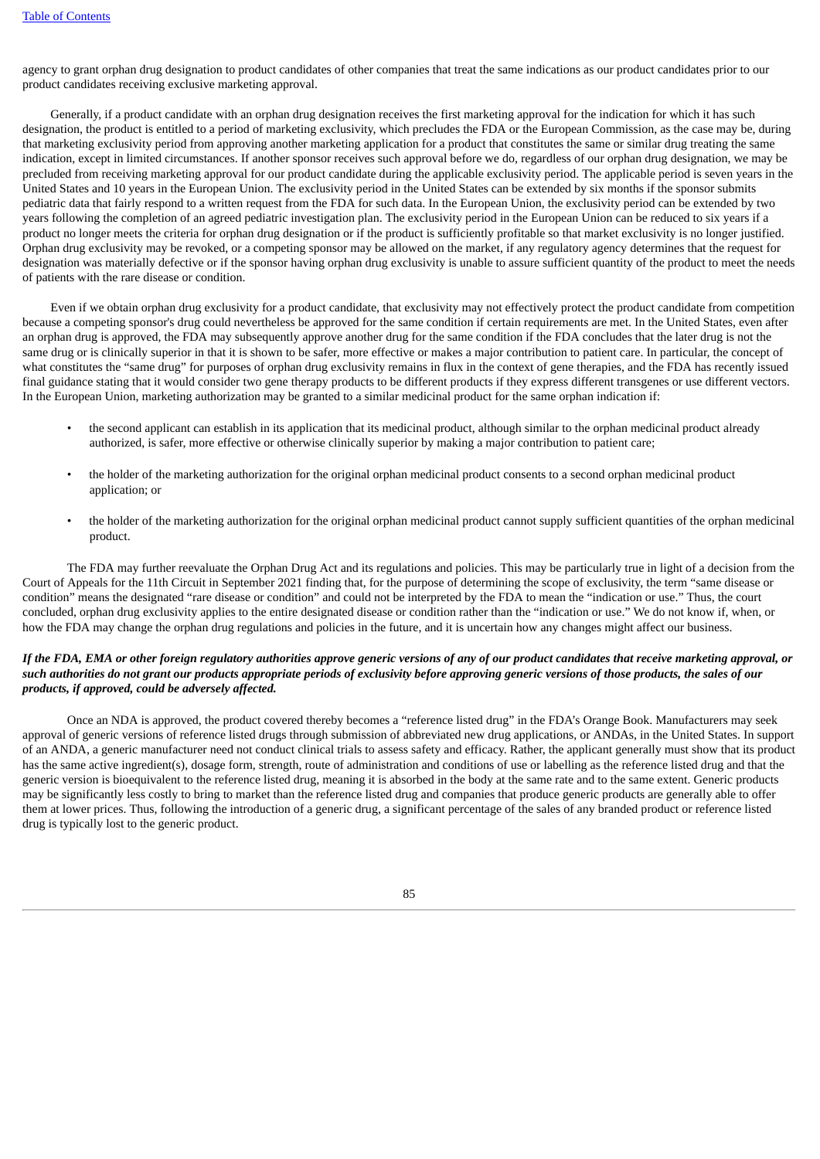agency to grant orphan drug designation to product candidates of other companies that treat the same indications as our product candidates prior to our product candidates receiving exclusive marketing approval.

Generally, if a product candidate with an orphan drug designation receives the first marketing approval for the indication for which it has such designation, the product is entitled to a period of marketing exclusivity, which precludes the FDA or the European Commission, as the case may be, during that marketing exclusivity period from approving another marketing application for a product that constitutes the same or similar drug treating the same indication, except in limited circumstances. If another sponsor receives such approval before we do, regardless of our orphan drug designation, we may be precluded from receiving marketing approval for our product candidate during the applicable exclusivity period. The applicable period is seven years in the United States and 10 years in the European Union. The exclusivity period in the United States can be extended by six months if the sponsor submits pediatric data that fairly respond to a written request from the FDA for such data. In the European Union, the exclusivity period can be extended by two years following the completion of an agreed pediatric investigation plan. The exclusivity period in the European Union can be reduced to six years if a product no longer meets the criteria for orphan drug designation or if the product is sufficiently profitable so that market exclusivity is no longer justified. Orphan drug exclusivity may be revoked, or a competing sponsor may be allowed on the market, if any regulatory agency determines that the request for designation was materially defective or if the sponsor having orphan drug exclusivity is unable to assure sufficient quantity of the product to meet the needs of patients with the rare disease or condition.

Even if we obtain orphan drug exclusivity for a product candidate, that exclusivity may not effectively protect the product candidate from competition because a competing sponsor's drug could nevertheless be approved for the same condition if certain requirements are met. In the United States, even after an orphan drug is approved, the FDA may subsequently approve another drug for the same condition if the FDA concludes that the later drug is not the same drug or is clinically superior in that it is shown to be safer, more effective or makes a major contribution to patient care. In particular, the concept of what constitutes the "same drug" for purposes of orphan drug exclusivity remains in flux in the context of gene therapies, and the FDA has recently issued final guidance stating that it would consider two gene therapy products to be different products if they express different transgenes or use different vectors. In the European Union, marketing authorization may be granted to a similar medicinal product for the same orphan indication if:

- the second applicant can establish in its application that its medicinal product, although similar to the orphan medicinal product already authorized, is safer, more effective or otherwise clinically superior by making a major contribution to patient care;
- the holder of the marketing authorization for the original orphan medicinal product consents to a second orphan medicinal product application; or
- the holder of the marketing authorization for the original orphan medicinal product cannot supply sufficient quantities of the orphan medicinal product.

The FDA may further reevaluate the Orphan Drug Act and its regulations and policies. This may be particularly true in light of a decision from the Court of Appeals for the 11th Circuit in September 2021 finding that, for the purpose of determining the scope of exclusivity, the term "same disease or condition" means the designated "rare disease or condition" and could not be interpreted by the FDA to mean the "indication or use." Thus, the court concluded, orphan drug exclusivity applies to the entire designated disease or condition rather than the "indication or use." We do not know if, when, or how the FDA may change the orphan drug regulations and policies in the future, and it is uncertain how any changes might affect our business.

# If the FDA, EMA or other foreign regulatory authorities approve generic versions of any of our product candidates that receive marketing approval, or such authorities do not grant our products appropriate periods of exclusivity before approving generic versions of those products, the sales of our *products, if approved, could be adversely affected.*

Once an NDA is approved, the product covered thereby becomes a "reference listed drug" in the FDA's Orange Book. Manufacturers may seek approval of generic versions of reference listed drugs through submission of abbreviated new drug applications, or ANDAs, in the United States. In support of an ANDA, a generic manufacturer need not conduct clinical trials to assess safety and efficacy. Rather, the applicant generally must show that its product has the same active ingredient(s), dosage form, strength, route of administration and conditions of use or labelling as the reference listed drug and that the generic version is bioequivalent to the reference listed drug, meaning it is absorbed in the body at the same rate and to the same extent. Generic products may be significantly less costly to bring to market than the reference listed drug and companies that produce generic products are generally able to offer them at lower prices. Thus, following the introduction of a generic drug, a significant percentage of the sales of any branded product or reference listed drug is typically lost to the generic product.

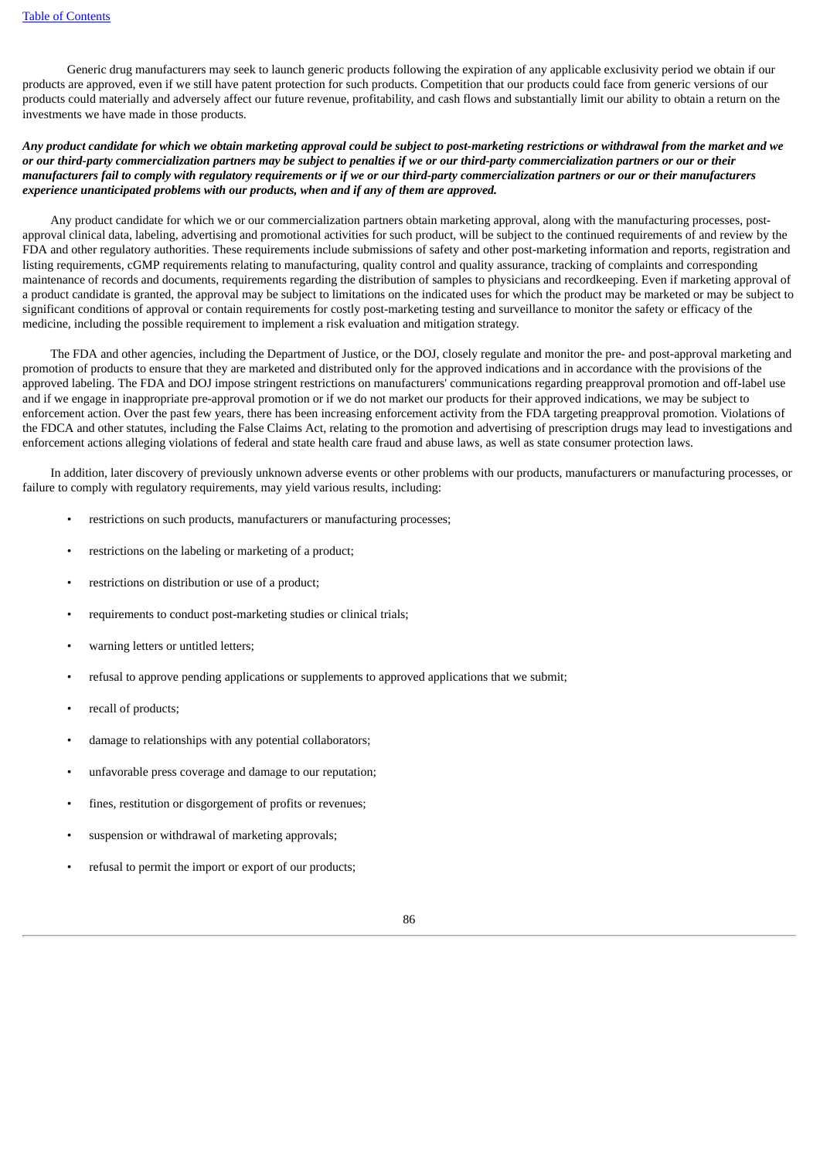Generic drug manufacturers may seek to launch generic products following the expiration of any applicable exclusivity period we obtain if our products are approved, even if we still have patent protection for such products. Competition that our products could face from generic versions of our products could materially and adversely affect our future revenue, profitability, and cash flows and substantially limit our ability to obtain a return on the investments we have made in those products.

# Any product candidate for which we obtain marketing approval could be subject to post-marketing restrictions or withdrawal from the market and we or our third-party commercialization partners may be subject to penalties if we or our third-party commercialization partners or our or their manufacturers fail to comply with regulatory requirements or if we or our third-party commercialization partners or our or their manufacturers *experience unanticipated problems with our products, when and if any of them are approved.*

Any product candidate for which we or our commercialization partners obtain marketing approval, along with the manufacturing processes, postapproval clinical data, labeling, advertising and promotional activities for such product, will be subject to the continued requirements of and review by the FDA and other regulatory authorities. These requirements include submissions of safety and other post-marketing information and reports, registration and listing requirements, cGMP requirements relating to manufacturing, quality control and quality assurance, tracking of complaints and corresponding maintenance of records and documents, requirements regarding the distribution of samples to physicians and recordkeeping. Even if marketing approval of a product candidate is granted, the approval may be subject to limitations on the indicated uses for which the product may be marketed or may be subject to significant conditions of approval or contain requirements for costly post-marketing testing and surveillance to monitor the safety or efficacy of the medicine, including the possible requirement to implement a risk evaluation and mitigation strategy.

The FDA and other agencies, including the Department of Justice, or the DOJ, closely regulate and monitor the pre- and post-approval marketing and promotion of products to ensure that they are marketed and distributed only for the approved indications and in accordance with the provisions of the approved labeling. The FDA and DOJ impose stringent restrictions on manufacturers' communications regarding preapproval promotion and off-label use and if we engage in inappropriate pre-approval promotion or if we do not market our products for their approved indications, we may be subject to enforcement action. Over the past few years, there has been increasing enforcement activity from the FDA targeting preapproval promotion. Violations of the FDCA and other statutes, including the False Claims Act, relating to the promotion and advertising of prescription drugs may lead to investigations and enforcement actions alleging violations of federal and state health care fraud and abuse laws, as well as state consumer protection laws.

In addition, later discovery of previously unknown adverse events or other problems with our products, manufacturers or manufacturing processes, or failure to comply with regulatory requirements, may yield various results, including:

- restrictions on such products, manufacturers or manufacturing processes;
- restrictions on the labeling or marketing of a product;
- restrictions on distribution or use of a product:
- requirements to conduct post-marketing studies or clinical trials;
- warning letters or untitled letters;
- refusal to approve pending applications or supplements to approved applications that we submit;
- recall of products;
- damage to relationships with any potential collaborators;
- unfavorable press coverage and damage to our reputation;
- fines, restitution or disgorgement of profits or revenues;
- suspension or withdrawal of marketing approvals;
- refusal to permit the import or export of our products;

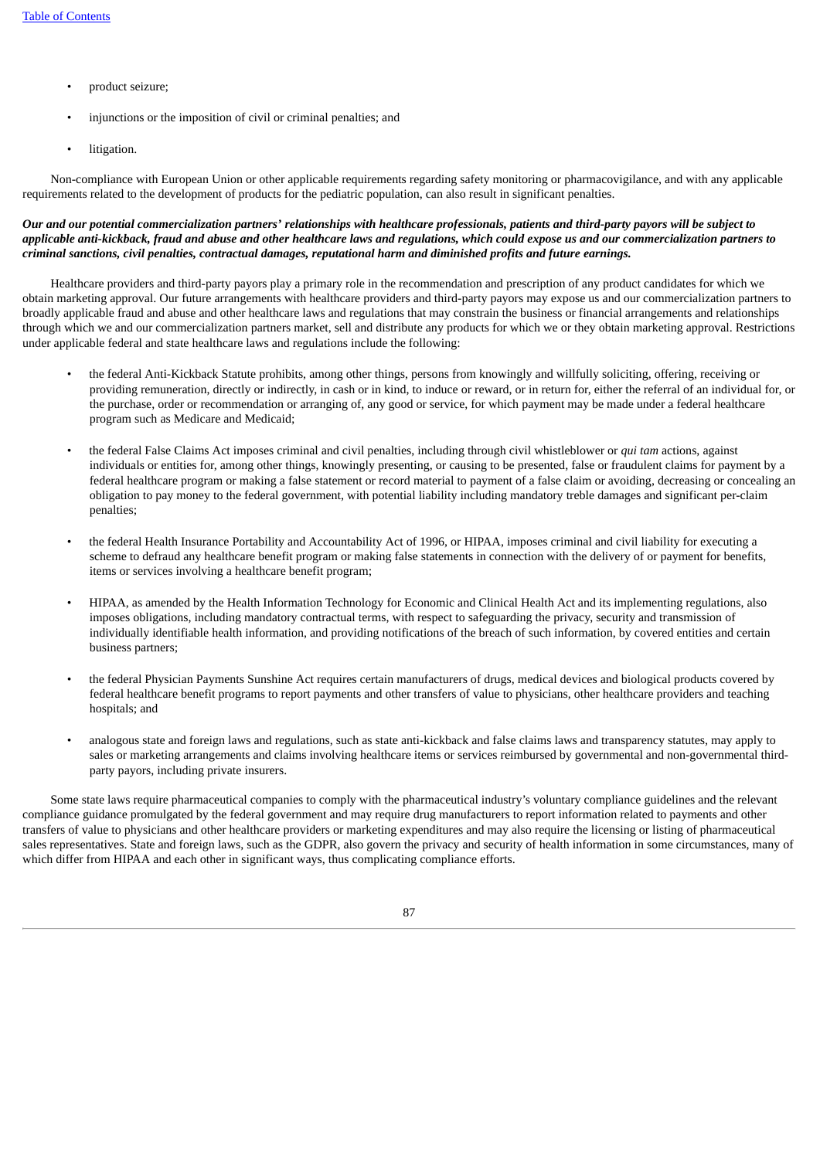- product seizure;
- injunctions or the imposition of civil or criminal penalties; and
- litigation.

Non-compliance with European Union or other applicable requirements regarding safety monitoring or pharmacovigilance, and with any applicable requirements related to the development of products for the pediatric population, can also result in significant penalties.

# Our and our potential commercialization partners' relationships with healthcare professionals, patients and third-party payors will be subject to applicable anti-kickback, fraud and abuse and other healthcare laws and reaulations, which could expose us and our commercialization partners to *criminal sanctions, civil penalties, contractual damages, reputational harm and diminished profits and future earnings.*

Healthcare providers and third-party payors play a primary role in the recommendation and prescription of any product candidates for which we obtain marketing approval. Our future arrangements with healthcare providers and third-party payors may expose us and our commercialization partners to broadly applicable fraud and abuse and other healthcare laws and regulations that may constrain the business or financial arrangements and relationships through which we and our commercialization partners market, sell and distribute any products for which we or they obtain marketing approval. Restrictions under applicable federal and state healthcare laws and regulations include the following:

- the federal Anti-Kickback Statute prohibits, among other things, persons from knowingly and willfully soliciting, offering, receiving or providing remuneration, directly or indirectly, in cash or in kind, to induce or reward, or in return for, either the referral of an individual for, or the purchase, order or recommendation or arranging of, any good or service, for which payment may be made under a federal healthcare program such as Medicare and Medicaid;
- the federal False Claims Act imposes criminal and civil penalties, including through civil whistleblower or *qui tam* actions, against individuals or entities for, among other things, knowingly presenting, or causing to be presented, false or fraudulent claims for payment by a federal healthcare program or making a false statement or record material to payment of a false claim or avoiding, decreasing or concealing an obligation to pay money to the federal government, with potential liability including mandatory treble damages and significant per-claim penalties;
- the federal Health Insurance Portability and Accountability Act of 1996, or HIPAA, imposes criminal and civil liability for executing a scheme to defraud any healthcare benefit program or making false statements in connection with the delivery of or payment for benefits, items or services involving a healthcare benefit program;
- HIPAA, as amended by the Health Information Technology for Economic and Clinical Health Act and its implementing regulations, also imposes obligations, including mandatory contractual terms, with respect to safeguarding the privacy, security and transmission of individually identifiable health information, and providing notifications of the breach of such information, by covered entities and certain business partners;
- the federal Physician Payments Sunshine Act requires certain manufacturers of drugs, medical devices and biological products covered by federal healthcare benefit programs to report payments and other transfers of value to physicians, other healthcare providers and teaching hospitals; and
- analogous state and foreign laws and regulations, such as state anti-kickback and false claims laws and transparency statutes, may apply to sales or marketing arrangements and claims involving healthcare items or services reimbursed by governmental and non-governmental thirdparty payors, including private insurers.

Some state laws require pharmaceutical companies to comply with the pharmaceutical industry's voluntary compliance guidelines and the relevant compliance guidance promulgated by the federal government and may require drug manufacturers to report information related to payments and other transfers of value to physicians and other healthcare providers or marketing expenditures and may also require the licensing or listing of pharmaceutical sales representatives. State and foreign laws, such as the GDPR, also govern the privacy and security of health information in some circumstances, many of which differ from HIPAA and each other in significant ways, thus complicating compliance efforts.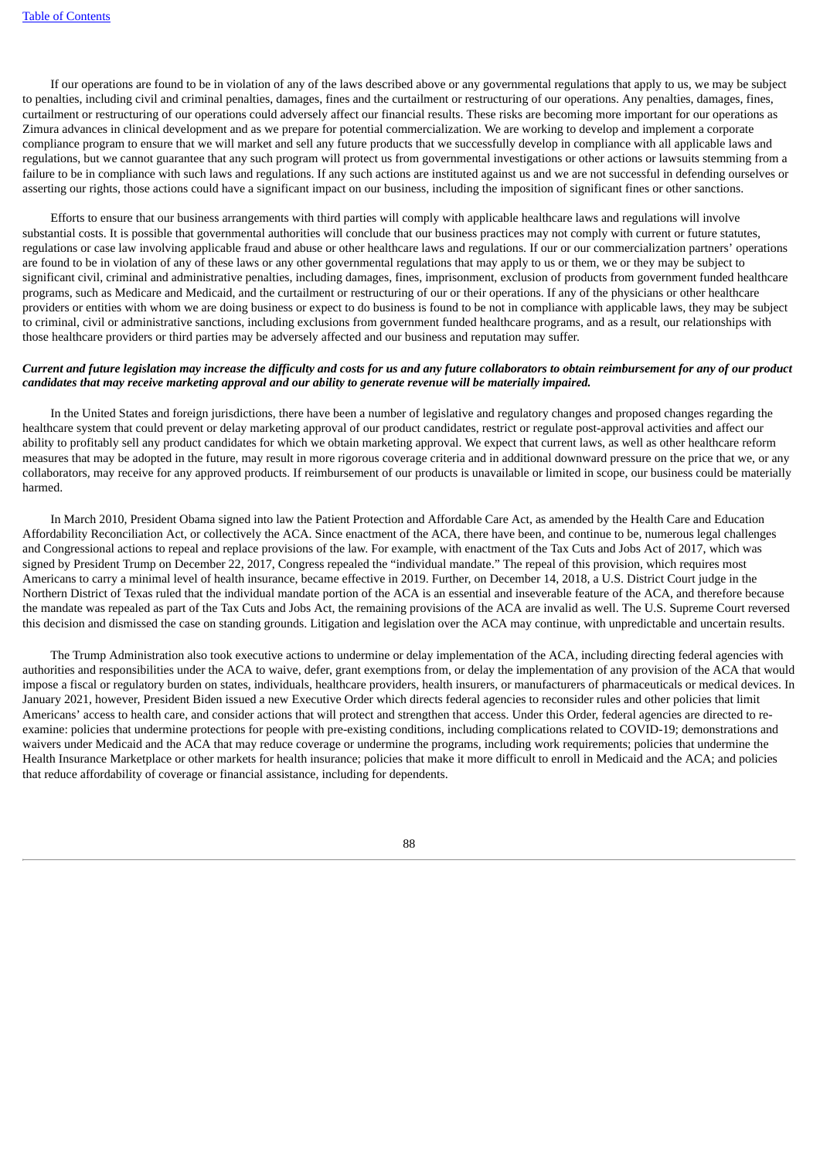If our operations are found to be in violation of any of the laws described above or any governmental regulations that apply to us, we may be subject to penalties, including civil and criminal penalties, damages, fines and the curtailment or restructuring of our operations. Any penalties, damages, fines, curtailment or restructuring of our operations could adversely affect our financial results. These risks are becoming more important for our operations as Zimura advances in clinical development and as we prepare for potential commercialization. We are working to develop and implement a corporate compliance program to ensure that we will market and sell any future products that we successfully develop in compliance with all applicable laws and regulations, but we cannot guarantee that any such program will protect us from governmental investigations or other actions or lawsuits stemming from a failure to be in compliance with such laws and regulations. If any such actions are instituted against us and we are not successful in defending ourselves or asserting our rights, those actions could have a significant impact on our business, including the imposition of significant fines or other sanctions.

Efforts to ensure that our business arrangements with third parties will comply with applicable healthcare laws and regulations will involve substantial costs. It is possible that governmental authorities will conclude that our business practices may not comply with current or future statutes, regulations or case law involving applicable fraud and abuse or other healthcare laws and regulations. If our or our commercialization partners' operations are found to be in violation of any of these laws or any other governmental regulations that may apply to us or them, we or they may be subject to significant civil, criminal and administrative penalties, including damages, fines, imprisonment, exclusion of products from government funded healthcare programs, such as Medicare and Medicaid, and the curtailment or restructuring of our or their operations. If any of the physicians or other healthcare providers or entities with whom we are doing business or expect to do business is found to be not in compliance with applicable laws, they may be subject to criminal, civil or administrative sanctions, including exclusions from government funded healthcare programs, and as a result, our relationships with those healthcare providers or third parties may be adversely affected and our business and reputation may suffer.

# Current and future legislation may increase the difficulty and costs for us and any future collaborators to obtain reimbursement for any of our product *candidates that may receive marketing approval and our ability to generate revenue will be materially impaired.*

In the United States and foreign jurisdictions, there have been a number of legislative and regulatory changes and proposed changes regarding the healthcare system that could prevent or delay marketing approval of our product candidates, restrict or regulate post-approval activities and affect our ability to profitably sell any product candidates for which we obtain marketing approval. We expect that current laws, as well as other healthcare reform measures that may be adopted in the future, may result in more rigorous coverage criteria and in additional downward pressure on the price that we, or any collaborators, may receive for any approved products. If reimbursement of our products is unavailable or limited in scope, our business could be materially harmed.

In March 2010, President Obama signed into law the Patient Protection and Affordable Care Act, as amended by the Health Care and Education Affordability Reconciliation Act, or collectively the ACA. Since enactment of the ACA, there have been, and continue to be, numerous legal challenges and Congressional actions to repeal and replace provisions of the law. For example, with enactment of the Tax Cuts and Jobs Act of 2017, which was signed by President Trump on December 22, 2017, Congress repealed the "individual mandate." The repeal of this provision, which requires most Americans to carry a minimal level of health insurance, became effective in 2019. Further, on December 14, 2018, a U.S. District Court judge in the Northern District of Texas ruled that the individual mandate portion of the ACA is an essential and inseverable feature of the ACA, and therefore because the mandate was repealed as part of the Tax Cuts and Jobs Act, the remaining provisions of the ACA are invalid as well. The U.S. Supreme Court reversed this decision and dismissed the case on standing grounds. Litigation and legislation over the ACA may continue, with unpredictable and uncertain results.

The Trump Administration also took executive actions to undermine or delay implementation of the ACA, including directing federal agencies with authorities and responsibilities under the ACA to waive, defer, grant exemptions from, or delay the implementation of any provision of the ACA that would impose a fiscal or regulatory burden on states, individuals, healthcare providers, health insurers, or manufacturers of pharmaceuticals or medical devices. In January 2021, however, President Biden issued a new Executive Order which directs federal agencies to reconsider rules and other policies that limit Americans' access to health care, and consider actions that will protect and strengthen that access. Under this Order, federal agencies are directed to reexamine: policies that undermine protections for people with pre-existing conditions, including complications related to COVID-19; demonstrations and waivers under Medicaid and the ACA that may reduce coverage or undermine the programs, including work requirements; policies that undermine the Health Insurance Marketplace or other markets for health insurance; policies that make it more difficult to enroll in Medicaid and the ACA; and policies that reduce affordability of coverage or financial assistance, including for dependents.

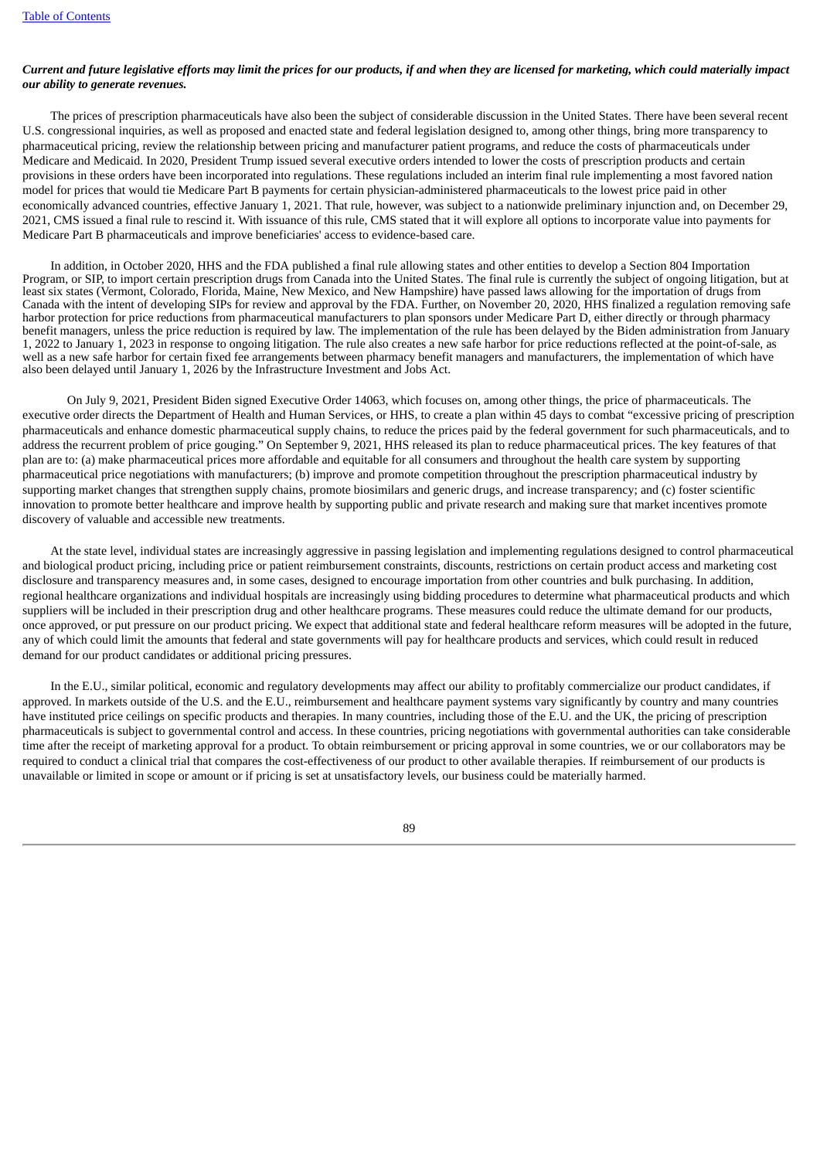# Current and future legislative efforts may limit the prices for our products, if and when they are licensed for marketing, which could materially impact *our ability to generate revenues.*

The prices of prescription pharmaceuticals have also been the subject of considerable discussion in the United States. There have been several recent U.S. congressional inquiries, as well as proposed and enacted state and federal legislation designed to, among other things, bring more transparency to pharmaceutical pricing, review the relationship between pricing and manufacturer patient programs, and reduce the costs of pharmaceuticals under Medicare and Medicaid. In 2020, President Trump issued several executive orders intended to lower the costs of prescription products and certain provisions in these orders have been incorporated into regulations. These regulations included an interim final rule implementing a most favored nation model for prices that would tie Medicare Part B payments for certain physician-administered pharmaceuticals to the lowest price paid in other economically advanced countries, effective January 1, 2021. That rule, however, was subject to a nationwide preliminary injunction and, on December 29, 2021, CMS issued a final rule to rescind it. With issuance of this rule, CMS stated that it will explore all options to incorporate value into payments for Medicare Part B pharmaceuticals and improve beneficiaries' access to evidence-based care.

In addition, in October 2020, HHS and the FDA published a final rule allowing states and other entities to develop a Section 804 Importation Program, or SIP, to import certain prescription drugs from Canada into the United States. The final rule is currently the subject of ongoing litigation, but at least six states (Vermont, Colorado, Florida, Maine, New Mexico, and New Hampshire) have passed laws allowing for the importation of drugs from Canada with the intent of developing SIPs for review and approval by the FDA. Further, on November 20, 2020, HHS finalized a regulation removing safe harbor protection for price reductions from pharmaceutical manufacturers to plan sponsors under Medicare Part D, either directly or through pharmacy benefit managers, unless the price reduction is required by law. The implementation of the rule has been delayed by the Biden administration from January 1, 2022 to January 1, 2023 in response to ongoing litigation. The rule also creates a new safe harbor for price reductions reflected at the point-of-sale, as well as a new safe harbor for certain fixed fee arrangements between pharmacy benefit managers and manufacturers, the implementation of which have also been delayed until January 1, 2026 by the Infrastructure Investment and Jobs Act.

On July 9, 2021, President Biden signed Executive Order 14063, which focuses on, among other things, the price of pharmaceuticals. The executive order directs the Department of Health and Human Services, or HHS, to create a plan within 45 days to combat "excessive pricing of prescription pharmaceuticals and enhance domestic pharmaceutical supply chains, to reduce the prices paid by the federal government for such pharmaceuticals, and to address the recurrent problem of price gouging." On September 9, 2021, HHS released its plan to reduce pharmaceutical prices. The key features of that plan are to: (a) make pharmaceutical prices more affordable and equitable for all consumers and throughout the health care system by supporting pharmaceutical price negotiations with manufacturers; (b) improve and promote competition throughout the prescription pharmaceutical industry by supporting market changes that strengthen supply chains, promote biosimilars and generic drugs, and increase transparency; and (c) foster scientific innovation to promote better healthcare and improve health by supporting public and private research and making sure that market incentives promote discovery of valuable and accessible new treatments.

At the state level, individual states are increasingly aggressive in passing legislation and implementing regulations designed to control pharmaceutical and biological product pricing, including price or patient reimbursement constraints, discounts, restrictions on certain product access and marketing cost disclosure and transparency measures and, in some cases, designed to encourage importation from other countries and bulk purchasing. In addition, regional healthcare organizations and individual hospitals are increasingly using bidding procedures to determine what pharmaceutical products and which suppliers will be included in their prescription drug and other healthcare programs. These measures could reduce the ultimate demand for our products, once approved, or put pressure on our product pricing. We expect that additional state and federal healthcare reform measures will be adopted in the future, any of which could limit the amounts that federal and state governments will pay for healthcare products and services, which could result in reduced demand for our product candidates or additional pricing pressures.

In the E.U., similar political, economic and regulatory developments may affect our ability to profitably commercialize our product candidates, if approved. In markets outside of the U.S. and the E.U., reimbursement and healthcare payment systems vary significantly by country and many countries have instituted price ceilings on specific products and therapies. In many countries, including those of the E.U. and the UK, the pricing of prescription pharmaceuticals is subject to governmental control and access. In these countries, pricing negotiations with governmental authorities can take considerable time after the receipt of marketing approval for a product. To obtain reimbursement or pricing approval in some countries, we or our collaborators may be required to conduct a clinical trial that compares the cost-effectiveness of our product to other available therapies. If reimbursement of our products is unavailable or limited in scope or amount or if pricing is set at unsatisfactory levels, our business could be materially harmed.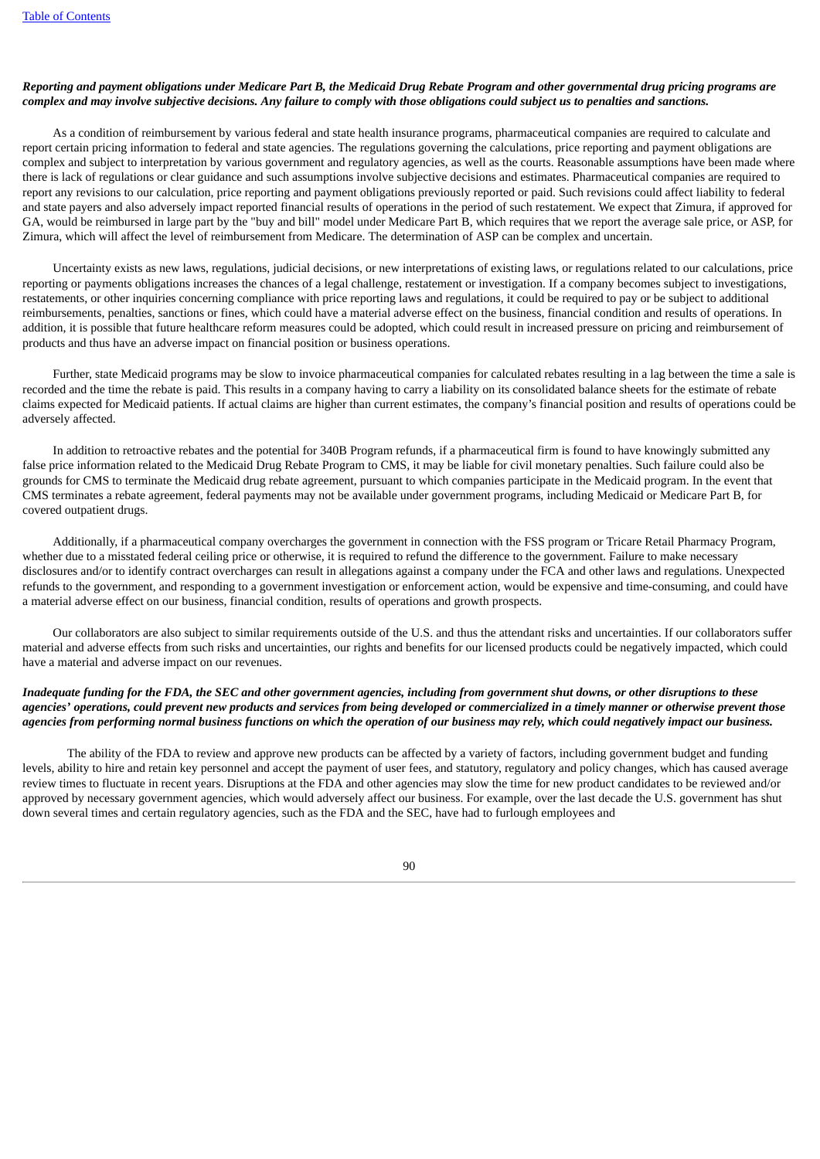# Reporting and payment obligations under Medicare Part B, the Medicaid Drug Rebate Program and other governmental drug pricing programs are complex and may involve subjective decisions. Any failure to comply with those obligations could subject us to penalties and sanctions.

As a condition of reimbursement by various federal and state health insurance programs, pharmaceutical companies are required to calculate and report certain pricing information to federal and state agencies. The regulations governing the calculations, price reporting and payment obligations are complex and subject to interpretation by various government and regulatory agencies, as well as the courts. Reasonable assumptions have been made where there is lack of regulations or clear guidance and such assumptions involve subjective decisions and estimates. Pharmaceutical companies are required to report any revisions to our calculation, price reporting and payment obligations previously reported or paid. Such revisions could affect liability to federal and state payers and also adversely impact reported financial results of operations in the period of such restatement. We expect that Zimura, if approved for GA, would be reimbursed in large part by the "buy and bill" model under Medicare Part B, which requires that we report the average sale price, or ASP, for Zimura, which will affect the level of reimbursement from Medicare. The determination of ASP can be complex and uncertain.

Uncertainty exists as new laws, regulations, judicial decisions, or new interpretations of existing laws, or regulations related to our calculations, price reporting or payments obligations increases the chances of a legal challenge, restatement or investigation. If a company becomes subject to investigations, restatements, or other inquiries concerning compliance with price reporting laws and regulations, it could be required to pay or be subject to additional reimbursements, penalties, sanctions or fines, which could have a material adverse effect on the business, financial condition and results of operations. In addition, it is possible that future healthcare reform measures could be adopted, which could result in increased pressure on pricing and reimbursement of products and thus have an adverse impact on financial position or business operations.

Further, state Medicaid programs may be slow to invoice pharmaceutical companies for calculated rebates resulting in a lag between the time a sale is recorded and the time the rebate is paid. This results in a company having to carry a liability on its consolidated balance sheets for the estimate of rebate claims expected for Medicaid patients. If actual claims are higher than current estimates, the company's financial position and results of operations could be adversely affected.

In addition to retroactive rebates and the potential for 340B Program refunds, if a pharmaceutical firm is found to have knowingly submitted any false price information related to the Medicaid Drug Rebate Program to CMS, it may be liable for civil monetary penalties. Such failure could also be grounds for CMS to terminate the Medicaid drug rebate agreement, pursuant to which companies participate in the Medicaid program. In the event that CMS terminates a rebate agreement, federal payments may not be available under government programs, including Medicaid or Medicare Part B, for covered outpatient drugs.

Additionally, if a pharmaceutical company overcharges the government in connection with the FSS program or Tricare Retail Pharmacy Program, whether due to a misstated federal ceiling price or otherwise, it is required to refund the difference to the government. Failure to make necessary disclosures and/or to identify contract overcharges can result in allegations against a company under the FCA and other laws and regulations. Unexpected refunds to the government, and responding to a government investigation or enforcement action, would be expensive and time-consuming, and could have a material adverse effect on our business, financial condition, results of operations and growth prospects.

Our collaborators are also subject to similar requirements outside of the U.S. and thus the attendant risks and uncertainties. If our collaborators suffer material and adverse effects from such risks and uncertainties, our rights and benefits for our licensed products could be negatively impacted, which could have a material and adverse impact on our revenues.

# Inadequate funding for the FDA, the SEC and other government agencies, including from government shut downs, or other disruptions to these agencies' operations, could prevent new products and services from being developed or commercialized in a timely manner or otherwise prevent those agencies from performing normal business functions on which the operation of our business may rely, which could negatively impact our business.

The ability of the FDA to review and approve new products can be affected by a variety of factors, including government budget and funding levels, ability to hire and retain key personnel and accept the payment of user fees, and statutory, regulatory and policy changes, which has caused average review times to fluctuate in recent years. Disruptions at the FDA and other agencies may slow the time for new product candidates to be reviewed and/or approved by necessary government agencies, which would adversely affect our business. For example, over the last decade the U.S. government has shut down several times and certain regulatory agencies, such as the FDA and the SEC, have had to furlough employees and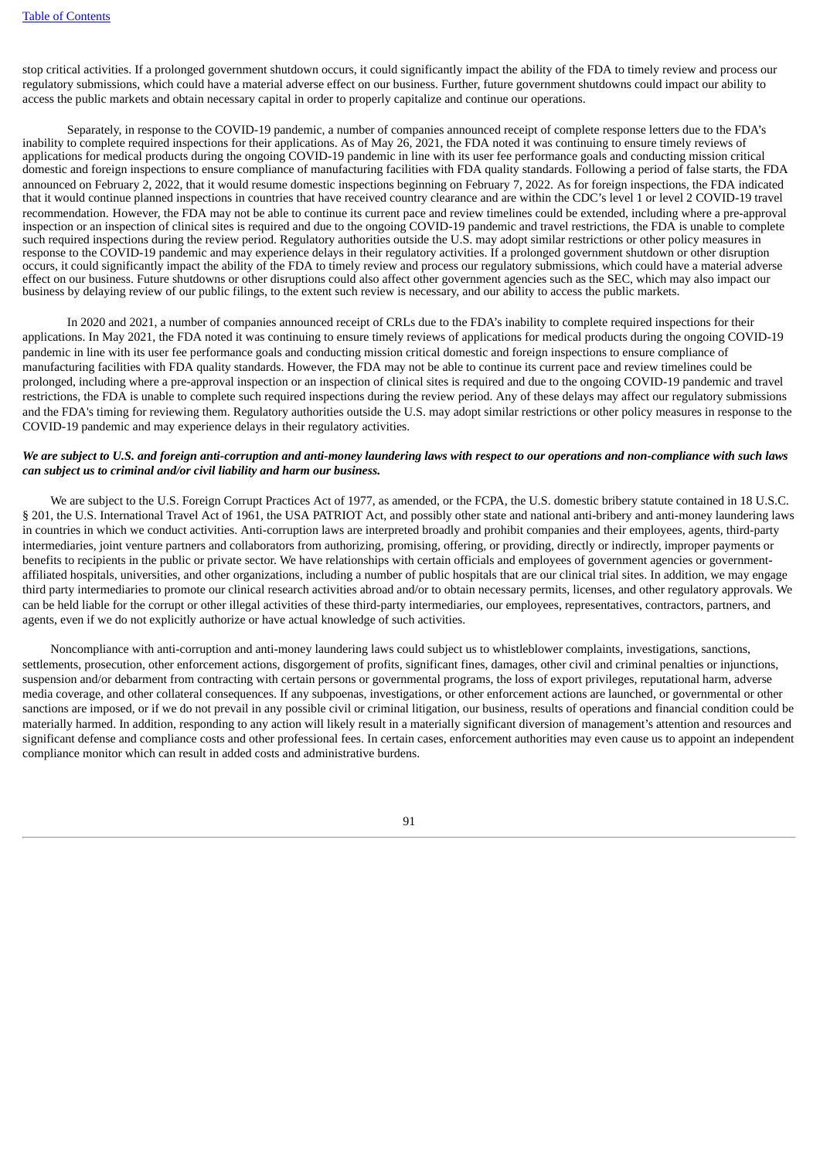stop critical activities. If a prolonged government shutdown occurs, it could significantly impact the ability of the FDA to timely review and process our regulatory submissions, which could have a material adverse effect on our business. Further, future government shutdowns could impact our ability to access the public markets and obtain necessary capital in order to properly capitalize and continue our operations.

Separately, in response to the COVID-19 pandemic, a number of companies announced receipt of complete response letters due to the FDA's inability to complete required inspections for their applications. As of May 26, 2021, the FDA noted it was continuing to ensure timely reviews of applications for medical products during the ongoing COVID-19 pandemic in line with its user fee performance goals and conducting mission critical domestic and foreign inspections to ensure compliance of manufacturing facilities with FDA quality standards. Following a period of false starts, the FDA announced on February 2, 2022, that it would resume domestic inspections beginning on February 7, 2022. As for foreign inspections, the FDA indicated that it would continue planned inspections in countries that have received country clearance and are within the CDC's level 1 or level 2 COVID-19 travel recommendation. However, the FDA may not be able to continue its current pace and review timelines could be extended, including where a pre-approval inspection or an inspection of clinical sites is required and due to the ongoing COVID-19 pandemic and travel restrictions, the FDA is unable to complete such required inspections during the review period. Regulatory authorities outside the U.S. may adopt similar restrictions or other policy measures in response to the COVID-19 pandemic and may experience delays in their regulatory activities. If a prolonged government shutdown or other disruption occurs, it could significantly impact the ability of the FDA to timely review and process our regulatory submissions, which could have a material adverse effect on our business. Future shutdowns or other disruptions could also affect other government agencies such as the SEC, which may also impact our business by delaying review of our public filings, to the extent such review is necessary, and our ability to access the public markets.

In 2020 and 2021, a number of companies announced receipt of CRLs due to the FDA's inability to complete required inspections for their applications. In May 2021, the FDA noted it was continuing to ensure timely reviews of applications for medical products during the ongoing COVID-19 pandemic in line with its user fee performance goals and conducting mission critical domestic and foreign inspections to ensure compliance of manufacturing facilities with FDA quality standards. However, the FDA may not be able to continue its current pace and review timelines could be prolonged, including where a pre-approval inspection or an inspection of clinical sites is required and due to the ongoing COVID-19 pandemic and travel restrictions, the FDA is unable to complete such required inspections during the review period. Any of these delays may affect our regulatory submissions and the FDA's timing for reviewing them. Regulatory authorities outside the U.S. may adopt similar restrictions or other policy measures in response to the COVID-19 pandemic and may experience delays in their regulatory activities.

### We are subject to U.S. and foreign anti-corruption and anti-money laundering laws with respect to our operations and non-compliance with such laws *can subject us to criminal and/or civil liability and harm our business.*

We are subject to the U.S. Foreign Corrupt Practices Act of 1977, as amended, or the FCPA, the U.S. domestic bribery statute contained in 18 U.S.C. § 201, the U.S. International Travel Act of 1961, the USA PATRIOT Act, and possibly other state and national anti-bribery and anti-money laundering laws in countries in which we conduct activities. Anti-corruption laws are interpreted broadly and prohibit companies and their employees, agents, third-party intermediaries, joint venture partners and collaborators from authorizing, promising, offering, or providing, directly or indirectly, improper payments or benefits to recipients in the public or private sector. We have relationships with certain officials and employees of government agencies or governmentaffiliated hospitals, universities, and other organizations, including a number of public hospitals that are our clinical trial sites. In addition, we may engage third party intermediaries to promote our clinical research activities abroad and/or to obtain necessary permits, licenses, and other regulatory approvals. We can be held liable for the corrupt or other illegal activities of these third-party intermediaries, our employees, representatives, contractors, partners, and agents, even if we do not explicitly authorize or have actual knowledge of such activities.

Noncompliance with anti-corruption and anti-money laundering laws could subject us to whistleblower complaints, investigations, sanctions, settlements, prosecution, other enforcement actions, disgorgement of profits, significant fines, damages, other civil and criminal penalties or injunctions, suspension and/or debarment from contracting with certain persons or governmental programs, the loss of export privileges, reputational harm, adverse media coverage, and other collateral consequences. If any subpoenas, investigations, or other enforcement actions are launched, or governmental or other sanctions are imposed, or if we do not prevail in any possible civil or criminal litigation, our business, results of operations and financial condition could be materially harmed. In addition, responding to any action will likely result in a materially significant diversion of management's attention and resources and significant defense and compliance costs and other professional fees. In certain cases, enforcement authorities may even cause us to appoint an independent compliance monitor which can result in added costs and administrative burdens.

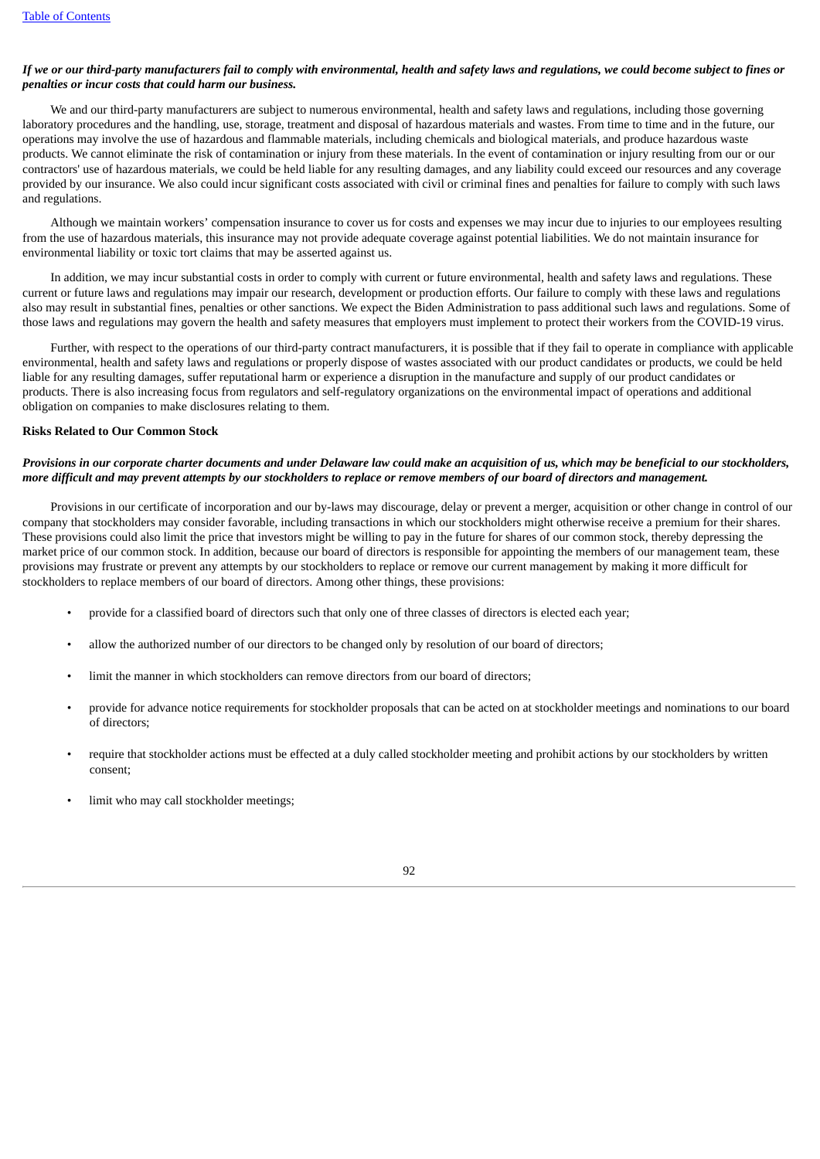# If we or our third-party manufacturers fail to comply with environmental, health and safety laws and reaulations, we could become subject to fines or *penalties or incur costs that could harm our business.*

We and our third-party manufacturers are subject to numerous environmental, health and safety laws and regulations, including those governing laboratory procedures and the handling, use, storage, treatment and disposal of hazardous materials and wastes. From time to time and in the future, our operations may involve the use of hazardous and flammable materials, including chemicals and biological materials, and produce hazardous waste products. We cannot eliminate the risk of contamination or injury from these materials. In the event of contamination or injury resulting from our or our contractors' use of hazardous materials, we could be held liable for any resulting damages, and any liability could exceed our resources and any coverage provided by our insurance. We also could incur significant costs associated with civil or criminal fines and penalties for failure to comply with such laws and regulations.

Although we maintain workers' compensation insurance to cover us for costs and expenses we may incur due to injuries to our employees resulting from the use of hazardous materials, this insurance may not provide adequate coverage against potential liabilities. We do not maintain insurance for environmental liability or toxic tort claims that may be asserted against us.

In addition, we may incur substantial costs in order to comply with current or future environmental, health and safety laws and regulations. These current or future laws and regulations may impair our research, development or production efforts. Our failure to comply with these laws and regulations also may result in substantial fines, penalties or other sanctions. We expect the Biden Administration to pass additional such laws and regulations. Some of those laws and regulations may govern the health and safety measures that employers must implement to protect their workers from the COVID-19 virus.

Further, with respect to the operations of our third-party contract manufacturers, it is possible that if they fail to operate in compliance with applicable environmental, health and safety laws and regulations or properly dispose of wastes associated with our product candidates or products, we could be held liable for any resulting damages, suffer reputational harm or experience a disruption in the manufacture and supply of our product candidates or products. There is also increasing focus from regulators and self-regulatory organizations on the environmental impact of operations and additional obligation on companies to make disclosures relating to them.

#### **Risks Related to Our Common Stock**

# Provisions in our corporate charter documents and under Delaware law could make an acquisition of us, which may be beneficial to our stockholders, more difficult and may prevent attempts by our stockholders to replace or remove members of our board of directors and management.

Provisions in our certificate of incorporation and our by-laws may discourage, delay or prevent a merger, acquisition or other change in control of our company that stockholders may consider favorable, including transactions in which our stockholders might otherwise receive a premium for their shares. These provisions could also limit the price that investors might be willing to pay in the future for shares of our common stock, thereby depressing the market price of our common stock. In addition, because our board of directors is responsible for appointing the members of our management team, these provisions may frustrate or prevent any attempts by our stockholders to replace or remove our current management by making it more difficult for stockholders to replace members of our board of directors. Among other things, these provisions:

- provide for a classified board of directors such that only one of three classes of directors is elected each year;
- allow the authorized number of our directors to be changed only by resolution of our board of directors;
- limit the manner in which stockholders can remove directors from our board of directors;
- provide for advance notice requirements for stockholder proposals that can be acted on at stockholder meetings and nominations to our board of directors;
- require that stockholder actions must be effected at a duly called stockholder meeting and prohibit actions by our stockholders by written consent;
- limit who may call stockholder meetings;

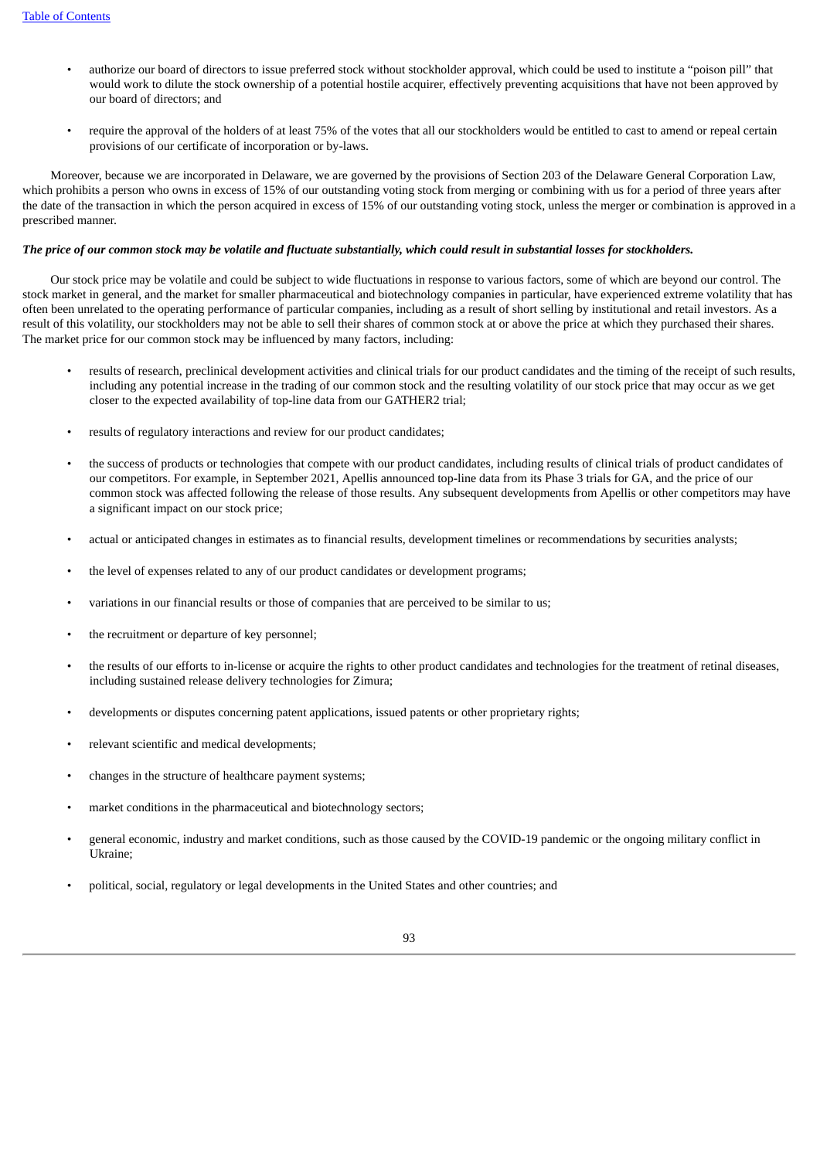- authorize our board of directors to issue preferred stock without stockholder approval, which could be used to institute a "poison pill" that would work to dilute the stock ownership of a potential hostile acquirer, effectively preventing acquisitions that have not been approved by our board of directors; and
- require the approval of the holders of at least 75% of the votes that all our stockholders would be entitled to cast to amend or repeal certain provisions of our certificate of incorporation or by-laws.

Moreover, because we are incorporated in Delaware, we are governed by the provisions of Section 203 of the Delaware General Corporation Law, which prohibits a person who owns in excess of 15% of our outstanding voting stock from merging or combining with us for a period of three years after the date of the transaction in which the person acquired in excess of 15% of our outstanding voting stock, unless the merger or combination is approved in a prescribed manner.

#### The price of our common stock may be volatile and fluctuate substantially, which could result in substantial losses for stockholders.

Our stock price may be volatile and could be subject to wide fluctuations in response to various factors, some of which are beyond our control. The stock market in general, and the market for smaller pharmaceutical and biotechnology companies in particular, have experienced extreme volatility that has often been unrelated to the operating performance of particular companies, including as a result of short selling by institutional and retail investors. As a result of this volatility, our stockholders may not be able to sell their shares of common stock at or above the price at which they purchased their shares. The market price for our common stock may be influenced by many factors, including:

- results of research, preclinical development activities and clinical trials for our product candidates and the timing of the receipt of such results, including any potential increase in the trading of our common stock and the resulting volatility of our stock price that may occur as we get closer to the expected availability of top-line data from our GATHER2 trial;
- results of regulatory interactions and review for our product candidates;
- the success of products or technologies that compete with our product candidates, including results of clinical trials of product candidates of our competitors. For example, in September 2021, Apellis announced top-line data from its Phase 3 trials for GA, and the price of our common stock was affected following the release of those results. Any subsequent developments from Apellis or other competitors may have a significant impact on our stock price;
- actual or anticipated changes in estimates as to financial results, development timelines or recommendations by securities analysts;
- the level of expenses related to any of our product candidates or development programs;
- variations in our financial results or those of companies that are perceived to be similar to us;
- the recruitment or departure of key personnel;
- the results of our efforts to in-license or acquire the rights to other product candidates and technologies for the treatment of retinal diseases, including sustained release delivery technologies for Zimura;
- developments or disputes concerning patent applications, issued patents or other proprietary rights;
- relevant scientific and medical developments;
- changes in the structure of healthcare payment systems;
- market conditions in the pharmaceutical and biotechnology sectors:
- general economic, industry and market conditions, such as those caused by the COVID-19 pandemic or the ongoing military conflict in Ukraine;
- political, social, regulatory or legal developments in the United States and other countries; and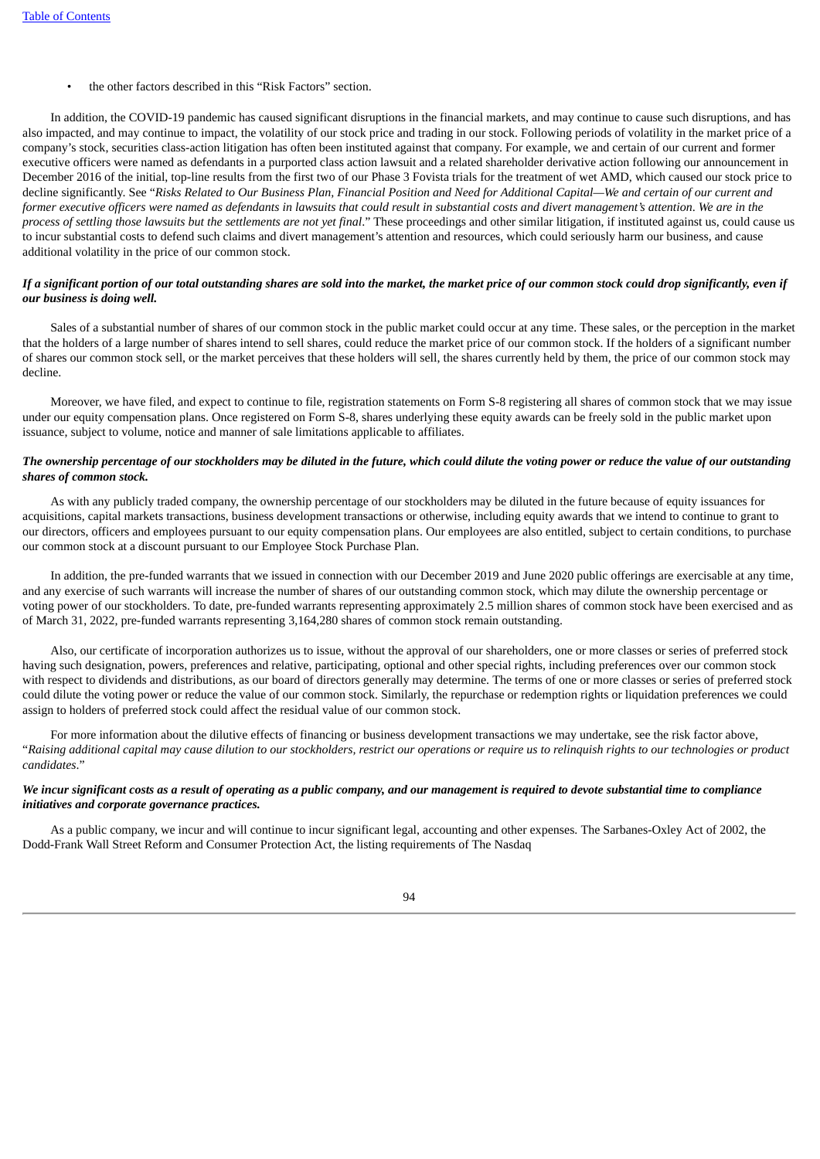• the other factors described in this "Risk Factors" section.

In addition, the COVID-19 pandemic has caused significant disruptions in the financial markets, and may continue to cause such disruptions, and has also impacted, and may continue to impact, the volatility of our stock price and trading in our stock. Following periods of volatility in the market price of a company's stock, securities class-action litigation has often been instituted against that company. For example, we and certain of our current and former executive officers were named as defendants in a purported class action lawsuit and a related shareholder derivative action following our announcement in December 2016 of the initial, top-line results from the first two of our Phase 3 Fovista trials for the treatment of wet AMD, which caused our stock price to decline significantly. See "Risks Related to Our Business Plan. Financial Position and Need for Additional Capital—We and certain of our current and former executive officers were named as defendants in lawsuits that could result in substantial costs and divert management's attention. We are in the process of settling those lawsuits but the settlements are not yet final." These proceedings and other similar litigation, if instituted against us, could cause us to incur substantial costs to defend such claims and divert management's attention and resources, which could seriously harm our business, and cause additional volatility in the price of our common stock.

# If a significant portion of our total outstanding shares are sold into the market, the market price of our common stock could drop significantly, even if *our business is doing well.*

Sales of a substantial number of shares of our common stock in the public market could occur at any time. These sales, or the perception in the market that the holders of a large number of shares intend to sell shares, could reduce the market price of our common stock. If the holders of a significant number of shares our common stock sell, or the market perceives that these holders will sell, the shares currently held by them, the price of our common stock may decline.

Moreover, we have filed, and expect to continue to file, registration statements on Form S-8 registering all shares of common stock that we may issue under our equity compensation plans. Once registered on Form S-8, shares underlying these equity awards can be freely sold in the public market upon issuance, subject to volume, notice and manner of sale limitations applicable to affiliates.

# The ownership percentage of our stockholders may be diluted in the future, which could dilute the voting power or reduce the value of our outstanding *shares of common stock.*

As with any publicly traded company, the ownership percentage of our stockholders may be diluted in the future because of equity issuances for acquisitions, capital markets transactions, business development transactions or otherwise, including equity awards that we intend to continue to grant to our directors, officers and employees pursuant to our equity compensation plans. Our employees are also entitled, subject to certain conditions, to purchase our common stock at a discount pursuant to our Employee Stock Purchase Plan.

In addition, the pre-funded warrants that we issued in connection with our December 2019 and June 2020 public offerings are exercisable at any time, and any exercise of such warrants will increase the number of shares of our outstanding common stock, which may dilute the ownership percentage or voting power of our stockholders. To date, pre-funded warrants representing approximately 2.5 million shares of common stock have been exercised and as of March 31, 2022, pre-funded warrants representing 3,164,280 shares of common stock remain outstanding.

Also, our certificate of incorporation authorizes us to issue, without the approval of our shareholders, one or more classes or series of preferred stock having such designation, powers, preferences and relative, participating, optional and other special rights, including preferences over our common stock with respect to dividends and distributions, as our board of directors generally may determine. The terms of one or more classes or series of preferred stock could dilute the voting power or reduce the value of our common stock. Similarly, the repurchase or redemption rights or liquidation preferences we could assign to holders of preferred stock could affect the residual value of our common stock.

For more information about the dilutive effects of financing or business development transactions we may undertake, see the risk factor above, "Raising additional capital may cause dilution to our stockholders, restrict our operations or require us to relinguish rights to our technologies or product *candidates*."

# We incur significant costs as a result of operating as a public company, and our management is required to devote substantial time to compliance *initiatives and corporate governance practices.*

As a public company, we incur and will continue to incur significant legal, accounting and other expenses. The Sarbanes-Oxley Act of 2002, the Dodd-Frank Wall Street Reform and Consumer Protection Act, the listing requirements of The Nasdaq

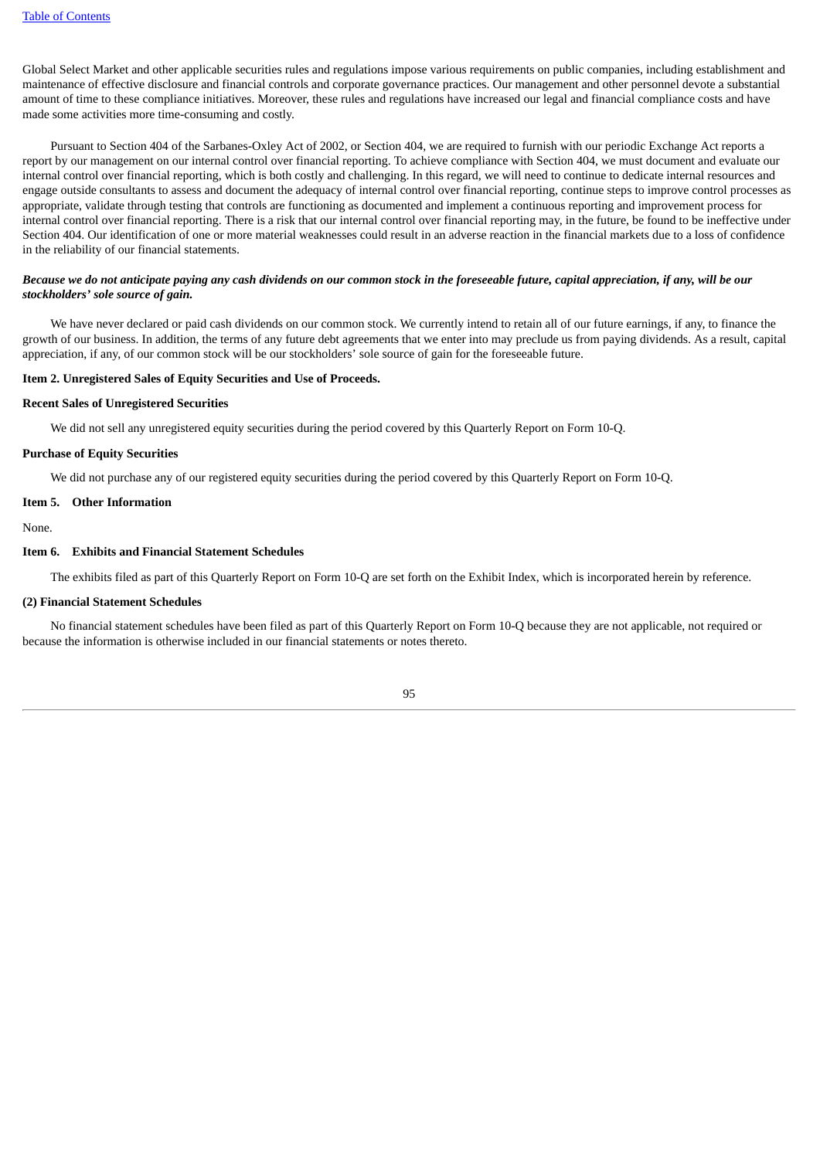Global Select Market and other applicable securities rules and regulations impose various requirements on public companies, including establishment and maintenance of effective disclosure and financial controls and corporate governance practices. Our management and other personnel devote a substantial amount of time to these compliance initiatives. Moreover, these rules and regulations have increased our legal and financial compliance costs and have made some activities more time-consuming and costly.

Pursuant to Section 404 of the Sarbanes-Oxley Act of 2002, or Section 404, we are required to furnish with our periodic Exchange Act reports a report by our management on our internal control over financial reporting. To achieve compliance with Section 404, we must document and evaluate our internal control over financial reporting, which is both costly and challenging. In this regard, we will need to continue to dedicate internal resources and engage outside consultants to assess and document the adequacy of internal control over financial reporting, continue steps to improve control processes as appropriate, validate through testing that controls are functioning as documented and implement a continuous reporting and improvement process for internal control over financial reporting. There is a risk that our internal control over financial reporting may, in the future, be found to be ineffective under Section 404. Our identification of one or more material weaknesses could result in an adverse reaction in the financial markets due to a loss of confidence in the reliability of our financial statements.

# Because we do not anticipate paying any cash dividends on our common stock in the foreseeable future, capital appreciation, if any, will be our *stockholders' sole source of gain.*

We have never declared or paid cash dividends on our common stock. We currently intend to retain all of our future earnings, if any, to finance the growth of our business. In addition, the terms of any future debt agreements that we enter into may preclude us from paying dividends. As a result, capital appreciation, if any, of our common stock will be our stockholders' sole source of gain for the foreseeable future.

#### **Item 2. Unregistered Sales of Equity Securities and Use of Proceeds.**

#### **Recent Sales of Unregistered Securities**

We did not sell any unregistered equity securities during the period covered by this Quarterly Report on Form 10-Q.

#### **Purchase of Equity Securities**

We did not purchase any of our registered equity securities during the period covered by this Quarterly Report on Form 10-Q.

# **Item 5. Other Information**

None.

# **Item 6. Exhibits and Financial Statement Schedules**

The exhibits filed as part of this Quarterly Report on Form 10-Q are set forth on the Exhibit Index, which is incorporated herein by reference.

#### **(2) Financial Statement Schedules**

No financial statement schedules have been filed as part of this Quarterly Report on Form 10-Q because they are not applicable, not required or because the information is otherwise included in our financial statements or notes thereto.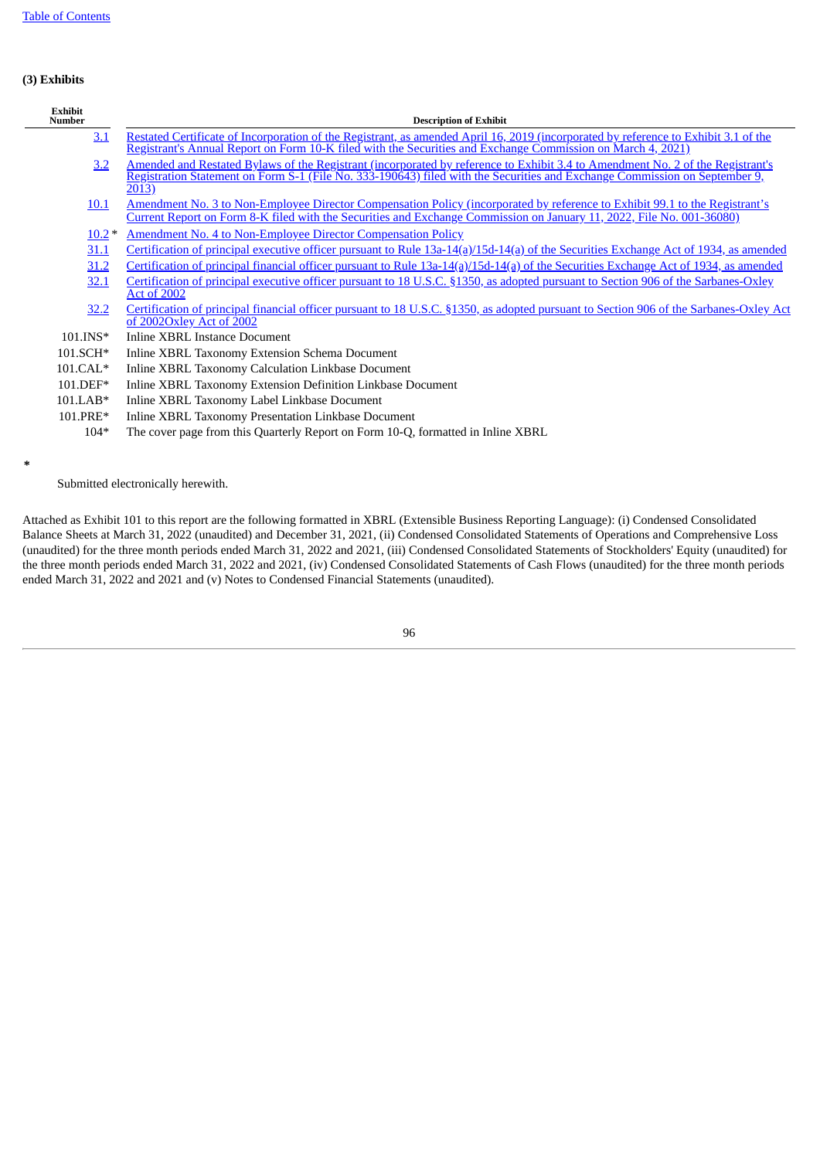# **(3) Exhibits**

**\***

| <b>Exhibit</b><br><b>Number</b> | <b>Description of Exhibit</b>                                                                                                                                                                                                                                         |
|---------------------------------|-----------------------------------------------------------------------------------------------------------------------------------------------------------------------------------------------------------------------------------------------------------------------|
| 3.1                             | Restated Certificate of Incorporation of the Registrant, as amended April 16, 2019 (incorporated by reference to Exhibit 3.1 of the<br>Registrant's Annual Report on Form 10-K filed with the Securities and Exchange Commission on March 4, 2021)                    |
| 3.2                             | Amended and Restated Bylaws of the Registrant (incorporated by reference to Exhibit 3.4 to Amendment No. 2 of the Registrant's<br>Registration Statement on Form S-1 (File No. 333-190643) filed with the Securities and Exchange Commission on September 9,<br>2013) |
| 10.1                            | Amendment No. 3 to Non-Employee Director Compensation Policy (incorporated by reference to Exhibit 99.1 to the Registrant's<br>Current Report on Form 8-K filed with the Securities and Exchange Commission on January 11, 2022, File No. 001-36080)                  |
| $10.2*$                         | <b>Amendment No. 4 to Non-Employee Director Compensation Policy</b>                                                                                                                                                                                                   |
| 31.1                            | Certification of principal executive officer pursuant to Rule 13a-14(a)/15d-14(a) of the Securities Exchange Act of 1934, as amended                                                                                                                                  |
| 31.2                            | Certification of principal financial officer pursuant to Rule 13a-14(a)/15d-14(a) of the Securities Exchange Act of 1934, as amended                                                                                                                                  |
| 32.1                            | Certification of principal executive officer pursuant to 18 U.S.C. §1350, as adopted pursuant to Section 906 of the Sarbanes-Oxley<br><b>Act of 2002</b>                                                                                                              |
| 32.2                            | Certification of principal financial officer pursuant to 18 U.S.C. §1350, as adopted pursuant to Section 906 of the Sarbanes-Oxley Act<br>of 2002Oxley Act of 2002                                                                                                    |
| $101.INS*$                      | <b>Inline XBRL Instance Document</b>                                                                                                                                                                                                                                  |
| 101.SCH*                        | Inline XBRL Taxonomy Extension Schema Document                                                                                                                                                                                                                        |
| $101.CAL*$                      | Inline XBRL Taxonomy Calculation Linkbase Document                                                                                                                                                                                                                    |
| 101.DEF*                        | Inline XBRL Taxonomy Extension Definition Linkbase Document                                                                                                                                                                                                           |
| $101.LAB*$                      | Inline XBRL Taxonomy Label Linkbase Document                                                                                                                                                                                                                          |
| 101.PRE*                        | Inline XBRL Taxonomy Presentation Linkbase Document                                                                                                                                                                                                                   |
| $104*$                          | The cover page from this Quarterly Report on Form 10-Q, formatted in Inline XBRL                                                                                                                                                                                      |

Submitted electronically herewith.

Attached as Exhibit 101 to this report are the following formatted in XBRL (Extensible Business Reporting Language): (i) Condensed Consolidated Balance Sheets at March 31, 2022 (unaudited) and December 31, 2021, (ii) Condensed Consolidated Statements of Operations and Comprehensive Loss (unaudited) for the three month periods ended March 31, 2022 and 2021, (iii) Condensed Consolidated Statements of Stockholders' Equity (unaudited) for the three month periods ended March 31, 2022 and 2021, (iv) Condensed Consolidated Statements of Cash Flows (unaudited) for the three month periods ended March 31, 2022 and 2021 and (v) Notes to Condensed Financial Statements (unaudited).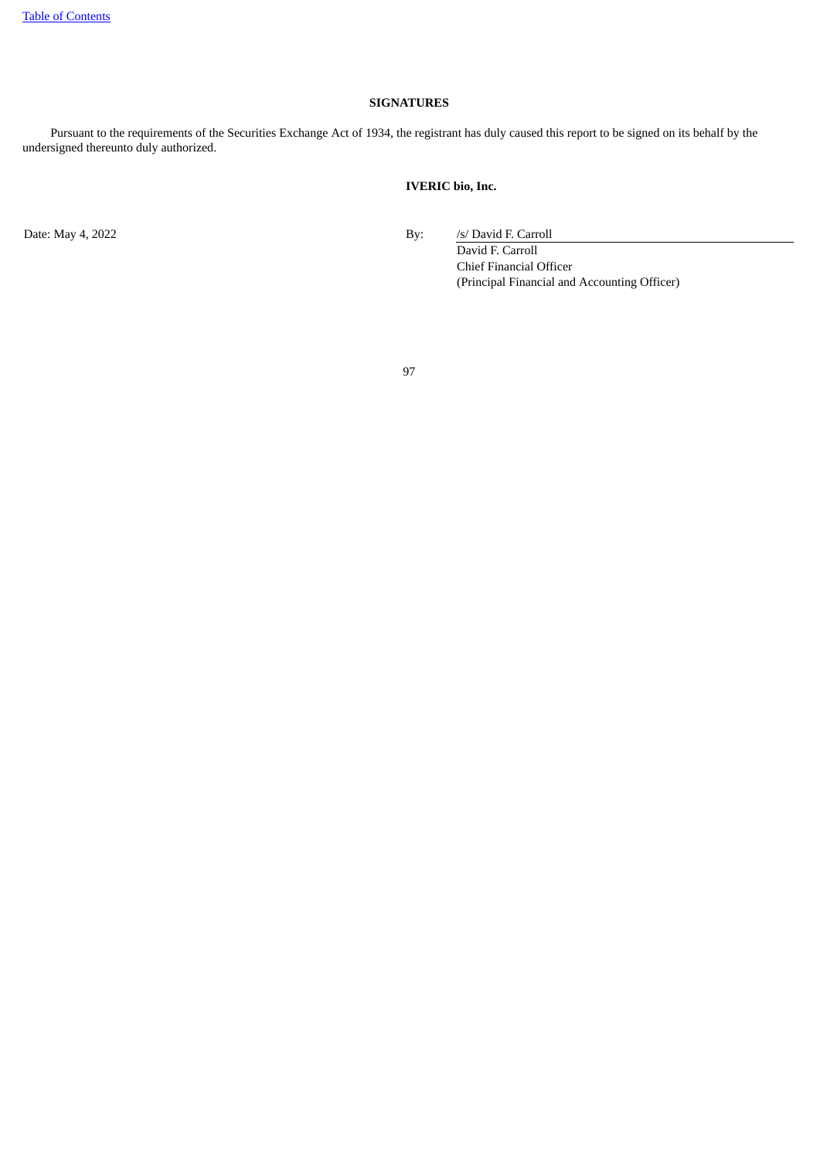# **SIGNATURES**

Pursuant to the requirements of the Securities Exchange Act of 1934, the registrant has duly caused this report to be signed on its behalf by the undersigned thereunto duly authorized.

# **IVERIC bio, Inc.**

Date: May 4, 2022 By: /s/ David F. Carroll

David F. Carroll Chief Financial Officer (Principal Financial and Accounting Officer)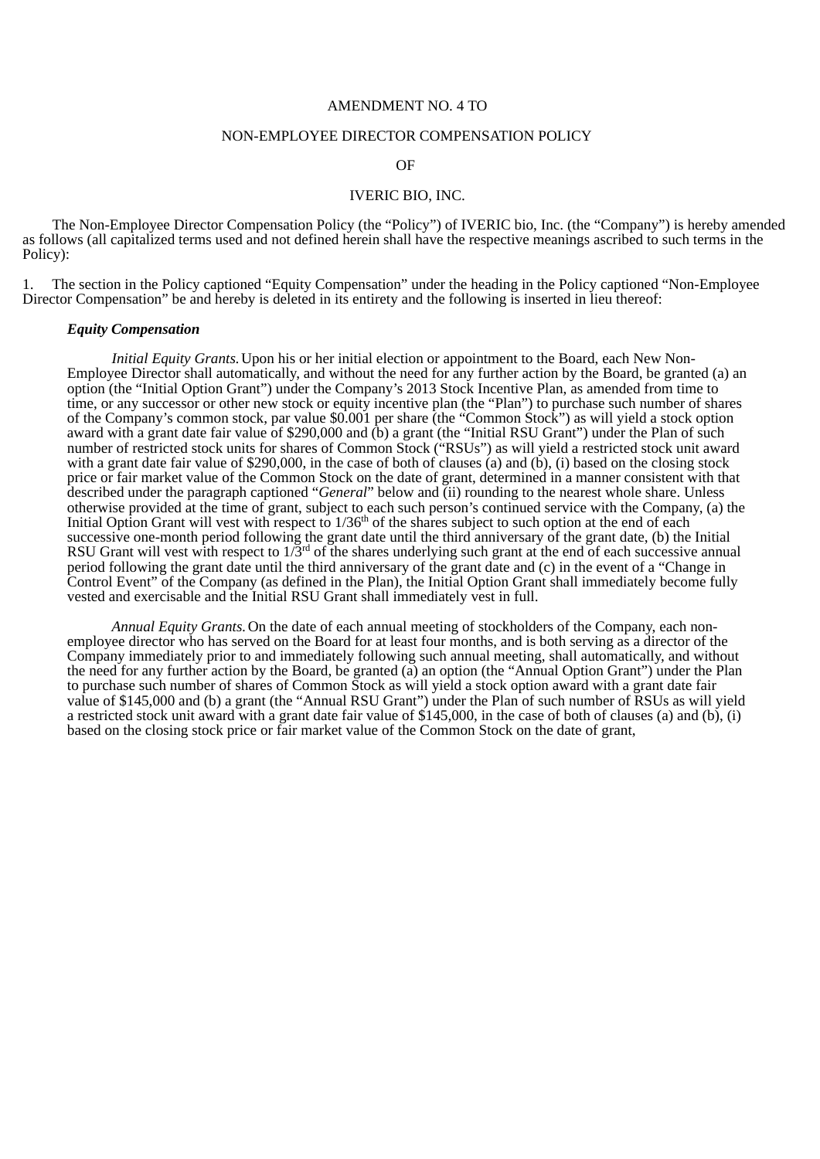### AMENDMENT NO. 4 TO

# NON-EMPLOYEE DIRECTOR COMPENSATION POLICY

# OF

# IVERIC BIO, INC.

<span id="page-99-0"></span>The Non-Employee Director Compensation Policy (the "Policy") of IVERIC bio, Inc. (the "Company") is hereby amended as follows (all capitalized terms used and not defined herein shall have the respective meanings ascribed to such terms in the Policy):

1. The section in the Policy captioned "Equity Compensation" under the heading in the Policy captioned "Non-Employee Director Compensation" be and hereby is deleted in its entirety and the following is inserted in lieu thereof:

# *Equity Compensation*

*Initial Equity Grants.* Upon his or her initial election or appointment to the Board, each New Non-Employee Director shall automatically, and without the need for any further action by the Board, be granted (a) an option (the "Initial Option Grant") under the Company's 2013 Stock Incentive Plan, as amended from time to time, or any successor or other new stock or equity incentive plan (the "Plan") to purchase such number of shares of the Company's common stock, par value \$0.001 per share (the "Common Stock") as will yield a stock option award with a grant date fair value of \$290,000 and (b) a grant (the "Initial RSU Grant") under the Plan of such number of restricted stock units for shares of Common Stock ("RSUs") as will yield a restricted stock unit award with a grant date fair value of \$290,000, in the case of both of clauses (a) and (b), (i) based on the closing stock price or fair market value of the Common Stock on the date of grant, determined in a manner consistent with that described under the paragraph captioned "*General*" below and (ii) rounding to the nearest whole share. Unless otherwise provided at the time of grant, subject to each such person's continued service with the Company, (a) the Initial Option Grant will vest with respect to  $1/36<sup>th</sup>$  of the shares subject to such option at the end of each successive one-month period following the grant date until the third anniversary of the grant date, (b) the Initial RSU Grant will vest with respect to  $1/3^{rd}$  of the shares underlying such grant at the end of each successive annual period following the grant date until the third anniversary of the grant date and (c) in the event of a "Change in Control Event" of the Company (as defined in the Plan), the Initial Option Grant shall immediately become fully vested and exercisable and the Initial RSU Grant shall immediately vest in full.

*Annual Equity Grants.* On the date of each annual meeting of stockholders of the Company, each nonemployee director who has served on the Board for at least four months, and is both serving as a director of the Company immediately prior to and immediately following such annual meeting, shall automatically, and without the need for any further action by the Board, be granted (a) an option (the "Annual Option Grant") under the Plan to purchase such number of shares of Common Stock as will yield a stock option award with a grant date fair value of \$145,000 and (b) a grant (the "Annual RSU Grant") under the Plan of such number of RSUs as will yield a restricted stock unit award with a grant date fair value of \$145,000, in the case of both of clauses (a) and (b), (i) based on the closing stock price or fair market value of the Common Stock on the date of grant,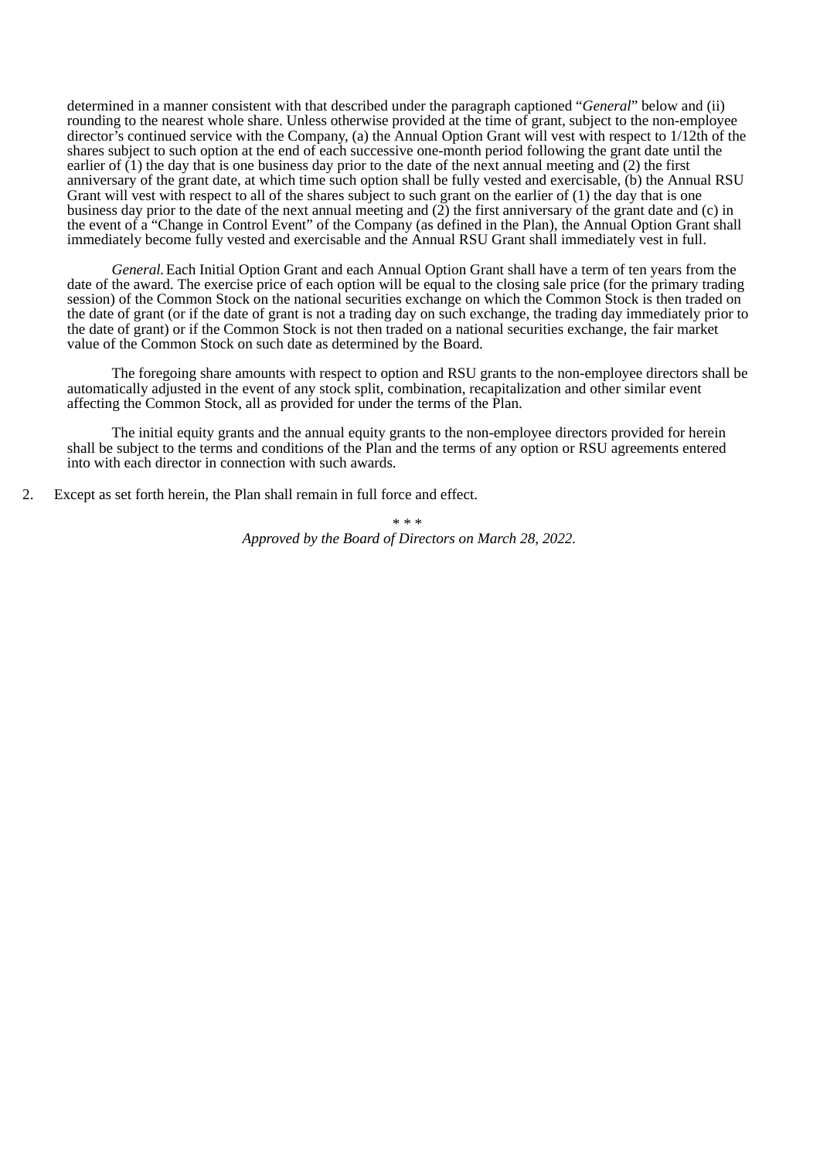determined in a manner consistent with that described under the paragraph captioned "*General*" below and (ii) rounding to the nearest whole share. Unless otherwise provided at the time of grant, subject to the non-employee director's continued service with the Company, (a) the Annual Option Grant will vest with respect to 1/12th of the shares subject to such option at the end of each successive one-month period following the grant date until the earlier of (1) the day that is one business day prior to the date of the next annual meeting and (2) the first anniversary of the grant date, at which time such option shall be fully vested and exercisable, (b) the Annual RSU Grant will vest with respect to all of the shares subject to such grant on the earlier of (1) the day that is one business day prior to the date of the next annual meeting and  $(2)$  the first anniversary of the grant date and  $(c)$  in the event of a "Change in Control Event" of the Company (as defined in the Plan), the Annual Option Grant shall immediately become fully vested and exercisable and the Annual RSU Grant shall immediately vest in full.

*General.* Each Initial Option Grant and each Annual Option Grant shall have a term of ten years from the date of the award. The exercise price of each option will be equal to the closing sale price (for the primary trading session) of the Common Stock on the national securities exchange on which the Common Stock is then traded on the date of grant (or if the date of grant is not a trading day on such exchange, the trading day immediately prior to the date of grant) or if the Common Stock is not then traded on a national securities exchange, the fair market value of the Common Stock on such date as determined by the Board.

The foregoing share amounts with respect to option and RSU grants to the non-employee directors shall be automatically adjusted in the event of any stock split, combination, recapitalization and other similar event affecting the Common Stock, all as provided for under the terms of the Plan.

The initial equity grants and the annual equity grants to the non-employee directors provided for herein shall be subject to the terms and conditions of the Plan and the terms of any option or RSU agreements entered into with each director in connection with such awards.

2. Except as set forth herein, the Plan shall remain in full force and effect.

\* \* \* *Approved by the Board of Directors on March 28, 2022.*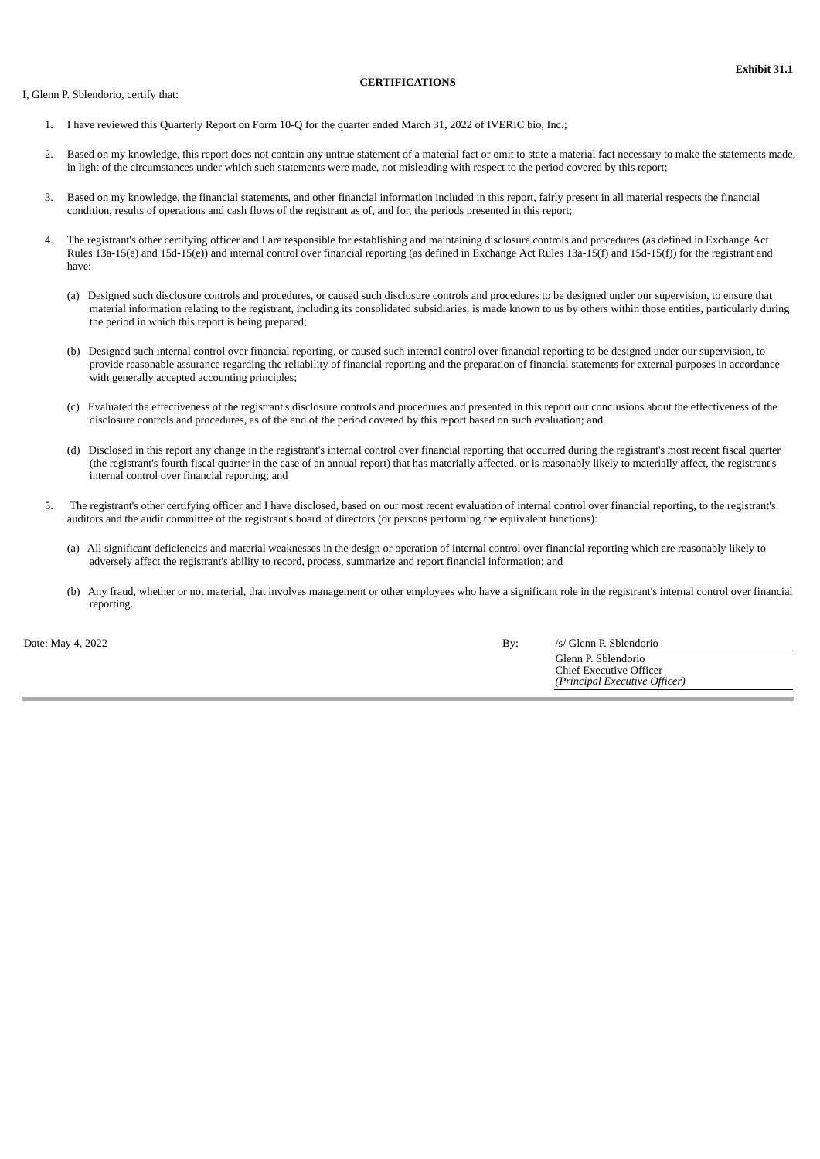#### **CERTIFICATIONS**

<span id="page-101-0"></span>I, Glenn P. Sblendorio, certify that:

- 2. Based on my knowledge, this report does not contain any untrue statement of a material fact or omit to state a material fact necessary to make the statements made, in light of the circumstances under which such statements were made, not misleading with respect to the period covered by this report;
- 3. Based on my knowledge, the financial statements, and other financial information included in this report, fairly present in all material respects the financial condition, results of operations and cash flows of the registrant as of, and for, the periods presented in this report;
- 4. The registrant's other certifying officer and I are responsible for establishing and maintaining disclosure controls and procedures (as defined in Exchange Act Rules 13a-15(e) and 15d-15(e)) and internal control over financial reporting (as defined in Exchange Act Rules 13a-15(f) and 15d-15(f)) for the registrant and have:
	- (a) Designed such disclosure controls and procedures, or caused such disclosure controls and procedures to be designed under our supervision, to ensure that material information relating to the registrant, including its consolidated subsidiaries, is made known to us by others within those entities, particularly during the period in which this report is being prepared;
	- (b) Designed such internal control over financial reporting, or caused such internal control over financial reporting to be designed under our supervision, to provide reasonable assurance regarding the reliability of financial reporting and the preparation of financial statements for external purposes in accordance with generally accepted accounting principles;
	- (c) Evaluated the effectiveness of the registrant's disclosure controls and procedures and presented in this report our conclusions about the effectiveness of the disclosure controls and procedures, as of the end of the period covered by this report based on such evaluation; and
	- (d) Disclosed in this report any change in the registrant's internal control over financial reporting that occurred during the registrant's most recent fiscal quarter (the registrant's fourth fiscal quarter in the case of an annual report) that has materially affected, or is reasonably likely to materially affect, the registrant's internal control over financial reporting; and
- 5. The registrant's other certifying officer and I have disclosed, based on our most recent evaluation of internal control over financial reporting, to the registrant's auditors and the audit committee of the registrant's board of directors (or persons performing the equivalent functions):
	- (a) All significant deficiencies and material weaknesses in the design or operation of internal control over financial reporting which are reasonably likely to adversely affect the registrant's ability to record, process, summarize and report financial information; and
	- (b) Any fraud, whether or not material, that involves management or other employees who have a significant role in the registrant's internal control over financial reporting.

Date: May 4, 2022 <br>
By: /s/ Glenn P. Sblendorio

Glenn P. Sblendorio Chief Executive Officer *(Principal Executive Officer)*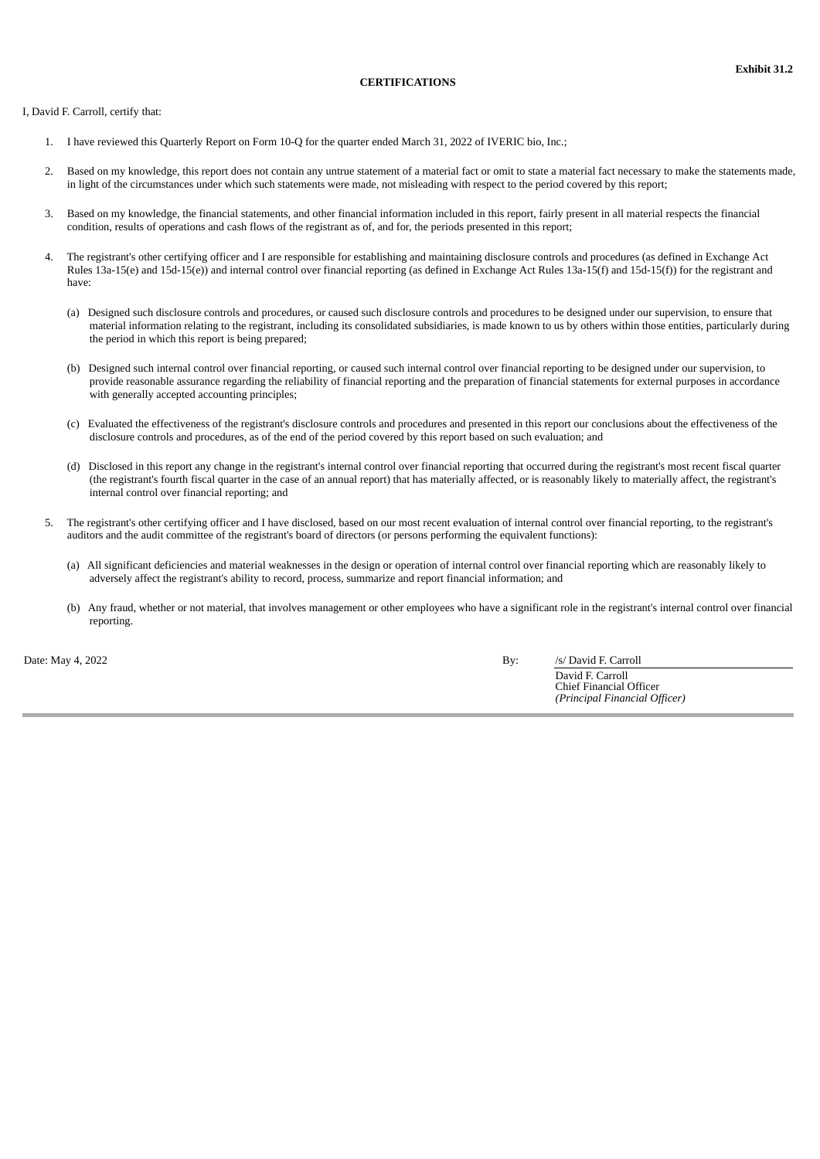#### **CERTIFICATIONS**

<span id="page-102-0"></span>I, David F. Carroll, certify that:

- 1. I have reviewed this Quarterly Report on Form 10-Q for the quarter ended March 31, 2022 of IVERIC bio, Inc.;
- 2. Based on my knowledge, this report does not contain any untrue statement of a material fact or omit to state a material fact necessary to make the statements made, in light of the circumstances under which such statements were made, not misleading with respect to the period covered by this report;
- 3. Based on my knowledge, the financial statements, and other financial information included in this report, fairly present in all material respects the financial condition, results of operations and cash flows of the registrant as of, and for, the periods presented in this report;
- 4. The registrant's other certifying officer and I are responsible for establishing and maintaining disclosure controls and procedures (as defined in Exchange Act Rules 13a-15(e) and 15d-15(e)) and internal control over financial reporting (as defined in Exchange Act Rules 13a-15(f) and 15d-15(f)) for the registrant and have:
	- (a) Designed such disclosure controls and procedures, or caused such disclosure controls and procedures to be designed under our supervision, to ensure that material information relating to the registrant, including its consolidated subsidiaries, is made known to us by others within those entities, particularly during the period in which this report is being prepared;
	- (b) Designed such internal control over financial reporting, or caused such internal control over financial reporting to be designed under our supervision, to provide reasonable assurance regarding the reliability of financial reporting and the preparation of financial statements for external purposes in accordance with generally accepted accounting principles;
	- (c) Evaluated the effectiveness of the registrant's disclosure controls and procedures and presented in this report our conclusions about the effectiveness of the disclosure controls and procedures, as of the end of the period covered by this report based on such evaluation; and
	- (d) Disclosed in this report any change in the registrant's internal control over financial reporting that occurred during the registrant's most recent fiscal quarter (the registrant's fourth fiscal quarter in the case of an annual report) that has materially affected, or is reasonably likely to materially affect, the registrant's internal control over financial reporting; and
- 5. The registrant's other certifying officer and I have disclosed, based on our most recent evaluation of internal control over financial reporting, to the registrant's auditors and the audit committee of the registrant's board of directors (or persons performing the equivalent functions):
	- (a) All significant deficiencies and material weaknesses in the design or operation of internal control over financial reporting which are reasonably likely to adversely affect the registrant's ability to record, process, summarize and report financial information; and
	- (b) Any fraud, whether or not material, that involves management or other employees who have a significant role in the registrant's internal control over financial reporting.

Date: May 4, 2022 <br>
By: /s/ David F. Carroll

David F. Carroll Chief Financial Officer *(Principal Financial Officer)*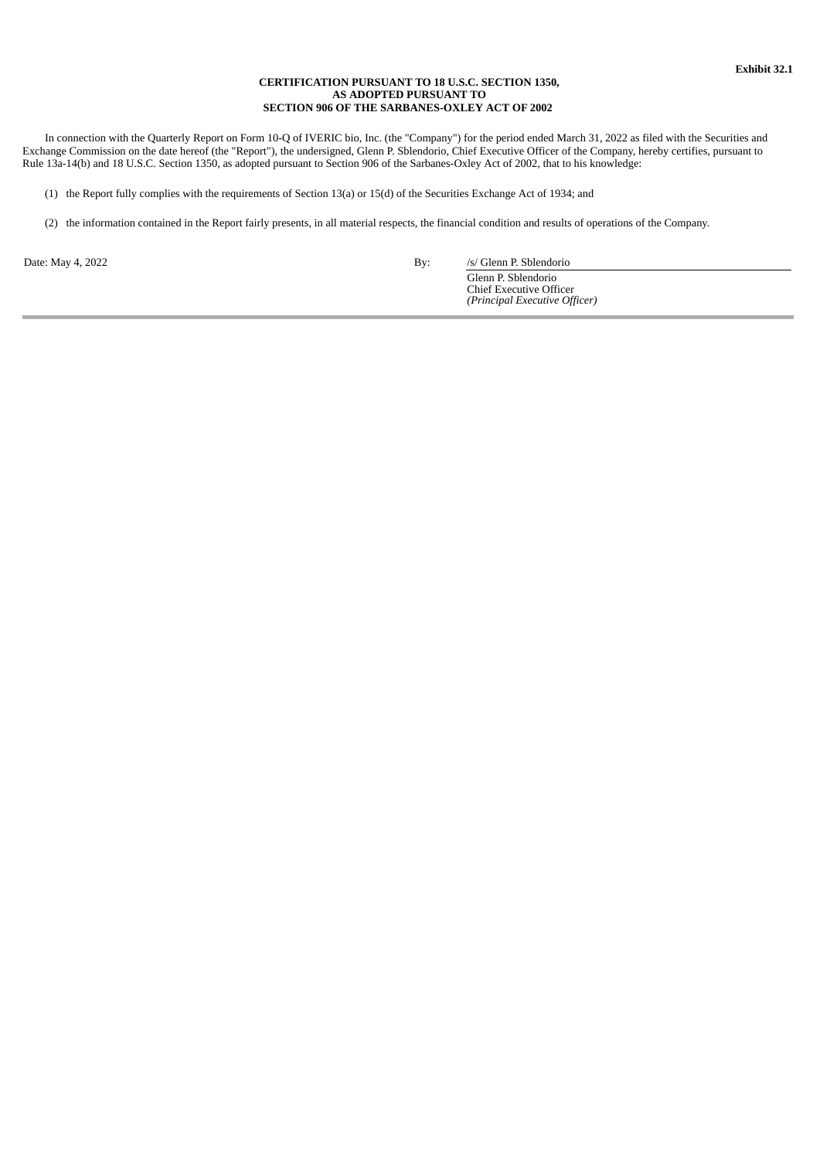#### **CERTIFICATION PURSUANT TO 18 U.S.C. SECTION 1350, AS ADOPTED PURSUANT TO SECTION 906 OF THE SARBANES-OXLEY ACT OF 2002**

<span id="page-103-0"></span> In connection with the Quarterly Report on Form 10-Q of IVERIC bio, Inc. (the "Company") for the period ended March 31, 2022 as filed with the Securities and Exchange Commission on the date hereof (the "Report"), the undersigned, Glenn P. Sblendorio, Chief Executive Officer of the Company, hereby certifies, pursuant to Rule 13a-14(b) and 18 U.S.C. Section 1350, as adopted pursuant to Section 906 of the Sarbanes-Oxley Act of 2002, that to his knowledge:

(1) the Report fully complies with the requirements of Section 13(a) or 15(d) of the Securities Exchange Act of 1934; and

(2) the information contained in the Report fairly presents, in all material respects, the financial condition and results of operations of the Company.

Date: May 4, 2022 By: /s/ Glenn P. Sblendorio Glenn P. Sblendorio Chief Executive Officer *(Principal Executive Officer)*